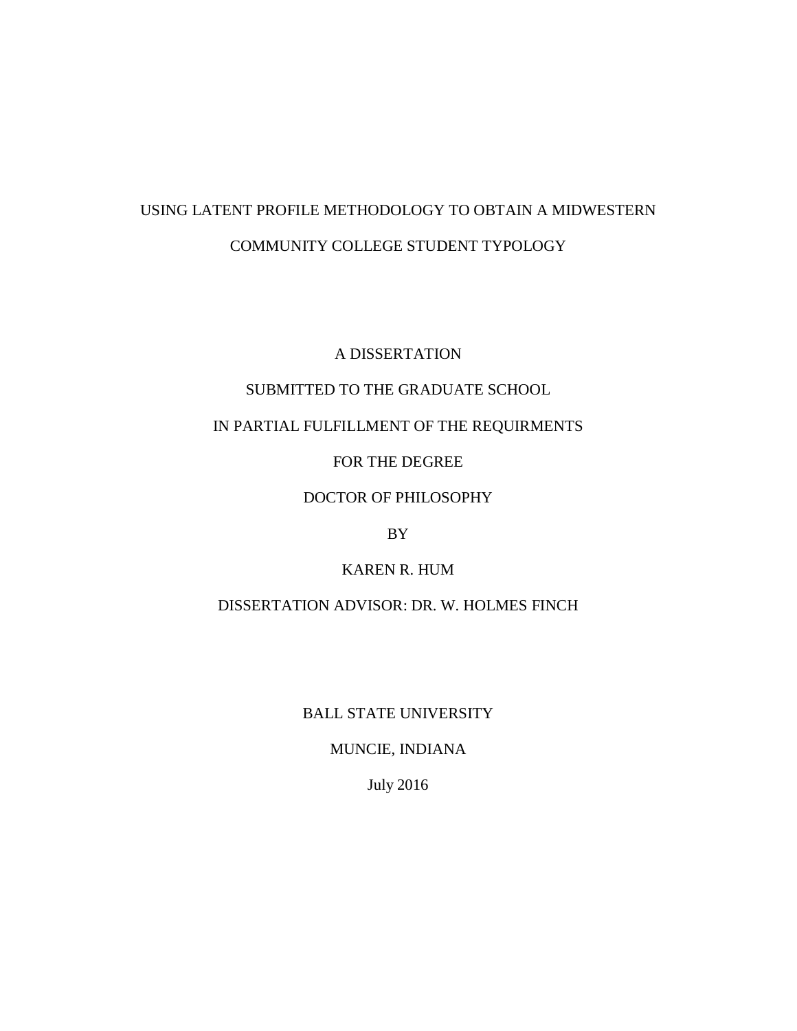# USING LATENT PROFILE METHODOLOGY TO OBTAIN A MIDWESTERN COMMUNITY COLLEGE STUDENT TYPOLOGY

A DISSERTATION

# SUBMITTED TO THE GRADUATE SCHOOL

# IN PARTIAL FULFILLMENT OF THE REQUIRMENTS

FOR THE DEGREE

### DOCTOR OF PHILOSOPHY

### BY

# KAREN R. HUM

# DISSERTATION ADVISOR: DR. W. HOLMES FINCH

### BALL STATE UNIVERSITY

### MUNCIE, INDIANA

July 2016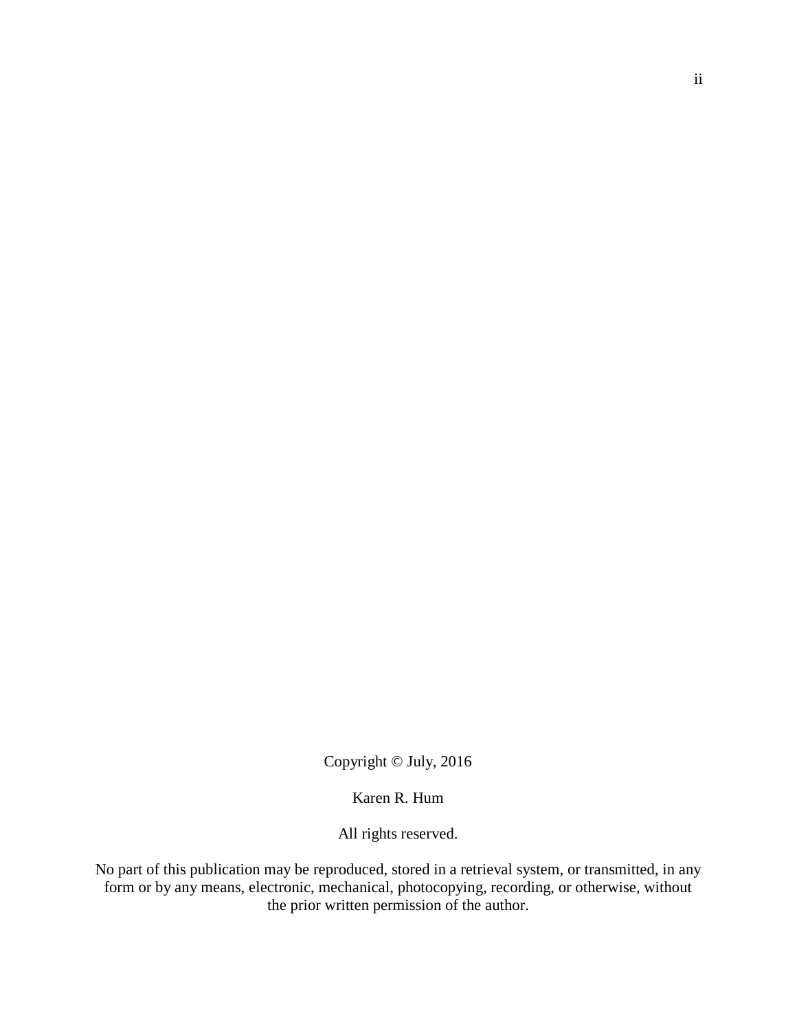Copyright © July, 2016

Karen R. Hum

All rights reserved.

No part of this publication may be reproduced, stored in a retrieval system, or transmitted, in any form or by any means, electronic, mechanical, photocopying, recording, or otherwise, without the prior written permission of the author.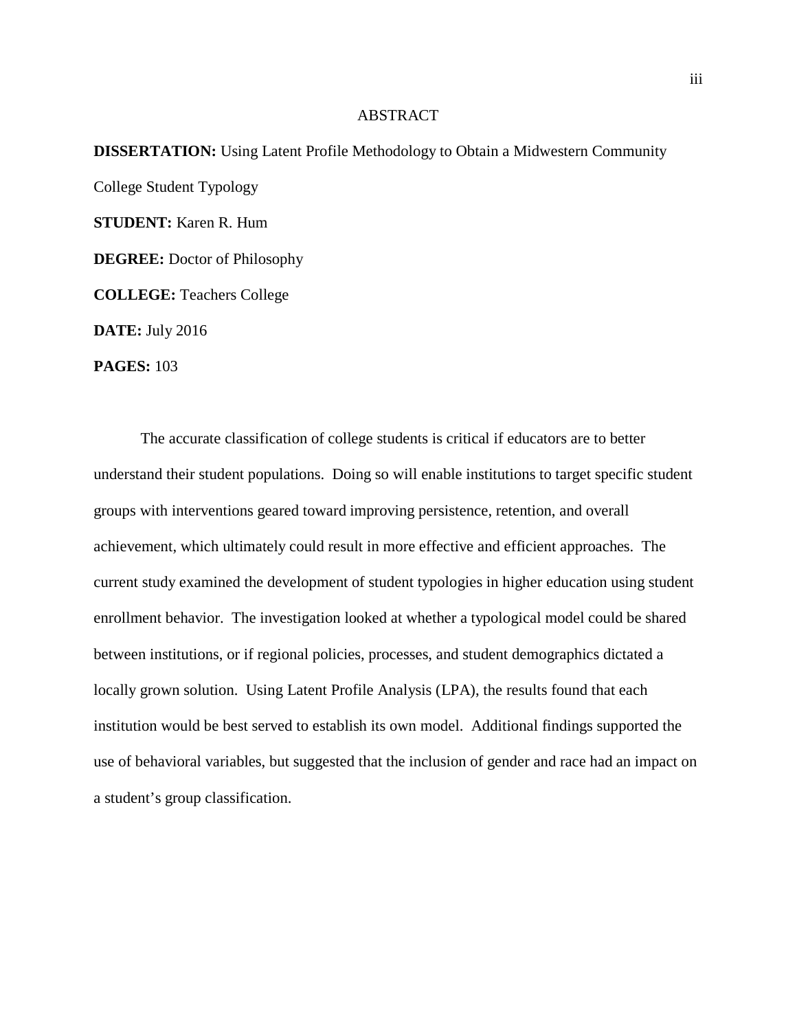### ABSTRACT

**DISSERTATION:** Using Latent Profile Methodology to Obtain a Midwestern Community College Student Typology **STUDENT:** Karen R. Hum **DEGREE:** Doctor of Philosophy **COLLEGE:** Teachers College **DATE:** July 2016 **PAGES:** 103

The accurate classification of college students is critical if educators are to better understand their student populations. Doing so will enable institutions to target specific student groups with interventions geared toward improving persistence, retention, and overall achievement, which ultimately could result in more effective and efficient approaches. The current study examined the development of student typologies in higher education using student enrollment behavior. The investigation looked at whether a typological model could be shared between institutions, or if regional policies, processes, and student demographics dictated a locally grown solution. Using Latent Profile Analysis (LPA), the results found that each institution would be best served to establish its own model. Additional findings supported the use of behavioral variables, but suggested that the inclusion of gender and race had an impact on a student's group classification.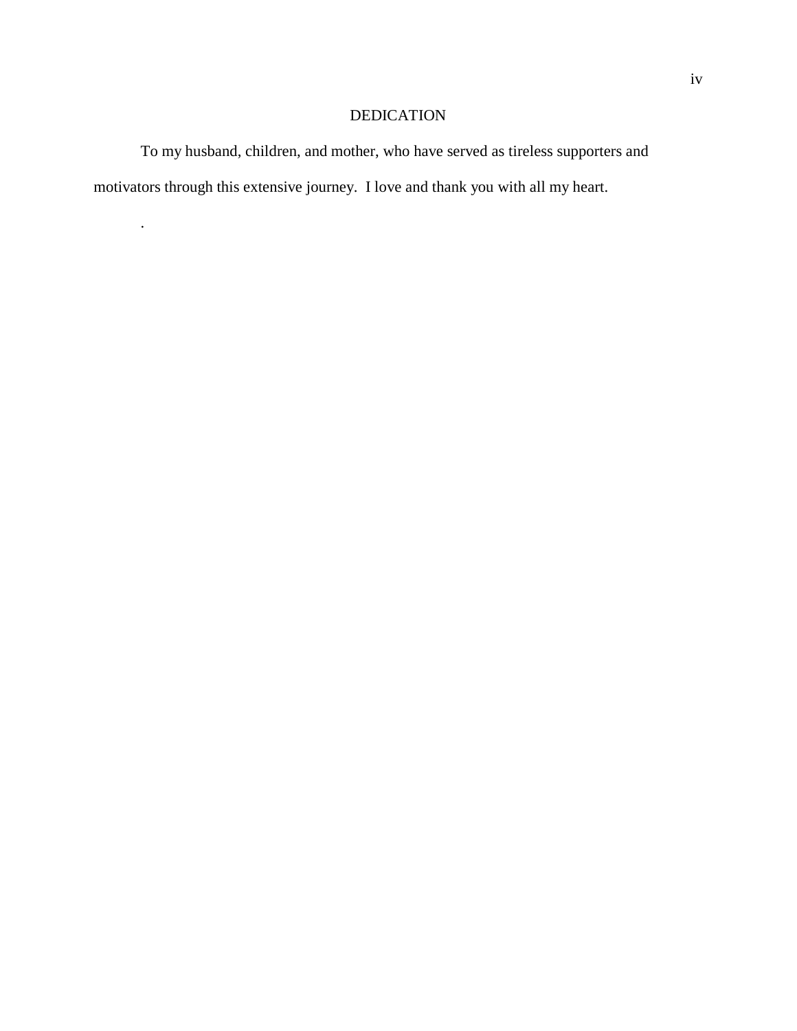# DEDICATION

To my husband, children, and mother, who have served as tireless supporters and motivators through this extensive journey. I love and thank you with all my heart.

.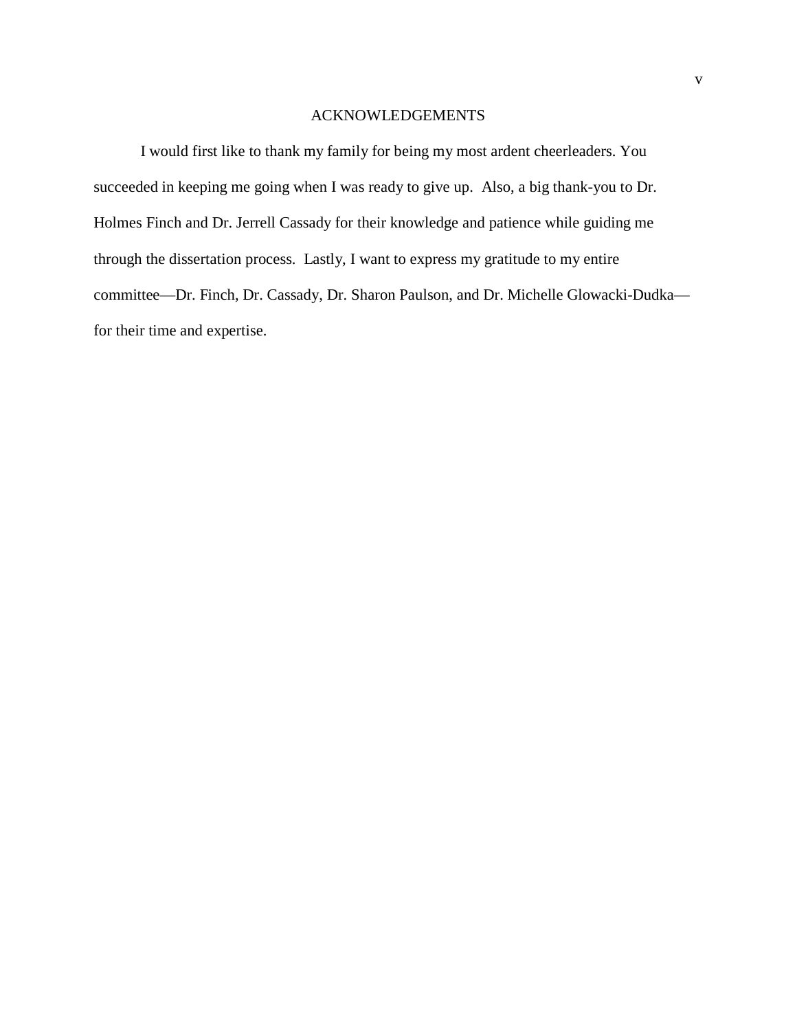### ACKNOWLEDGEMENTS

I would first like to thank my family for being my most ardent cheerleaders. You succeeded in keeping me going when I was ready to give up. Also, a big thank-you to Dr. Holmes Finch and Dr. Jerrell Cassady for their knowledge and patience while guiding me through the dissertation process. Lastly, I want to express my gratitude to my entire committee—Dr. Finch, Dr. Cassady, Dr. Sharon Paulson, and Dr. Michelle Glowacki-Dudka for their time and expertise.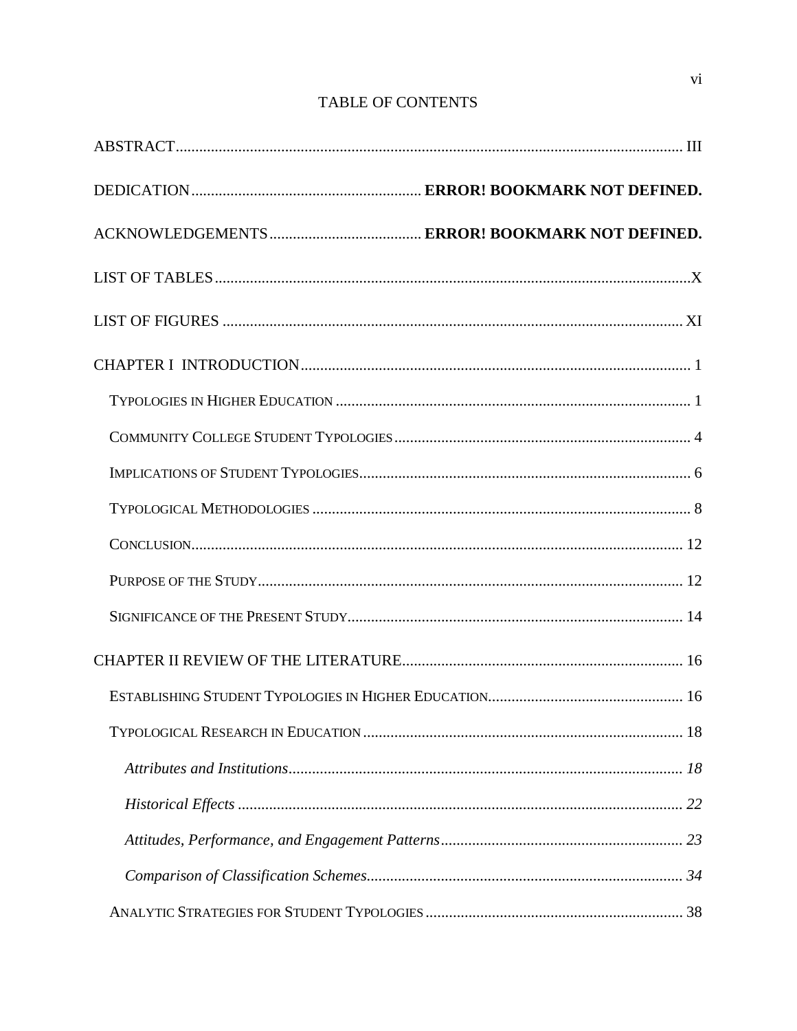# **TABLE OF CONTENTS**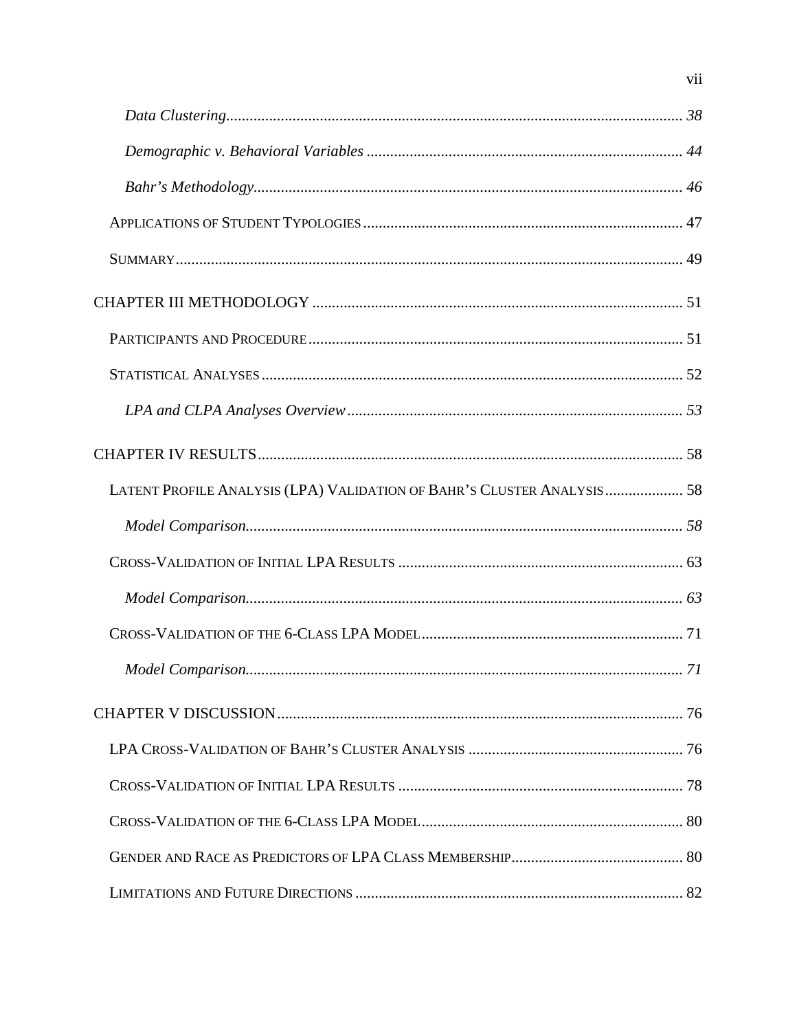| LATENT PROFILE ANALYSIS (LPA) VALIDATION OF BAHR'S CLUSTER ANALYSIS 58 |  |
|------------------------------------------------------------------------|--|
|                                                                        |  |
|                                                                        |  |
|                                                                        |  |
|                                                                        |  |
|                                                                        |  |
|                                                                        |  |
|                                                                        |  |
|                                                                        |  |
|                                                                        |  |
|                                                                        |  |
|                                                                        |  |

 $vii$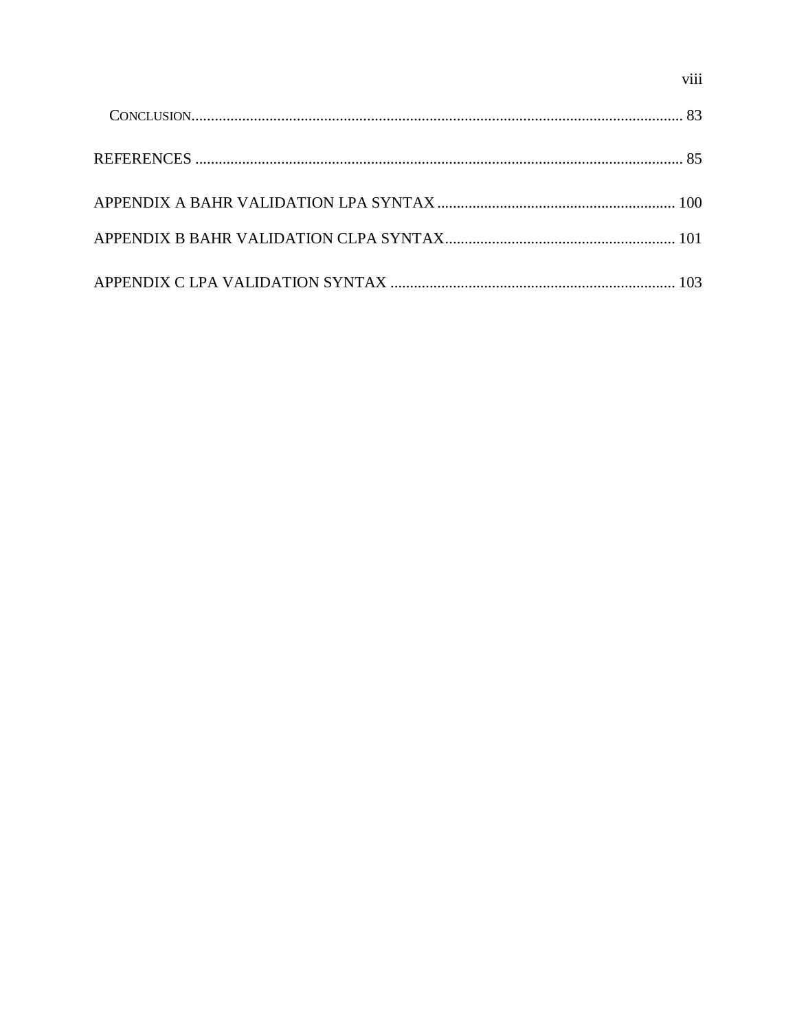viii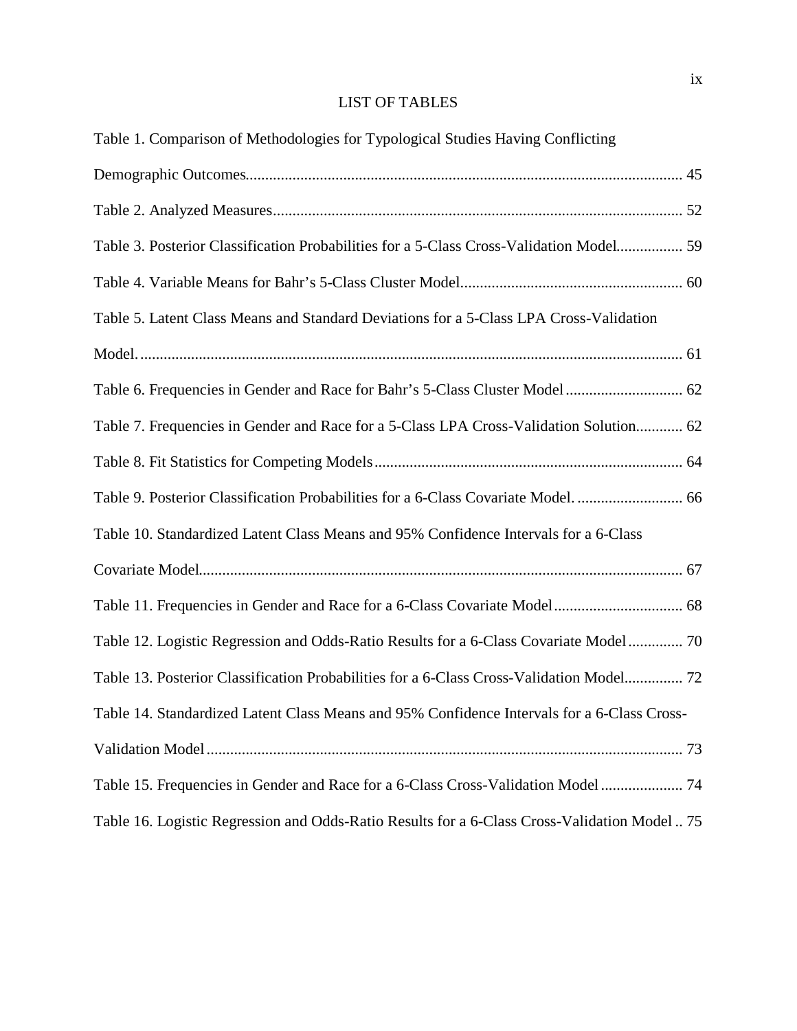# LIST OF TABLES

| Table 1. Comparison of Methodologies for Typological Studies Having Conflicting              |
|----------------------------------------------------------------------------------------------|
|                                                                                              |
|                                                                                              |
| Table 3. Posterior Classification Probabilities for a 5-Class Cross-Validation Model 59      |
|                                                                                              |
| Table 5. Latent Class Means and Standard Deviations for a 5-Class LPA Cross-Validation       |
|                                                                                              |
|                                                                                              |
| Table 7. Frequencies in Gender and Race for a 5-Class LPA Cross-Validation Solution 62       |
|                                                                                              |
| Table 9. Posterior Classification Probabilities for a 6-Class Covariate Model 66             |
| Table 10. Standardized Latent Class Means and 95% Confidence Intervals for a 6-Class         |
|                                                                                              |
|                                                                                              |
| Table 12. Logistic Regression and Odds-Ratio Results for a 6-Class Covariate Model 70        |
| Table 13. Posterior Classification Probabilities for a 6-Class Cross-Validation Model 72     |
| Table 14. Standardized Latent Class Means and 95% Confidence Intervals for a 6-Class Cross-  |
|                                                                                              |
| Table 15. Frequencies in Gender and Race for a 6-Class Cross-Validation Model 74             |
| Table 16. Logistic Regression and Odds-Ratio Results for a 6-Class Cross-Validation Model 75 |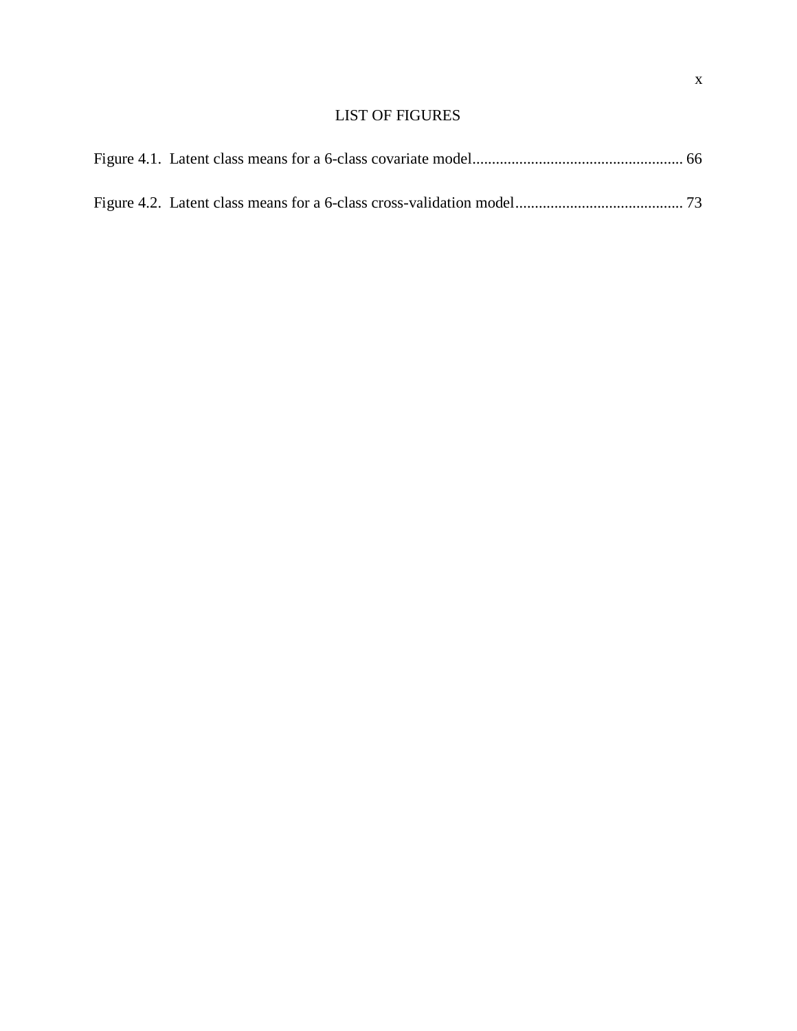### LIST OF FIGURES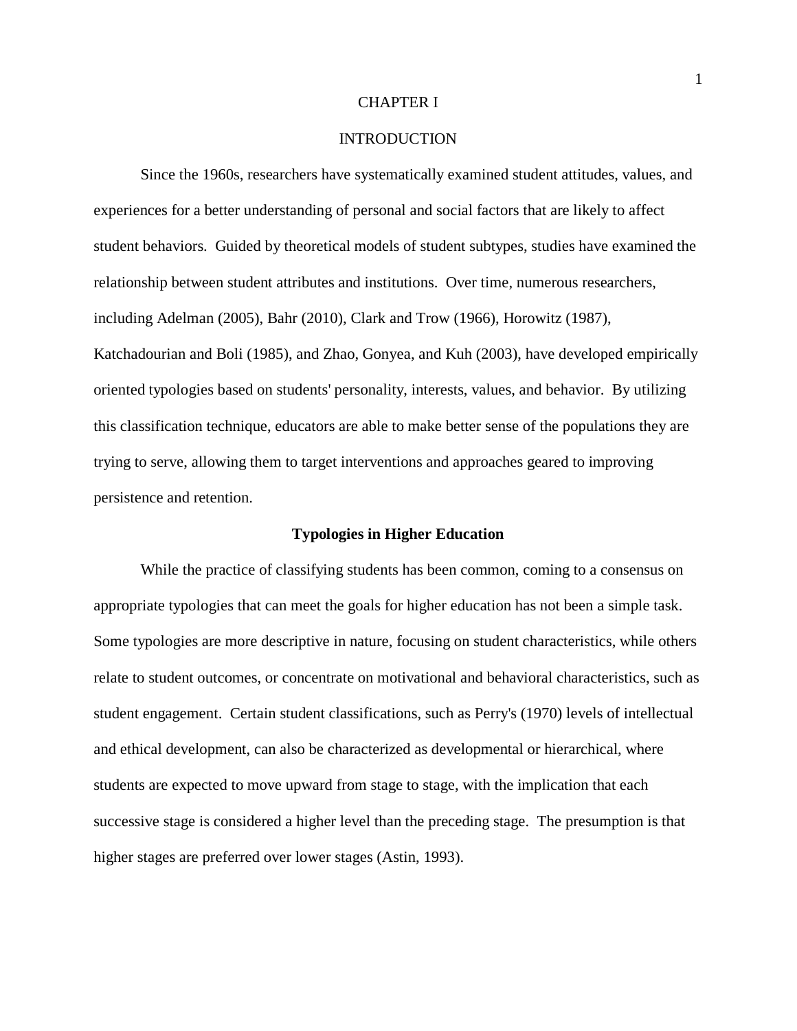#### CHAPTER I

### **INTRODUCTION**

Since the 1960s, researchers have systematically examined student attitudes, values, and experiences for a better understanding of personal and social factors that are likely to affect student behaviors. Guided by theoretical models of student subtypes, studies have examined the relationship between student attributes and institutions. Over time, numerous researchers, including Adelman (2005), Bahr (2010), Clark and Trow (1966), Horowitz (1987), Katchadourian and Boli (1985), and Zhao, Gonyea, and Kuh (2003), have developed empirically oriented typologies based on students' personality, interests, values, and behavior. By utilizing this classification technique, educators are able to make better sense of the populations they are trying to serve, allowing them to target interventions and approaches geared to improving persistence and retention.

### **Typologies in Higher Education**

While the practice of classifying students has been common, coming to a consensus on appropriate typologies that can meet the goals for higher education has not been a simple task. Some typologies are more descriptive in nature, focusing on student characteristics, while others relate to student outcomes, or concentrate on motivational and behavioral characteristics, such as student engagement. Certain student classifications, such as Perry's (1970) levels of intellectual and ethical development, can also be characterized as developmental or hierarchical, where students are expected to move upward from stage to stage, with the implication that each successive stage is considered a higher level than the preceding stage. The presumption is that higher stages are preferred over lower stages (Astin, 1993).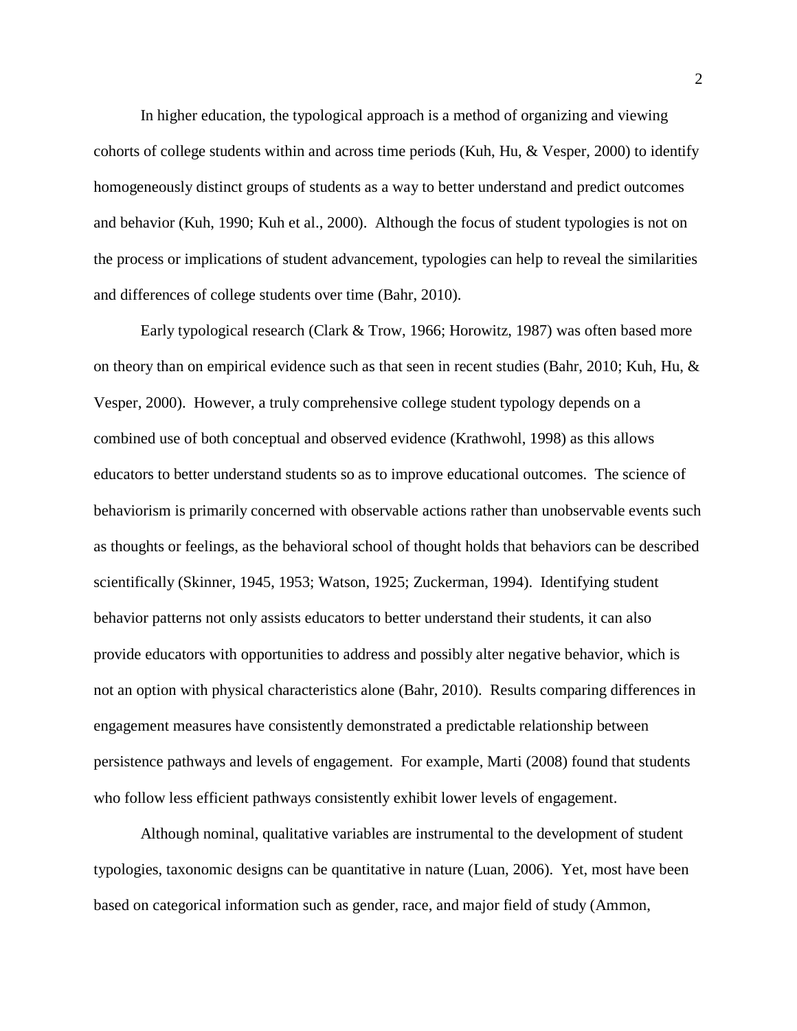In higher education, the typological approach is a method of organizing and viewing cohorts of college students within and across time periods (Kuh, Hu, & Vesper, 2000) to identify homogeneously distinct groups of students as a way to better understand and predict outcomes and behavior (Kuh, 1990; Kuh et al., 2000). Although the focus of student typologies is not on the process or implications of student advancement, typologies can help to reveal the similarities and differences of college students over time (Bahr, 2010).

Early typological research (Clark & Trow, 1966; Horowitz, 1987) was often based more on theory than on empirical evidence such as that seen in recent studies (Bahr, 2010; Kuh, Hu, & Vesper, 2000). However, a truly comprehensive college student typology depends on a combined use of both conceptual and observed evidence (Krathwohl, 1998) as this allows educators to better understand students so as to improve educational outcomes. The science of behaviorism is primarily concerned with observable actions rather than unobservable events such as thoughts or feelings, as the behavioral school of thought holds that behaviors can be described scientifically (Skinner, 1945, 1953; Watson, 1925; Zuckerman, 1994). Identifying student behavior patterns not only assists educators to better understand their students, it can also provide educators with opportunities to address and possibly alter negative behavior, which is not an option with physical characteristics alone (Bahr, 2010). Results comparing differences in engagement measures have consistently demonstrated a predictable relationship between persistence pathways and levels of engagement. For example, Marti (2008) found that students who follow less efficient pathways consistently exhibit lower levels of engagement.

Although nominal, qualitative variables are instrumental to the development of student typologies, taxonomic designs can be quantitative in nature (Luan, 2006). Yet, most have been based on categorical information such as gender, race, and major field of study (Ammon,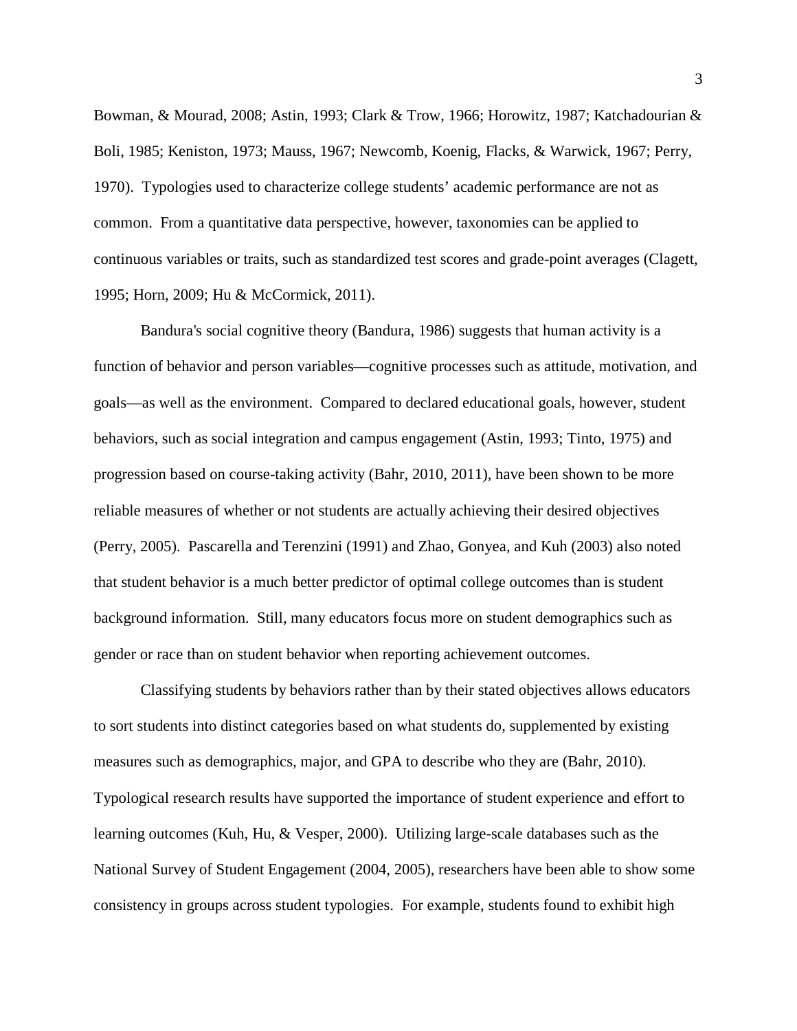Bowman, & Mourad, 2008; Astin, 1993; Clark & Trow, 1966; Horowitz, 1987; Katchadourian & Boli, 1985; Keniston, 1973; Mauss, 1967; Newcomb, Koenig, Flacks, & Warwick, 1967; Perry, 1970). Typologies used to characterize college students' academic performance are not as common. From a quantitative data perspective, however, taxonomies can be applied to continuous variables or traits, such as standardized test scores and grade-point averages (Clagett, 1995; Horn, 2009; Hu & McCormick, 2011).

Bandura's social cognitive theory (Bandura, 1986) suggests that human activity is a function of behavior and person variables—cognitive processes such as attitude, motivation, and goals—as well as the environment. Compared to declared educational goals, however, student behaviors, such as social integration and campus engagement (Astin, 1993; Tinto, 1975) and progression based on course-taking activity (Bahr, 2010, 2011), have been shown to be more reliable measures of whether or not students are actually achieving their desired objectives (Perry, 2005). Pascarella and Terenzini (1991) and Zhao, Gonyea, and Kuh (2003) also noted that student behavior is a much better predictor of optimal college outcomes than is student background information. Still, many educators focus more on student demographics such as gender or race than on student behavior when reporting achievement outcomes.

Classifying students by behaviors rather than by their stated objectives allows educators to sort students into distinct categories based on what students do, supplemented by existing measures such as demographics, major, and GPA to describe who they are (Bahr, 2010). Typological research results have supported the importance of student experience and effort to learning outcomes (Kuh, Hu, & Vesper, 2000). Utilizing large-scale databases such as the National Survey of Student Engagement (2004, 2005), researchers have been able to show some consistency in groups across student typologies. For example, students found to exhibit high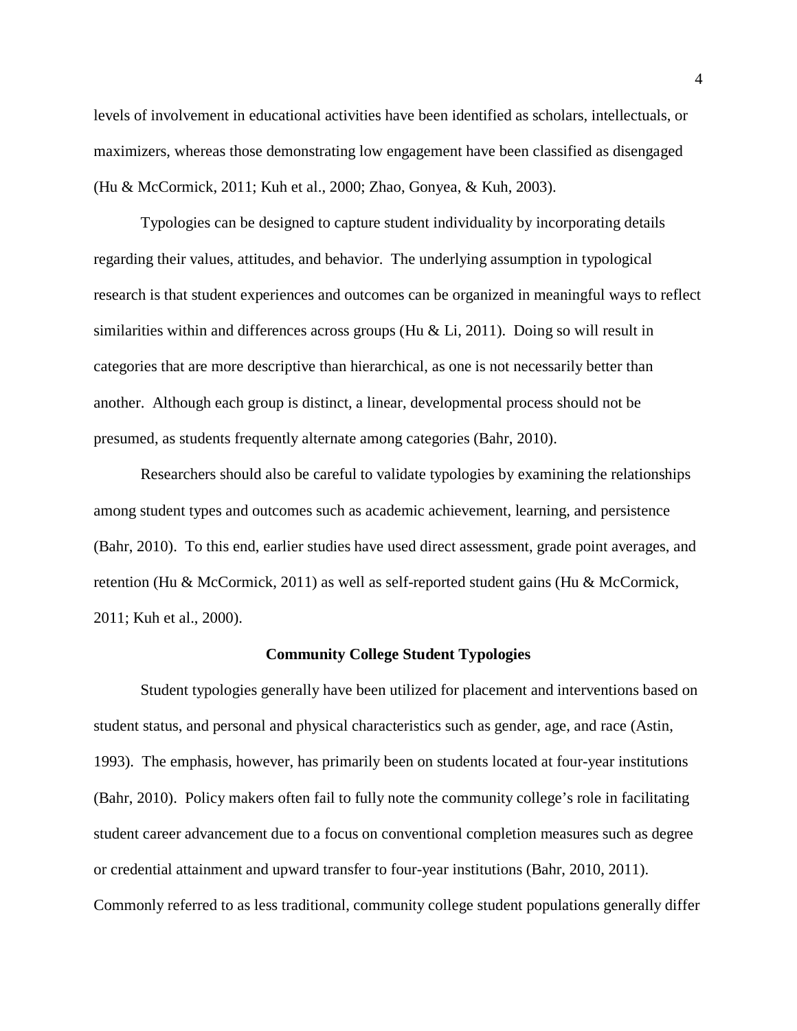levels of involvement in educational activities have been identified as scholars, intellectuals, or maximizers, whereas those demonstrating low engagement have been classified as disengaged (Hu & McCormick, 2011; Kuh et al., 2000; Zhao, Gonyea, & Kuh, 2003).

Typologies can be designed to capture student individuality by incorporating details regarding their values, attitudes, and behavior. The underlying assumption in typological research is that student experiences and outcomes can be organized in meaningful ways to reflect similarities within and differences across groups (Hu  $&$  Li, 2011). Doing so will result in categories that are more descriptive than hierarchical, as one is not necessarily better than another. Although each group is distinct, a linear, developmental process should not be presumed, as students frequently alternate among categories (Bahr, 2010).

Researchers should also be careful to validate typologies by examining the relationships among student types and outcomes such as academic achievement, learning, and persistence (Bahr, 2010). To this end, earlier studies have used direct assessment, grade point averages, and retention (Hu & McCormick, 2011) as well as self-reported student gains (Hu & McCormick, 2011; Kuh et al., 2000).

#### **Community College Student Typologies**

Student typologies generally have been utilized for placement and interventions based on student status, and personal and physical characteristics such as gender, age, and race (Astin, 1993). The emphasis, however, has primarily been on students located at four-year institutions (Bahr, 2010). Policy makers often fail to fully note the community college's role in facilitating student career advancement due to a focus on conventional completion measures such as degree or credential attainment and upward transfer to four-year institutions (Bahr, 2010, 2011). Commonly referred to as less traditional, community college student populations generally differ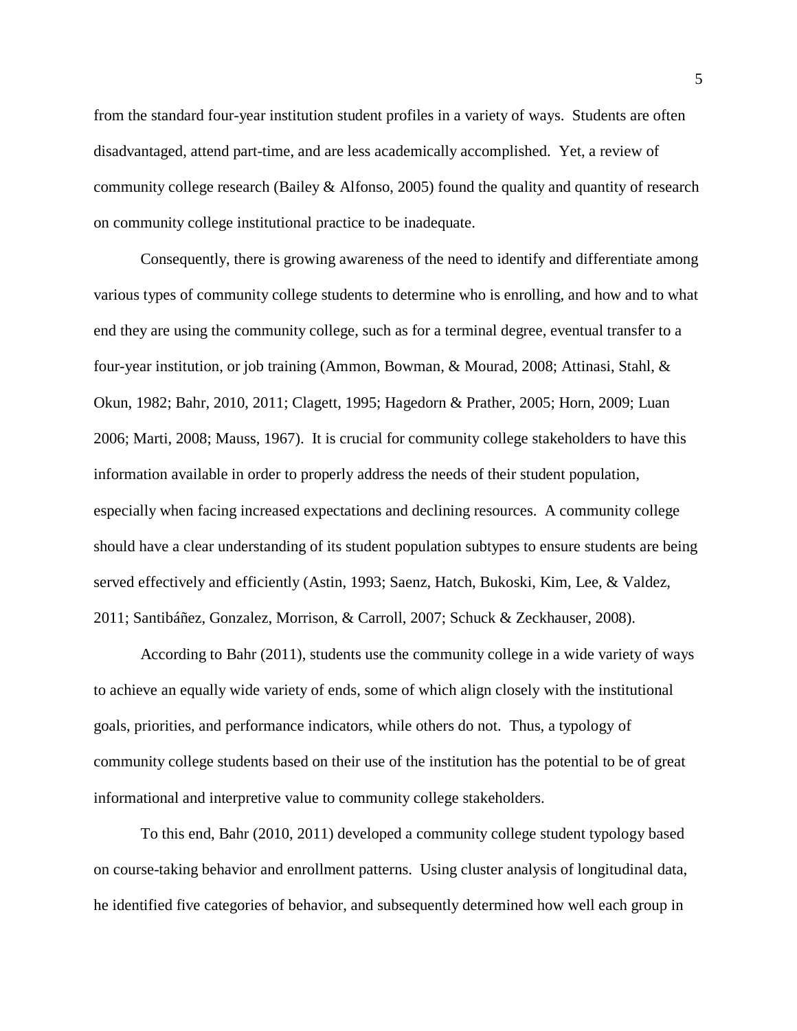from the standard four-year institution student profiles in a variety of ways. Students are often disadvantaged, attend part-time, and are less academically accomplished. Yet, a review of community college research (Bailey & Alfonso, 2005) found the quality and quantity of research on community college institutional practice to be inadequate.

Consequently, there is growing awareness of the need to identify and differentiate among various types of community college students to determine who is enrolling, and how and to what end they are using the community college, such as for a terminal degree, eventual transfer to a four-year institution, or job training (Ammon, Bowman, & Mourad, 2008; Attinasi, Stahl, & Okun, 1982; Bahr, 2010, 2011; Clagett, 1995; Hagedorn & Prather, 2005; Horn, 2009; Luan 2006; Marti, 2008; Mauss, 1967). It is crucial for community college stakeholders to have this information available in order to properly address the needs of their student population, especially when facing increased expectations and declining resources. A community college should have a clear understanding of its student population subtypes to ensure students are being served effectively and efficiently (Astin, 1993; Saenz, Hatch, Bukoski, Kim, Lee, & Valdez, 2011; Santibáñez, Gonzalez, Morrison, & Carroll, 2007; Schuck & Zeckhauser, 2008).

According to Bahr (2011), students use the community college in a wide variety of ways to achieve an equally wide variety of ends, some of which align closely with the institutional goals, priorities, and performance indicators, while others do not. Thus, a typology of community college students based on their use of the institution has the potential to be of great informational and interpretive value to community college stakeholders.

To this end, Bahr (2010, 2011) developed a community college student typology based on course-taking behavior and enrollment patterns. Using cluster analysis of longitudinal data, he identified five categories of behavior, and subsequently determined how well each group in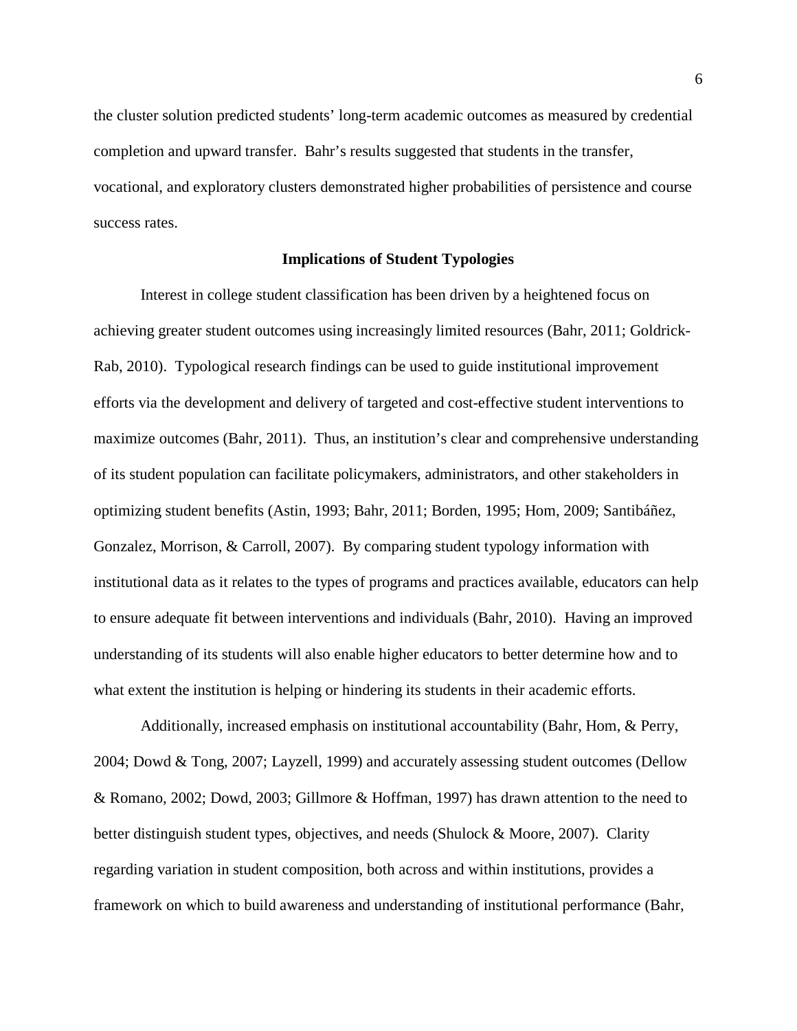the cluster solution predicted students' long-term academic outcomes as measured by credential completion and upward transfer. Bahr's results suggested that students in the transfer, vocational, and exploratory clusters demonstrated higher probabilities of persistence and course success rates.

### **Implications of Student Typologies**

Interest in college student classification has been driven by a heightened focus on achieving greater student outcomes using increasingly limited resources (Bahr, 2011; Goldrick-Rab, 2010). Typological research findings can be used to guide institutional improvement efforts via the development and delivery of targeted and cost-effective student interventions to maximize outcomes (Bahr, 2011). Thus, an institution's clear and comprehensive understanding of its student population can facilitate policymakers, administrators, and other stakeholders in optimizing student benefits (Astin, 1993; Bahr, 2011; Borden, 1995; Hom, 2009; Santibáñez, Gonzalez, Morrison, & Carroll, 2007). By comparing student typology information with institutional data as it relates to the types of programs and practices available, educators can help to ensure adequate fit between interventions and individuals (Bahr, 2010). Having an improved understanding of its students will also enable higher educators to better determine how and to what extent the institution is helping or hindering its students in their academic efforts.

Additionally, increased emphasis on institutional accountability (Bahr, Hom, & Perry, 2004; Dowd & Tong, 2007; Layzell, 1999) and accurately assessing student outcomes (Dellow & Romano, 2002; Dowd, 2003; Gillmore & Hoffman, 1997) has drawn attention to the need to better distinguish student types, objectives, and needs (Shulock & Moore, 2007). Clarity regarding variation in student composition, both across and within institutions, provides a framework on which to build awareness and understanding of institutional performance (Bahr,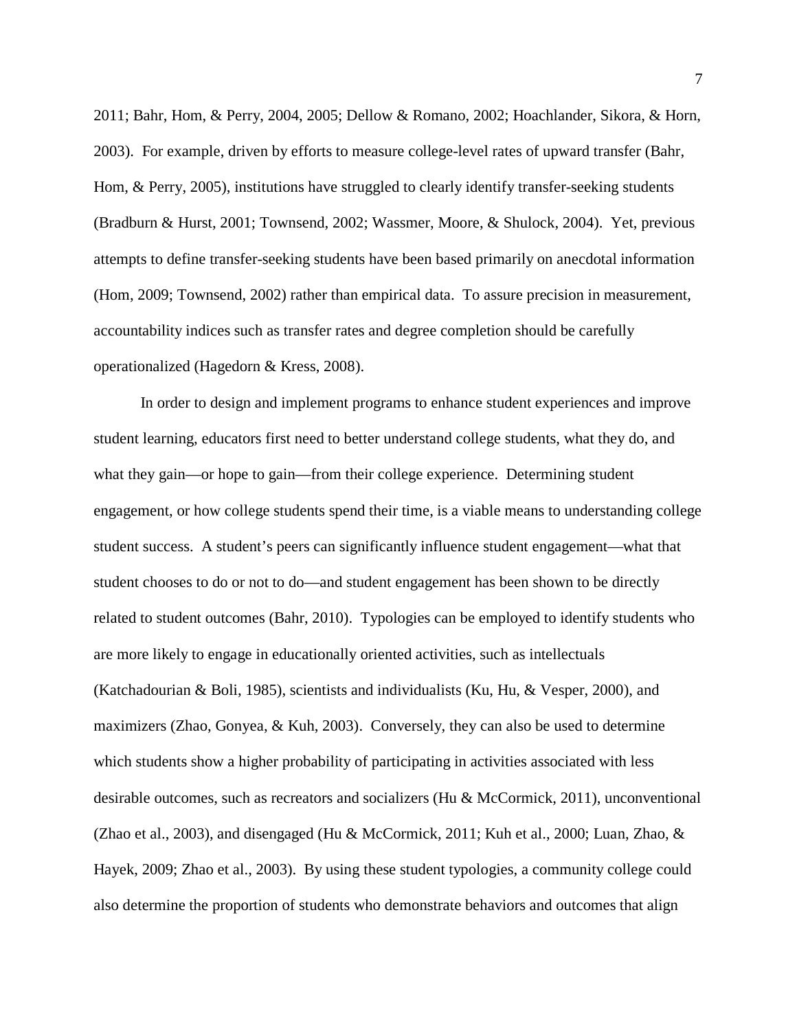2011; Bahr, Hom, & Perry, 2004, 2005; Dellow & Romano, 2002; Hoachlander, Sikora, & Horn, 2003). For example, driven by efforts to measure college-level rates of upward transfer (Bahr, Hom, & Perry, 2005), institutions have struggled to clearly identify transfer-seeking students (Bradburn & Hurst, 2001; Townsend, 2002; Wassmer, Moore, & Shulock, 2004). Yet, previous attempts to define transfer-seeking students have been based primarily on anecdotal information (Hom, 2009; Townsend, 2002) rather than empirical data. To assure precision in measurement, accountability indices such as transfer rates and degree completion should be carefully operationalized (Hagedorn & Kress, 2008).

In order to design and implement programs to enhance student experiences and improve student learning, educators first need to better understand college students, what they do, and what they gain—or hope to gain—from their college experience. Determining student engagement, or how college students spend their time, is a viable means to understanding college student success. A student's peers can significantly influence student engagement—what that student chooses to do or not to do—and student engagement has been shown to be directly related to student outcomes (Bahr, 2010). Typologies can be employed to identify students who are more likely to engage in educationally oriented activities, such as intellectuals (Katchadourian & Boli, 1985), scientists and individualists (Ku, Hu, & Vesper, 2000), and maximizers (Zhao, Gonyea, & Kuh, 2003). Conversely, they can also be used to determine which students show a higher probability of participating in activities associated with less desirable outcomes, such as recreators and socializers (Hu & McCormick, 2011), unconventional (Zhao et al., 2003), and disengaged (Hu & McCormick, 2011; Kuh et al., 2000; Luan, Zhao, & Hayek, 2009; Zhao et al., 2003). By using these student typologies, a community college could also determine the proportion of students who demonstrate behaviors and outcomes that align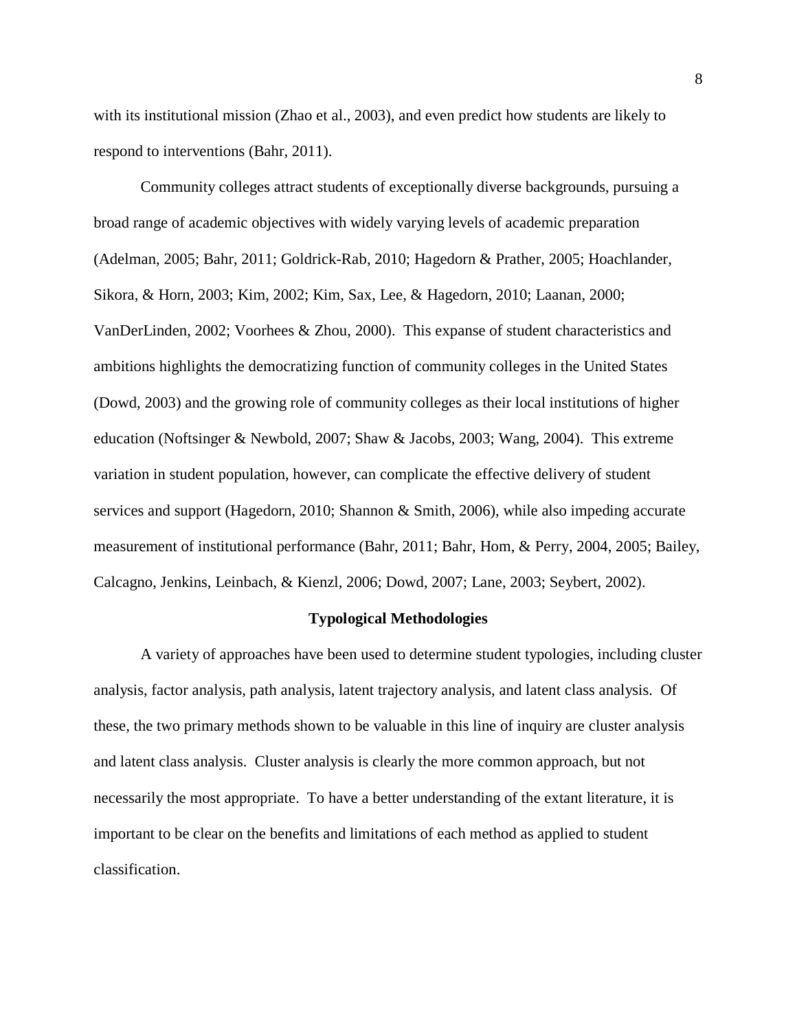with its institutional mission (Zhao et al., 2003), and even predict how students are likely to respond to interventions (Bahr, 2011).

Community colleges attract students of exceptionally diverse backgrounds, pursuing a broad range of academic objectives with widely varying levels of academic preparation (Adelman, 2005; Bahr, 2011; Goldrick-Rab, 2010; Hagedorn & Prather, 2005; Hoachlander, Sikora, & Horn, 2003; Kim, 2002; Kim, Sax, Lee, & Hagedorn, 2010; Laanan, 2000; VanDerLinden, 2002; Voorhees & Zhou, 2000). This expanse of student characteristics and ambitions highlights the democratizing function of community colleges in the United States (Dowd, 2003) and the growing role of community colleges as their local institutions of higher education (Noftsinger & Newbold, 2007; Shaw & Jacobs, 2003; Wang, 2004). This extreme variation in student population, however, can complicate the effective delivery of student services and support (Hagedorn, 2010; Shannon & Smith, 2006), while also impeding accurate measurement of institutional performance (Bahr, 2011; Bahr, Hom, & Perry, 2004, 2005; Bailey, Calcagno, Jenkins, Leinbach, & Kienzl, 2006; Dowd, 2007; Lane, 2003; Seybert, 2002).

### **Typological Methodologies**

A variety of approaches have been used to determine student typologies, including cluster analysis, factor analysis, path analysis, latent trajectory analysis, and latent class analysis. Of these, the two primary methods shown to be valuable in this line of inquiry are cluster analysis and latent class analysis. Cluster analysis is clearly the more common approach, but not necessarily the most appropriate. To have a better understanding of the extant literature, it is important to be clear on the benefits and limitations of each method as applied to student classification.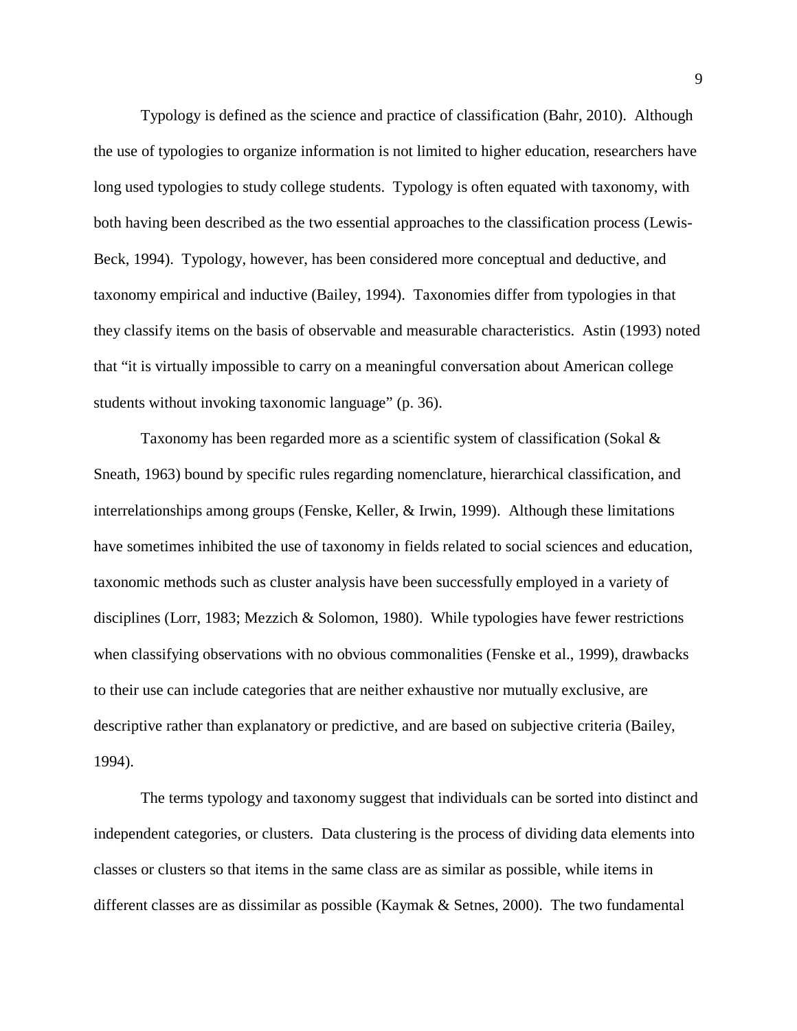Typology is defined as the science and practice of classification (Bahr, 2010). Although the use of typologies to organize information is not limited to higher education, researchers have long used typologies to study college students. Typology is often equated with taxonomy, with both having been described as the two essential approaches to the classification process (Lewis-Beck, 1994). Typology, however, has been considered more conceptual and deductive, and taxonomy empirical and inductive (Bailey, 1994). Taxonomies differ from typologies in that they classify items on the basis of observable and measurable characteristics. Astin (1993) noted that "it is virtually impossible to carry on a meaningful conversation about American college students without invoking taxonomic language" (p. 36).

Taxonomy has been regarded more as a scientific system of classification (Sokal & Sneath, 1963) bound by specific rules regarding nomenclature, hierarchical classification, and interrelationships among groups (Fenske, Keller, & Irwin, 1999). Although these limitations have sometimes inhibited the use of taxonomy in fields related to social sciences and education, taxonomic methods such as cluster analysis have been successfully employed in a variety of disciplines (Lorr, 1983; Mezzich & Solomon, 1980). While typologies have fewer restrictions when classifying observations with no obvious commonalities (Fenske et al., 1999), drawbacks to their use can include categories that are neither exhaustive nor mutually exclusive, are descriptive rather than explanatory or predictive, and are based on subjective criteria (Bailey, 1994).

The terms typology and taxonomy suggest that individuals can be sorted into distinct and independent categories, or clusters. Data clustering is the process of dividing data elements into classes or clusters so that items in the same class are as similar as possible, while items in different classes are as dissimilar as possible (Kaymak & Setnes, 2000). The two fundamental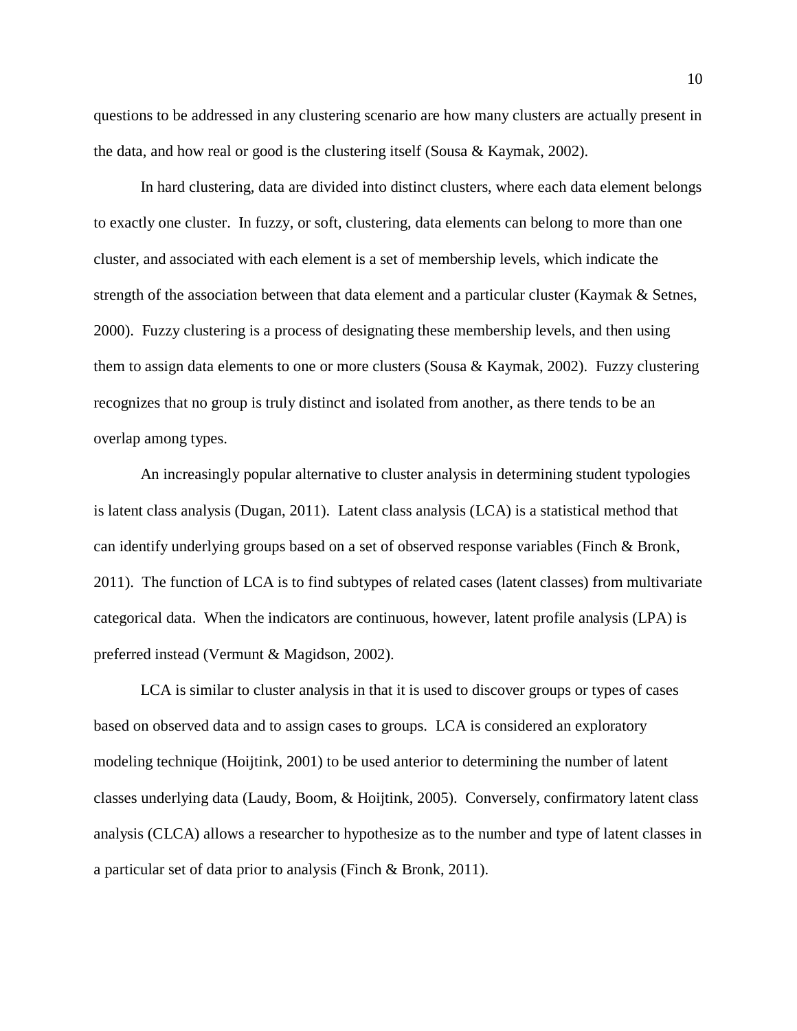questions to be addressed in any clustering scenario are how many clusters are actually present in the data, and how real or good is the clustering itself (Sousa & Kaymak, 2002).

In [hard clustering,](http://en.wikipedia.org/w/index.php?title=Hard_clustering&action=edit&redlink=1) data are divided into distinct clusters, where each data element belongs to exactly one cluster. In fuzzy, or soft, clustering, data elements can belong to more than one cluster, and associated with each element is a set of membership levels, which indicate the strength of the association between that data element and a particular cluster (Kaymak & Setnes, 2000). Fuzzy clustering is a process of designating these membership levels, and then using them to assign data elements to one or more clusters (Sousa & Kaymak, 2002). Fuzzy clustering recognizes that no group is truly distinct and isolated from another, as there tends to be an overlap among types.

An increasingly popular alternative to cluster analysis in determining student typologies is latent class analysis (Dugan, 2011). Latent class analysis (LCA) is a statistical method that can identify underlying groups based on a set of observed response variables (Finch & Bronk, 2011). The function of LCA is to find subtypes of related cases (latent classes) from multivariate categorical data. When the indicators are continuous, however, latent profile analysis (LPA) is preferred instead (Vermunt & Magidson, 2002).

LCA is similar to cluster analysis in that it is used to discover groups or types of cases based on observed data and to assign cases to groups. LCA is considered an exploratory modeling technique (Hoijtink, 2001) to be used anterior to determining the number of latent classes underlying data (Laudy, Boom, & Hoijtink, 2005). Conversely, confirmatory latent class analysis (CLCA) allows a researcher to hypothesize as to the number and type of latent classes in a particular set of data prior to analysis (Finch & Bronk, 2011).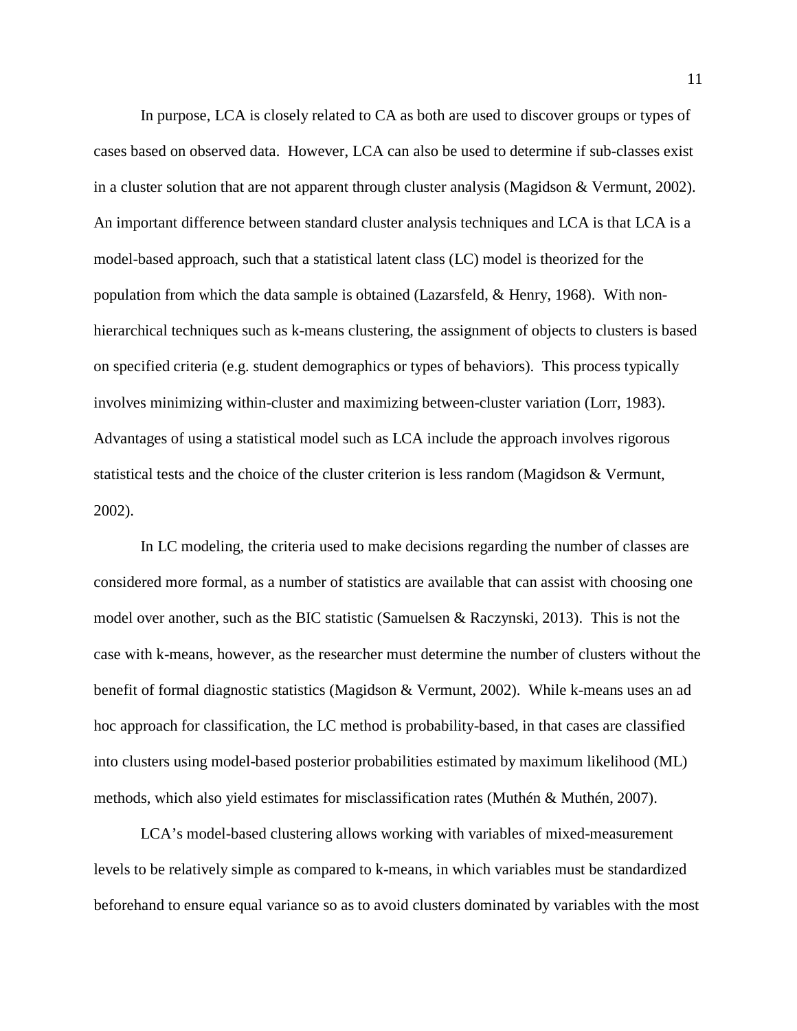In purpose, LCA is closely related to CA as both are used to discover groups or types of cases based on observed data. However, LCA can also be used to determine if sub-classes exist in a cluster solution that are not apparent through cluster analysis (Magidson  $&$  Vermunt, 2002). An important difference between standard cluster analysis techniques and LCA is that LCA is a model-based approach, such that a statistical latent class (LC) model is theorized for the population from which the data sample is obtained (Lazarsfeld, & Henry, 1968). With nonhierarchical techniques such as k-means clustering, the assignment of objects to clusters is based on specified criteria (e.g. student demographics or types of behaviors). This process typically involves minimizing within-cluster and maximizing between-cluster variation (Lorr, 1983). Advantages of using a statistical model such as LCA include the approach involves rigorous statistical tests and the choice of the cluster criterion is less random (Magidson & Vermunt, 2002).

In LC modeling, the criteria used to make decisions regarding the number of classes are considered more formal, as a number of statistics are available that can assist with choosing one model over another, such as the BIC statistic (Samuelsen & Raczynski, 2013). This is not the case with k-means, however, as the researcher must determine the number of clusters without the benefit of formal diagnostic statistics (Magidson & Vermunt, 2002). While k-means uses an ad hoc approach for classification, the LC method is probability-based, in that cases are classified into clusters using model-based posterior probabilities estimated by maximum likelihood (ML) methods, which also yield estimates for misclassification rates (Muthén & Muthén, 2007).

LCA's model-based clustering allows working with variables of mixed-measurement levels to be relatively simple as compared to k-means, in which variables must be standardized beforehand to ensure equal variance so as to avoid clusters dominated by variables with the most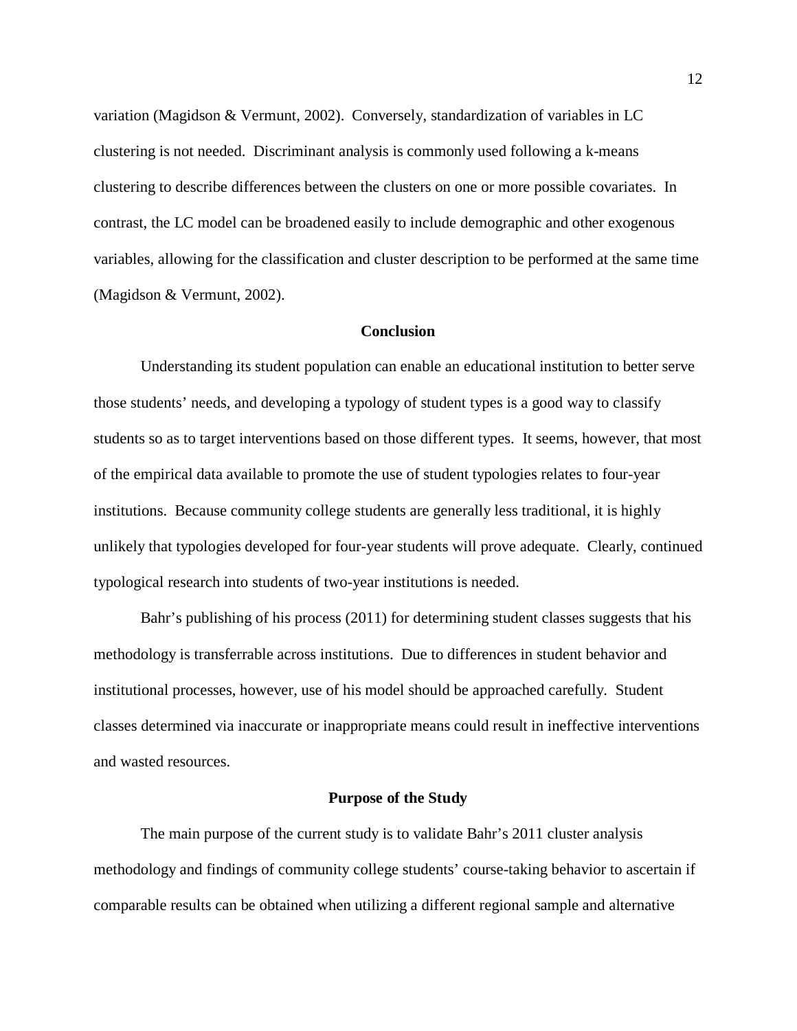variation (Magidson & Vermunt, 2002). Conversely, standardization of variables in LC clustering is not needed. Discriminant analysis is commonly used following a k-means clustering to describe differences between the clusters on one or more possible covariates. In contrast, the LC model can be broadened easily to include demographic and other exogenous variables, allowing for the classification and cluster description to be performed at the same time (Magidson & Vermunt, 2002).

### **Conclusion**

Understanding its student population can enable an educational institution to better serve those students' needs, and developing a typology of student types is a good way to classify students so as to target interventions based on those different types. It seems, however, that most of the empirical data available to promote the use of student typologies relates to four-year institutions. Because community college students are generally less traditional, it is highly unlikely that typologies developed for four-year students will prove adequate. Clearly, continued typological research into students of two-year institutions is needed.

Bahr's publishing of his process (2011) for determining student classes suggests that his methodology is transferrable across institutions. Due to differences in student behavior and institutional processes, however, use of his model should be approached carefully. Student classes determined via inaccurate or inappropriate means could result in ineffective interventions and wasted resources.

### **Purpose of the Study**

The main purpose of the current study is to validate Bahr's 2011 cluster analysis methodology and findings of community college students' course-taking behavior to ascertain if comparable results can be obtained when utilizing a different regional sample and alternative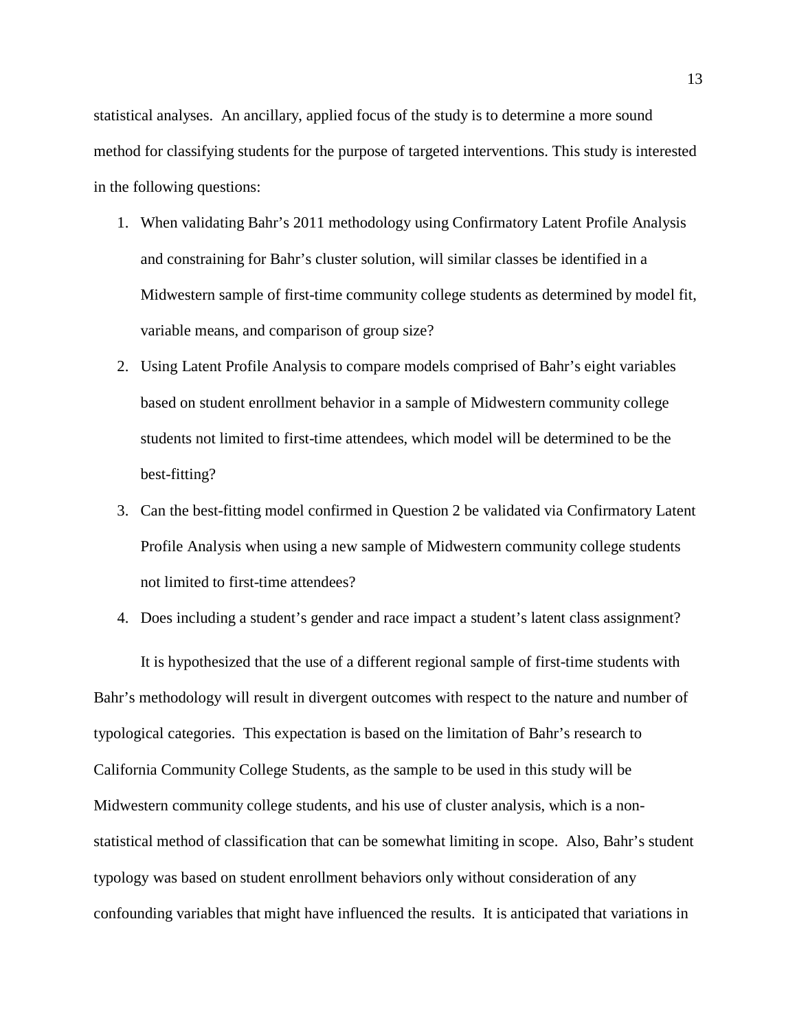statistical analyses. An ancillary, applied focus of the study is to determine a more sound method for classifying students for the purpose of targeted interventions. This study is interested in the following questions:

- 1. When validating Bahr's 2011 methodology using Confirmatory Latent Profile Analysis and constraining for Bahr's cluster solution, will similar classes be identified in a Midwestern sample of first-time community college students as determined by model fit, variable means, and comparison of group size?
- 2. Using Latent Profile Analysis to compare models comprised of Bahr's eight variables based on student enrollment behavior in a sample of Midwestern community college students not limited to first-time attendees, which model will be determined to be the best-fitting?
- 3. Can the best-fitting model confirmed in Question 2 be validated via Confirmatory Latent Profile Analysis when using a new sample of Midwestern community college students not limited to first-time attendees?
- 4. Does including a student's gender and race impact a student's latent class assignment?

It is hypothesized that the use of a different regional sample of first-time students with Bahr's methodology will result in divergent outcomes with respect to the nature and number of typological categories. This expectation is based on the limitation of Bahr's research to California Community College Students, as the sample to be used in this study will be Midwestern community college students, and his use of cluster analysis, which is a nonstatistical method of classification that can be somewhat limiting in scope. Also, Bahr's student typology was based on student enrollment behaviors only without consideration of any confounding variables that might have influenced the results. It is anticipated that variations in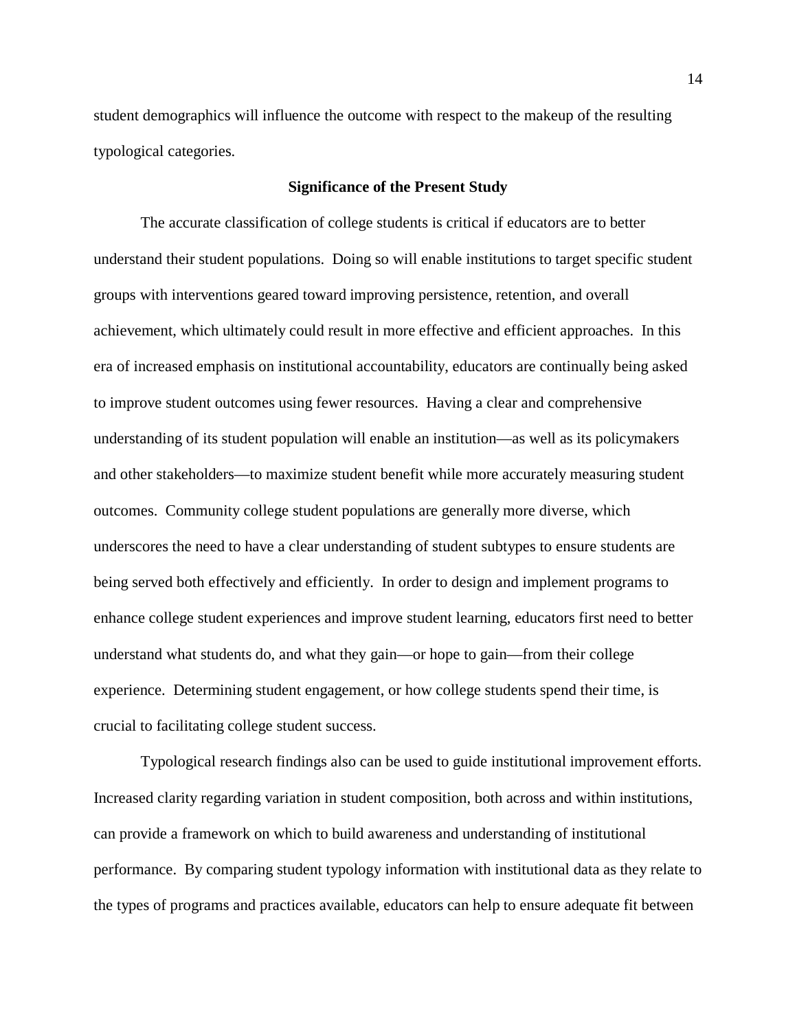student demographics will influence the outcome with respect to the makeup of the resulting typological categories.

#### **Significance of the Present Study**

The accurate classification of college students is critical if educators are to better understand their student populations. Doing so will enable institutions to target specific student groups with interventions geared toward improving persistence, retention, and overall achievement, which ultimately could result in more effective and efficient approaches. In this era of increased emphasis on institutional accountability, educators are continually being asked to improve student outcomes using fewer resources. Having a clear and comprehensive understanding of its student population will enable an institution—as well as its policymakers and other stakeholders—to maximize student benefit while more accurately measuring student outcomes. Community college student populations are generally more diverse, which underscores the need to have a clear understanding of student subtypes to ensure students are being served both effectively and efficiently. In order to design and implement programs to enhance college student experiences and improve student learning, educators first need to better understand what students do, and what they gain—or hope to gain—from their college experience. Determining student engagement, or how college students spend their time, is crucial to facilitating college student success.

Typological research findings also can be used to guide institutional improvement efforts. Increased clarity regarding variation in student composition, both across and within institutions, can provide a framework on which to build awareness and understanding of institutional performance. By comparing student typology information with institutional data as they relate to the types of programs and practices available, educators can help to ensure adequate fit between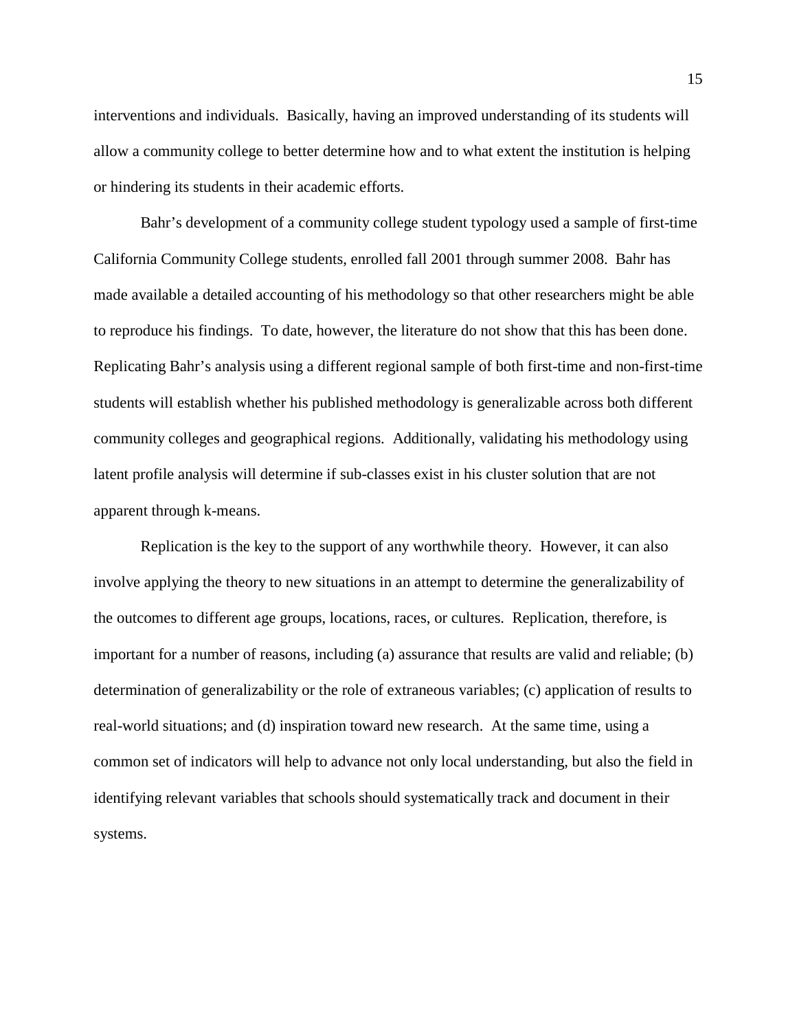interventions and individuals. Basically, having an improved understanding of its students will allow a community college to better determine how and to what extent the institution is helping or hindering its students in their academic efforts.

Bahr's development of a community college student typology used a sample of first-time California Community College students, enrolled fall 2001 through summer 2008. Bahr has made available a detailed accounting of his methodology so that other researchers might be able to reproduce his findings. To date, however, the literature do not show that this has been done. Replicating Bahr's analysis using a different regional sample of both first-time and non-first-time students will establish whether his published methodology is generalizable across both different community colleges and geographical regions. Additionally, validating his methodology using latent profile analysis will determine if sub-classes exist in his cluster solution that are not apparent through k-means.

Replication is the key to the support of any worthwhile theory. However, it can also involve applying the theory to new situations in an attempt to determine the generalizability of the outcomes to different age groups, locations, races, or cultures. Replication, therefore, is important for a number of reasons, including (a) assurance that results are valid and reliable; (b) determination of generalizability or the role of extraneous variables; (c) application of results to real-world situations; and (d) inspiration toward new research. At the same time, using a common set of indicators will help to advance not only local understanding, but also the field in identifying relevant variables that schools should systematically track and document in their systems.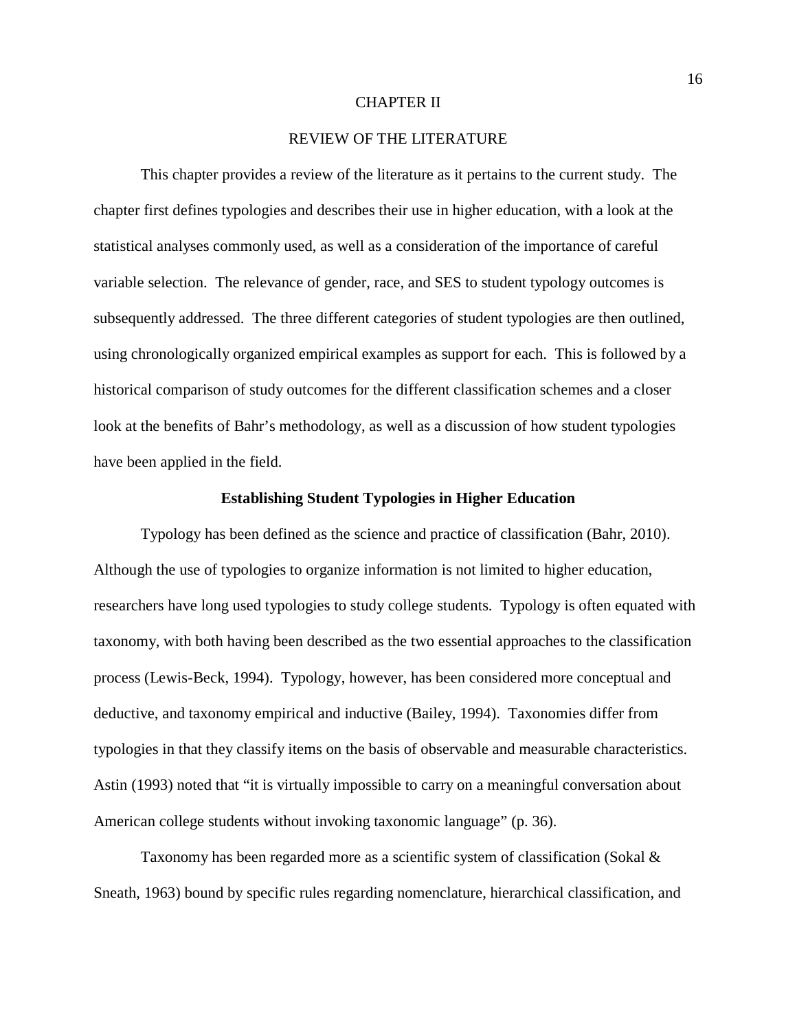#### CHAPTER II

### REVIEW OF THE LITERATURE

This chapter provides a review of the literature as it pertains to the current study. The chapter first defines typologies and describes their use in higher education, with a look at the statistical analyses commonly used, as well as a consideration of the importance of careful variable selection. The relevance of gender, race, and SES to student typology outcomes is subsequently addressed. The three different categories of student typologies are then outlined, using chronologically organized empirical examples as support for each. This is followed by a historical comparison of study outcomes for the different classification schemes and a closer look at the benefits of Bahr's methodology, as well as a discussion of how student typologies have been applied in the field.

### **Establishing Student Typologies in Higher Education**

Typology has been defined as the science and practice of classification (Bahr, 2010). Although the use of typologies to organize information is not limited to higher education, researchers have long used typologies to study college students. Typology is often equated with taxonomy, with both having been described as the two essential approaches to the classification process (Lewis-Beck, 1994). Typology, however, has been considered more conceptual and deductive, and taxonomy empirical and inductive (Bailey, 1994). Taxonomies differ from typologies in that they classify items on the basis of observable and measurable characteristics. Astin (1993) noted that "it is virtually impossible to carry on a meaningful conversation about American college students without invoking taxonomic language" (p. 36).

Taxonomy has been regarded more as a scientific system of classification (Sokal & Sneath, 1963) bound by specific rules regarding nomenclature, hierarchical classification, and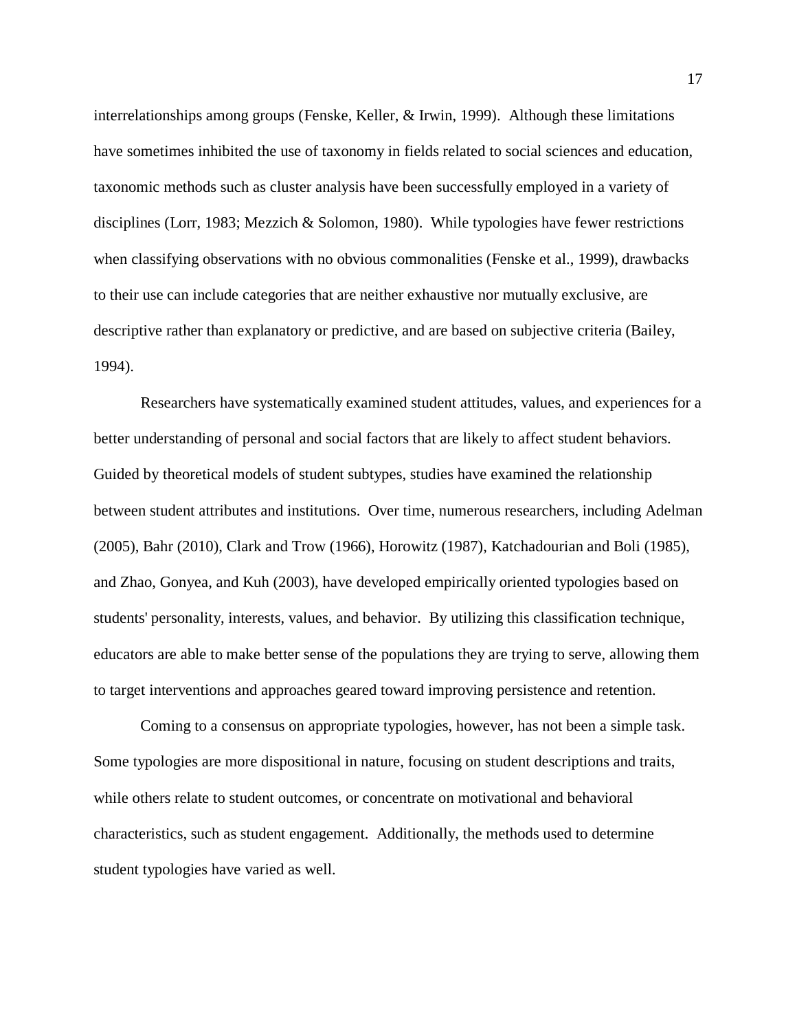interrelationships among groups (Fenske, Keller, & Irwin, 1999). Although these limitations have sometimes inhibited the use of taxonomy in fields related to social sciences and education, taxonomic methods such as cluster analysis have been successfully employed in a variety of disciplines (Lorr, 1983; Mezzich & Solomon, 1980). While typologies have fewer restrictions when classifying observations with no obvious commonalities (Fenske et al., 1999), drawbacks to their use can include categories that are neither exhaustive nor mutually exclusive, are descriptive rather than explanatory or predictive, and are based on subjective criteria (Bailey, 1994).

Researchers have systematically examined student attitudes, values, and experiences for a better understanding of personal and social factors that are likely to affect student behaviors. Guided by theoretical models of student subtypes, studies have examined the relationship between student attributes and institutions. Over time, numerous researchers, including Adelman (2005), Bahr (2010), Clark and Trow (1966), Horowitz (1987), Katchadourian and Boli (1985), and Zhao, Gonyea, and Kuh (2003), have developed empirically oriented typologies based on students' personality, interests, values, and behavior. By utilizing this classification technique, educators are able to make better sense of the populations they are trying to serve, allowing them to target interventions and approaches geared toward improving persistence and retention.

Coming to a consensus on appropriate typologies, however, has not been a simple task. Some typologies are more dispositional in nature, focusing on student descriptions and traits, while others relate to student outcomes, or concentrate on motivational and behavioral characteristics, such as student engagement. Additionally, the methods used to determine student typologies have varied as well.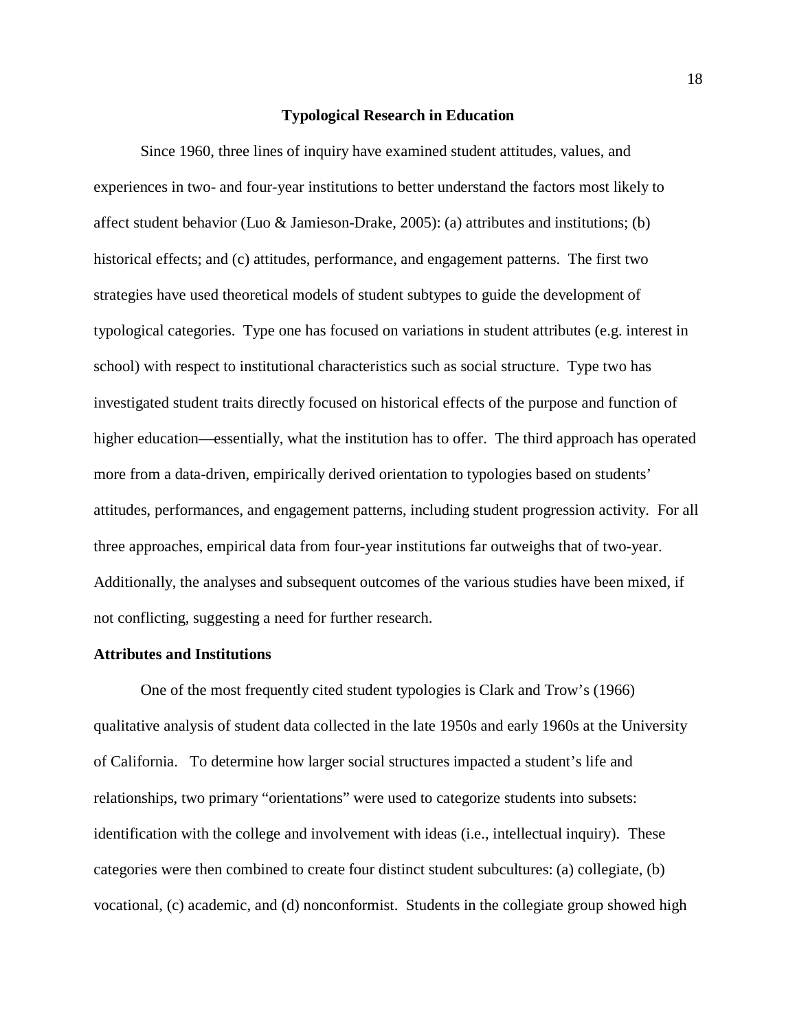#### **Typological Research in Education**

Since 1960, three lines of inquiry have examined student attitudes, values, and experiences in two- and four-year institutions to better understand the factors most likely to affect student behavior (Luo & Jamieson-Drake, 2005): (a) attributes and institutions; (b) historical effects; and (c) attitudes, performance, and engagement patterns. The first two strategies have used theoretical models of student subtypes to guide the development of typological categories. Type one has focused on variations in student attributes (e.g. interest in school) with respect to institutional characteristics such as social structure. Type two has investigated student traits directly focused on historical effects of the purpose and function of higher education—essentially, what the institution has to offer. The third approach has operated more from a data-driven, empirically derived orientation to typologies based on students' attitudes, performances, and engagement patterns, including student progression activity. For all three approaches, empirical data from four-year institutions far outweighs that of two-year. Additionally, the analyses and subsequent outcomes of the various studies have been mixed, if not conflicting, suggesting a need for further research.

#### **Attributes and Institutions**

One of the most frequently cited student typologies is Clark and Trow's (1966) qualitative analysis of student data collected in the late 1950s and early 1960s at the University of California. To determine how larger social structures impacted a student's life and relationships, two primary "orientations" were used to categorize students into subsets: identification with the college and involvement with ideas (i.e., intellectual inquiry). These categories were then combined to create four distinct student subcultures: (a) collegiate, (b) vocational, (c) academic, and (d) nonconformist. Students in the collegiate group showed high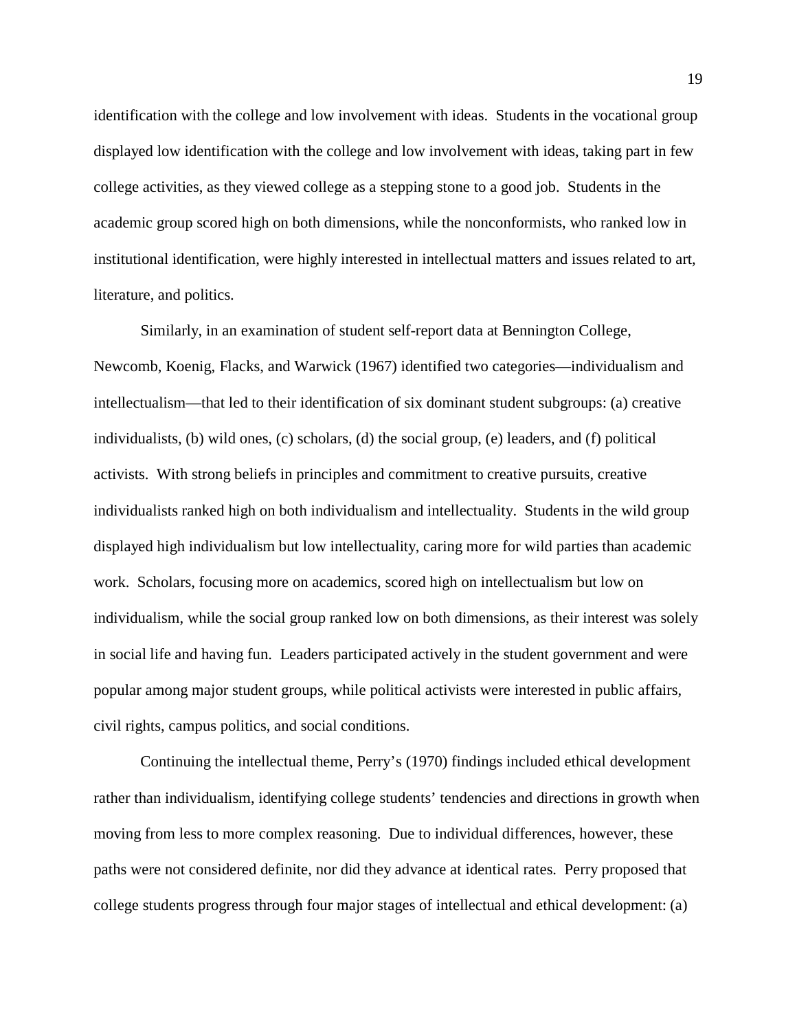identification with the college and low involvement with ideas. Students in the vocational group displayed low identification with the college and low involvement with ideas, taking part in few college activities, as they viewed college as a stepping stone to a good job. Students in the academic group scored high on both dimensions, while the nonconformists, who ranked low in institutional identification, were highly interested in intellectual matters and issues related to art, literature, and politics.

Similarly, in an examination of student self-report data at Bennington College, Newcomb, Koenig, Flacks, and Warwick (1967) identified two categories—individualism and intellectualism—that led to their identification of six dominant student subgroups: (a) creative individualists, (b) wild ones, (c) scholars, (d) the social group, (e) leaders, and (f) political activists. With strong beliefs in principles and commitment to creative pursuits, creative individualists ranked high on both individualism and intellectuality. Students in the wild group displayed high individualism but low intellectuality, caring more for wild parties than academic work. Scholars, focusing more on academics, scored high on intellectualism but low on individualism, while the social group ranked low on both dimensions, as their interest was solely in social life and having fun. Leaders participated actively in the student government and were popular among major student groups, while political activists were interested in public affairs, civil rights, campus politics, and social conditions.

Continuing the intellectual theme, Perry's (1970) findings included ethical development rather than individualism, identifying college students' tendencies and directions in growth when moving from less to more complex reasoning. Due to individual differences, however, these paths were not considered definite, nor did they advance at identical rates. Perry proposed that college students progress through four major stages of intellectual and ethical development: (a)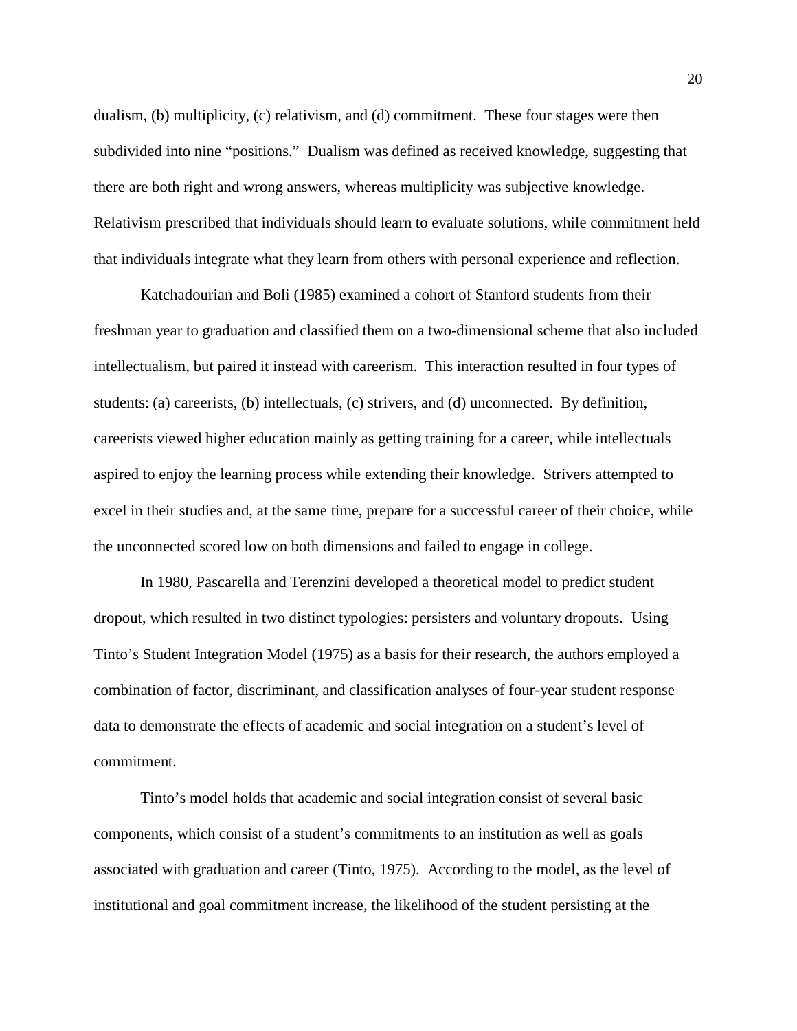dualism, (b) multiplicity, (c) relativism, and (d) commitment. These four stages were then subdivided into nine "positions." Dualism was defined as received knowledge, suggesting that there are both right and wrong answers, whereas multiplicity was subjective knowledge. Relativism prescribed that individuals should learn to evaluate solutions, while commitment held that individuals integrate what they learn from others with personal experience and reflection.

Katchadourian and Boli (1985) examined a cohort of Stanford students from their freshman year to graduation and classified them on a two-dimensional scheme that also included intellectualism, but paired it instead with careerism. This interaction resulted in four types of students: (a) careerists, (b) intellectuals, (c) strivers, and (d) unconnected. By definition, careerists viewed higher education mainly as getting training for a career, while intellectuals aspired to enjoy the learning process while extending their knowledge. Strivers attempted to excel in their studies and, at the same time, prepare for a successful career of their choice, while the unconnected scored low on both dimensions and failed to engage in college.

In 1980, Pascarella and Terenzini developed a theoretical model to predict student dropout, which resulted in two distinct typologies: persisters and voluntary dropouts. Using Tinto's Student Integration Model (1975) as a basis for their research, the authors employed a combination of factor, discriminant, and classification analyses of four-year student response data to demonstrate the effects of academic and social integration on a student's level of commitment.

Tinto's model holds that academic and social integration consist of several basic components, which consist of a student's commitments to an institution as well as goals associated with graduation and career (Tinto, 1975). According to the model, as the level of institutional and goal commitment increase, the likelihood of the student persisting at the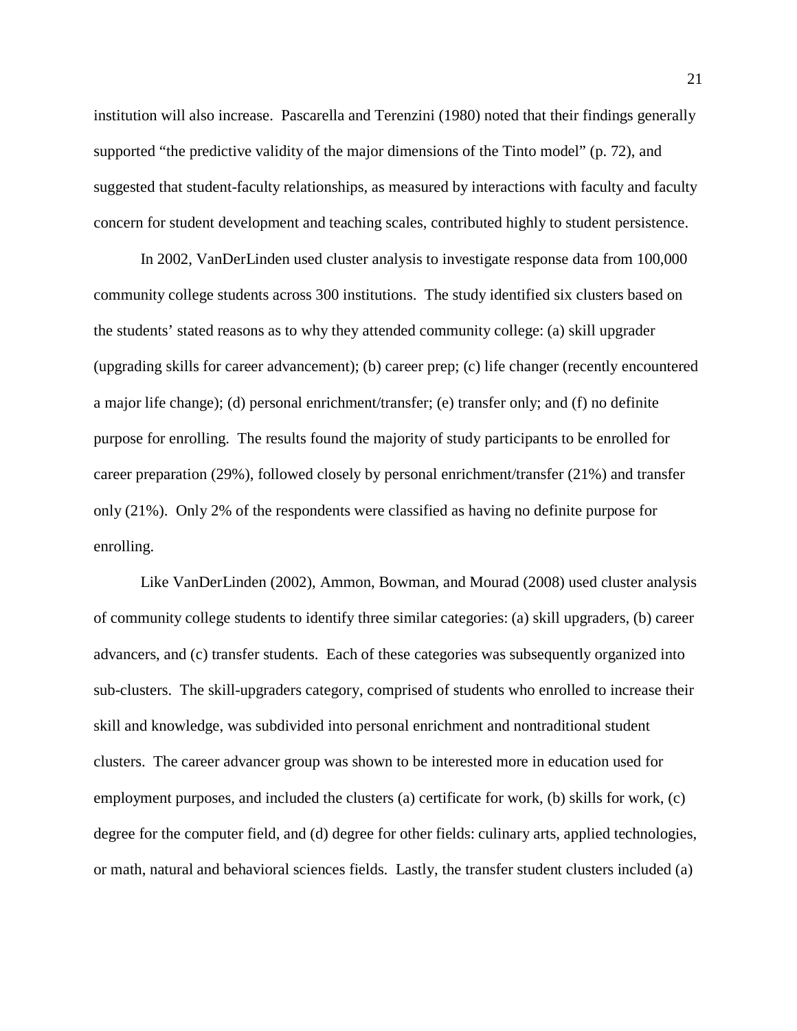institution will also increase. Pascarella and Terenzini (1980) noted that their findings generally supported "the predictive validity of the major dimensions of the Tinto model" (p. 72), and suggested that student-faculty relationships, as measured by interactions with faculty and faculty concern for student development and teaching scales, contributed highly to student persistence.

In 2002, VanDerLinden used cluster analysis to investigate response data from 100,000 community college students across 300 institutions. The study identified six clusters based on the students' stated reasons as to why they attended community college: (a) skill upgrader (upgrading skills for career advancement); (b) career prep; (c) life changer (recently encountered a major life change); (d) personal enrichment/transfer; (e) transfer only; and (f) no definite purpose for enrolling. The results found the majority of study participants to be enrolled for career preparation (29%), followed closely by personal enrichment/transfer (21%) and transfer only (21%). Only 2% of the respondents were classified as having no definite purpose for enrolling.

Like VanDerLinden (2002), Ammon, Bowman, and Mourad (2008) used cluster analysis of community college students to identify three similar categories: (a) skill upgraders, (b) career advancers, and (c) transfer students. Each of these categories was subsequently organized into sub-clusters. The skill-upgraders category, comprised of students who enrolled to increase their skill and knowledge, was subdivided into personal enrichment and nontraditional student clusters. The career advancer group was shown to be interested more in education used for employment purposes, and included the clusters (a) certificate for work, (b) skills for work, (c) degree for the computer field, and (d) degree for other fields: culinary arts, applied technologies, or math, natural and behavioral sciences fields. Lastly, the transfer student clusters included (a)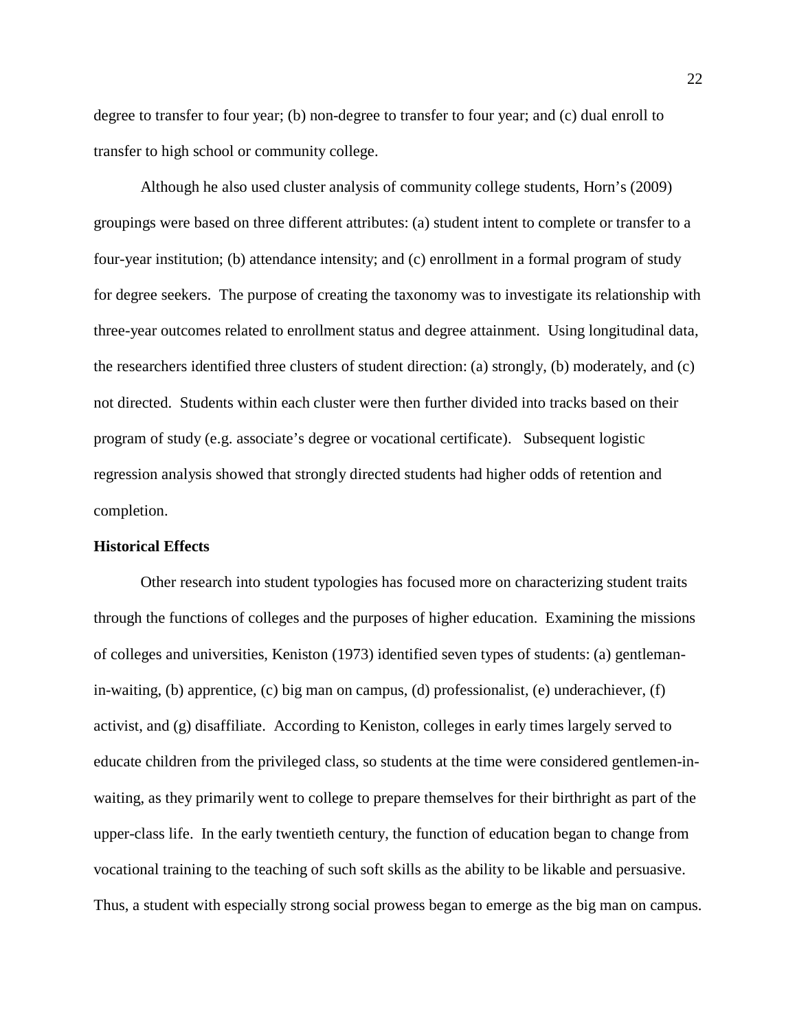degree to transfer to four year; (b) non-degree to transfer to four year; and (c) dual enroll to transfer to high school or community college.

Although he also used cluster analysis of community college students, Horn's (2009) groupings were based on three different attributes: (a) student intent to complete or transfer to a four-year institution; (b) attendance intensity; and (c) enrollment in a formal program of study for degree seekers. The purpose of creating the taxonomy was to investigate its relationship with three-year outcomes related to enrollment status and degree attainment. Using longitudinal data, the researchers identified three clusters of student direction: (a) strongly, (b) moderately, and (c) not directed. Students within each cluster were then further divided into tracks based on their program of study (e.g. associate's degree or vocational certificate). Subsequent logistic regression analysis showed that strongly directed students had higher odds of retention and completion.

#### **Historical Effects**

Other research into student typologies has focused more on characterizing student traits through the functions of colleges and the purposes of higher education. Examining the missions of colleges and universities, Keniston (1973) identified seven types of students: (a) gentlemanin-waiting, (b) apprentice, (c) big man on campus, (d) professionalist, (e) underachiever, (f) activist, and (g) disaffiliate. According to Keniston, colleges in early times largely served to educate children from the privileged class, so students at the time were considered gentlemen-inwaiting, as they primarily went to college to prepare themselves for their birthright as part of the upper-class life. In the early twentieth century, the function of education began to change from vocational training to the teaching of such soft skills as the ability to be likable and persuasive. Thus, a student with especially strong social prowess began to emerge as the big man on campus.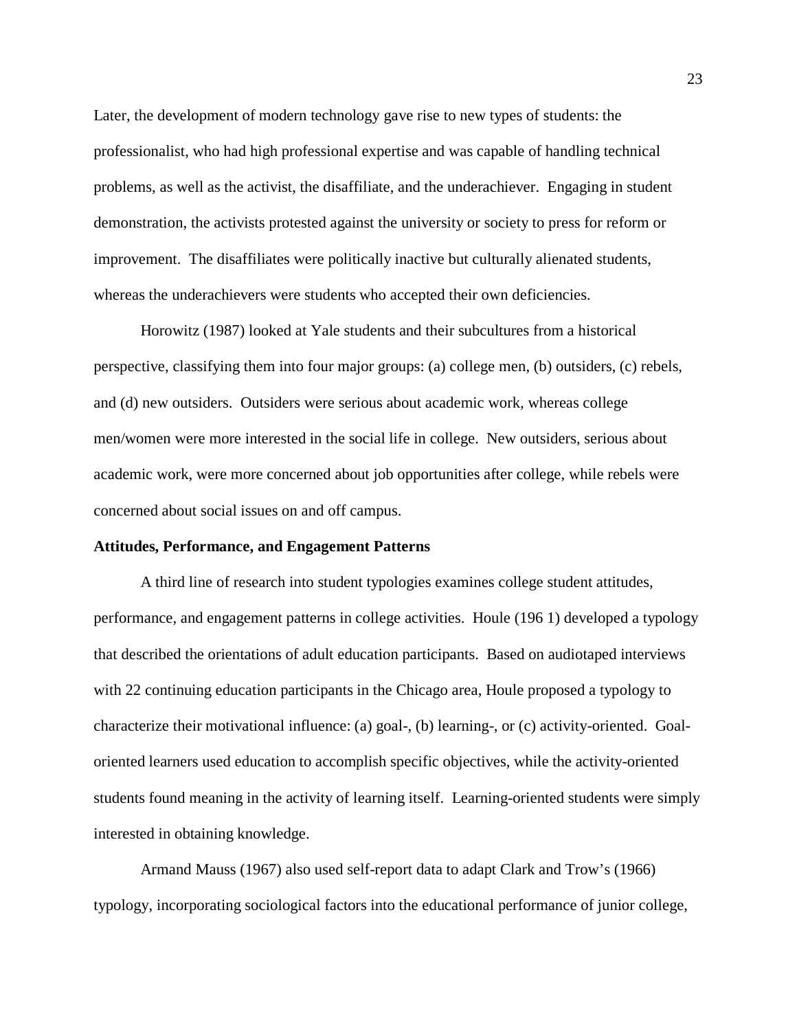Later, the development of modern technology gave rise to new types of students: the professionalist, who had high professional expertise and was capable of handling technical problems, as well as the activist, the disaffiliate, and the underachiever. Engaging in student demonstration, the activists protested against the university or society to press for reform or improvement. The disaffiliates were politically inactive but culturally alienated students, whereas the underachievers were students who accepted their own deficiencies.

Horowitz (1987) looked at Yale students and their subcultures from a historical perspective, classifying them into four major groups: (a) college men, (b) outsiders, (c) rebels, and (d) new outsiders. Outsiders were serious about academic work, whereas college men/women were more interested in the social life in college. New outsiders, serious about academic work, were more concerned about job opportunities after college, while rebels were concerned about social issues on and off campus.

#### **Attitudes, Performance, and Engagement Patterns**

A third line of research into student typologies examines college student attitudes, performance, and engagement patterns in college activities. Houle (196 1) developed a typology that described the orientations of adult education participants. Based on audiotaped interviews with 22 continuing education participants in the Chicago area, Houle proposed a typology to characterize their motivational influence: (a) goal-, (b) learning-, or (c) activity-oriented. Goaloriented learners used education to accomplish specific objectives, while the activity-oriented students found meaning in the activity of learning itself. Learning-oriented students were simply interested in obtaining knowledge.

Armand Mauss (1967) also used self-report data to adapt Clark and Trow's (1966) typology, incorporating sociological factors into the educational performance of junior college,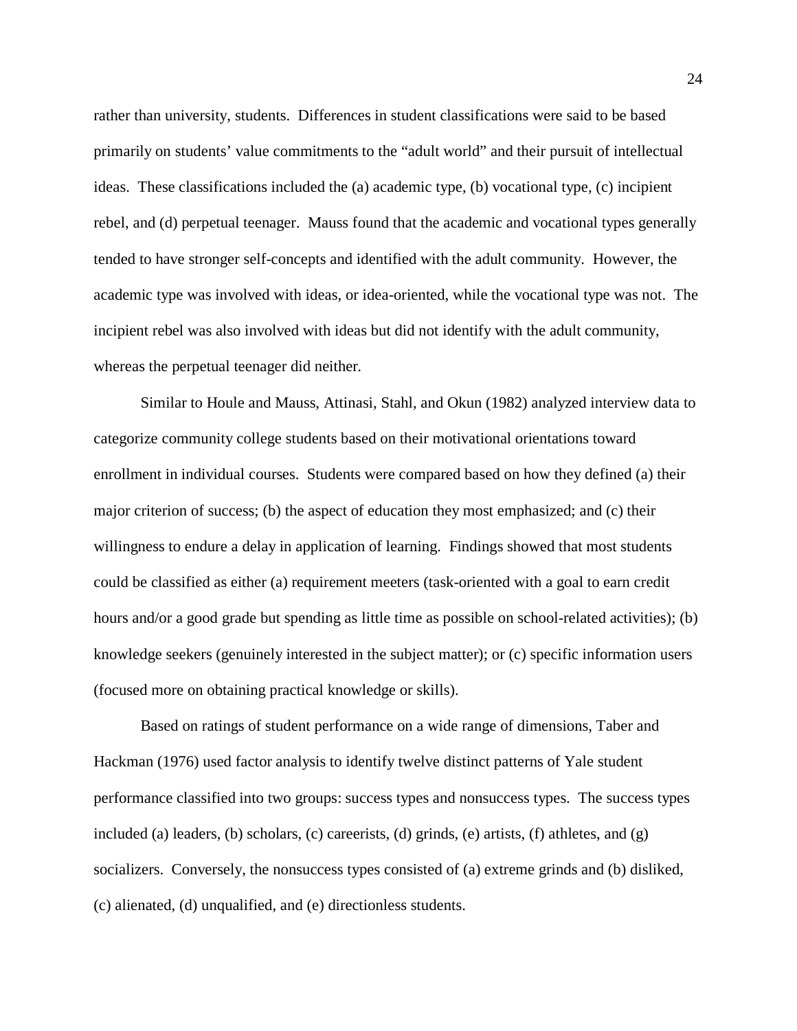rather than university, students. Differences in student classifications were said to be based primarily on students' value commitments to the "adult world" and their pursuit of intellectual ideas. These classifications included the (a) academic type, (b) vocational type, (c) incipient rebel, and (d) perpetual teenager. Mauss found that the academic and vocational types generally tended to have stronger self-concepts and identified with the adult community. However, the academic type was involved with ideas, or idea-oriented, while the vocational type was not. The incipient rebel was also involved with ideas but did not identify with the adult community, whereas the perpetual teenager did neither.

Similar to Houle and Mauss, Attinasi, Stahl, and Okun (1982) analyzed interview data to categorize community college students based on their motivational orientations toward enrollment in individual courses. Students were compared based on how they defined (a) their major criterion of success; (b) the aspect of education they most emphasized; and (c) their willingness to endure a delay in application of learning. Findings showed that most students could be classified as either (a) requirement meeters (task-oriented with a goal to earn credit hours and/or a good grade but spending as little time as possible on school-related activities); (b) knowledge seekers (genuinely interested in the subject matter); or (c) specific information users (focused more on obtaining practical knowledge or skills).

Based on ratings of student performance on a wide range of dimensions, Taber and Hackman (1976) used factor analysis to identify twelve distinct patterns of Yale student performance classified into two groups: success types and nonsuccess types. The success types included (a) leaders, (b) scholars, (c) careerists, (d) grinds, (e) artists, (f) athletes, and (g) socializers. Conversely, the nonsuccess types consisted of (a) extreme grinds and (b) disliked, (c) alienated, (d) unqualified, and (e) directionless students.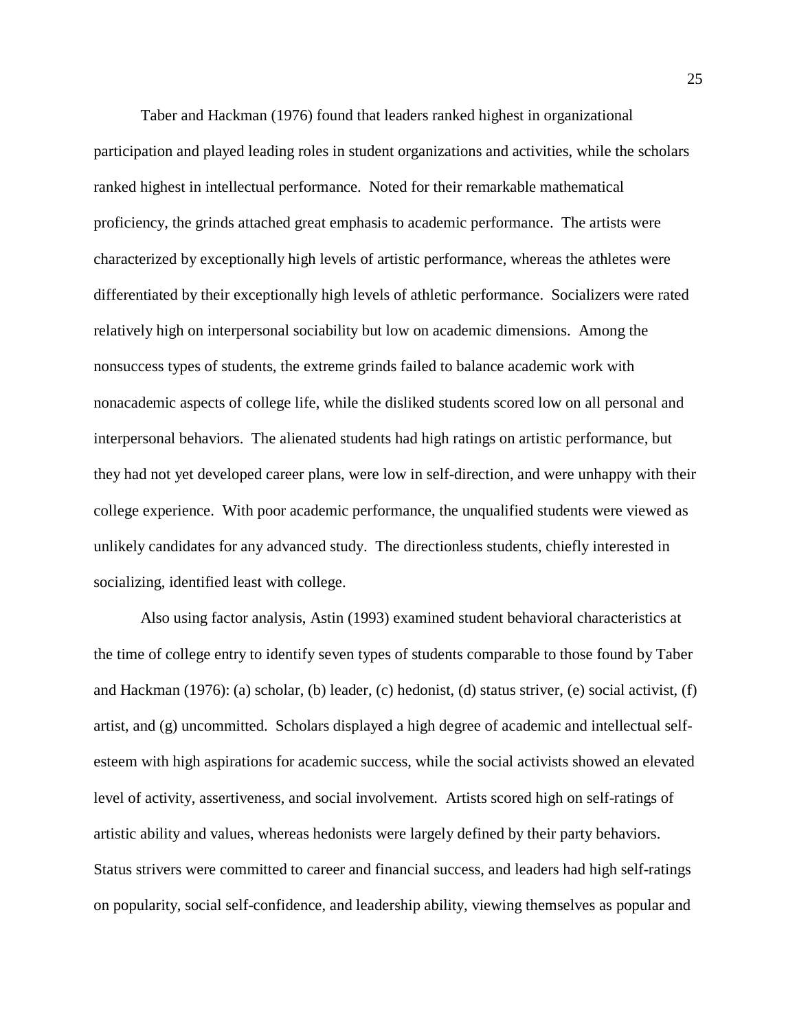Taber and Hackman (1976) found that leaders ranked highest in organizational participation and played leading roles in student organizations and activities, while the scholars ranked highest in intellectual performance. Noted for their remarkable mathematical proficiency, the grinds attached great emphasis to academic performance. The artists were characterized by exceptionally high levels of artistic performance, whereas the athletes were differentiated by their exceptionally high levels of athletic performance. Socializers were rated relatively high on interpersonal sociability but low on academic dimensions. Among the nonsuccess types of students, the extreme grinds failed to balance academic work with nonacademic aspects of college life, while the disliked students scored low on all personal and interpersonal behaviors. The alienated students had high ratings on artistic performance, but they had not yet developed career plans, were low in self-direction, and were unhappy with their college experience. With poor academic performance, the unqualified students were viewed as unlikely candidates for any advanced study. The directionless students, chiefly interested in socializing, identified least with college.

Also using factor analysis, Astin (1993) examined student behavioral characteristics at the time of college entry to identify seven types of students comparable to those found by Taber and Hackman (1976): (a) scholar, (b) leader, (c) hedonist, (d) status striver, (e) social activist, (f) artist, and (g) uncommitted. Scholars displayed a high degree of academic and intellectual selfesteem with high aspirations for academic success, while the social activists showed an elevated level of activity, assertiveness, and social involvement. Artists scored high on self-ratings of artistic ability and values, whereas hedonists were largely defined by their party behaviors. Status strivers were committed to career and financial success, and leaders had high self-ratings on popularity, social self-confidence, and leadership ability, viewing themselves as popular and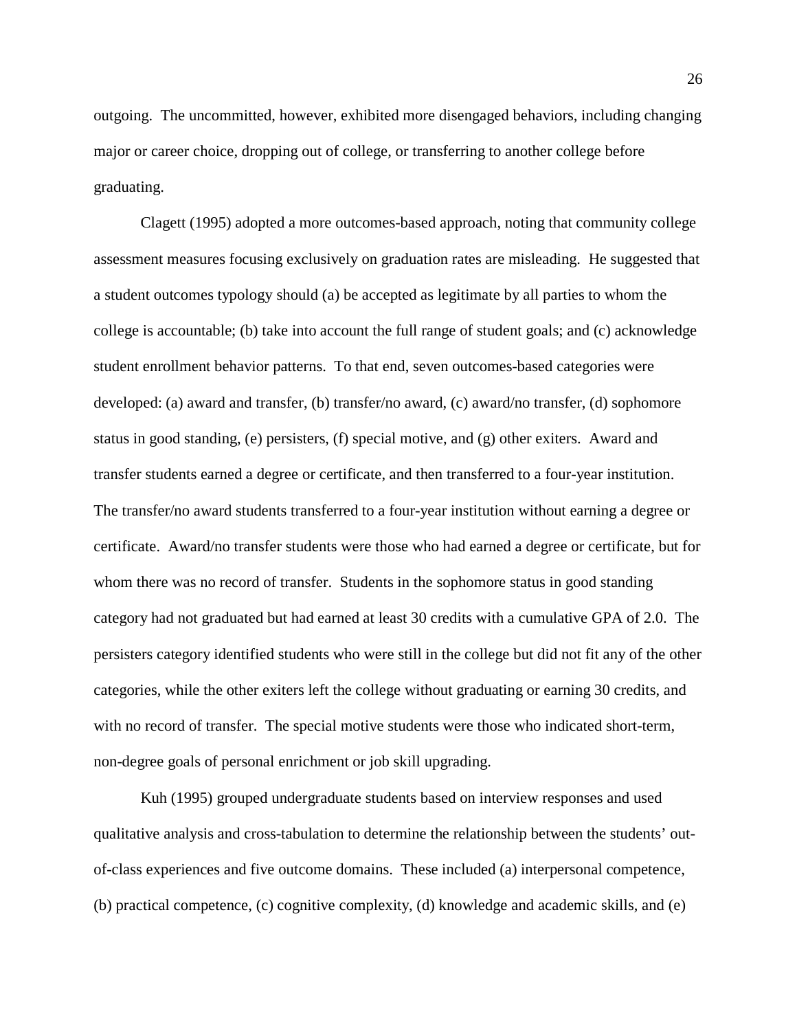outgoing. The uncommitted, however, exhibited more disengaged behaviors, including changing major or career choice, dropping out of college, or transferring to another college before graduating.

Clagett (1995) adopted a more outcomes-based approach, noting that community college assessment measures focusing exclusively on graduation rates are misleading. He suggested that a student outcomes typology should (a) be accepted as legitimate by all parties to whom the college is accountable; (b) take into account the full range of student goals; and (c) acknowledge student enrollment behavior patterns. To that end, seven outcomes-based categories were developed: (a) award and transfer, (b) transfer/no award, (c) award/no transfer, (d) sophomore status in good standing, (e) persisters, (f) special motive, and (g) other exiters. Award and transfer students earned a degree or certificate, and then transferred to a four-year institution. The transfer/no award students transferred to a four-year institution without earning a degree or certificate. Award/no transfer students were those who had earned a degree or certificate, but for whom there was no record of transfer. Students in the sophomore status in good standing category had not graduated but had earned at least 30 credits with a cumulative GPA of 2.0. The persisters category identified students who were still in the college but did not fit any of the other categories, while the other exiters left the college without graduating or earning 30 credits, and with no record of transfer. The special motive students were those who indicated short-term, non-degree goals of personal enrichment or job skill upgrading.

Kuh (1995) grouped undergraduate students based on interview responses and used qualitative analysis and cross-tabulation to determine the relationship between the students' outof-class experiences and five outcome domains. These included (a) interpersonal competence, (b) practical competence, (c) cognitive complexity, (d) knowledge and academic skills, and (e)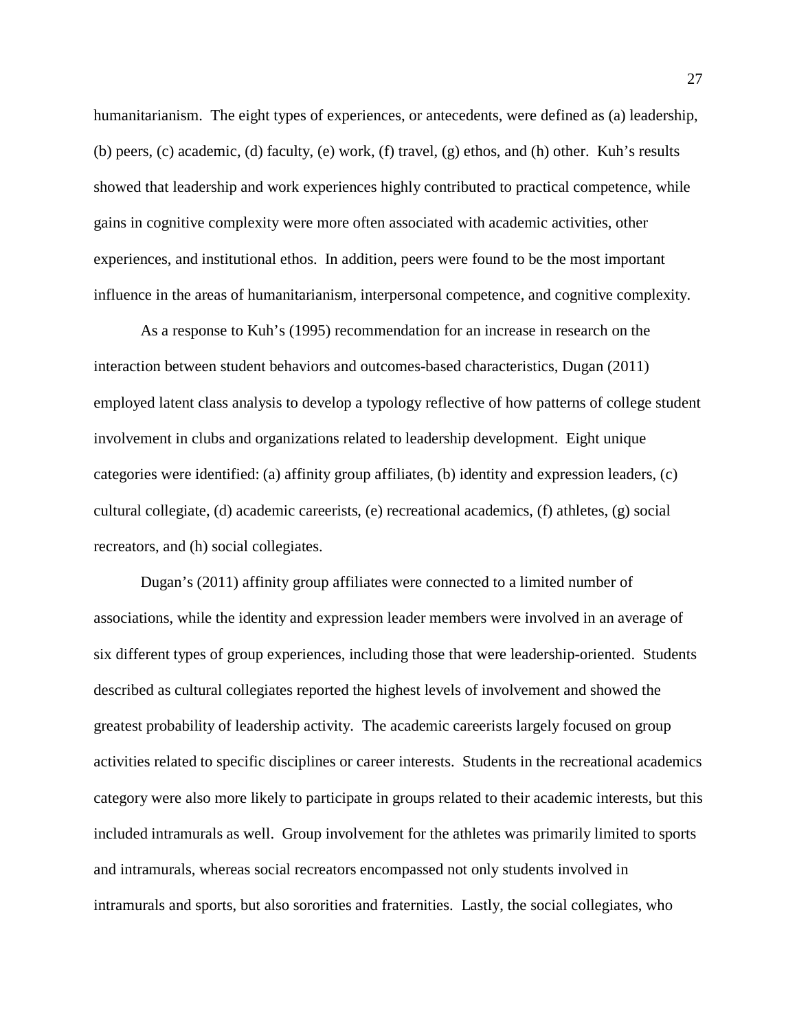humanitarianism. The eight types of experiences, or antecedents, were defined as (a) leadership, (b) peers, (c) academic, (d) faculty, (e) work, (f) travel, (g) ethos, and (h) other. Kuh's results showed that leadership and work experiences highly contributed to practical competence, while gains in cognitive complexity were more often associated with academic activities, other experiences, and institutional ethos. In addition, peers were found to be the most important influence in the areas of humanitarianism, interpersonal competence, and cognitive complexity.

As a response to Kuh's (1995) recommendation for an increase in research on the interaction between student behaviors and outcomes-based characteristics, Dugan (2011) employed latent class analysis to develop a typology reflective of how patterns of college student involvement in clubs and organizations related to leadership development. Eight unique categories were identified: (a) affinity group affiliates, (b) identity and expression leaders, (c) cultural collegiate, (d) academic careerists, (e) recreational academics, (f) athletes, (g) social recreators, and (h) social collegiates.

Dugan's (2011) affinity group affiliates were connected to a limited number of associations, while the identity and expression leader members were involved in an average of six different types of group experiences, including those that were leadership-oriented. Students described as cultural collegiates reported the highest levels of involvement and showed the greatest probability of leadership activity. The academic careerists largely focused on group activities related to specific disciplines or career interests. Students in the recreational academics category were also more likely to participate in groups related to their academic interests, but this included intramurals as well. Group involvement for the athletes was primarily limited to sports and intramurals, whereas social recreators encompassed not only students involved in intramurals and sports, but also sororities and fraternities. Lastly, the social collegiates, who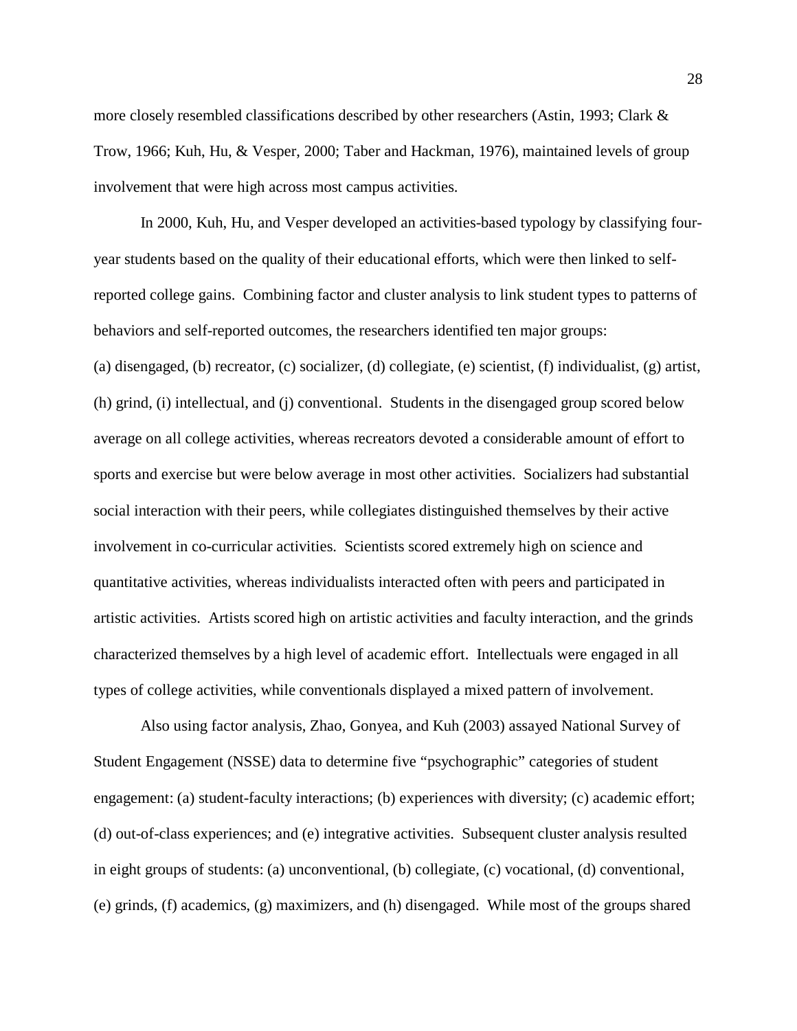more closely resembled classifications described by other researchers (Astin, 1993; Clark & Trow, 1966; Kuh, Hu, & Vesper, 2000; Taber and Hackman, 1976), maintained levels of group involvement that were high across most campus activities.

In 2000, Kuh, Hu, and Vesper developed an activities-based typology by classifying fouryear students based on the quality of their educational efforts, which were then linked to selfreported college gains. Combining factor and cluster analysis to link student types to patterns of behaviors and self-reported outcomes, the researchers identified ten major groups: (a) disengaged, (b) recreator, (c) socializer, (d) collegiate, (e) scientist, (f) individualist, (g) artist, (h) grind, (i) intellectual, and (j) conventional. Students in the disengaged group scored below average on all college activities, whereas recreators devoted a considerable amount of effort to sports and exercise but were below average in most other activities. Socializers had substantial social interaction with their peers, while collegiates distinguished themselves by their active involvement in co-curricular activities. Scientists scored extremely high on science and quantitative activities, whereas individualists interacted often with peers and participated in artistic activities. Artists scored high on artistic activities and faculty interaction, and the grinds characterized themselves by a high level of academic effort. Intellectuals were engaged in all types of college activities, while conventionals displayed a mixed pattern of involvement.

Also using factor analysis, Zhao, Gonyea, and Kuh (2003) assayed National Survey of Student Engagement (NSSE) data to determine five "psychographic" categories of student engagement: (a) student-faculty interactions; (b) experiences with diversity; (c) academic effort; (d) out-of-class experiences; and (e) integrative activities. Subsequent cluster analysis resulted in eight groups of students: (a) unconventional, (b) collegiate, (c) vocational, (d) conventional, (e) grinds, (f) academics, (g) maximizers, and (h) disengaged. While most of the groups shared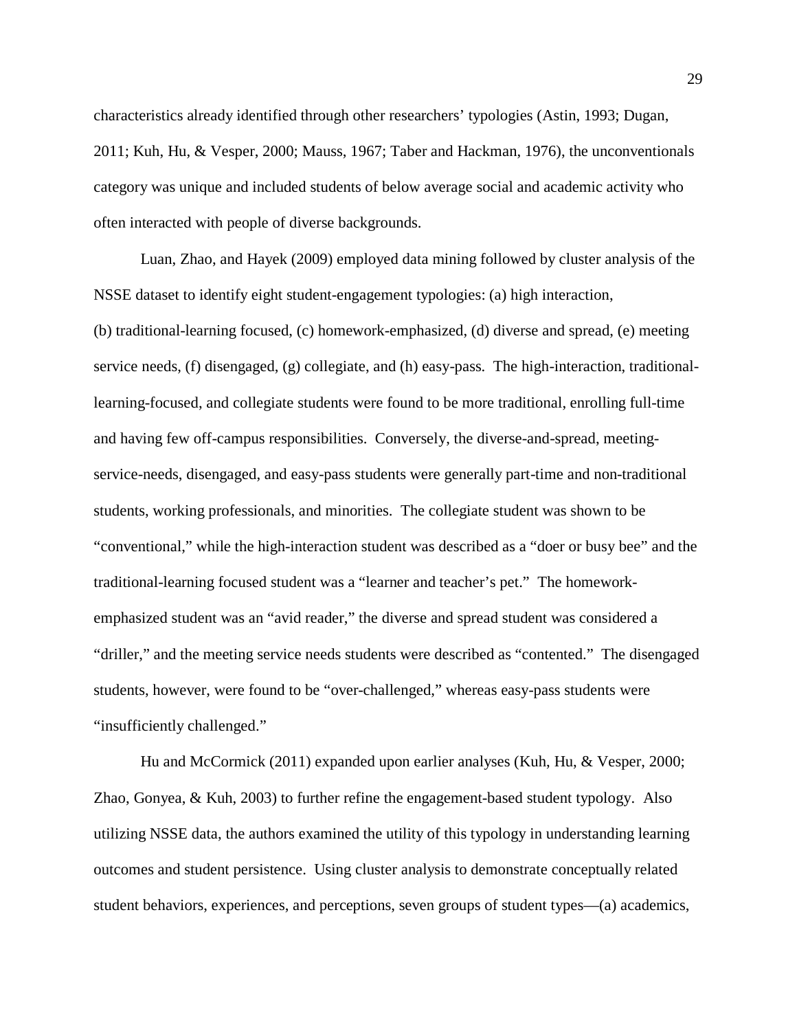characteristics already identified through other researchers' typologies (Astin, 1993; Dugan, 2011; Kuh, Hu, & Vesper, 2000; Mauss, 1967; Taber and Hackman, 1976), the unconventionals category was unique and included students of below average social and academic activity who often interacted with people of diverse backgrounds.

Luan, Zhao, and Hayek (2009) employed data mining followed by cluster analysis of the NSSE dataset to identify eight student-engagement typologies: (a) high interaction, (b) traditional-learning focused, (c) homework-emphasized, (d) diverse and spread, (e) meeting service needs, (f) disengaged, (g) collegiate, and (h) easy-pass. The high-interaction, traditionallearning-focused, and collegiate students were found to be more traditional, enrolling full-time and having few off-campus responsibilities. Conversely, the diverse-and-spread, meetingservice-needs, disengaged, and easy-pass students were generally part-time and non-traditional students, working professionals, and minorities. The collegiate student was shown to be "conventional," while the high-interaction student was described as a "doer or busy bee" and the traditional-learning focused student was a "learner and teacher's pet." The homeworkemphasized student was an "avid reader," the diverse and spread student was considered a "driller," and the meeting service needs students were described as "contented." The disengaged students, however, were found to be "over-challenged," whereas easy-pass students were "insufficiently challenged."

Hu and McCormick (2011) expanded upon earlier analyses (Kuh, Hu, & Vesper, 2000; Zhao, Gonyea, & Kuh, 2003) to further refine the engagement-based student typology. Also utilizing NSSE data, the authors examined the utility of this typology in understanding learning outcomes and student persistence. Using cluster analysis to demonstrate conceptually related student behaviors, experiences, and perceptions, seven groups of student types—(a) academics,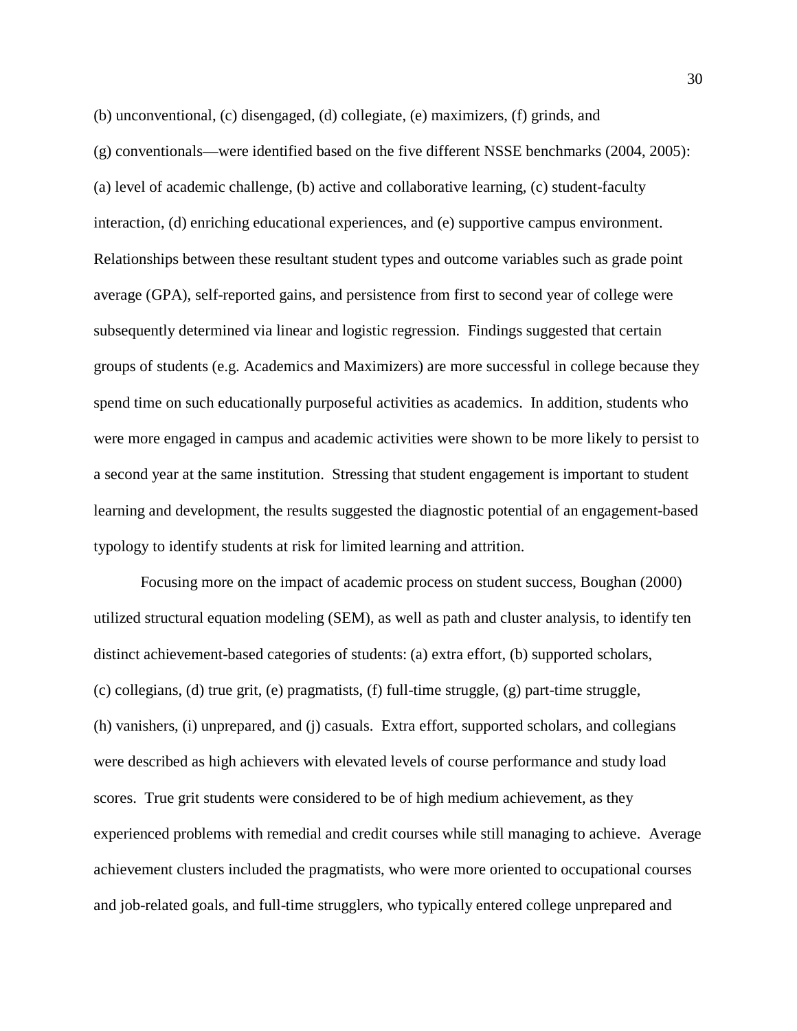(b) unconventional, (c) disengaged, (d) collegiate, (e) maximizers, (f) grinds, and

(g) conventionals—were identified based on the five different NSSE benchmarks (2004, 2005): (a) level of academic challenge, (b) active and collaborative learning, (c) student-faculty interaction, (d) enriching educational experiences, and (e) supportive campus environment. Relationships between these resultant student types and outcome variables such as grade point average (GPA), self-reported gains, and persistence from first to second year of college were subsequently determined via linear and logistic regression. Findings suggested that certain groups of students (e.g. Academics and Maximizers) are more successful in college because they spend time on such educationally purposeful activities as academics. In addition, students who were more engaged in campus and academic activities were shown to be more likely to persist to a second year at the same institution. Stressing that student engagement is important to student learning and development, the results suggested the diagnostic potential of an engagement-based typology to identify students at risk for limited learning and attrition.

Focusing more on the impact of academic process on student success, Boughan (2000) utilized structural equation modeling (SEM), as well as path and cluster analysis, to identify ten distinct achievement-based categories of students: (a) extra effort, (b) supported scholars, (c) collegians, (d) true grit, (e) pragmatists, (f) full-time struggle, (g) part-time struggle, (h) vanishers, (i) unprepared, and (j) casuals. Extra effort, supported scholars, and collegians were described as high achievers with elevated levels of course performance and study load scores. True grit students were considered to be of high medium achievement, as they experienced problems with remedial and credit courses while still managing to achieve. Average achievement clusters included the pragmatists, who were more oriented to occupational courses and job-related goals, and full-time strugglers, who typically entered college unprepared and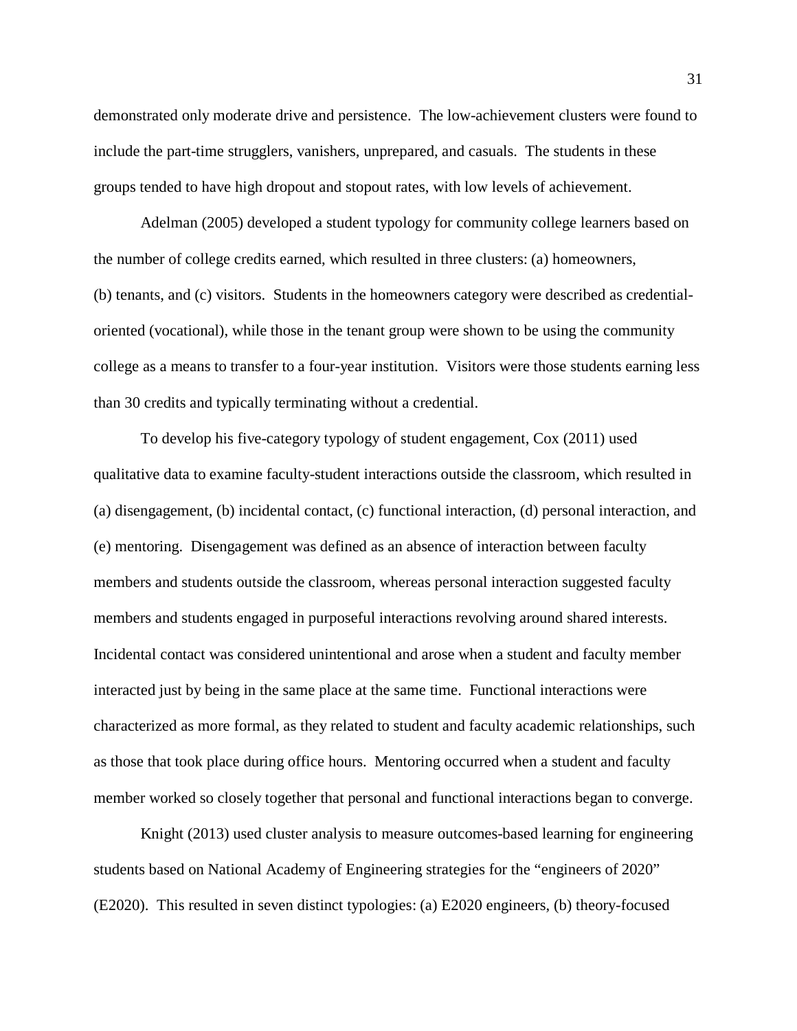demonstrated only moderate drive and persistence. The low-achievement clusters were found to include the part-time strugglers, vanishers, unprepared, and casuals. The students in these groups tended to have high dropout and stopout rates, with low levels of achievement.

Adelman (2005) developed a student typology for community college learners based on the number of college credits earned, which resulted in three clusters: (a) homeowners, (b) tenants, and (c) visitors. Students in the homeowners category were described as credentialoriented (vocational), while those in the tenant group were shown to be using the community college as a means to transfer to a four-year institution. Visitors were those students earning less than 30 credits and typically terminating without a credential.

To develop his five-category typology of student engagement, Cox (2011) used qualitative data to examine faculty-student interactions outside the classroom, which resulted in (a) disengagement, (b) incidental contact, (c) functional interaction, (d) personal interaction, and (e) mentoring. Disengagement was defined as an absence of interaction between faculty members and students outside the classroom, whereas personal interaction suggested faculty members and students engaged in purposeful interactions revolving around shared interests. Incidental contact was considered unintentional and arose when a student and faculty member interacted just by being in the same place at the same time. Functional interactions were characterized as more formal, as they related to student and faculty academic relationships, such as those that took place during office hours. Mentoring occurred when a student and faculty member worked so closely together that personal and functional interactions began to converge.

Knight (2013) used cluster analysis to measure outcomes-based learning for engineering students based on National Academy of Engineering strategies for the "engineers of 2020" (E2020). This resulted in seven distinct typologies: (a) E2020 engineers, (b) theory-focused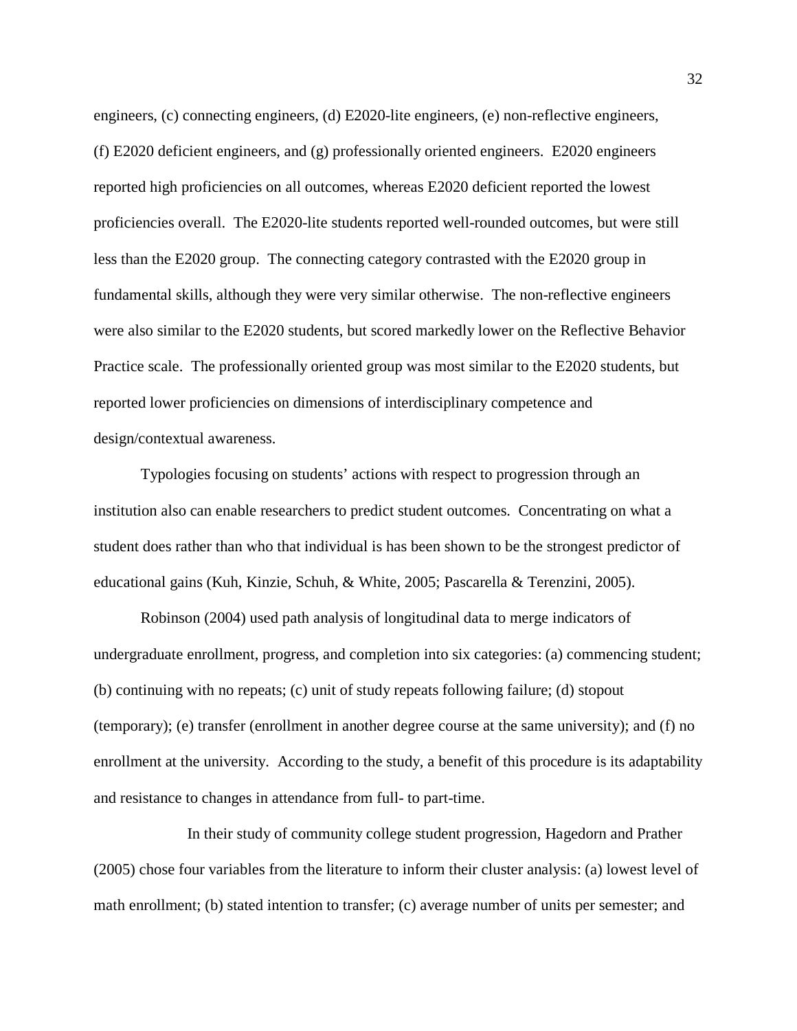engineers, (c) connecting engineers, (d) E2020-lite engineers, (e) non-reflective engineers, (f) E2020 deficient engineers, and (g) professionally oriented engineers. E2020 engineers reported high proficiencies on all outcomes, whereas E2020 deficient reported the lowest proficiencies overall. The E2020-lite students reported well-rounded outcomes, but were still less than the E2020 group. The connecting category contrasted with the E2020 group in fundamental skills, although they were very similar otherwise. The non-reflective engineers were also similar to the E2020 students, but scored markedly lower on the Reflective Behavior Practice scale. The professionally oriented group was most similar to the E2020 students, but reported lower proficiencies on dimensions of interdisciplinary competence and design/contextual awareness.

Typologies focusing on students' actions with respect to progression through an institution also can enable researchers to predict student outcomes. Concentrating on what a student does rather than who that individual is has been shown to be the strongest predictor of educational gains (Kuh, Kinzie, Schuh, & White, 2005; Pascarella & Terenzini, 2005).

Robinson (2004) used path analysis of longitudinal data to merge indicators of undergraduate enrollment, progress, and completion into six categories: (a) commencing student; (b) continuing with no repeats; (c) unit of study repeats following failure; (d) stopout (temporary); (e) transfer (enrollment in another degree course at the same university); and (f) no enrollment at the university. According to the study, a benefit of this procedure is its adaptability and resistance to changes in attendance from full- to part-time.

In their study of community college student progression, Hagedorn and Prather (2005) chose four variables from the literature to inform their cluster analysis: (a) lowest level of math enrollment; (b) stated intention to transfer; (c) average number of units per semester; and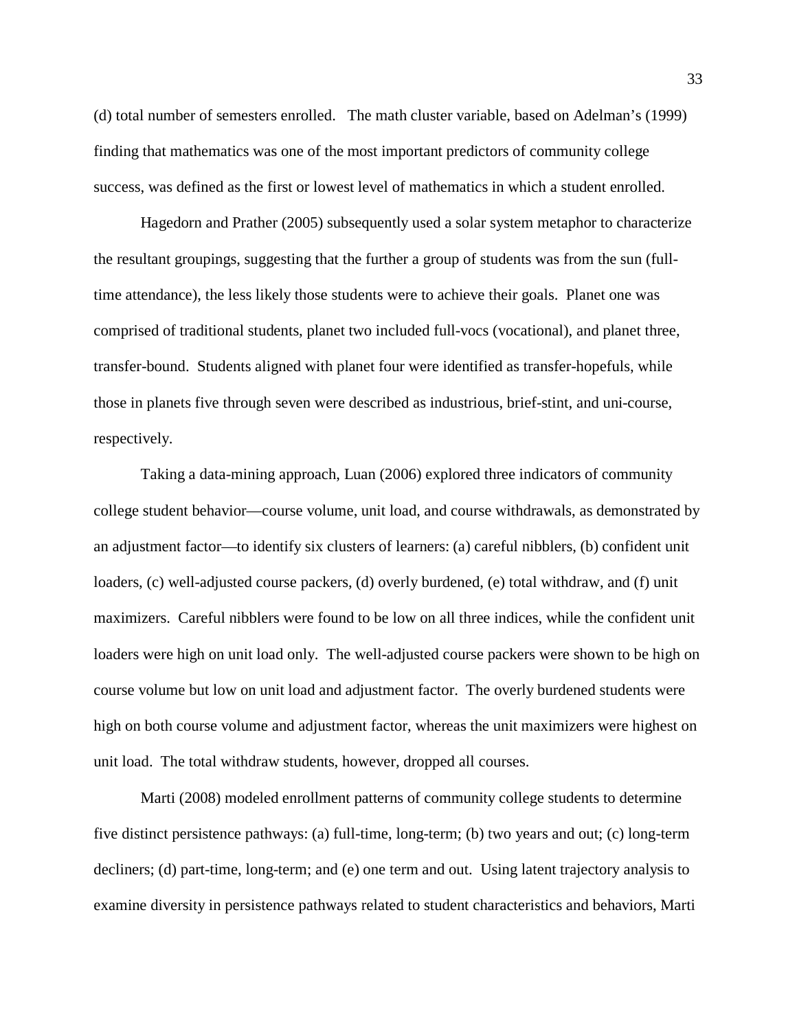(d) total number of semesters enrolled. The math cluster variable, based on Adelman's (1999) finding that mathematics was one of the most important predictors of community college success, was defined as the first or lowest level of mathematics in which a student enrolled.

Hagedorn and Prather (2005) subsequently used a solar system metaphor to characterize the resultant groupings, suggesting that the further a group of students was from the sun (fulltime attendance), the less likely those students were to achieve their goals. Planet one was comprised of traditional students, planet two included full-vocs (vocational), and planet three, transfer-bound. Students aligned with planet four were identified as transfer-hopefuls, while those in planets five through seven were described as industrious, brief-stint, and uni-course, respectively.

Taking a data-mining approach, Luan (2006) explored three indicators of community college student behavior—course volume, unit load, and course withdrawals, as demonstrated by an adjustment factor—to identify six clusters of learners: (a) careful nibblers, (b) confident unit loaders, (c) well-adjusted course packers, (d) overly burdened, (e) total withdraw, and (f) unit maximizers. Careful nibblers were found to be low on all three indices, while the confident unit loaders were high on unit load only. The well-adjusted course packers were shown to be high on course volume but low on unit load and adjustment factor. The overly burdened students were high on both course volume and adjustment factor, whereas the unit maximizers were highest on unit load. The total withdraw students, however, dropped all courses.

Marti (2008) modeled enrollment patterns of community college students to determine five distinct persistence pathways: (a) full-time, long-term; (b) two years and out; (c) long-term decliners; (d) part-time, long-term; and (e) one term and out. Using latent trajectory analysis to examine diversity in persistence pathways related to student characteristics and behaviors, Marti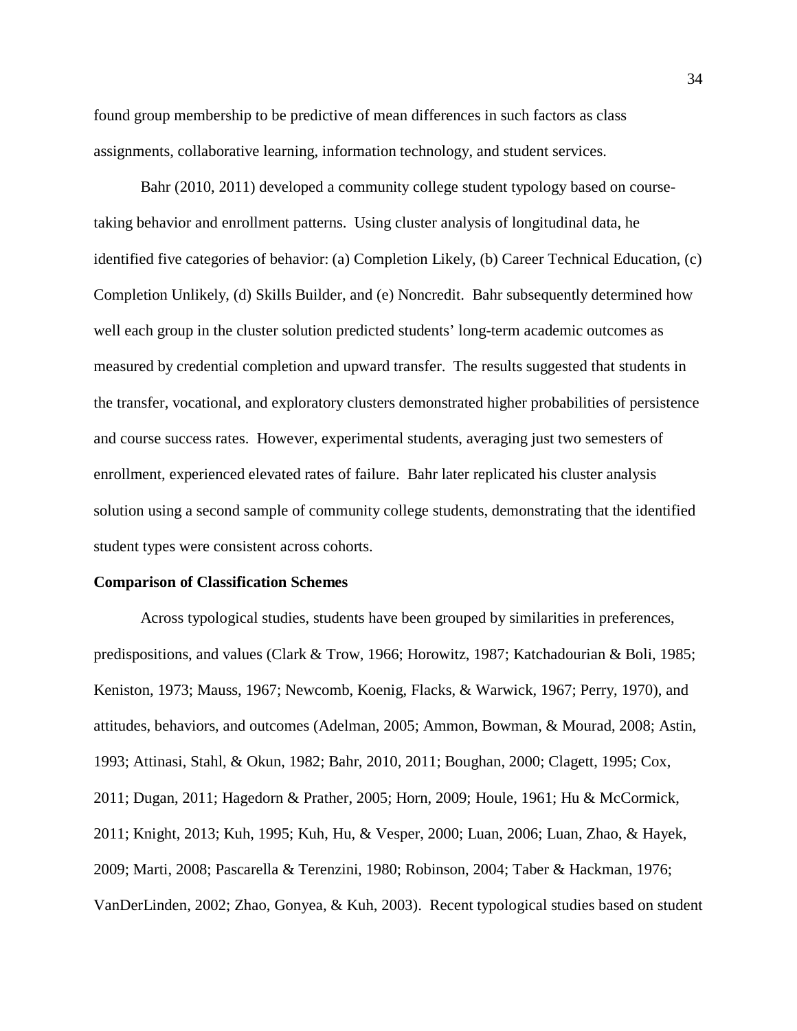found group membership to be predictive of mean differences in such factors as class assignments, collaborative learning, information technology, and student services.

Bahr (2010, 2011) developed a community college student typology based on coursetaking behavior and enrollment patterns. Using cluster analysis of longitudinal data, he identified five categories of behavior: (a) Completion Likely, (b) Career Technical Education, (c) Completion Unlikely, (d) Skills Builder, and (e) Noncredit. Bahr subsequently determined how well each group in the cluster solution predicted students' long-term academic outcomes as measured by credential completion and upward transfer. The results suggested that students in the transfer, vocational, and exploratory clusters demonstrated higher probabilities of persistence and course success rates. However, experimental students, averaging just two semesters of enrollment, experienced elevated rates of failure. Bahr later replicated his cluster analysis solution using a second sample of community college students, demonstrating that the identified student types were consistent across cohorts.

## **Comparison of Classification Schemes**

Across typological studies, students have been grouped by similarities in preferences, predispositions, and values (Clark & Trow, 1966; Horowitz, 1987; Katchadourian & Boli, 1985; Keniston, 1973; Mauss, 1967; Newcomb, Koenig, Flacks, & Warwick, 1967; Perry, 1970), and attitudes, behaviors, and outcomes (Adelman, 2005; Ammon, Bowman, & Mourad, 2008; Astin, 1993; Attinasi, Stahl, & Okun, 1982; Bahr, 2010, 2011; Boughan, 2000; Clagett, 1995; Cox, 2011; Dugan, 2011; Hagedorn & Prather, 2005; Horn, 2009; Houle, 1961; Hu & McCormick, 2011; Knight, 2013; Kuh, 1995; Kuh, Hu, & Vesper, 2000; Luan, 2006; Luan, Zhao, & Hayek, 2009; Marti, 2008; Pascarella & Terenzini, 1980; Robinson, 2004; Taber & Hackman, 1976; VanDerLinden, 2002; Zhao, Gonyea, & Kuh, 2003). Recent typological studies based on student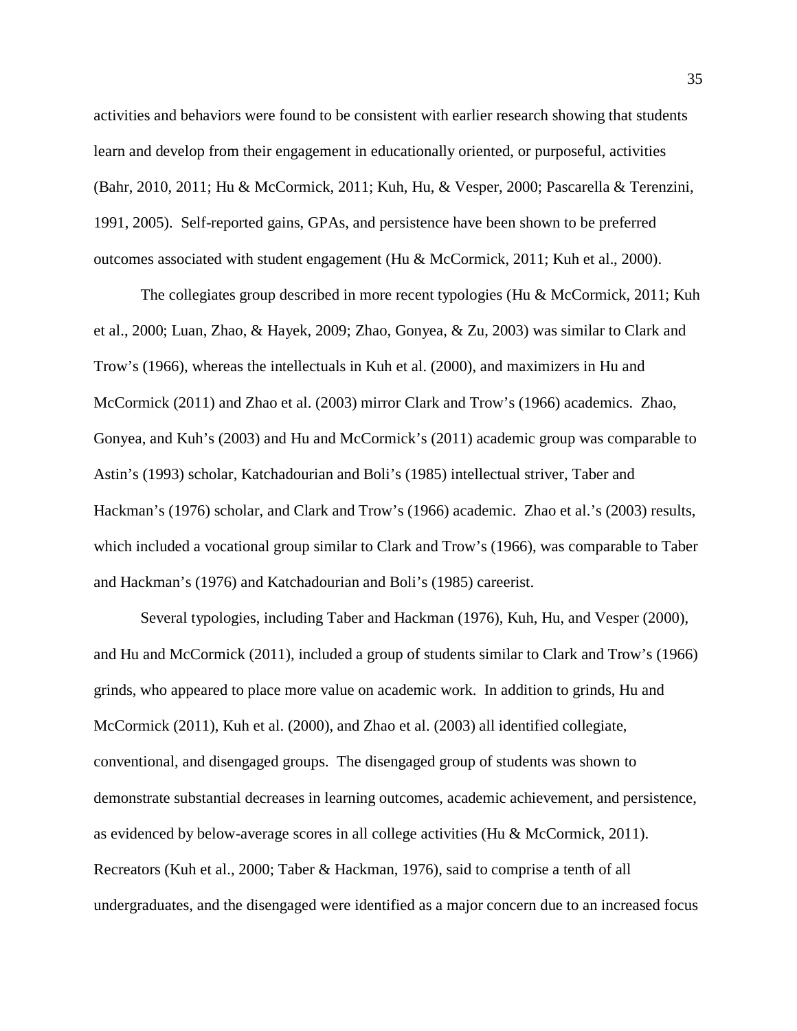activities and behaviors were found to be consistent with earlier research showing that students learn and develop from their engagement in educationally oriented, or purposeful, activities (Bahr, 2010, 2011; Hu & McCormick, 2011; Kuh, Hu, & Vesper, 2000; Pascarella & Terenzini, 1991, 2005). Self-reported gains, GPAs, and persistence have been shown to be preferred outcomes associated with student engagement (Hu & McCormick, 2011; Kuh et al., 2000).

The collegiates group described in more recent typologies (Hu & McCormick, 2011; Kuh et al., 2000; Luan, Zhao, & Hayek, 2009; Zhao, Gonyea, & Zu, 2003) was similar to Clark and Trow's (1966), whereas the intellectuals in Kuh et al. (2000), and maximizers in Hu and McCormick (2011) and Zhao et al. (2003) mirror Clark and Trow's (1966) academics. Zhao, Gonyea, and Kuh's (2003) and Hu and McCormick's (2011) academic group was comparable to Astin's (1993) scholar, Katchadourian and Boli's (1985) intellectual striver, Taber and Hackman's (1976) scholar, and Clark and Trow's (1966) academic. Zhao et al.'s (2003) results, which included a vocational group similar to Clark and Trow's (1966), was comparable to Taber and Hackman's (1976) and Katchadourian and Boli's (1985) careerist.

Several typologies, including Taber and Hackman (1976), Kuh, Hu, and Vesper (2000), and Hu and McCormick (2011), included a group of students similar to Clark and Trow's (1966) grinds, who appeared to place more value on academic work. In addition to grinds, Hu and McCormick (2011), Kuh et al. (2000), and Zhao et al. (2003) all identified collegiate, conventional, and disengaged groups. The disengaged group of students was shown to demonstrate substantial decreases in learning outcomes, academic achievement, and persistence, as evidenced by below-average scores in all college activities (Hu & McCormick, 2011). Recreators (Kuh et al., 2000; Taber & Hackman, 1976), said to comprise a tenth of all undergraduates, and the disengaged were identified as a major concern due to an increased focus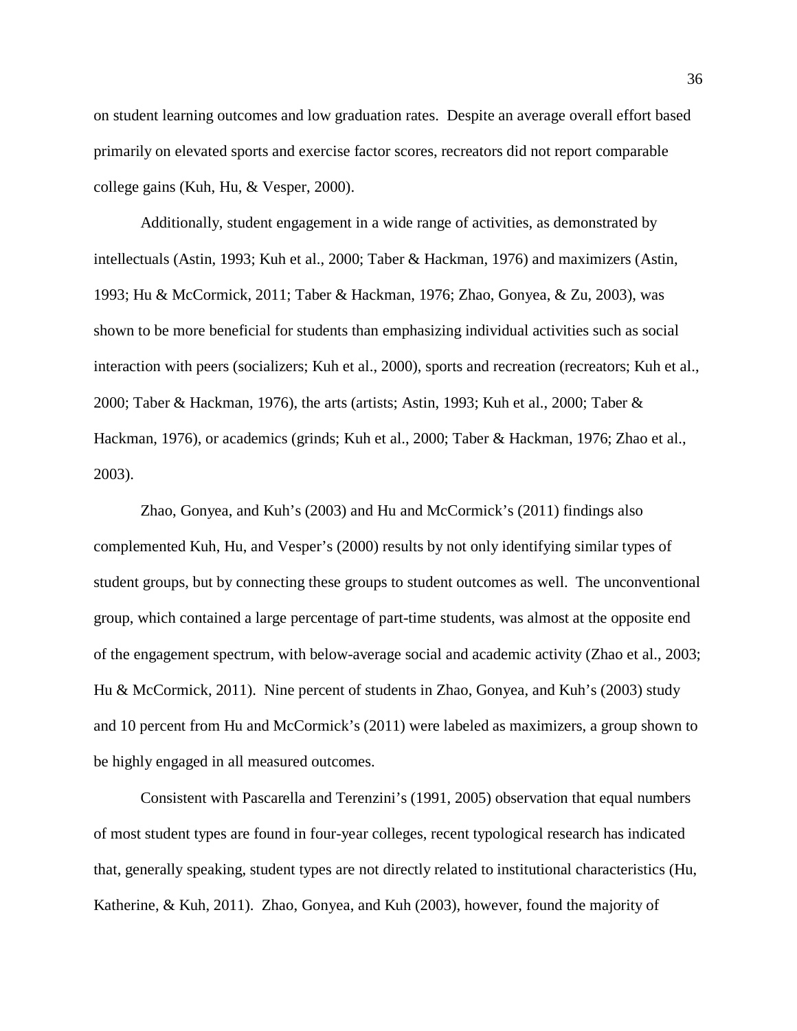on student learning outcomes and low graduation rates. Despite an average overall effort based primarily on elevated sports and exercise factor scores, recreators did not report comparable college gains (Kuh, Hu, & Vesper, 2000).

Additionally, student engagement in a wide range of activities, as demonstrated by intellectuals (Astin, 1993; Kuh et al., 2000; Taber & Hackman, 1976) and maximizers (Astin, 1993; Hu & McCormick, 2011; Taber & Hackman, 1976; Zhao, Gonyea, & Zu, 2003), was shown to be more beneficial for students than emphasizing individual activities such as social interaction with peers (socializers; Kuh et al., 2000), sports and recreation (recreators; Kuh et al., 2000; Taber & Hackman, 1976), the arts (artists; Astin, 1993; Kuh et al., 2000; Taber & Hackman, 1976), or academics (grinds; Kuh et al., 2000; Taber & Hackman, 1976; Zhao et al., 2003).

Zhao, Gonyea, and Kuh's (2003) and Hu and McCormick's (2011) findings also complemented Kuh, Hu, and Vesper's (2000) results by not only identifying similar types of student groups, but by connecting these groups to student outcomes as well. The unconventional group, which contained a large percentage of part-time students, was almost at the opposite end of the engagement spectrum, with below-average social and academic activity (Zhao et al., 2003; Hu & McCormick, 2011). Nine percent of students in Zhao, Gonyea, and Kuh's (2003) study and 10 percent from Hu and McCormick's (2011) were labeled as maximizers, a group shown to be highly engaged in all measured outcomes.

Consistent with Pascarella and Terenzini's (1991, 2005) observation that equal numbers of most student types are found in four-year colleges, recent typological research has indicated that, generally speaking, student types are not directly related to institutional characteristics (Hu, Katherine, & Kuh, 2011). Zhao, Gonyea, and Kuh (2003), however, found the majority of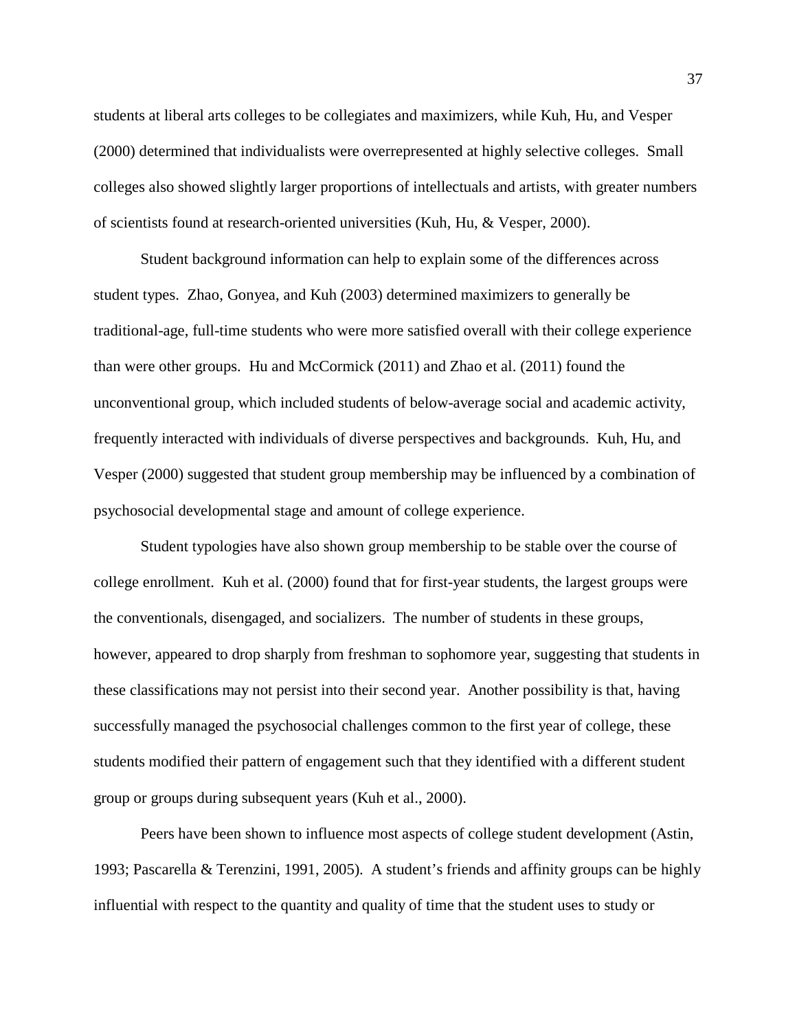students at liberal arts colleges to be collegiates and maximizers, while Kuh, Hu, and Vesper (2000) determined that individualists were overrepresented at highly selective colleges. Small colleges also showed slightly larger proportions of intellectuals and artists, with greater numbers of scientists found at research-oriented universities (Kuh, Hu, & Vesper, 2000).

Student background information can help to explain some of the differences across student types. Zhao, Gonyea, and Kuh (2003) determined maximizers to generally be traditional-age, full-time students who were more satisfied overall with their college experience than were other groups. Hu and McCormick (2011) and Zhao et al. (2011) found the unconventional group, which included students of below-average social and academic activity, frequently interacted with individuals of diverse perspectives and backgrounds. Kuh, Hu, and Vesper (2000) suggested that student group membership may be influenced by a combination of psychosocial developmental stage and amount of college experience.

Student typologies have also shown group membership to be stable over the course of college enrollment. Kuh et al. (2000) found that for first-year students, the largest groups were the conventionals, disengaged, and socializers. The number of students in these groups, however, appeared to drop sharply from freshman to sophomore year, suggesting that students in these classifications may not persist into their second year. Another possibility is that, having successfully managed the psychosocial challenges common to the first year of college, these students modified their pattern of engagement such that they identified with a different student group or groups during subsequent years (Kuh et al., 2000).

Peers have been shown to influence most aspects of college student development (Astin, 1993; Pascarella & Terenzini, 1991, 2005). A student's friends and affinity groups can be highly influential with respect to the quantity and quality of time that the student uses to study or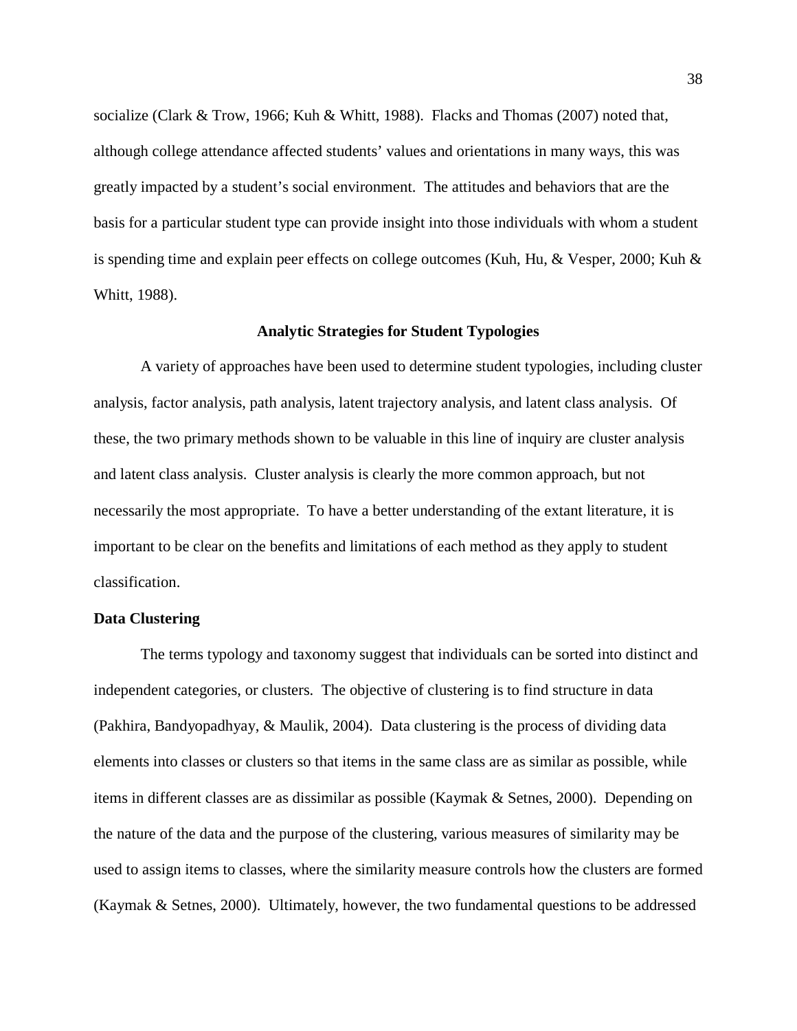socialize (Clark & Trow, 1966; Kuh & Whitt, 1988). Flacks and Thomas (2007) noted that, although college attendance affected students' values and orientations in many ways, this was greatly impacted by a student's social environment. The attitudes and behaviors that are the basis for a particular student type can provide insight into those individuals with whom a student is spending time and explain peer effects on college outcomes (Kuh, Hu, & Vesper, 2000; Kuh & Whitt, 1988).

#### **Analytic Strategies for Student Typologies**

A variety of approaches have been used to determine student typologies, including cluster analysis, factor analysis, path analysis, latent trajectory analysis, and latent class analysis. Of these, the two primary methods shown to be valuable in this line of inquiry are cluster analysis and latent class analysis. Cluster analysis is clearly the more common approach, but not necessarily the most appropriate. To have a better understanding of the extant literature, it is important to be clear on the benefits and limitations of each method as they apply to student classification.

## **Data Clustering**

The terms typology and taxonomy suggest that individuals can be sorted into distinct and independent categories, or clusters. The objective of clustering is to find structure in data (Pakhira, Bandyopadhyay, & Maulik, 2004). Data clustering is the process of dividing data elements into classes or clusters so that items in the same class are as similar as possible, while items in different classes are as dissimilar as possible (Kaymak & Setnes, 2000). Depending on the nature of the data and the purpose of the clustering, various measures of similarity may be used to assign items to classes, where the similarity measure controls how the clusters are formed (Kaymak & Setnes, 2000). Ultimately, however, the two fundamental questions to be addressed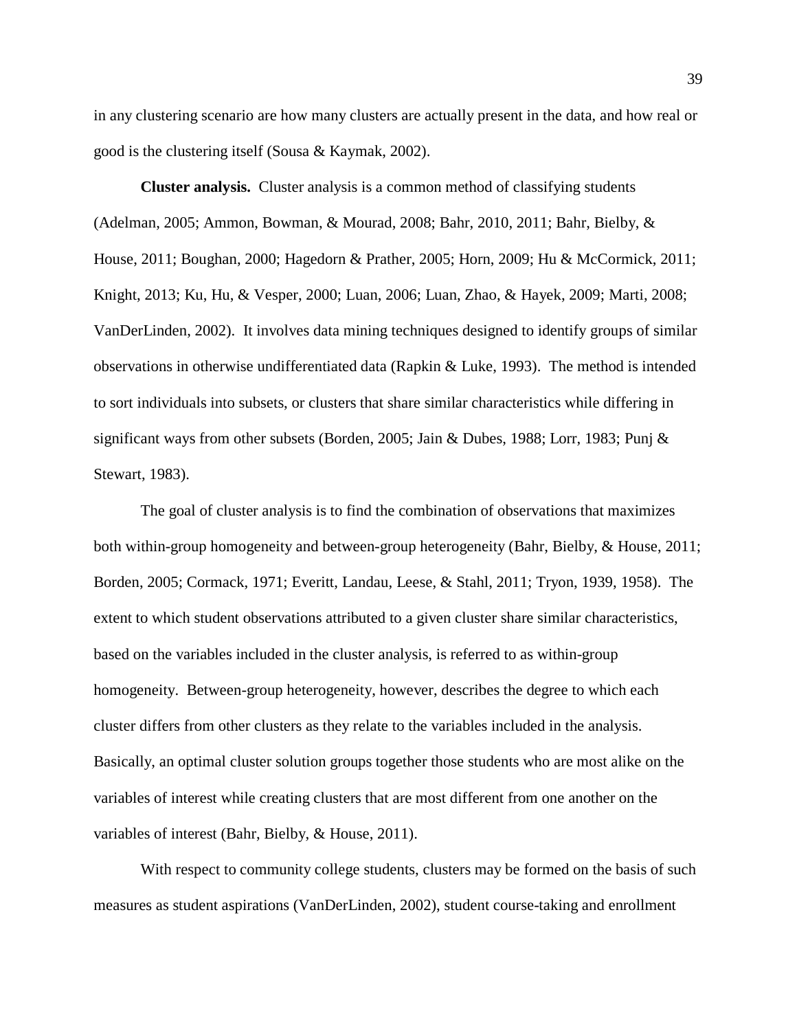in any clustering scenario are how many clusters are actually present in the data, and how real or good is the clustering itself (Sousa & Kaymak, 2002).

**Cluster analysis.** Cluster analysis is a common method of classifying students (Adelman, 2005; Ammon, Bowman, & Mourad, 2008; Bahr, 2010, 2011; Bahr, Bielby, & House, 2011; Boughan, 2000; Hagedorn & Prather, 2005; Horn, 2009; Hu & McCormick, 2011; Knight, 2013; Ku, Hu, & Vesper, 2000; Luan, 2006; Luan, Zhao, & Hayek, 2009; Marti, 2008; VanDerLinden, 2002). It involves data mining techniques designed to identify groups of similar observations in otherwise undifferentiated data (Rapkin & Luke, 1993). The method is intended to sort individuals into subsets, or clusters that share similar characteristics while differing in significant ways from other subsets (Borden, 2005; Jain & Dubes, 1988; Lorr, 1983; Punj & Stewart, 1983).

The goal of cluster analysis is to find the combination of observations that maximizes both within-group homogeneity and between-group heterogeneity (Bahr, Bielby, & House, 2011; Borden, 2005; Cormack, 1971; Everitt, Landau, Leese, & Stahl, 2011; Tryon, 1939, 1958). The extent to which student observations attributed to a given cluster share similar characteristics, based on the variables included in the cluster analysis, is referred to as within-group homogeneity. Between-group heterogeneity, however, describes the degree to which each cluster differs from other clusters as they relate to the variables included in the analysis. Basically, an optimal cluster solution groups together those students who are most alike on the variables of interest while creating clusters that are most different from one another on the variables of interest (Bahr, Bielby, & House, 2011).

With respect to community college students, clusters may be formed on the basis of such measures as student aspirations (VanDerLinden, 2002), student course-taking and enrollment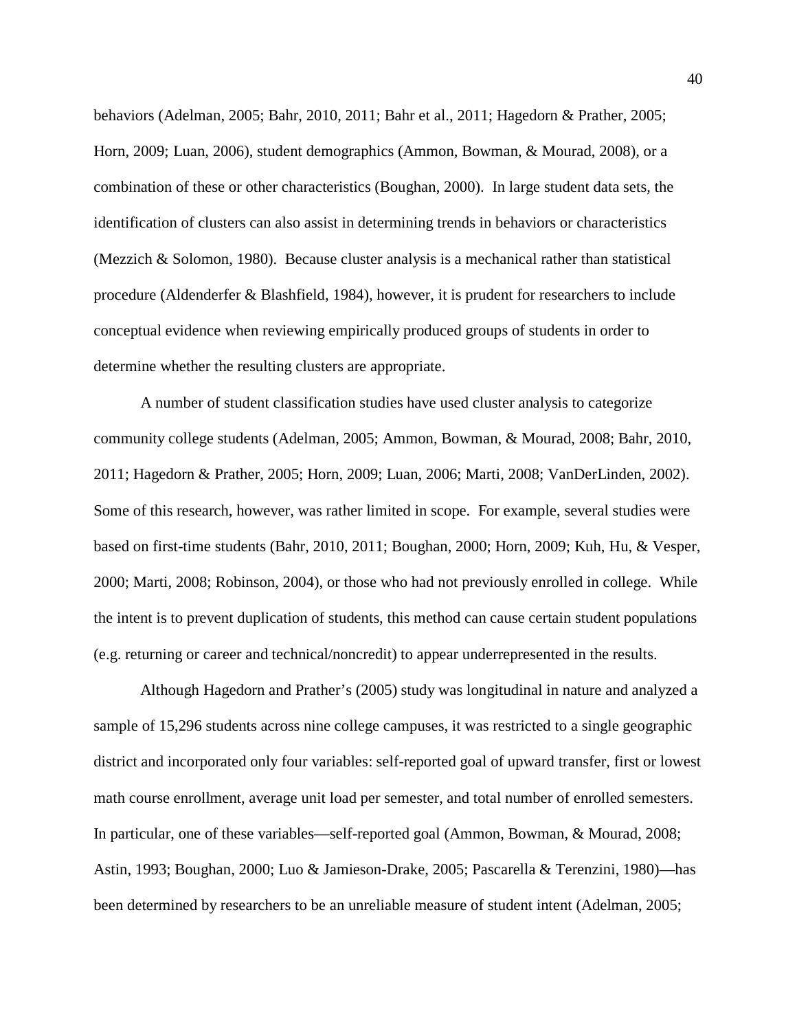behaviors (Adelman, 2005; Bahr, 2010, 2011; Bahr et al., 2011; Hagedorn & Prather, 2005; Horn, 2009; Luan, 2006), student demographics (Ammon, Bowman, & Mourad, 2008), or a combination of these or other characteristics (Boughan, 2000). In large student data sets, the identification of clusters can also assist in determining trends in behaviors or characteristics (Mezzich & Solomon, 1980). Because cluster analysis is a mechanical rather than statistical procedure (Aldenderfer & Blashfield, 1984), however, it is prudent for researchers to include conceptual evidence when reviewing empirically produced groups of students in order to determine whether the resulting clusters are appropriate.

A number of student classification studies have used cluster analysis to categorize community college students (Adelman, 2005; Ammon, Bowman, & Mourad, 2008; Bahr, 2010, 2011; Hagedorn & Prather, 2005; Horn, 2009; Luan, 2006; Marti, 2008; VanDerLinden, 2002). Some of this research, however, was rather limited in scope. For example, several studies were based on first-time students (Bahr, 2010, 2011; Boughan, 2000; Horn, 2009; Kuh, Hu, & Vesper, 2000; Marti, 2008; Robinson, 2004), or those who had not previously enrolled in college. While the intent is to prevent duplication of students, this method can cause certain student populations (e.g. returning or career and technical/noncredit) to appear underrepresented in the results.

Although Hagedorn and Prather's (2005) study was longitudinal in nature and analyzed a sample of 15,296 students across nine college campuses, it was restricted to a single geographic district and incorporated only four variables: self-reported goal of upward transfer, first or lowest math course enrollment, average unit load per semester, and total number of enrolled semesters. In particular, one of these variables—self-reported goal (Ammon, Bowman, & Mourad, 2008; Astin, 1993; Boughan, 2000; Luo & Jamieson-Drake, 2005; Pascarella & Terenzini, 1980)—has been determined by researchers to be an unreliable measure of student intent (Adelman, 2005;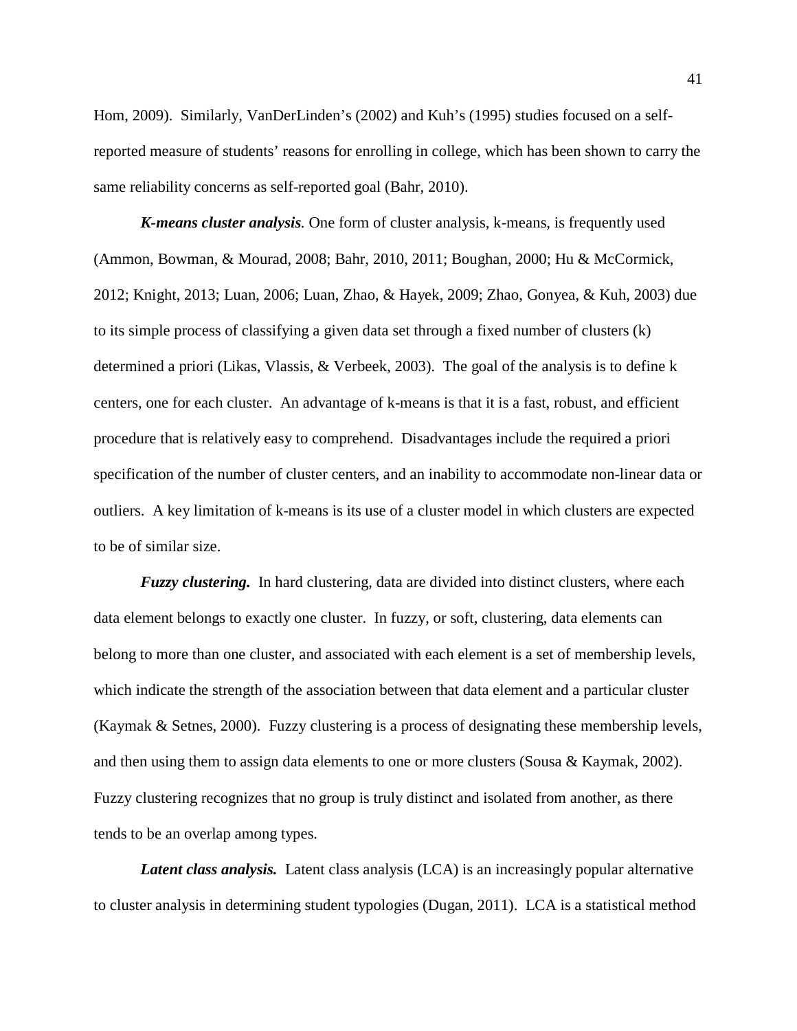Hom, 2009). Similarly, VanDerLinden's (2002) and Kuh's (1995) studies focused on a selfreported measure of students' reasons for enrolling in college, which has been shown to carry the same reliability concerns as self-reported goal (Bahr, 2010).

*K-means cluster analysis.* One form of cluster analysis, k-means, is frequently used (Ammon, Bowman, & Mourad, 2008; Bahr, 2010, 2011; Boughan, 2000; Hu & McCormick, 2012; Knight, 2013; Luan, 2006; Luan, Zhao, & Hayek, 2009; Zhao, Gonyea, & Kuh, 2003) due to its simple process of classifying a given data set through a fixed number of clusters (k) determined a priori (Likas, Vlassis, & Verbeek, 2003). The goal of the analysis is to define k centers, one for each cluster. An advantage of k-means is that it is a fast, robust, and efficient procedure that is relatively easy to comprehend. Disadvantages include the required a priori specification of the number of cluster centers, and an inability to accommodate non-linear data or outliers. A key limitation of k-means is its use of a cluster model in which clusters are expected to be of similar size.

*Fuzzy clustering.* In [hard clustering,](http://en.wikipedia.org/w/index.php?title=Hard_clustering&action=edit&redlink=1) data are divided into distinct clusters, where each data element belongs to exactly one cluster. In fuzzy, or soft, clustering, data elements can belong to more than one cluster, and associated with each element is a set of membership levels, which indicate the strength of the association between that data element and a particular cluster (Kaymak & Setnes, 2000). Fuzzy clustering is a process of designating these membership levels, and then using them to assign data elements to one or more clusters (Sousa & Kaymak, 2002). Fuzzy clustering recognizes that no group is truly distinct and isolated from another, as there tends to be an overlap among types.

*Latent class analysis.* Latent class analysis (LCA) is an increasingly popular alternative to cluster analysis in determining student typologies (Dugan, 2011). LCA is a statistical method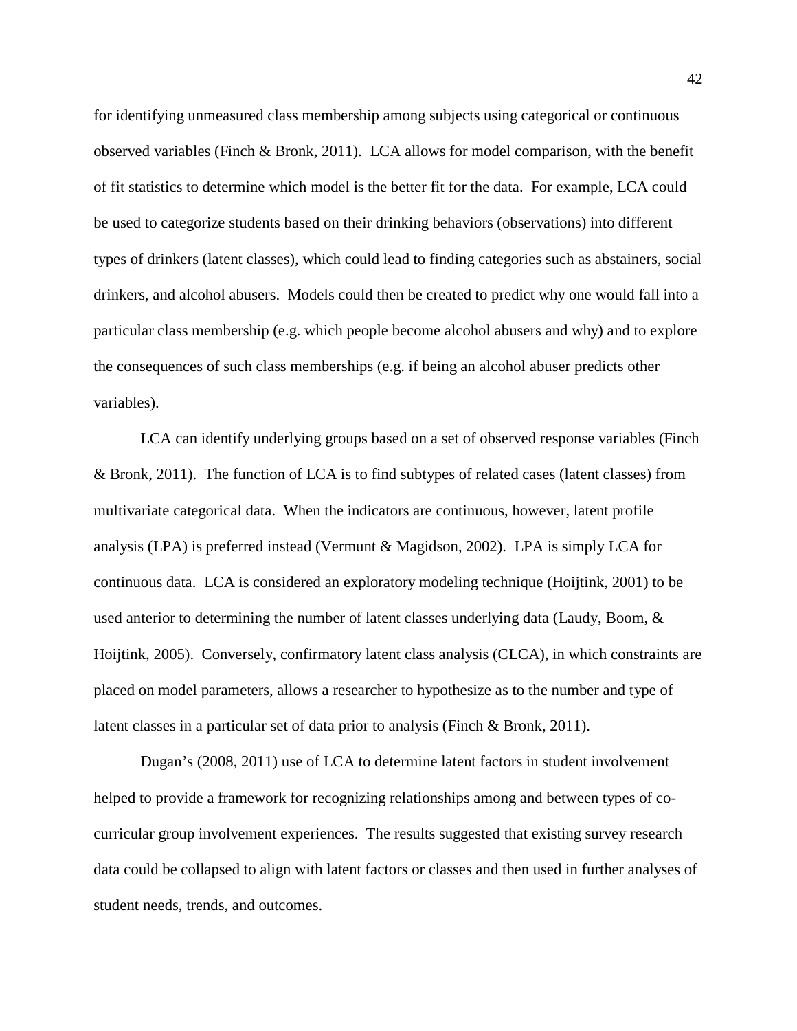for identifying unmeasured class membership among subjects using categorical or continuous observed variables (Finch & Bronk, 2011). LCA allows for model comparison, with the benefit of fit statistics to determine which model is the better fit for the data. For example, LCA could be used to categorize students based on their drinking behaviors (observations) into different types of drinkers (latent classes), which could lead to finding categories such as abstainers, social drinkers, and alcohol abusers. Models could then be created to predict why one would fall into a particular class membership (e.g. which people become alcohol abusers and why) and to explore the consequences of such class memberships (e.g. if being an alcohol abuser predicts other variables).

LCA can identify underlying groups based on a set of observed response variables (Finch & Bronk, 2011). The function of LCA is to find subtypes of related cases (latent classes) from multivariate categorical data. When the indicators are continuous, however, latent profile analysis (LPA) is preferred instead (Vermunt & Magidson, 2002). LPA is simply LCA for continuous data. LCA is considered an exploratory modeling technique (Hoijtink, 2001) to be used anterior to determining the number of latent classes underlying data (Laudy, Boom, & Hoijtink, 2005). Conversely, confirmatory latent class analysis (CLCA), in which constraints are placed on model parameters, allows a researcher to hypothesize as to the number and type of latent classes in a particular set of data prior to analysis (Finch & Bronk, 2011).

Dugan's (2008, 2011) use of LCA to determine latent factors in student involvement helped to provide a framework for recognizing relationships among and between types of cocurricular group involvement experiences. The results suggested that existing survey research data could be collapsed to align with latent factors or classes and then used in further analyses of student needs, trends, and outcomes.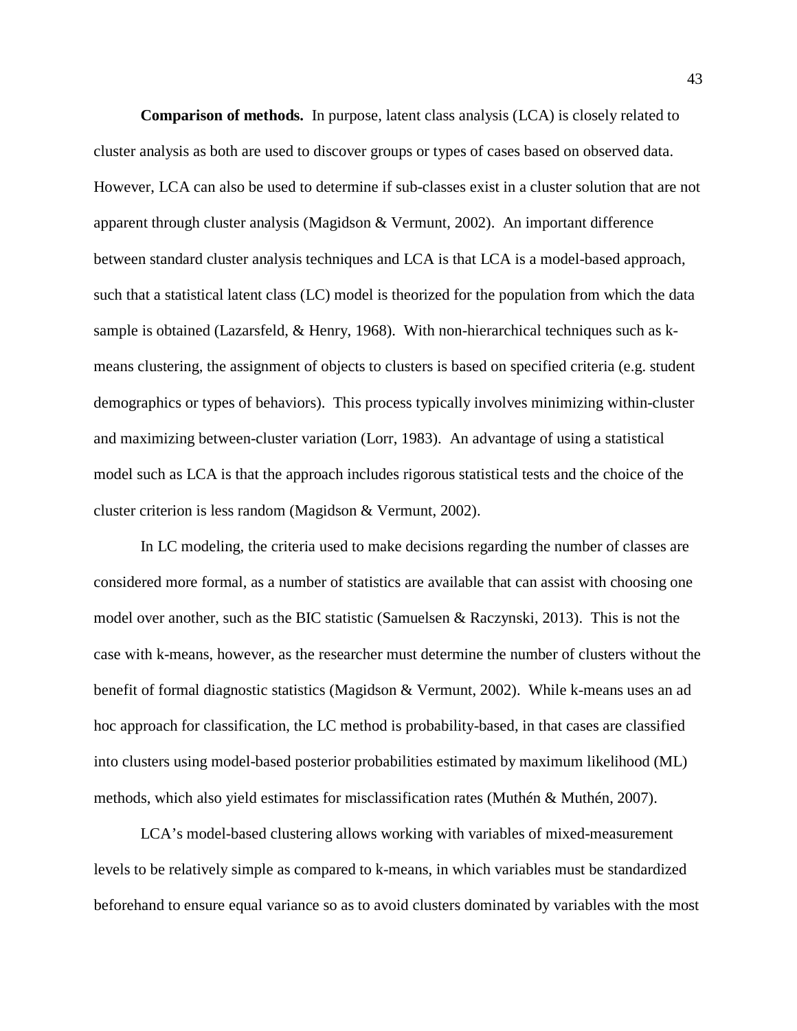**Comparison of methods.** In purpose, latent class analysis (LCA) is closely related to cluster analysis as both are used to discover groups or types of cases based on observed data. However, LCA can also be used to determine if sub-classes exist in a cluster solution that are not apparent through cluster analysis (Magidson & Vermunt, 2002). An important difference between standard cluster analysis techniques and LCA is that LCA is a model-based approach, such that a statistical latent class (LC) model is theorized for the population from which the data sample is obtained (Lazarsfeld, & Henry, 1968). With non-hierarchical techniques such as kmeans clustering, the assignment of objects to clusters is based on specified criteria (e.g. student demographics or types of behaviors). This process typically involves minimizing within-cluster and maximizing between-cluster variation (Lorr, 1983). An advantage of using a statistical model such as LCA is that the approach includes rigorous statistical tests and the choice of the cluster criterion is less random (Magidson & Vermunt, 2002).

In LC modeling, the criteria used to make decisions regarding the number of classes are considered more formal, as a number of statistics are available that can assist with choosing one model over another, such as the BIC statistic (Samuelsen & Raczynski, 2013). This is not the case with k-means, however, as the researcher must determine the number of clusters without the benefit of formal diagnostic statistics (Magidson & Vermunt, 2002). While k-means uses an ad hoc approach for classification, the LC method is probability-based, in that cases are classified into clusters using model-based posterior probabilities estimated by maximum likelihood (ML) methods, which also yield estimates for misclassification rates (Muthén & Muthén, 2007).

LCA's model-based clustering allows working with variables of mixed-measurement levels to be relatively simple as compared to k-means, in which variables must be standardized beforehand to ensure equal variance so as to avoid clusters dominated by variables with the most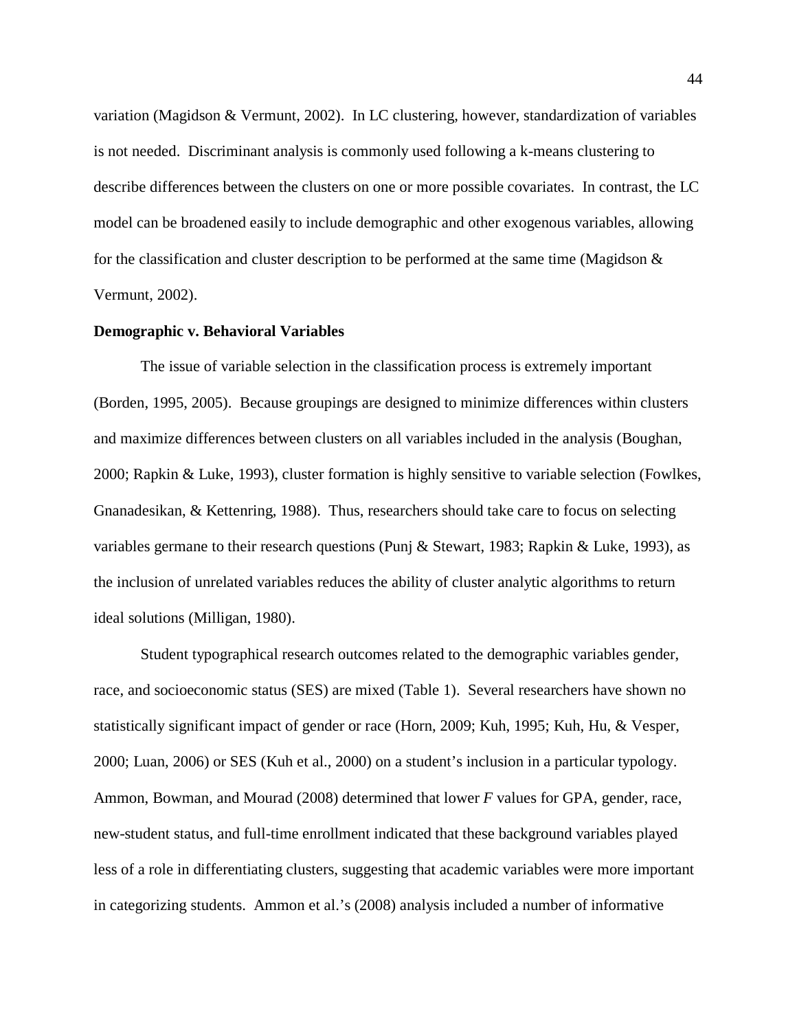variation (Magidson & Vermunt, 2002). In LC clustering, however, standardization of variables is not needed. Discriminant analysis is commonly used following a k-means clustering to describe differences between the clusters on one or more possible covariates. In contrast, the LC model can be broadened easily to include demographic and other exogenous variables, allowing for the classification and cluster description to be performed at the same time (Magidson  $\&$ Vermunt, 2002).

#### **Demographic v. Behavioral Variables**

The issue of variable selection in the classification process is extremely important (Borden, 1995, 2005). Because groupings are designed to minimize differences within clusters and maximize differences between clusters on all variables included in the analysis (Boughan, 2000; Rapkin & Luke, 1993), cluster formation is highly sensitive to variable selection (Fowlkes, Gnanadesikan, & Kettenring, 1988). Thus, researchers should take care to focus on selecting variables germane to their research questions (Punj & Stewart, 1983; Rapkin & Luke, 1993), as the inclusion of unrelated variables reduces the ability of cluster analytic algorithms to return ideal solutions (Milligan, 1980).

Student typographical research outcomes related to the demographic variables gender, race, and socioeconomic status (SES) are mixed (Table 1). Several researchers have shown no statistically significant impact of gender or race (Horn, 2009; Kuh, 1995; Kuh, Hu, & Vesper, 2000; Luan, 2006) or SES (Kuh et al., 2000) on a student's inclusion in a particular typology. Ammon, Bowman, and Mourad (2008) determined that lower *F* values for GPA, gender, race, new-student status, and full-time enrollment indicated that these background variables played less of a role in differentiating clusters, suggesting that academic variables were more important in categorizing students. Ammon et al.'s (2008) analysis included a number of informative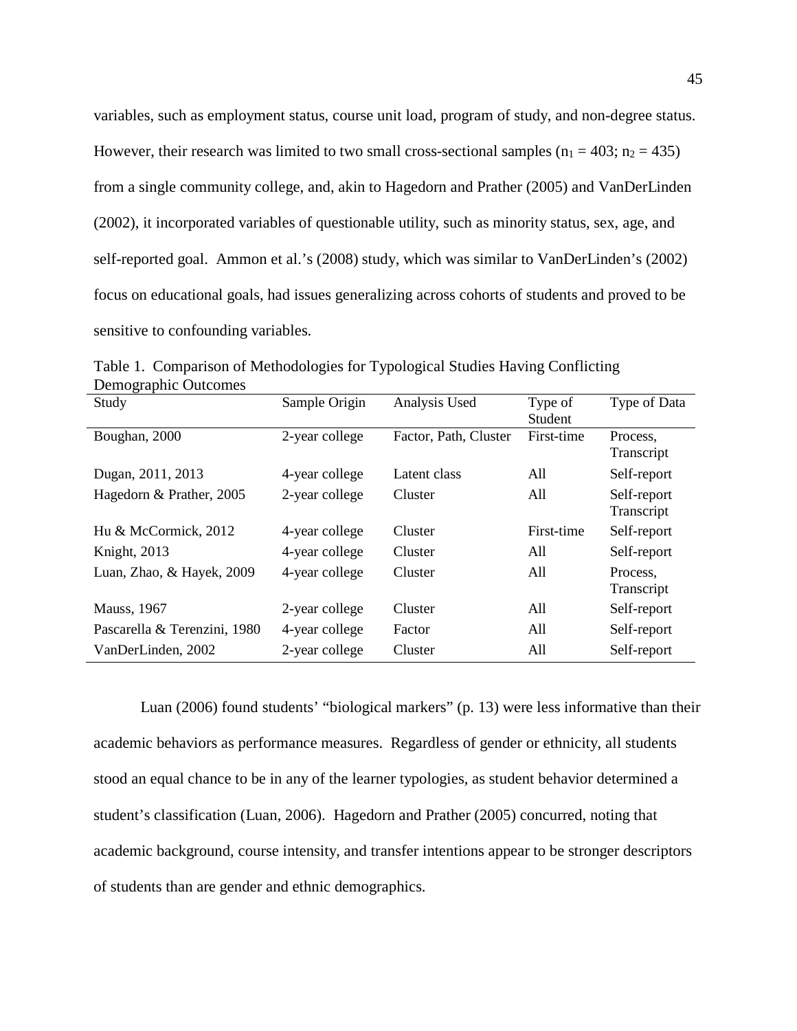variables, such as employment status, course unit load, program of study, and non-degree status. However, their research was limited to two small cross-sectional samples ( $n_1 = 403$ ;  $n_2 = 435$ ) from a single community college, and, akin to Hagedorn and Prather (2005) and VanDerLinden (2002), it incorporated variables of questionable utility, such as minority status, sex, age, and self-reported goal. Ammon et al.'s (2008) study, which was similar to VanDerLinden's (2002) focus on educational goals, had issues generalizing across cohorts of students and proved to be sensitive to confounding variables.

| $\sigma$ T<br>Study          | Sample Origin  | Analysis Used         | Type of<br>Student | Type of Data              |
|------------------------------|----------------|-----------------------|--------------------|---------------------------|
| Boughan, 2000                | 2-year college | Factor, Path, Cluster | First-time         | Process,<br>Transcript    |
| Dugan, 2011, 2013            | 4-year college | Latent class          | All                | Self-report               |
| Hagedorn & Prather, 2005     | 2-year college | Cluster               | All                | Self-report<br>Transcript |
| Hu & McCormick, 2012         | 4-year college | Cluster               | First-time         | Self-report               |
| Knight, 2013                 | 4-year college | Cluster               | All                | Self-report               |
| Luan, Zhao, & Hayek, 2009    | 4-year college | Cluster               | All                | Process.<br>Transcript    |
| <b>Mauss</b> , 1967          | 2-year college | Cluster               | All                | Self-report               |
| Pascarella & Terenzini, 1980 | 4-year college | Factor                | All                | Self-report               |
| VanDerLinden, 2002           | 2-year college | Cluster               | All                | Self-report               |

Table 1. Comparison of Methodologies for Typological Studies Having Conflicting Demographic Outcomes

Luan (2006) found students' "biological markers" (p. 13) were less informative than their academic behaviors as performance measures. Regardless of gender or ethnicity, all students stood an equal chance to be in any of the learner typologies, as student behavior determined a student's classification (Luan, 2006). Hagedorn and Prather (2005) concurred, noting that academic background, course intensity, and transfer intentions appear to be stronger descriptors of students than are gender and ethnic demographics.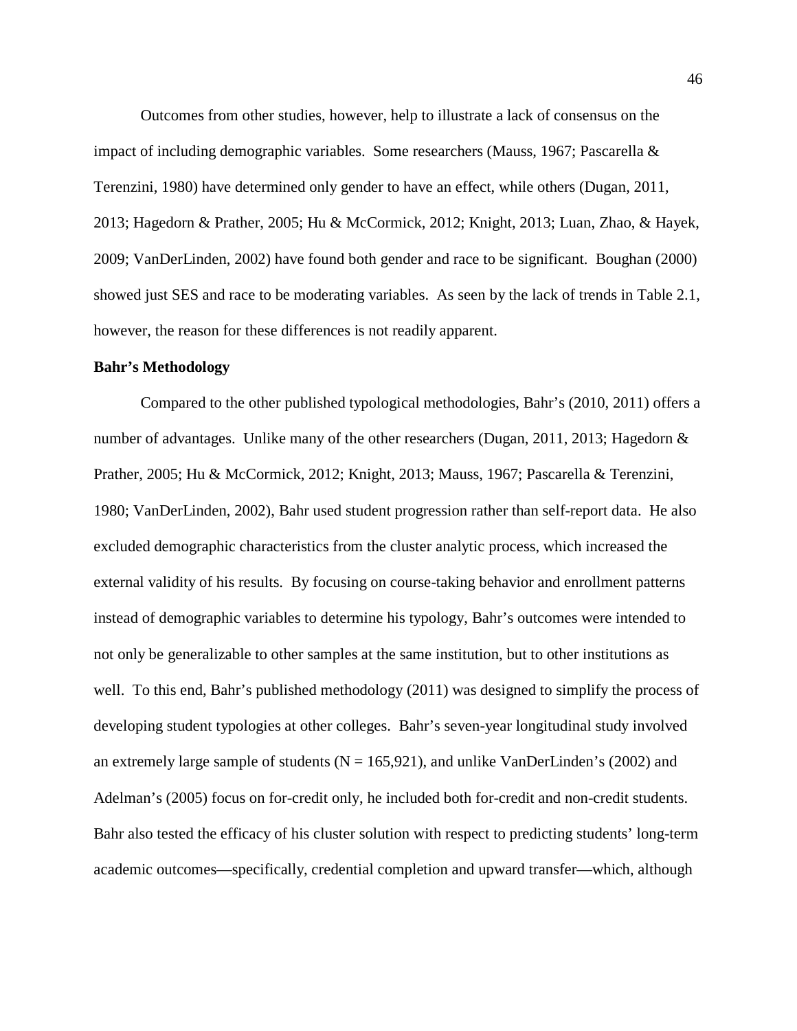Outcomes from other studies, however, help to illustrate a lack of consensus on the impact of including demographic variables. Some researchers (Mauss, 1967; Pascarella & Terenzini, 1980) have determined only gender to have an effect, while others (Dugan, 2011, 2013; Hagedorn & Prather, 2005; Hu & McCormick, 2012; Knight, 2013; Luan, Zhao, & Hayek, 2009; VanDerLinden, 2002) have found both gender and race to be significant. Boughan (2000) showed just SES and race to be moderating variables. As seen by the lack of trends in Table 2.1, however, the reason for these differences is not readily apparent.

# **Bahr's Methodology**

Compared to the other published typological methodologies, Bahr's (2010, 2011) offers a number of advantages. Unlike many of the other researchers (Dugan, 2011, 2013; Hagedorn & Prather, 2005; Hu & McCormick, 2012; Knight, 2013; Mauss, 1967; Pascarella & Terenzini, 1980; VanDerLinden, 2002), Bahr used student progression rather than self-report data. He also excluded demographic characteristics from the cluster analytic process, which increased the external validity of his results. By focusing on course-taking behavior and enrollment patterns instead of demographic variables to determine his typology, Bahr's outcomes were intended to not only be generalizable to other samples at the same institution, but to other institutions as well. To this end, Bahr's published methodology (2011) was designed to simplify the process of developing student typologies at other colleges. Bahr's seven-year longitudinal study involved an extremely large sample of students ( $N = 165,921$ ), and unlike VanDerLinden's (2002) and Adelman's (2005) focus on for-credit only, he included both for-credit and non-credit students. Bahr also tested the efficacy of his cluster solution with respect to predicting students' long-term academic outcomes—specifically, credential completion and upward transfer—which, although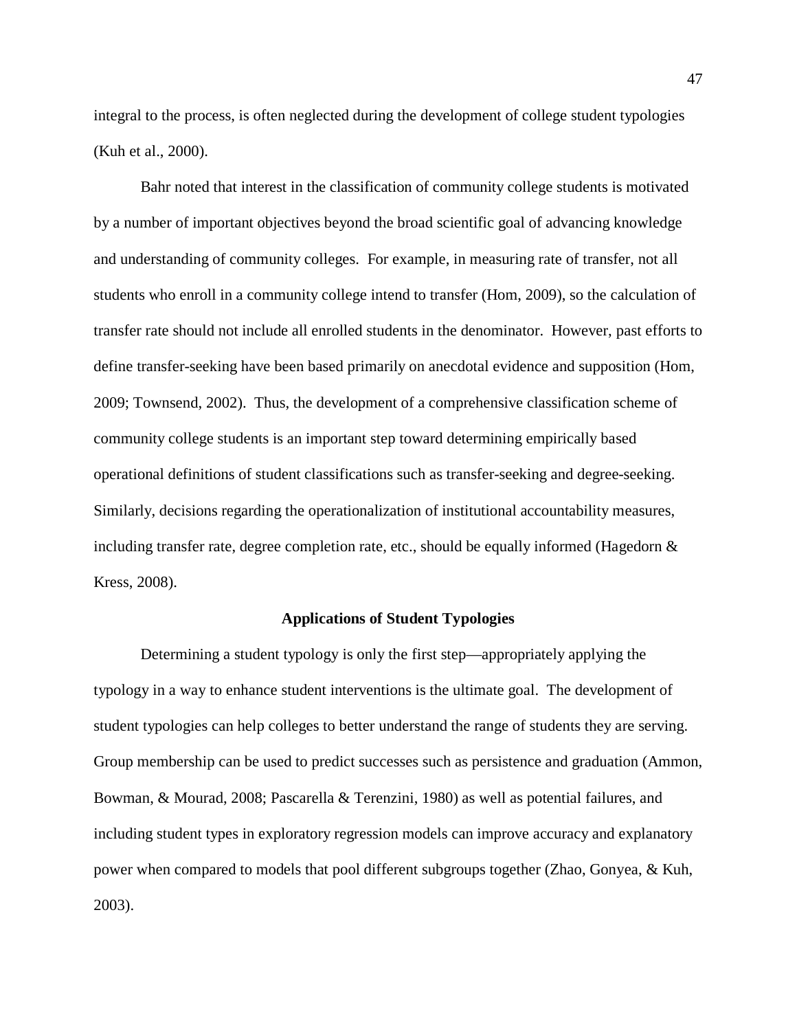integral to the process, is often neglected during the development of college student typologies (Kuh et al., 2000).

Bahr noted that interest in the classification of community college students is motivated by a number of important objectives beyond the broad scientific goal of advancing knowledge and understanding of community colleges. For example, in measuring rate of transfer, not all students who enroll in a community college intend to transfer (Hom, 2009), so the calculation of transfer rate should not include all enrolled students in the denominator. However, past efforts to define transfer-seeking have been based primarily on anecdotal evidence and supposition (Hom, 2009; Townsend, 2002). Thus, the development of a comprehensive classification scheme of community college students is an important step toward determining empirically based operational definitions of student classifications such as transfer-seeking and degree-seeking. Similarly, decisions regarding the operationalization of institutional accountability measures, including transfer rate, degree completion rate, etc., should be equally informed (Hagedorn  $\&$ Kress, 2008).

## **Applications of Student Typologies**

Determining a student typology is only the first step—appropriately applying the typology in a way to enhance student interventions is the ultimate goal. The development of student typologies can help colleges to better understand the range of students they are serving. Group membership can be used to predict successes such as persistence and graduation (Ammon, Bowman, & Mourad, 2008; Pascarella & Terenzini, 1980) as well as potential failures, and including student types in exploratory regression models can improve accuracy and explanatory power when compared to models that pool different subgroups together (Zhao, Gonyea, & Kuh, 2003).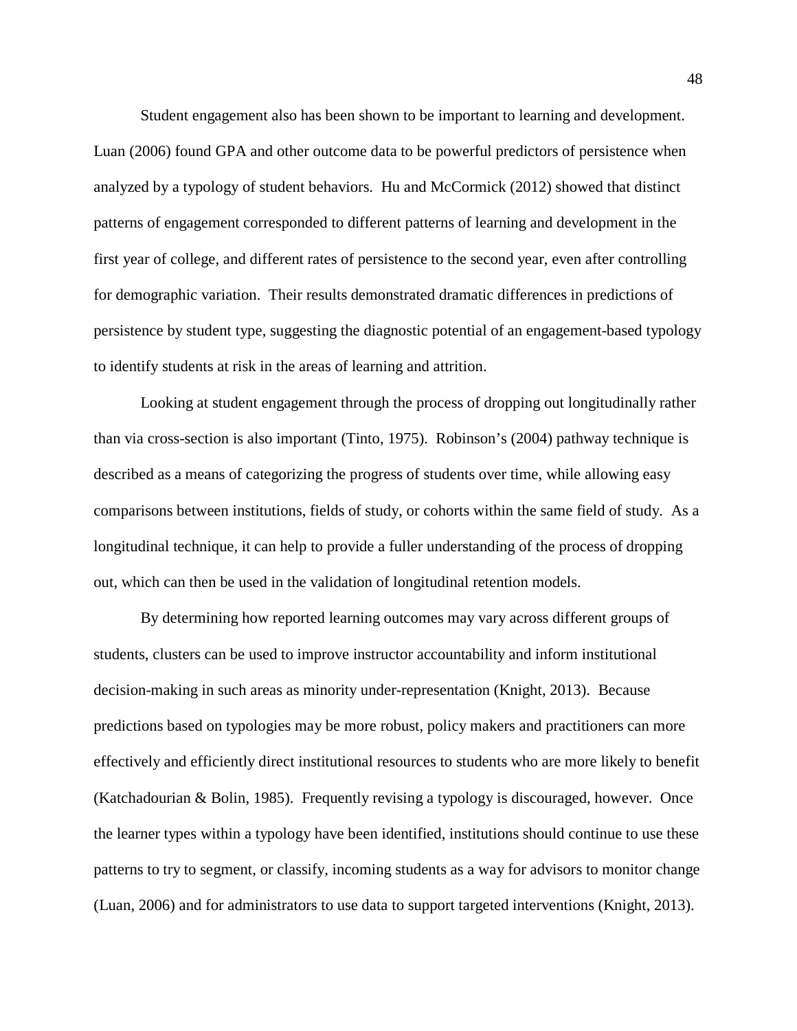Student engagement also has been shown to be important to learning and development. Luan (2006) found GPA and other outcome data to be powerful predictors of persistence when analyzed by a typology of student behaviors. Hu and McCormick (2012) showed that distinct patterns of engagement corresponded to different patterns of learning and development in the first year of college, and different rates of persistence to the second year, even after controlling for demographic variation. Their results demonstrated dramatic differences in predictions of persistence by student type, suggesting the diagnostic potential of an engagement-based typology to identify students at risk in the areas of learning and attrition.

Looking at student engagement through the process of dropping out longitudinally rather than via cross-section is also important (Tinto, 1975). Robinson's (2004) pathway technique is described as a means of categorizing the progress of students over time, while allowing easy comparisons between institutions, fields of study, or cohorts within the same field of study. As a longitudinal technique, it can help to provide a fuller understanding of the process of dropping out, which can then be used in the validation of longitudinal retention models.

By determining how reported learning outcomes may vary across different groups of students, clusters can be used to improve instructor accountability and inform institutional decision-making in such areas as minority under-representation (Knight, 2013). Because predictions based on typologies may be more robust, policy makers and practitioners can more effectively and efficiently direct institutional resources to students who are more likely to benefit (Katchadourian & Bolin, 1985). Frequently revising a typology is discouraged, however. Once the learner types within a typology have been identified, institutions should continue to use these patterns to try to segment, or classify, incoming students as a way for advisors to monitor change (Luan, 2006) and for administrators to use data to support targeted interventions (Knight, 2013).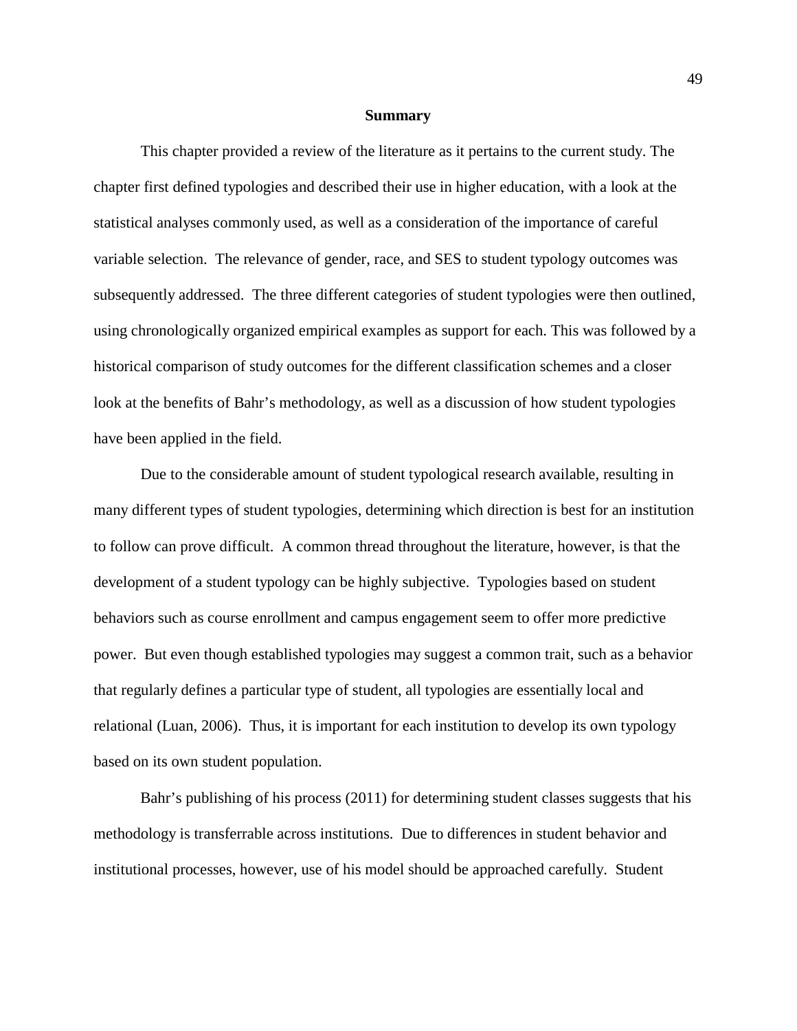#### **Summary**

This chapter provided a review of the literature as it pertains to the current study. The chapter first defined typologies and described their use in higher education, with a look at the statistical analyses commonly used, as well as a consideration of the importance of careful variable selection. The relevance of gender, race, and SES to student typology outcomes was subsequently addressed. The three different categories of student typologies were then outlined, using chronologically organized empirical examples as support for each. This was followed by a historical comparison of study outcomes for the different classification schemes and a closer look at the benefits of Bahr's methodology, as well as a discussion of how student typologies have been applied in the field.

Due to the considerable amount of student typological research available, resulting in many different types of student typologies, determining which direction is best for an institution to follow can prove difficult. A common thread throughout the literature, however, is that the development of a student typology can be highly subjective. Typologies based on student behaviors such as course enrollment and campus engagement seem to offer more predictive power. But even though established typologies may suggest a common trait, such as a behavior that regularly defines a particular type of student, all typologies are essentially local and relational (Luan, 2006). Thus, it is important for each institution to develop its own typology based on its own student population.

Bahr's publishing of his process (2011) for determining student classes suggests that his methodology is transferrable across institutions. Due to differences in student behavior and institutional processes, however, use of his model should be approached carefully. Student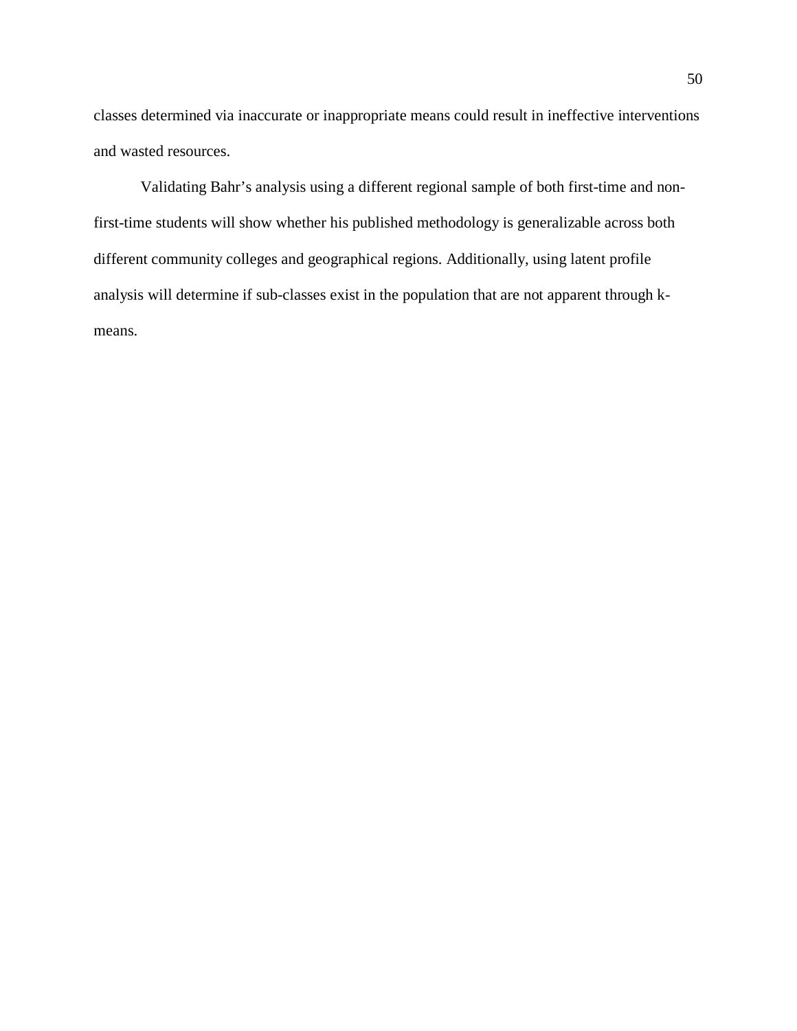classes determined via inaccurate or inappropriate means could result in ineffective interventions and wasted resources.

Validating Bahr's analysis using a different regional sample of both first-time and nonfirst-time students will show whether his published methodology is generalizable across both different community colleges and geographical regions. Additionally, using latent profile analysis will determine if sub-classes exist in the population that are not apparent through kmeans.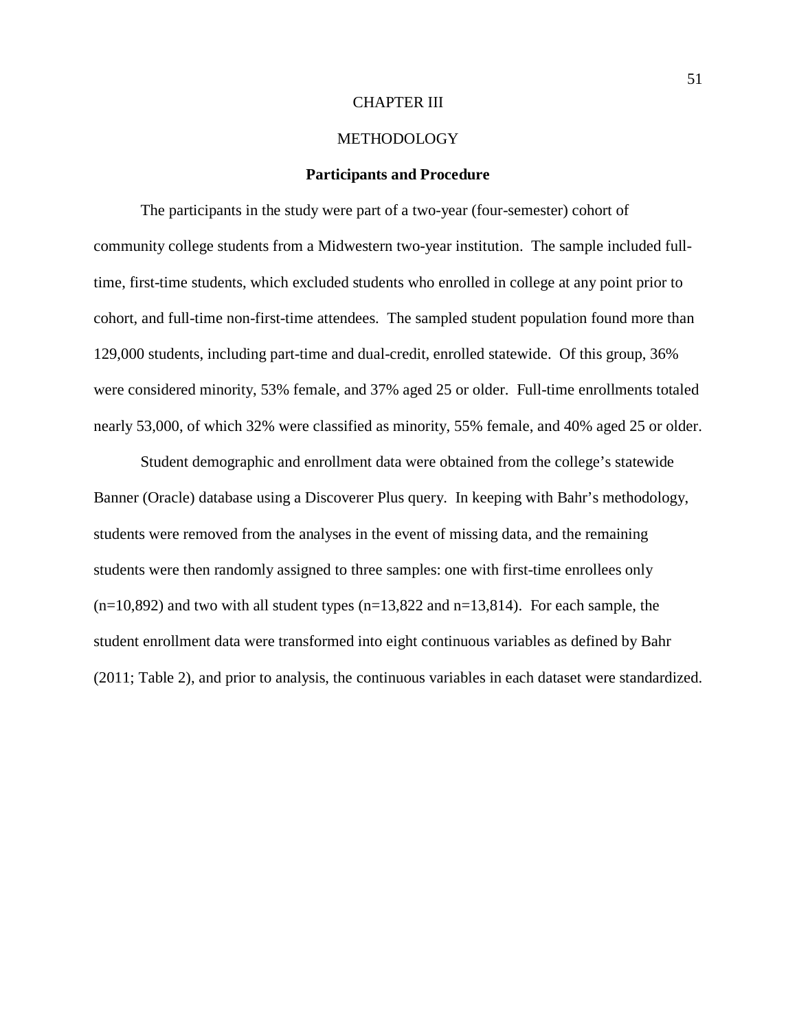## CHAPTER III

# METHODOLOGY

# **Participants and Procedure**

The participants in the study were part of a two-year (four-semester) cohort of community college students from a Midwestern two-year institution. The sample included fulltime, first-time students, which excluded students who enrolled in college at any point prior to cohort, and full-time non-first-time attendees. The sampled student population found more than 129,000 students, including part-time and dual-credit, enrolled statewide. Of this group, 36% were considered minority, 53% female, and 37% aged 25 or older. Full-time enrollments totaled nearly 53,000, of which 32% were classified as minority, 55% female, and 40% aged 25 or older.

Student demographic and enrollment data were obtained from the college's statewide Banner (Oracle) database using a Discoverer Plus query. In keeping with Bahr's methodology, students were removed from the analyses in the event of missing data, and the remaining students were then randomly assigned to three samples: one with first-time enrollees only  $(n=10,892)$  and two with all student types  $(n=13,822)$  and  $n=13,814$ ). For each sample, the student enrollment data were transformed into eight continuous variables as defined by Bahr (2011; Table 2), and prior to analysis, the continuous variables in each dataset were standardized.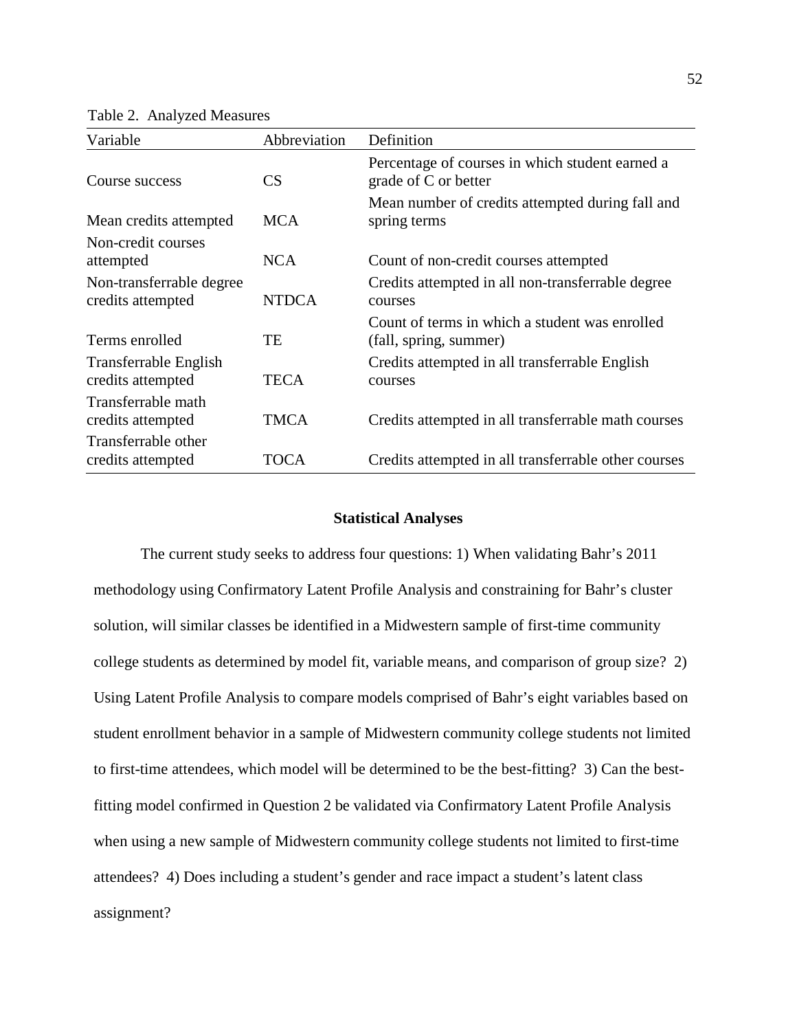Table 2. Analyzed Measures

| Variable                                      | Abbreviation | Definition                                                               |
|-----------------------------------------------|--------------|--------------------------------------------------------------------------|
| Course success                                | CS           | Percentage of courses in which student earned a<br>grade of C or better  |
| Mean credits attempted                        | <b>MCA</b>   | Mean number of credits attempted during fall and<br>spring terms         |
| Non-credit courses<br>attempted               | <b>NCA</b>   | Count of non-credit courses attempted                                    |
| Non-transferrable degree<br>credits attempted | <b>NTDCA</b> | Credits attempted in all non-transferrable degree<br>courses             |
| Terms enrolled                                | TE           | Count of terms in which a student was enrolled<br>(fall, spring, summer) |
| Transferrable English<br>credits attempted    | TECA         | Credits attempted in all transferrable English<br>courses                |
| Transferrable math<br>credits attempted       | <b>TMCA</b>  | Credits attempted in all transferrable math courses                      |
| Transferrable other<br>credits attempted      | TOCA         | Credits attempted in all transferrable other courses                     |

# **Statistical Analyses**

The current study seeks to address four questions: 1) When validating Bahr's 2011 methodology using Confirmatory Latent Profile Analysis and constraining for Bahr's cluster solution, will similar classes be identified in a Midwestern sample of first-time community college students as determined by model fit, variable means, and comparison of group size? 2) Using Latent Profile Analysis to compare models comprised of Bahr's eight variables based on student enrollment behavior in a sample of Midwestern community college students not limited to first-time attendees, which model will be determined to be the best-fitting? 3) Can the bestfitting model confirmed in Question 2 be validated via Confirmatory Latent Profile Analysis when using a new sample of Midwestern community college students not limited to first-time attendees? 4) Does including a student's gender and race impact a student's latent class assignment?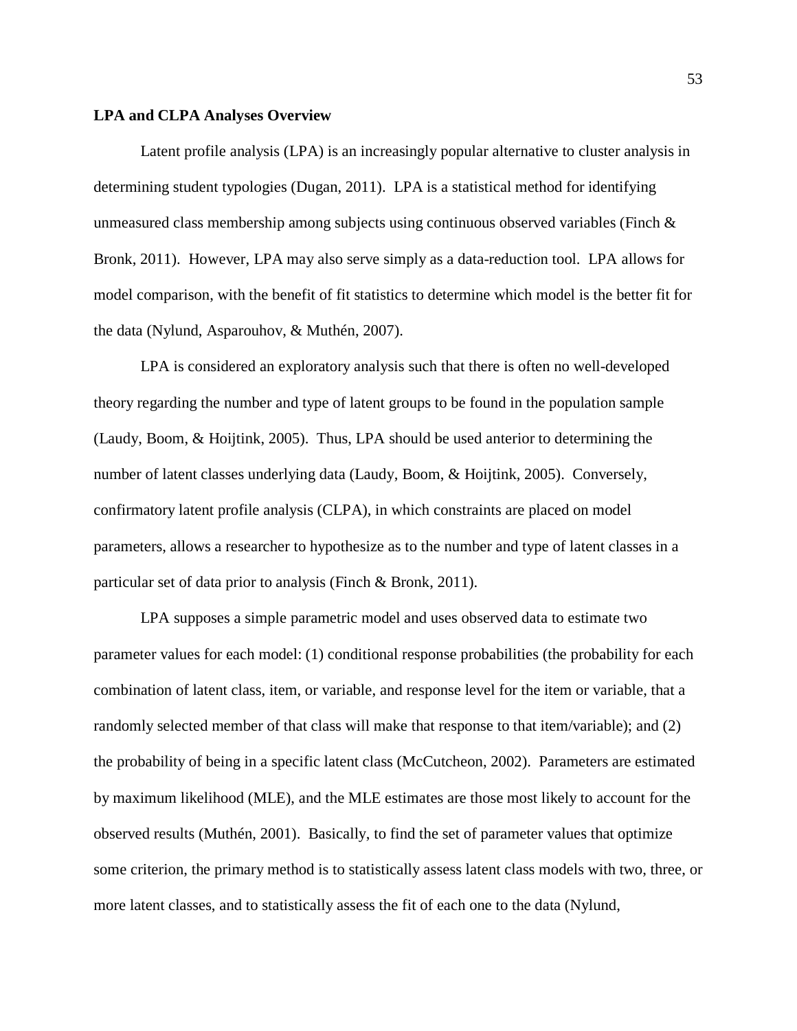#### **LPA and CLPA Analyses Overview**

Latent profile analysis (LPA) is an increasingly popular alternative to cluster analysis in determining student typologies (Dugan, 2011). LPA is a statistical method for identifying unmeasured class membership among subjects using continuous observed variables (Finch  $\&$ Bronk, 2011). However, LPA may also serve simply as a data-reduction tool. LPA allows for model comparison, with the benefit of fit statistics to determine which model is the better fit for the data (Nylund, Asparouhov, & Muthén, 2007).

LPA is considered an exploratory analysis such that there is often no well-developed theory regarding the number and type of latent groups to be found in the population sample (Laudy, Boom, & Hoijtink, 2005). Thus, LPA should be used anterior to determining the number of latent classes underlying data (Laudy, Boom, & Hoijtink, 2005). Conversely, confirmatory latent profile analysis (CLPA), in which constraints are placed on model parameters, allows a researcher to hypothesize as to the number and type of latent classes in a particular set of data prior to analysis (Finch & Bronk, 2011).

LPA supposes a simple parametric model and uses observed data to estimate two parameter values for each model: (1) conditional response probabilities (the probability for each combination of latent class, item, or variable, and response level for the item or variable, that a randomly selected member of that class will make that response to that item/variable); and (2) the probability of being in a specific latent class (McCutcheon, 2002). Parameters are estimated by maximum likelihood (MLE), and the MLE estimates are those most likely to account for the observed results (Muthén, 2001). Basically, to find the set of parameter values that optimize some criterion, the primary method is to statistically assess latent class models with two, three, or more latent classes, and to statistically assess the fit of each one to the data (Nylund,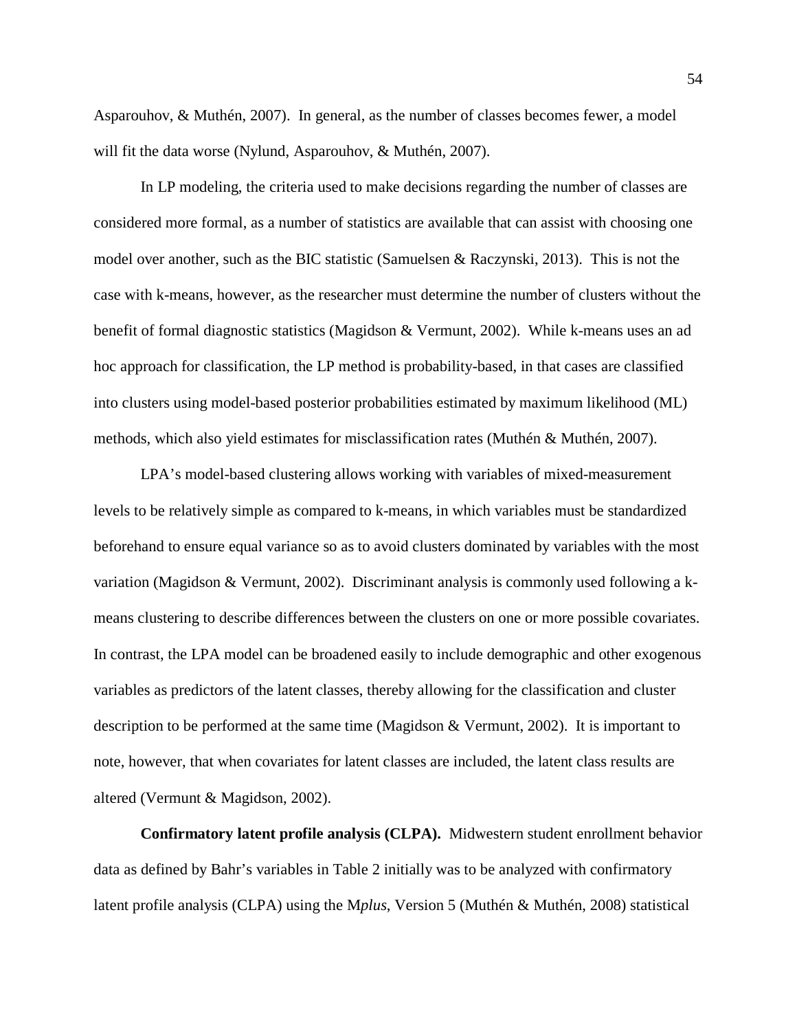Asparouhov, & Muthén, 2007). In general, as the number of classes becomes fewer, a model will fit the data worse (Nylund, Asparouhov, & Muthén, 2007).

In LP modeling, the criteria used to make decisions regarding the number of classes are considered more formal, as a number of statistics are available that can assist with choosing one model over another, such as the BIC statistic (Samuelsen & Raczynski, 2013). This is not the case with k-means, however, as the researcher must determine the number of clusters without the benefit of formal diagnostic statistics (Magidson & Vermunt, 2002). While k-means uses an ad hoc approach for classification, the LP method is probability-based, in that cases are classified into clusters using model-based posterior probabilities estimated by maximum likelihood (ML) methods, which also yield estimates for misclassification rates (Muthén & Muthén, 2007).

LPA's model-based clustering allows working with variables of mixed-measurement levels to be relatively simple as compared to k-means, in which variables must be standardized beforehand to ensure equal variance so as to avoid clusters dominated by variables with the most variation (Magidson & Vermunt, 2002). Discriminant analysis is commonly used following a kmeans clustering to describe differences between the clusters on one or more possible covariates. In contrast, the LPA model can be broadened easily to include demographic and other exogenous variables as predictors of the latent classes, thereby allowing for the classification and cluster description to be performed at the same time (Magidson & Vermunt, 2002). It is important to note, however, that when covariates for latent classes are included, the latent class results are altered (Vermunt & Magidson, 2002).

**Confirmatory latent profile analysis (CLPA).** Midwestern student enrollment behavior data as defined by Bahr's variables in Table 2 initially was to be analyzed with confirmatory latent profile analysis (CLPA) using the M*plus*, Version 5 (Muthén & Muthén, 2008) statistical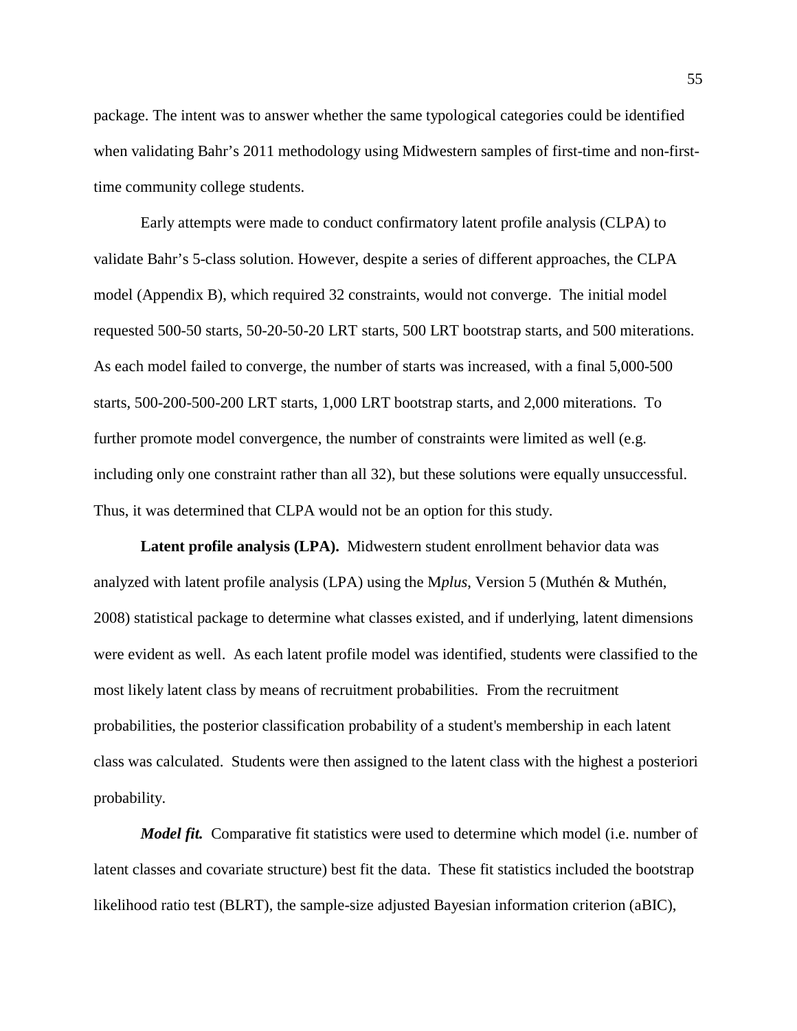package. The intent was to answer whether the same typological categories could be identified when validating Bahr's 2011 methodology using Midwestern samples of first-time and non-firsttime community college students.

Early attempts were made to conduct confirmatory latent profile analysis (CLPA) to validate Bahr's 5-class solution. However, despite a series of different approaches, the CLPA model (Appendix B), which required 32 constraints, would not converge. The initial model requested 500-50 starts, 50-20-50-20 LRT starts, 500 LRT bootstrap starts, and 500 miterations. As each model failed to converge, the number of starts was increased, with a final 5,000-500 starts, 500-200-500-200 LRT starts, 1,000 LRT bootstrap starts, and 2,000 miterations. To further promote model convergence, the number of constraints were limited as well (e.g. including only one constraint rather than all 32), but these solutions were equally unsuccessful. Thus, it was determined that CLPA would not be an option for this study.

**Latent profile analysis (LPA).** Midwestern student enrollment behavior data was analyzed with latent profile analysis (LPA) using the M*plus*, Version 5 (Muthén & Muthén, 2008) statistical package to determine what classes existed, and if underlying, latent dimensions were evident as well. As each latent profile model was identified, students were classified to the most likely latent class by means of recruitment probabilities. From the recruitment probabilities, the posterior classification probability of a student's membership in each latent class was calculated. Students were then assigned to the latent class with the highest a posteriori probability.

*Model fit.* Comparative fit statistics were used to determine which model (i.e. number of latent classes and covariate structure) best fit the data. These fit statistics included the bootstrap likelihood ratio test (BLRT), the sample-size adjusted Bayesian information criterion (aBIC),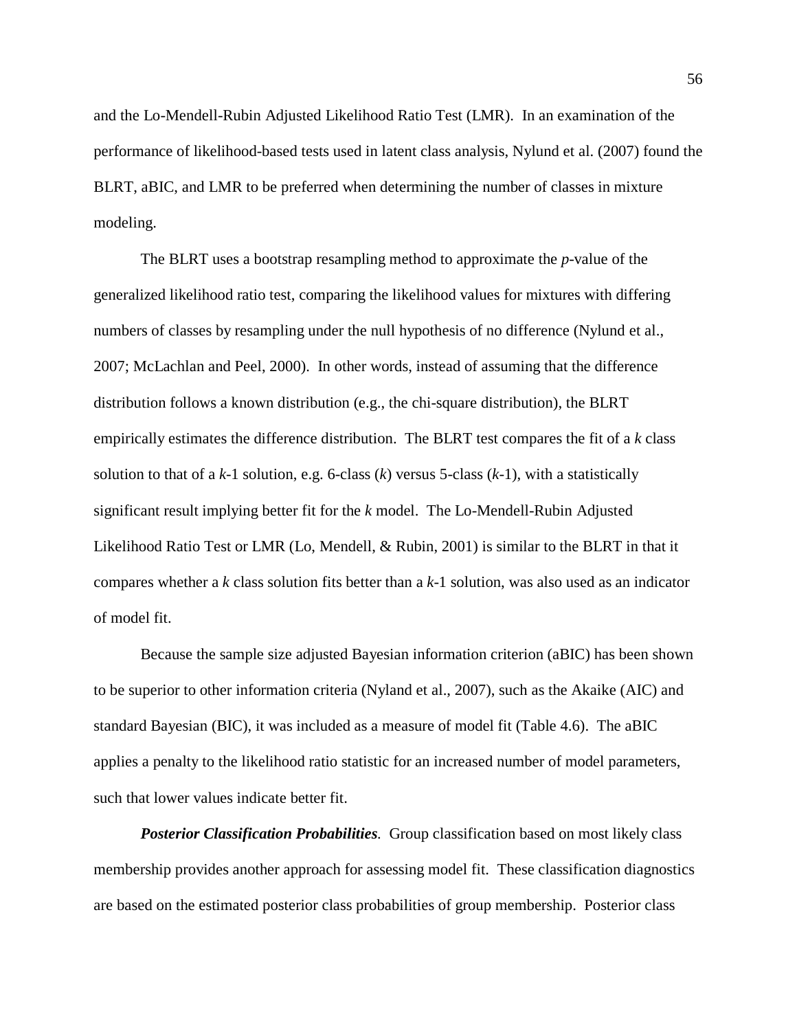and the Lo-Mendell-Rubin Adjusted Likelihood Ratio Test (LMR). In an examination of the performance of likelihood-based tests used in latent class analysis, Nylund et al. (2007) found the BLRT, aBIC, and LMR to be preferred when determining the number of classes in mixture modeling.

The BLRT uses a bootstrap resampling method to approximate the *p*-value of the generalized likelihood ratio test, comparing the likelihood values for mixtures with differing numbers of classes by resampling under the null hypothesis of no difference (Nylund et al., 2007; McLachlan and Peel, 2000). In other words, instead of assuming that the difference distribution follows a known distribution (e.g., the chi-square distribution), the BLRT empirically estimates the difference distribution. The BLRT test compares the fit of a *k* class solution to that of a *k*-1 solution, e.g. 6-class (*k*) versus 5-class (*k*-1), with a statistically significant result implying better fit for the *k* model. The Lo-Mendell-Rubin Adjusted Likelihood Ratio Test or LMR (Lo, Mendell, & Rubin, 2001) is similar to the BLRT in that it compares whether a *k* class solution fits better than a *k*-1 solution, was also used as an indicator of model fit.

Because the sample size adjusted Bayesian information criterion (aBIC) has been shown to be superior to other information criteria (Nyland et al., 2007), such as the Akaike (AIC) and standard Bayesian (BIC), it was included as a measure of model fit (Table 4.6). The aBIC applies a penalty to the likelihood ratio statistic for an increased number of model parameters, such that lower values indicate better fit.

*Posterior Classification Probabilities.* Group classification based on most likely class membership provides another approach for assessing model fit. These classification diagnostics are based on the estimated posterior class probabilities of group membership. Posterior class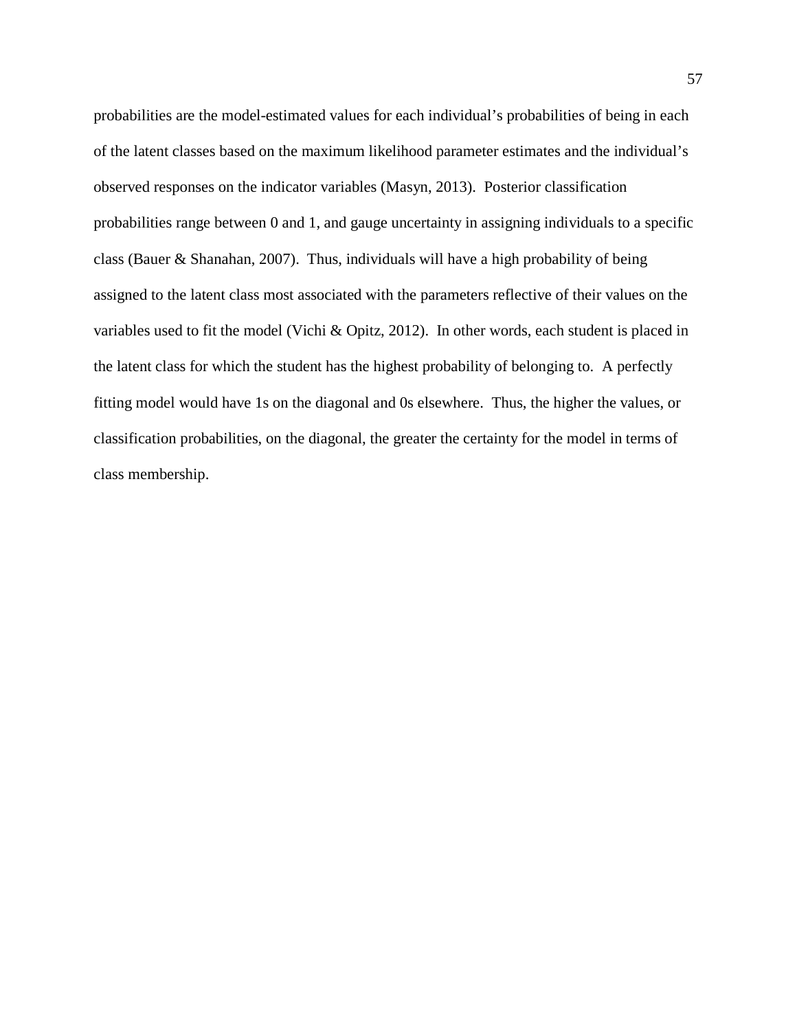probabilities are the model-estimated values for each individual's probabilities of being in each of the latent classes based on the maximum likelihood parameter estimates and the individual's observed responses on the indicator variables (Masyn, 2013). Posterior classification probabilities range between 0 and 1, and gauge uncertainty in assigning individuals to a specific class (Bauer & Shanahan, 2007). Thus, individuals will have a high probability of being assigned to the latent class most associated with the parameters reflective of their values on the variables used to fit the model (Vichi & Opitz, 2012). In other words, each student is placed in the latent class for which the student has the highest probability of belonging to. A perfectly fitting model would have 1s on the diagonal and 0s elsewhere. Thus, the higher the values, or classification probabilities, on the diagonal, the greater the certainty for the model in terms of class membership.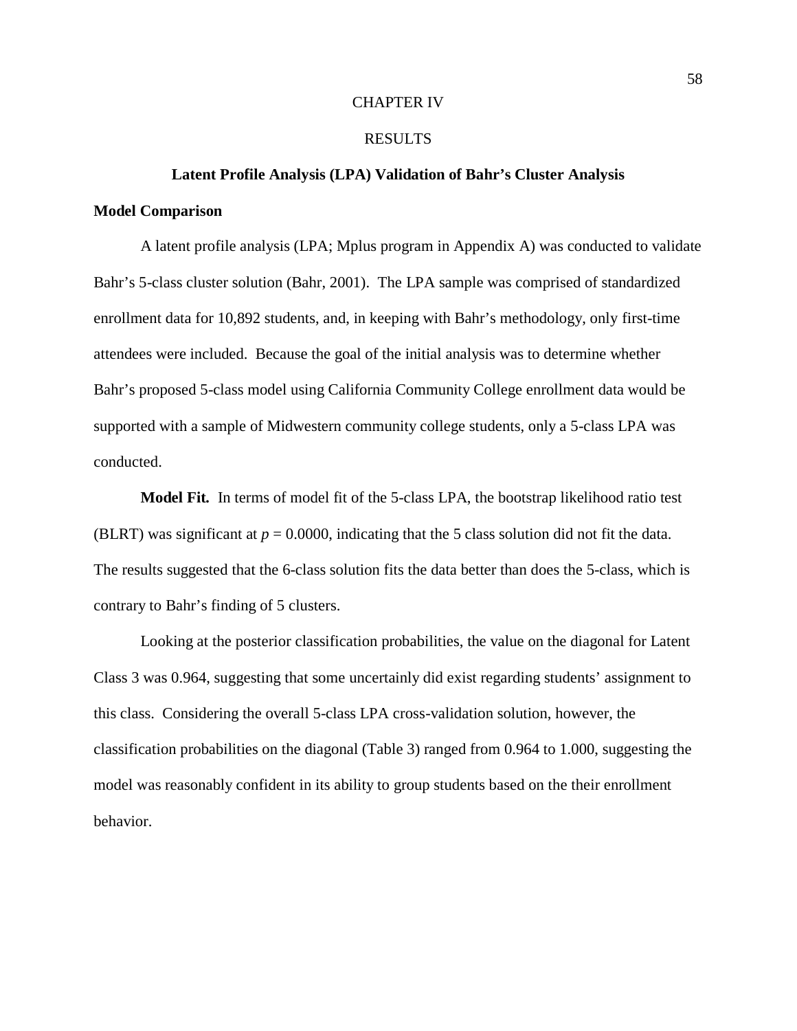## CHAPTER IV

### RESULTS

# **Latent Profile Analysis (LPA) Validation of Bahr's Cluster Analysis Model Comparison**

A latent profile analysis (LPA; Mplus program in Appendix A) was conducted to validate Bahr's 5-class cluster solution (Bahr, 2001). The LPA sample was comprised of standardized enrollment data for 10,892 students, and, in keeping with Bahr's methodology, only first-time attendees were included. Because the goal of the initial analysis was to determine whether Bahr's proposed 5-class model using California Community College enrollment data would be supported with a sample of Midwestern community college students, only a 5-class LPA was conducted.

**Model Fit***.* In terms of model fit of the 5-class LPA, the bootstrap likelihood ratio test (BLRT) was significant at  $p = 0.0000$ , indicating that the 5 class solution did not fit the data. The results suggested that the 6-class solution fits the data better than does the 5-class, which is contrary to Bahr's finding of 5 clusters.

Looking at the posterior classification probabilities, the value on the diagonal for Latent Class 3 was 0.964, suggesting that some uncertainly did exist regarding students' assignment to this class. Considering the overall 5-class LPA cross-validation solution, however, the classification probabilities on the diagonal (Table 3) ranged from 0.964 to 1.000, suggesting the model was reasonably confident in its ability to group students based on the their enrollment behavior.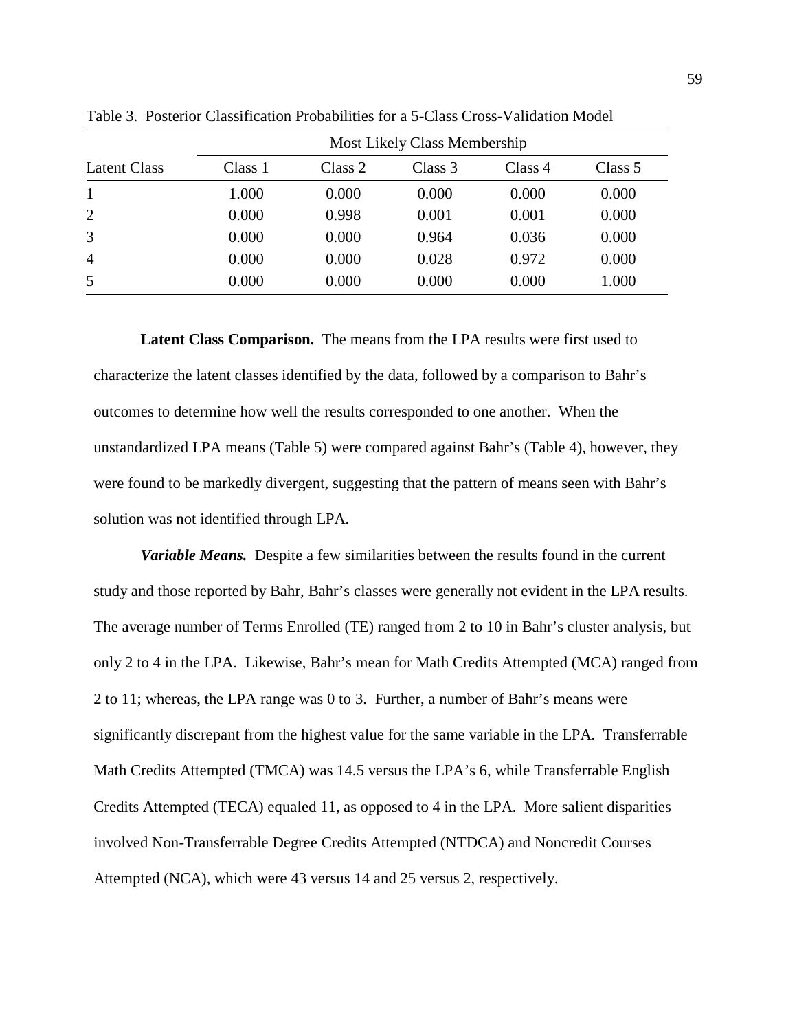|                | Most Likely Class Membership |         |         |         |         |
|----------------|------------------------------|---------|---------|---------|---------|
| Latent Class   | Class 1                      | Class 2 | Class 3 | Class 4 | Class 5 |
| $\mathbf{1}$   | 1.000                        | 0.000   | 0.000   | 0.000   | 0.000   |
| 2              | 0.000                        | 0.998   | 0.001   | 0.001   | 0.000   |
| 3              | 0.000                        | 0.000   | 0.964   | 0.036   | 0.000   |
| $\overline{4}$ | 0.000                        | 0.000   | 0.028   | 0.972   | 0.000   |
| 5              | 0.000                        | 0.000   | 0.000   | 0.000   | 1.000   |

Table 3. Posterior Classification Probabilities for a 5-Class Cross-Validation Model

**Latent Class Comparison.** The means from the LPA results were first used to characterize the latent classes identified by the data, followed by a comparison to Bahr's outcomes to determine how well the results corresponded to one another. When the unstandardized LPA means (Table 5) were compared against Bahr's (Table 4), however, they were found to be markedly divergent, suggesting that the pattern of means seen with Bahr's solution was not identified through LPA.

*Variable Means.* Despite a few similarities between the results found in the current study and those reported by Bahr, Bahr's classes were generally not evident in the LPA results. The average number of Terms Enrolled (TE) ranged from 2 to 10 in Bahr's cluster analysis, but only 2 to 4 in the LPA. Likewise, Bahr's mean for Math Credits Attempted (MCA) ranged from 2 to 11; whereas, the LPA range was 0 to 3. Further, a number of Bahr's means were significantly discrepant from the highest value for the same variable in the LPA. Transferrable Math Credits Attempted (TMCA) was 14.5 versus the LPA's 6, while Transferrable English Credits Attempted (TECA) equaled 11, as opposed to 4 in the LPA. More salient disparities involved Non-Transferrable Degree Credits Attempted (NTDCA) and Noncredit Courses Attempted (NCA), which were 43 versus 14 and 25 versus 2, respectively.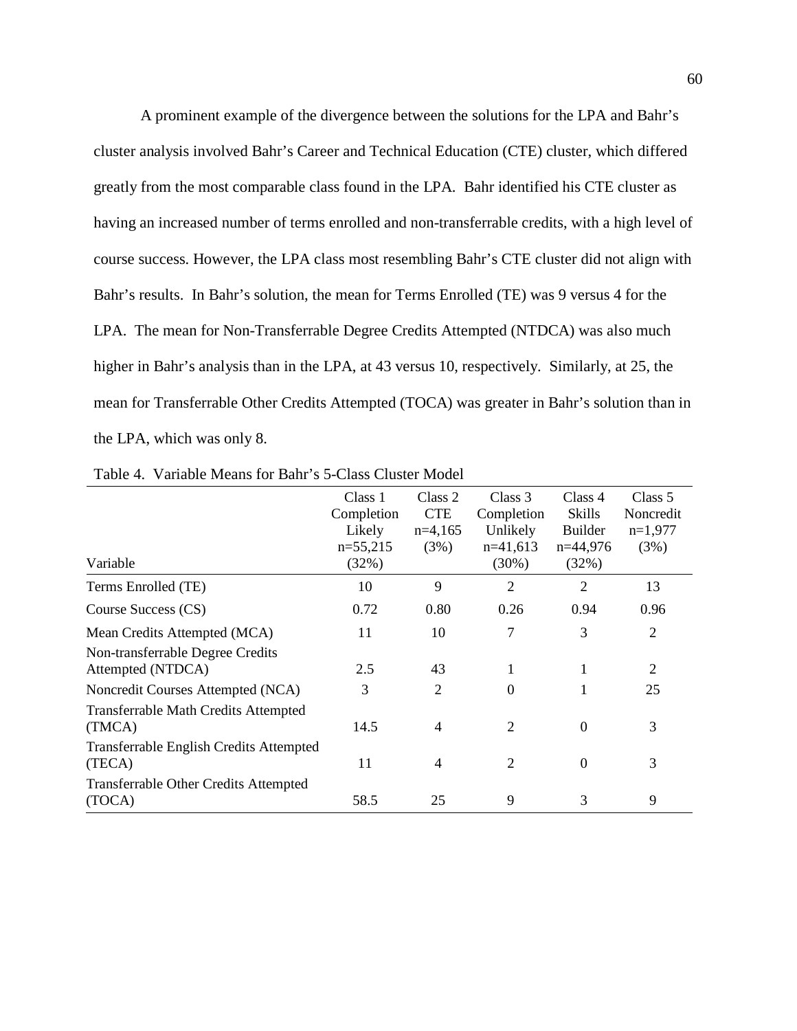A prominent example of the divergence between the solutions for the LPA and Bahr's cluster analysis involved Bahr's Career and Technical Education (CTE) cluster, which differed greatly from the most comparable class found in the LPA. Bahr identified his CTE cluster as having an increased number of terms enrolled and non-transferrable credits, with a high level of course success. However, the LPA class most resembling Bahr's CTE cluster did not align with Bahr's results. In Bahr's solution, the mean for Terms Enrolled (TE) was 9 versus 4 for the LPA. The mean for Non-Transferrable Degree Credits Attempted (NTDCA) was also much higher in Bahr's analysis than in the LPA, at 43 versus 10, respectively. Similarly, at 25, the mean for Transferrable Other Credits Attempted (TOCA) was greater in Bahr's solution than in the LPA, which was only 8.

| Variable                                               | Class 1<br>Completion<br>Likely<br>$n=55,215$<br>(32%) | Class 2<br><b>CTE</b><br>$n=4,165$<br>(3%) | Class 3<br>Completion<br>Unlikely<br>$n=41,613$<br>$(30\%)$ | Class 4<br><b>Skills</b><br>Builder<br>$n=44,976$<br>(32%) | Class 5<br>Noncredit<br>$n=1,977$<br>(3%) |
|--------------------------------------------------------|--------------------------------------------------------|--------------------------------------------|-------------------------------------------------------------|------------------------------------------------------------|-------------------------------------------|
| Terms Enrolled (TE)                                    | 10                                                     | 9                                          | $\overline{2}$                                              | $\overline{2}$                                             | 13                                        |
| Course Success (CS)                                    | 0.72                                                   | 0.80                                       | 0.26                                                        | 0.94                                                       | 0.96                                      |
| Mean Credits Attempted (MCA)                           | 11                                                     | 10                                         | 7                                                           | 3                                                          | $\overline{2}$                            |
| Non-transferrable Degree Credits<br>Attempted (NTDCA)  | 2.5                                                    | 43                                         | 1                                                           | 1                                                          | $\overline{2}$                            |
| Noncredit Courses Attempted (NCA)                      | 3                                                      | $\overline{2}$                             | $\theta$                                                    | 1                                                          | 25                                        |
| <b>Transferrable Math Credits Attempted</b><br>(TMCA)  | 14.5                                                   | $\overline{4}$                             | $\overline{2}$                                              | $\Omega$                                                   | 3                                         |
| Transferrable English Credits Attempted<br>(TECA)      | 11                                                     | $\overline{4}$                             | $\overline{2}$                                              | $\overline{0}$                                             | 3                                         |
| <b>Transferrable Other Credits Attempted</b><br>(TOCA) | 58.5                                                   | 25                                         | 9                                                           | 3                                                          | 9                                         |

Table 4. Variable Means for Bahr's 5-Class Cluster Model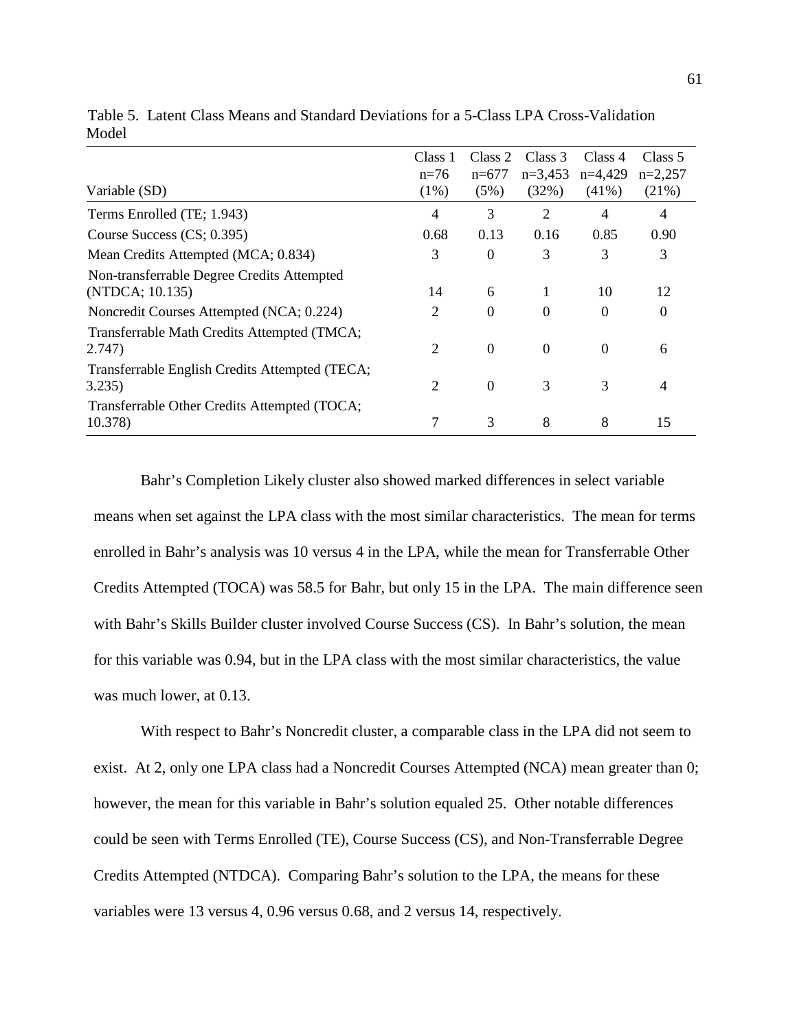| Variable (SD)                                                                                             | Class 1<br>$n=76$<br>$(1\%)$ | Class 2<br>$n=677$<br>(5%) | Class 3<br>$n=3,453$<br>(32%) | Class 4<br>$n=4,429$<br>$(41\%)$ | Class 5<br>$n=2,257$<br>(21%) |
|-----------------------------------------------------------------------------------------------------------|------------------------------|----------------------------|-------------------------------|----------------------------------|-------------------------------|
| Terms Enrolled (TE; 1.943)                                                                                | 4                            | 3                          | 2                             | 4                                | 4                             |
| Course Success (CS; 0.395)                                                                                | 0.68                         | 0.13                       | 0.16                          | 0.85                             | 0.90                          |
| Mean Credits Attempted (MCA; 0.834)                                                                       | 3                            | $\theta$                   | 3                             | 3                                | 3                             |
| Non-transferrable Degree Credits Attempted<br>(NTDCA; 10.135)<br>Noncredit Courses Attempted (NCA; 0.224) | 14<br>2                      | 6<br>$\theta$              | $\Omega$                      | 10<br>$\Omega$                   | 12<br>0                       |
| Transferrable Math Credits Attempted (TMCA;<br>2.747)                                                     | $\mathfrak{D}$               | $\Omega$                   | $\Omega$                      | $\Omega$                         | 6                             |
| Transferrable English Credits Attempted (TECA;<br>3.235)                                                  | 2                            | $\Omega$                   | 3                             | 3                                | 4                             |
| Transferrable Other Credits Attempted (TOCA;<br>10.378)                                                   |                              | 3                          | 8                             | 8                                | 15                            |

Table 5. Latent Class Means and Standard Deviations for a 5-Class LPA Cross-Validation Model

Bahr's Completion Likely cluster also showed marked differences in select variable means when set against the LPA class with the most similar characteristics. The mean for terms enrolled in Bahr's analysis was 10 versus 4 in the LPA, while the mean for Transferrable Other Credits Attempted (TOCA) was 58.5 for Bahr, but only 15 in the LPA. The main difference seen with Bahr's Skills Builder cluster involved Course Success (CS). In Bahr's solution, the mean for this variable was 0.94, but in the LPA class with the most similar characteristics, the value was much lower, at 0.13.

With respect to Bahr's Noncredit cluster, a comparable class in the LPA did not seem to exist. At 2, only one LPA class had a Noncredit Courses Attempted (NCA) mean greater than 0; however, the mean for this variable in Bahr's solution equaled 25. Other notable differences could be seen with Terms Enrolled (TE), Course Success (CS), and Non-Transferrable Degree Credits Attempted (NTDCA). Comparing Bahr's solution to the LPA, the means for these variables were 13 versus 4, 0.96 versus 0.68, and 2 versus 14, respectively.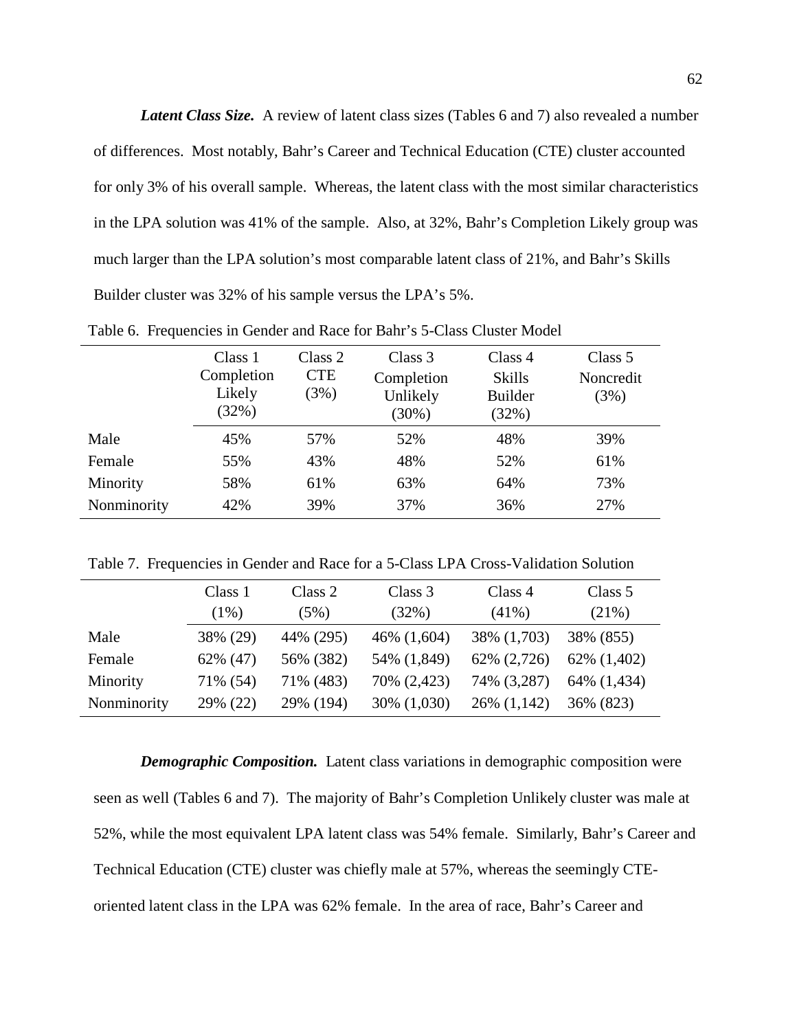*Latent Class Size.* A review of latent class sizes (Tables 6 and 7) also revealed a number of differences. Most notably, Bahr's Career and Technical Education (CTE) cluster accounted for only 3% of his overall sample. Whereas, the latent class with the most similar characteristics in the LPA solution was 41% of the sample. Also, at 32%, Bahr's Completion Likely group was much larger than the LPA solution's most comparable latent class of 21%, and Bahr's Skills Builder cluster was 32% of his sample versus the LPA's 5%.

|             | Class 1<br>Completion<br>Likely<br>(32%) | Class 2<br><b>CTE</b><br>(3%) | Class 3<br>Completion<br>Unlikely<br>$(30\%)$ | Class 4<br>Skills<br><b>Builder</b><br>(32%) | Class 5<br>Noncredit<br>(3%) |
|-------------|------------------------------------------|-------------------------------|-----------------------------------------------|----------------------------------------------|------------------------------|
| Male        | 45%                                      | 57%                           | 52%                                           | 48%                                          | 39%                          |
| Female      | 55%                                      | 43%                           | 48%                                           | 52%                                          | 61%                          |
| Minority    | 58%                                      | 61%                           | 63%                                           | 64%                                          | 73%                          |
| Nonminority | 42%                                      | 39%                           | 37%                                           | 36%                                          | 27%                          |

Table 6. Frequencies in Gender and Race for Bahr's 5-Class Cluster Model

Table 7. Frequencies in Gender and Race for a 5-Class LPA Cross-Validation Solution

|             | Class 1<br>$(1\%)$ | Class 2<br>(5%) | Class 3<br>(32%) | Class 4<br>$(41\%)$ | Class 5<br>(21%) |
|-------------|--------------------|-----------------|------------------|---------------------|------------------|
| Male        | 38% (29)           | 44% (295)       | 46% (1,604)      | 38% (1,703)         | 38% (855)        |
| Female      | 62% (47)           | 56% (382)       | 54% (1,849)      | 62% (2,726)         | 62% (1,402)      |
| Minority    | 71% (54)           | 71% (483)       | 70% (2,423)      | 74% (3,287)         | 64% (1,434)      |
| Nonminority | 29% (22)           | 29% (194)       | 30% (1,030)      | 26% (1,142)         | 36% (823)        |

*Demographic Composition.* Latent class variations in demographic composition were seen as well (Tables 6 and 7). The majority of Bahr's Completion Unlikely cluster was male at 52%, while the most equivalent LPA latent class was 54% female. Similarly, Bahr's Career and Technical Education (CTE) cluster was chiefly male at 57%, whereas the seemingly CTEoriented latent class in the LPA was 62% female. In the area of race, Bahr's Career and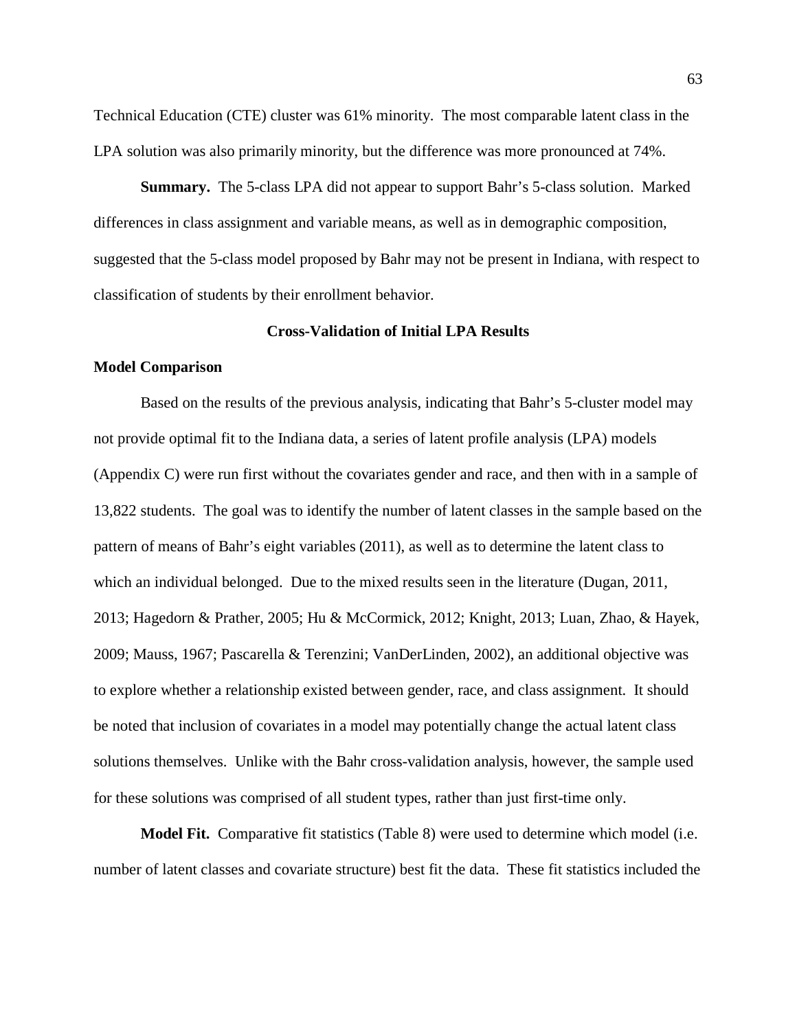Technical Education (CTE) cluster was 61% minority. The most comparable latent class in the LPA solution was also primarily minority, but the difference was more pronounced at 74%.

**Summary.** The 5-class LPA did not appear to support Bahr's 5-class solution. Marked differences in class assignment and variable means, as well as in demographic composition, suggested that the 5-class model proposed by Bahr may not be present in Indiana, with respect to classification of students by their enrollment behavior.

# **Cross-Validation of Initial LPA Results**

## **Model Comparison**

Based on the results of the previous analysis, indicating that Bahr's 5-cluster model may not provide optimal fit to the Indiana data, a series of latent profile analysis (LPA) models (Appendix C) were run first without the covariates gender and race, and then with in a sample of 13,822 students. The goal was to identify the number of latent classes in the sample based on the pattern of means of Bahr's eight variables (2011), as well as to determine the latent class to which an individual belonged. Due to the mixed results seen in the literature (Dugan, 2011, 2013; Hagedorn & Prather, 2005; Hu & McCormick, 2012; Knight, 2013; Luan, Zhao, & Hayek, 2009; Mauss, 1967; Pascarella & Terenzini; VanDerLinden, 2002), an additional objective was to explore whether a relationship existed between gender, race, and class assignment. It should be noted that inclusion of covariates in a model may potentially change the actual latent class solutions themselves. Unlike with the Bahr cross-validation analysis, however, the sample used for these solutions was comprised of all student types, rather than just first-time only.

**Model Fit.**Comparative fit statistics (Table 8) were used to determine which model (i.e. number of latent classes and covariate structure) best fit the data. These fit statistics included the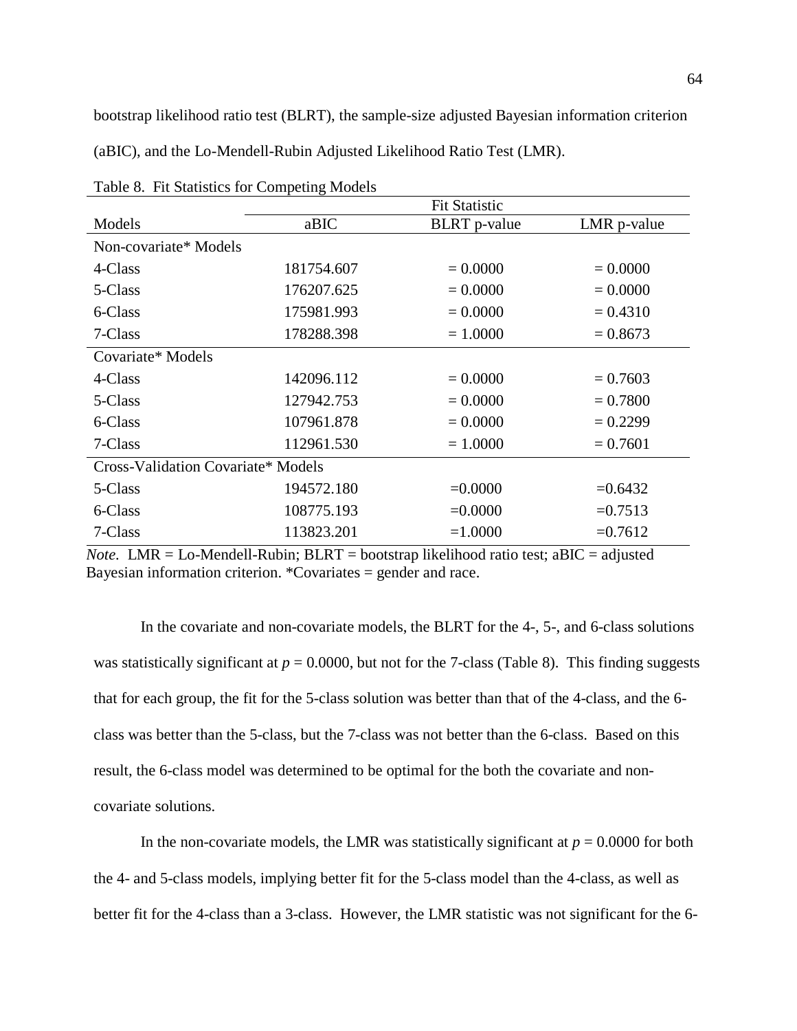bootstrap likelihood ratio test (BLRT), the sample-size adjusted Bayesian information criterion

(aBIC), and the Lo-Mendell-Rubin Adjusted Likelihood Ratio Test (LMR).

|                                           | <b>Fit Statistic</b> |                     |             |  |  |  |
|-------------------------------------------|----------------------|---------------------|-------------|--|--|--|
| Models                                    | aBIC                 | <b>BLRT</b> p-value | LMR p-value |  |  |  |
| Non-covariate* Models                     |                      |                     |             |  |  |  |
| 4-Class                                   | 181754.607           | $= 0.0000$          | $= 0.0000$  |  |  |  |
| 5-Class                                   | 176207.625           | $= 0.0000$          | $= 0.0000$  |  |  |  |
| 6-Class                                   | 175981.993           | $= 0.0000$          | $= 0.4310$  |  |  |  |
| 7-Class                                   | 178288.398           | $= 1.0000$          | $= 0.8673$  |  |  |  |
| Covariate* Models                         |                      |                     |             |  |  |  |
| 4-Class                                   | 142096.112           | $= 0.0000$          | $= 0.7603$  |  |  |  |
| 5-Class                                   | 127942.753           | $= 0.0000$          | $= 0.7800$  |  |  |  |
| 6-Class                                   | 107961.878           | $= 0.0000$          | $= 0.2299$  |  |  |  |
| 7-Class                                   | 112961.530           | $= 1.0000$          | $= 0.7601$  |  |  |  |
| <b>Cross-Validation Covariate* Models</b> |                      |                     |             |  |  |  |
| 5-Class                                   | 194572.180           | $=0.0000$           | $=0.6432$   |  |  |  |
| 6-Class                                   | 108775.193           | $=0.0000$           | $=0.7513$   |  |  |  |
| 7-Class                                   | 113823.201           | $=1.0000$           | $=0.7612$   |  |  |  |

Table 8. Fit Statistics for Competing Models

*Note.* LMR = Lo-Mendell-Rubin; BLRT = bootstrap likelihood ratio test; aBIC = adjusted Bayesian information criterion. \*Covariates = gender and race.

In the covariate and non-covariate models, the BLRT for the 4-, 5-, and 6-class solutions was statistically significant at  $p = 0.0000$ , but not for the 7-class (Table 8). This finding suggests that for each group, the fit for the 5-class solution was better than that of the 4-class, and the 6 class was better than the 5-class, but the 7-class was not better than the 6-class. Based on this result, the 6-class model was determined to be optimal for the both the covariate and noncovariate solutions.

In the non-covariate models, the LMR was statistically significant at  $p = 0.0000$  for both the 4- and 5-class models, implying better fit for the 5-class model than the 4-class, as well as better fit for the 4-class than a 3-class. However, the LMR statistic was not significant for the 6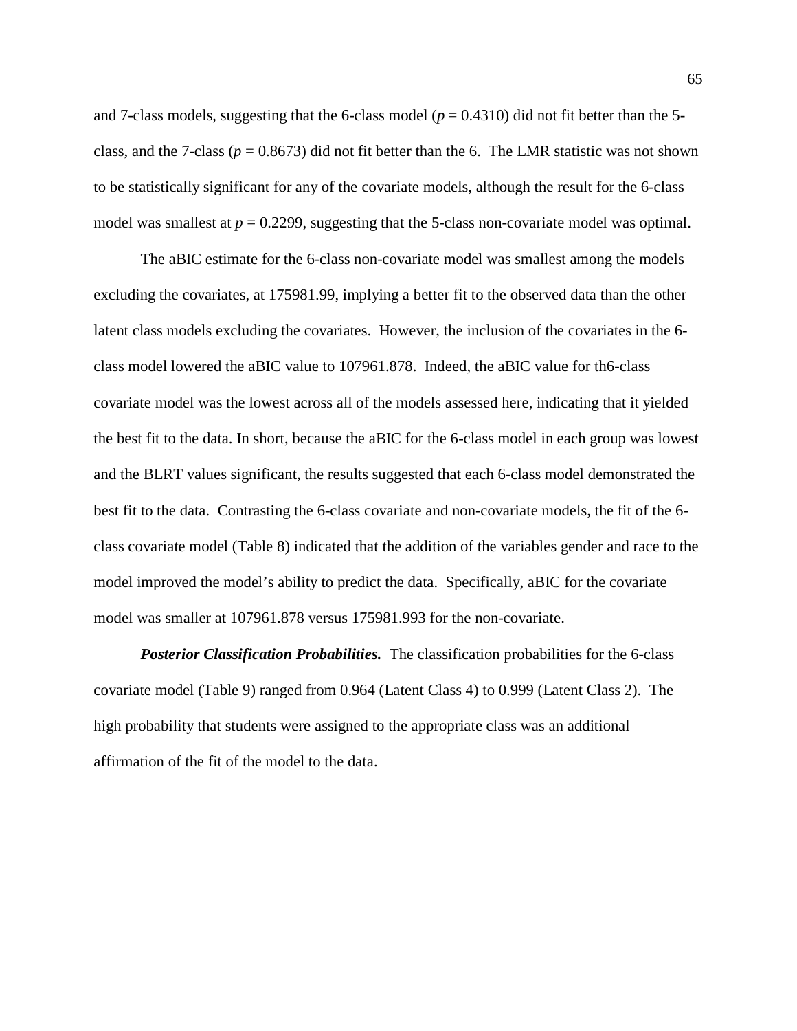and 7-class models, suggesting that the 6-class model ( $p = 0.4310$ ) did not fit better than the 5class, and the 7-class ( $p = 0.8673$ ) did not fit better than the 6. The LMR statistic was not shown to be statistically significant for any of the covariate models, although the result for the 6-class model was smallest at  $p = 0.2299$ , suggesting that the 5-class non-covariate model was optimal.

The aBIC estimate for the 6-class non-covariate model was smallest among the models excluding the covariates, at 175981.99, implying a better fit to the observed data than the other latent class models excluding the covariates. However, the inclusion of the covariates in the 6 class model lowered the aBIC value to 107961.878. Indeed, the aBIC value for th6-class covariate model was the lowest across all of the models assessed here, indicating that it yielded the best fit to the data. In short, because the aBIC for the 6-class model in each group was lowest and the BLRT values significant, the results suggested that each 6-class model demonstrated the best fit to the data. Contrasting the 6-class covariate and non-covariate models, the fit of the 6 class covariate model (Table 8) indicated that the addition of the variables gender and race to the model improved the model's ability to predict the data. Specifically, aBIC for the covariate model was smaller at 107961.878 versus 175981.993 for the non-covariate.

*Posterior Classification Probabilities.* The classification probabilities for the 6-class covariate model (Table 9) ranged from 0.964 (Latent Class 4) to 0.999 (Latent Class 2). The high probability that students were assigned to the appropriate class was an additional affirmation of the fit of the model to the data.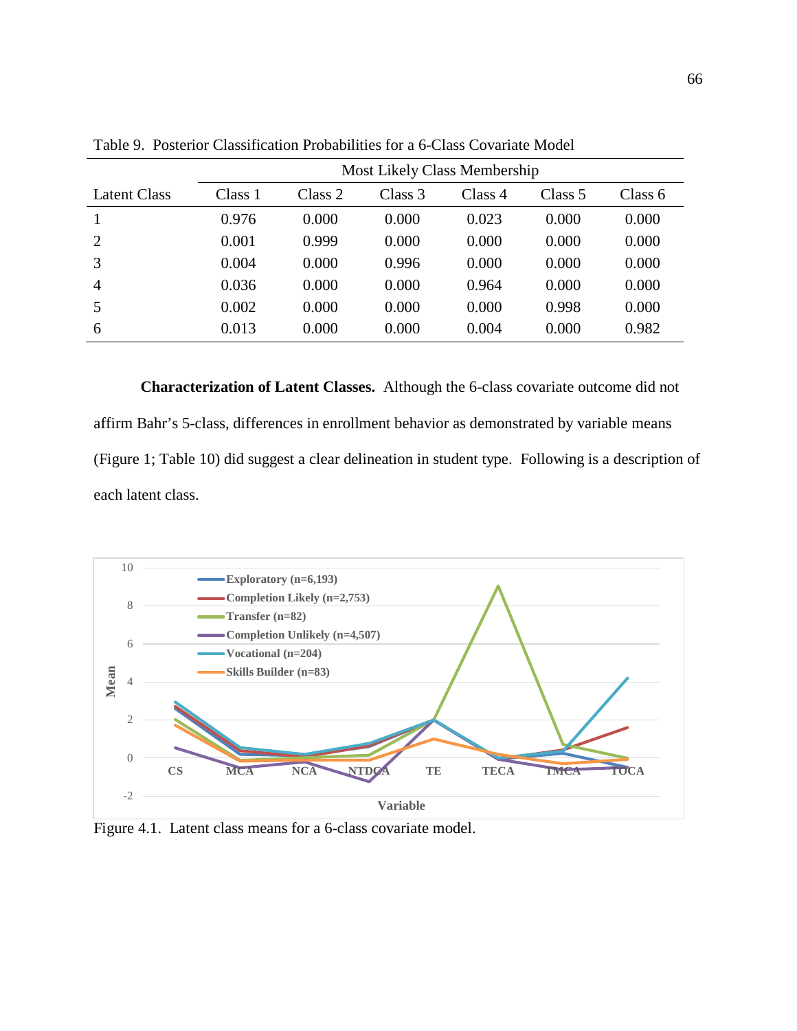|                     | Most Likely Class Membership |         |         |         |         |         |  |  |
|---------------------|------------------------------|---------|---------|---------|---------|---------|--|--|
| <b>Latent Class</b> | Class 1                      | Class 2 | Class 3 | Class 4 | Class 5 | Class 6 |  |  |
|                     | 0.976                        | 0.000   | 0.000   | 0.023   | 0.000   | 0.000   |  |  |
| 2                   | 0.001                        | 0.999   | 0.000   | 0.000   | 0.000   | 0.000   |  |  |
| 3                   | 0.004                        | 0.000   | 0.996   | 0.000   | 0.000   | 0.000   |  |  |
| $\overline{4}$      | 0.036                        | 0.000   | 0.000   | 0.964   | 0.000   | 0.000   |  |  |
| 5                   | 0.002                        | 0.000   | 0.000   | 0.000   | 0.998   | 0.000   |  |  |
| 6                   | 0.013                        | 0.000   | 0.000   | 0.004   | 0.000   | 0.982   |  |  |

Table 9. Posterior Classification Probabilities for a 6-Class Covariate Model

**Characterization of Latent Classes.** Although the 6-class covariate outcome did not affirm Bahr's 5-class, differences in enrollment behavior as demonstrated by variable means (Figure 1; Table 10) did suggest a clear delineation in student type. Following is a description of each latent class.



Figure 4.1. Latent class means for a 6-class covariate model.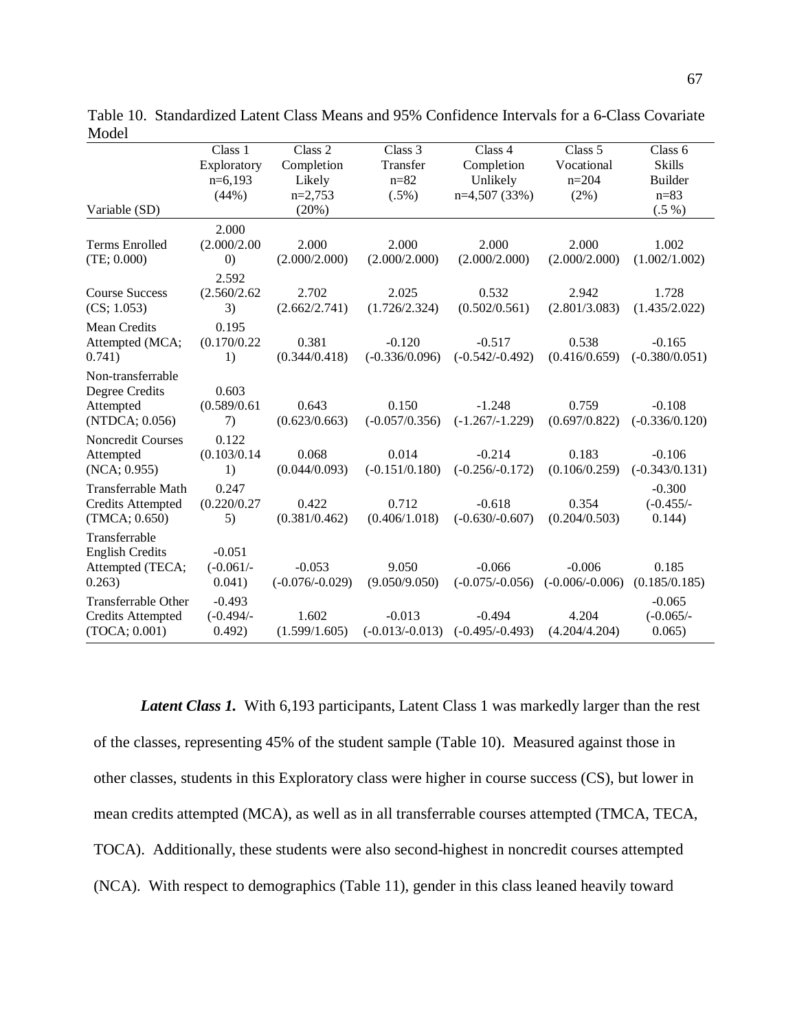|                            | Class 1           | Class 2           | Class 3           | Class 4           | Class 5           | Class 6          |
|----------------------------|-------------------|-------------------|-------------------|-------------------|-------------------|------------------|
|                            | Exploratory       | Completion        | Transfer          | Completion        | Vocational        | <b>Skills</b>    |
|                            | $n=6,193$         | Likely            | $n = 82$          | Unlikely          | $n=204$           | <b>Builder</b>   |
|                            | (44%)             | $n=2,753$         | $(.5\%)$          | $n=4,507(33%)$    | $(2\%)$           | $n = 83$         |
| Variable (SD)              |                   | (20%)             |                   |                   |                   | $(.5\%)$         |
|                            | 2.000             |                   |                   |                   |                   |                  |
| <b>Terms Enrolled</b>      | (2.000/2.00)      | 2.000             | 2.000             | 2.000             | 2.000             | 1.002            |
| (TE; 0.000)                | $\left( 0\right)$ | (2.000/2.000)     | (2.000/2.000)     | (2.000/2.000)     | (2.000/2.000)     | (1.002/1.002)    |
|                            | 2.592             |                   |                   |                   |                   |                  |
| <b>Course Success</b>      | (2.560/2.62)      | 2.702             | 2.025             | 0.532             | 2.942             | 1.728            |
| (CS; 1.053)                | 3)                | (2.662/2.741)     | (1.726/2.324)     | (0.502/0.561)     | (2.801/3.083)     | (1.435/2.022)    |
| <b>Mean Credits</b>        | 0.195             |                   |                   |                   |                   |                  |
| Attempted (MCA;            | (0.170/0.22)      | 0.381             | $-0.120$          | $-0.517$          | 0.538             | $-0.165$         |
| 0.741)                     | 1)                | (0.344/0.418)     | $(-0.336/0.096)$  | $(-0.542/-0.492)$ | (0.416/0.659)     | $(-0.380/0.051)$ |
| Non-transferrable          |                   |                   |                   |                   |                   |                  |
| Degree Credits             | 0.603             |                   |                   |                   |                   |                  |
| Attempted                  | (0.589/0.61)      | 0.643             | 0.150             | $-1.248$          | 0.759             | $-0.108$         |
| (NTDCA; 0.056)             | 7)                | (0.623/0.663)     | $(-0.057/0.356)$  | $(-1.267/-1.229)$ | (0.697/0.822)     | $(-0.336/0.120)$ |
| <b>Noncredit Courses</b>   | 0.122             |                   |                   |                   |                   |                  |
| Attempted                  | (0.103/0.14)      | 0.068             | 0.014             | $-0.214$          | 0.183             | $-0.106$         |
| (NCA; 0.955)               | 1)                | (0.044/0.093)     | $(-0.151/0.180)$  | $(-0.256/-0.172)$ | (0.106/0.259)     | $(-0.343/0.131)$ |
| Transferrable Math         | 0.247             |                   |                   |                   |                   | $-0.300$         |
| <b>Credits Attempted</b>   | (0.220/0.27)      | 0.422             | 0.712             | $-0.618$          | 0.354             | $(-0.455/-$      |
| (TMCA; 0.650)              | 5)                | (0.381/0.462)     | (0.406/1.018)     | $(-0.630/-0.607)$ | (0.204/0.503)     | 0.144)           |
| Transferrable              |                   |                   |                   |                   |                   |                  |
| <b>English Credits</b>     | $-0.051$          |                   |                   |                   |                   |                  |
| Attempted (TECA;           | $(-0.061/-$       | $-0.053$          | 9.050             | $-0.066$          | $-0.006$          | 0.185            |
| 0.263)                     | 0.041)            | $(-0.076/-0.029)$ | (9.050/9.050)     | $(-0.075/-0.056)$ | $(-0.006/-0.006)$ | (0.185/0.185)    |
| <b>Transferrable Other</b> | $-0.493$          |                   |                   |                   |                   | $-0.065$         |
| <b>Credits Attempted</b>   | $(-0.494/-$       | 1.602             | $-0.013$          | $-0.494$          | 4.204             | $(-0.065/-$      |
| (TOCA; 0.001)              | 0.492)            | (1.599/1.605)     | $(-0.013/-0.013)$ | $(-0.495/-0.493)$ | (4.204/4.204)     | 0.065            |

Table 10. Standardized Latent Class Means and 95% Confidence Intervals for a 6-Class Covariate Model

*Latent Class 1.* With 6,193 participants, Latent Class 1 was markedly larger than the rest of the classes, representing 45% of the student sample (Table 10). Measured against those in other classes, students in this Exploratory class were higher in course success (CS), but lower in mean credits attempted (MCA), as well as in all transferrable courses attempted (TMCA, TECA, TOCA). Additionally, these students were also second-highest in noncredit courses attempted (NCA). With respect to demographics (Table 11), gender in this class leaned heavily toward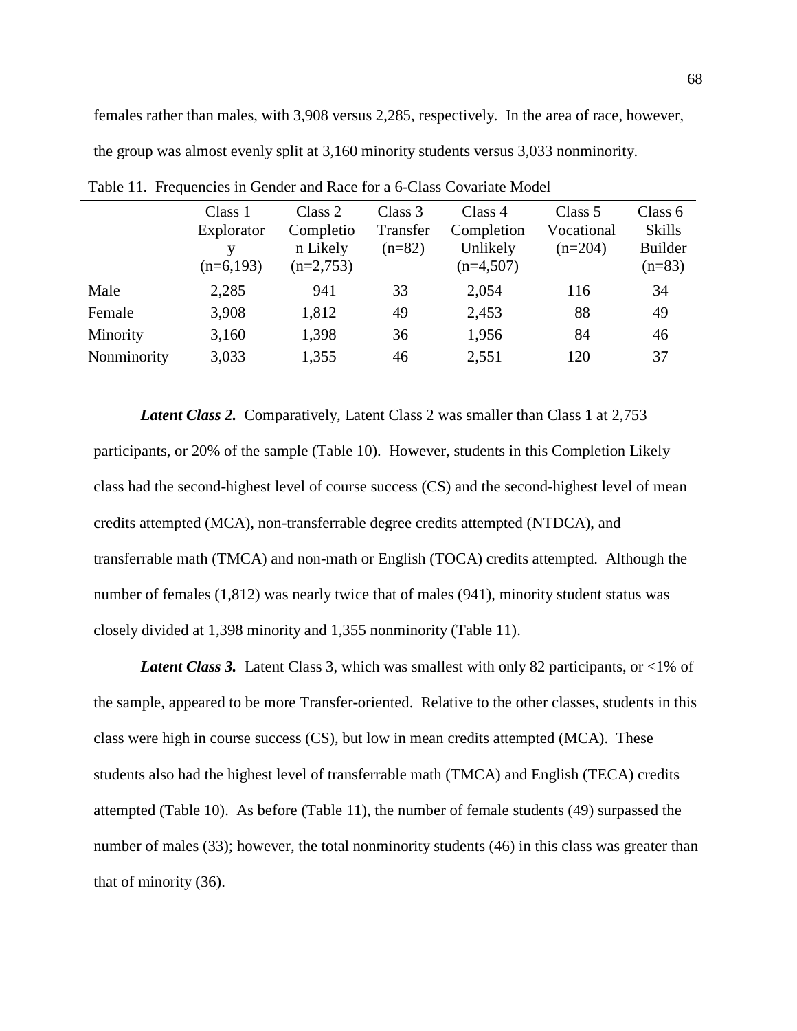females rather than males, with 3,908 versus 2,285, respectively. In the area of race, however, the group was almost evenly split at 3,160 minority students versus 3,033 nonminority.

|             | Class 1<br>Explorator<br>v<br>$(n=6,193)$ | Class 2<br>Completio<br>n Likely<br>$(n=2,753)$ | Class 3<br>Transfer<br>$(n=82)$ | Class 4<br>Completion<br>Unlikely<br>$(n=4,507)$ | Class 5<br>Vocational<br>$(n=204)$ | Class 6<br><b>Skills</b><br><b>Builder</b><br>$(n=83)$ |
|-------------|-------------------------------------------|-------------------------------------------------|---------------------------------|--------------------------------------------------|------------------------------------|--------------------------------------------------------|
| Male        | 2,285                                     | 941                                             | 33                              | 2,054                                            | 116                                | 34                                                     |
| Female      | 3,908                                     | 1,812                                           | 49                              | 2,453                                            | 88                                 | 49                                                     |
| Minority    | 3,160                                     | 1,398                                           | 36                              | 1,956                                            | 84                                 | 46                                                     |
| Nonminority | 3,033                                     | 1,355                                           | 46                              | 2,551                                            | 120                                | 37                                                     |

Table 11. Frequencies in Gender and Race for a 6-Class Covariate Model

*Latent Class 2.* Comparatively, Latent Class 2 was smaller than Class 1 at 2,753 participants, or 20% of the sample (Table 10). However, students in this Completion Likely class had the second-highest level of course success (CS) and the second-highest level of mean credits attempted (MCA), non-transferrable degree credits attempted (NTDCA), and transferrable math (TMCA) and non-math or English (TOCA) credits attempted. Although the number of females (1,812) was nearly twice that of males (941), minority student status was closely divided at 1,398 minority and 1,355 nonminority (Table 11).

*Latent Class 3.* Latent Class 3, which was smallest with only 82 participants, or <1% of the sample, appeared to be more Transfer-oriented. Relative to the other classes, students in this class were high in course success (CS), but low in mean credits attempted (MCA). These students also had the highest level of transferrable math (TMCA) and English (TECA) credits attempted (Table 10). As before (Table 11), the number of female students (49) surpassed the number of males (33); however, the total nonminority students (46) in this class was greater than that of minority (36).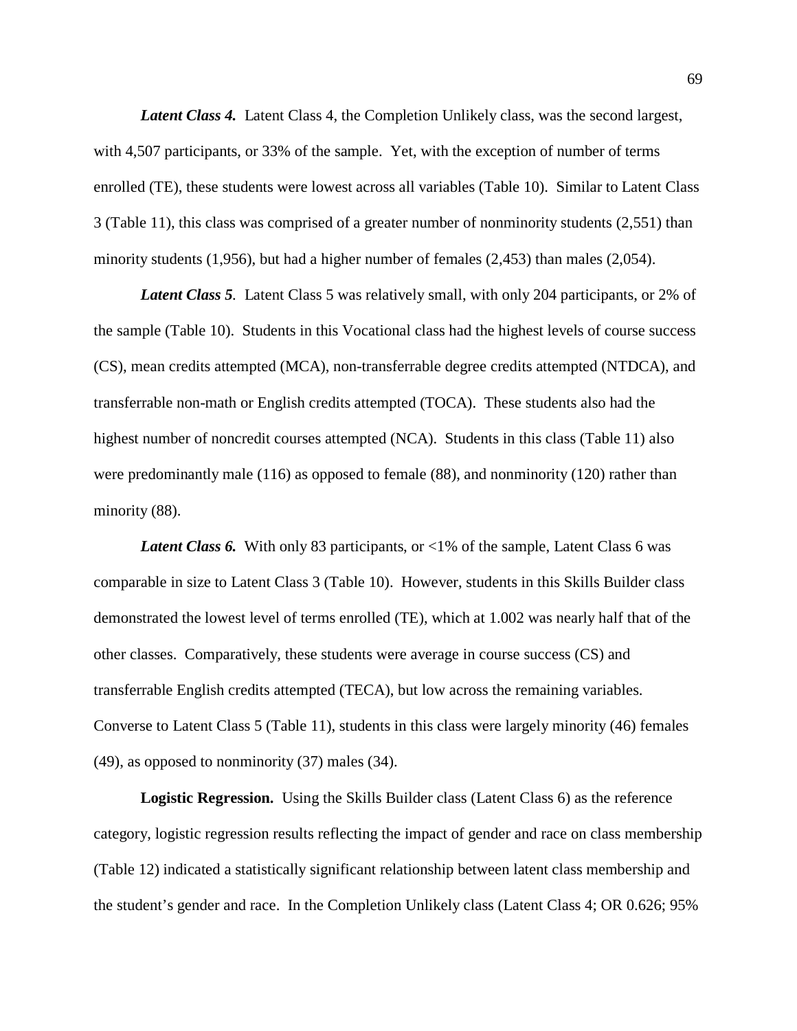Latent Class 4. Latent Class 4, the Completion Unlikely class, was the second largest, with 4,507 participants, or 33% of the sample. Yet, with the exception of number of terms enrolled (TE), these students were lowest across all variables (Table 10). Similar to Latent Class 3 (Table 11), this class was comprised of a greater number of nonminority students (2,551) than minority students (1,956), but had a higher number of females (2,453) than males (2,054).

*Latent Class 5.* Latent Class 5 was relatively small, with only 204 participants, or 2% of the sample (Table 10). Students in this Vocational class had the highest levels of course success (CS), mean credits attempted (MCA), non-transferrable degree credits attempted (NTDCA), and transferrable non-math or English credits attempted (TOCA). These students also had the highest number of noncredit courses attempted (NCA). Students in this class (Table 11) also were predominantly male (116) as opposed to female (88), and nonminority (120) rather than minority (88).

*Latent Class 6.* With only 83 participants, or <1% of the sample, Latent Class 6 was comparable in size to Latent Class 3 (Table 10). However, students in this Skills Builder class demonstrated the lowest level of terms enrolled (TE), which at 1.002 was nearly half that of the other classes. Comparatively, these students were average in course success (CS) and transferrable English credits attempted (TECA), but low across the remaining variables. Converse to Latent Class 5 (Table 11), students in this class were largely minority (46) females (49), as opposed to nonminority (37) males (34).

**Logistic Regression.** Using the Skills Builder class (Latent Class 6) as the reference category, logistic regression results reflecting the impact of gender and race on class membership (Table 12) indicated a statistically significant relationship between latent class membership and the student's gender and race. In the Completion Unlikely class (Latent Class 4; OR 0.626; 95%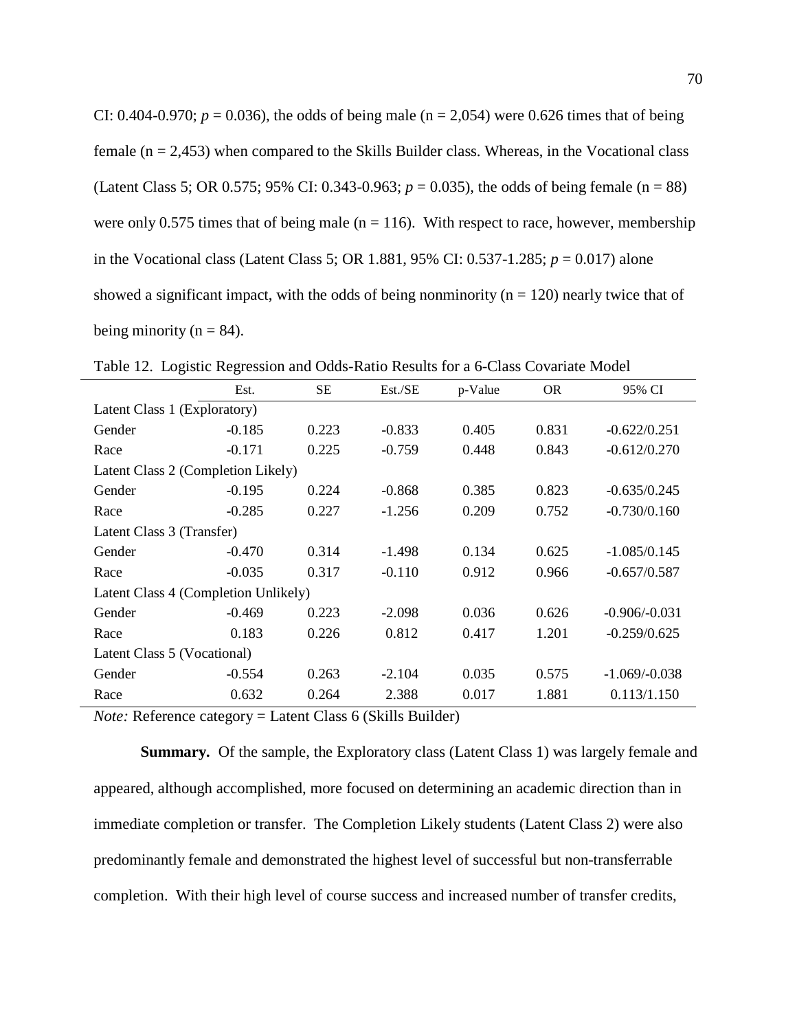| CI: 0.404-0.970; $p = 0.036$ ), the odds of being male (n = 2,054) were 0.626 times that of being  |
|----------------------------------------------------------------------------------------------------|
| female ( $n = 2,453$ ) when compared to the Skills Builder class. Whereas, in the Vocational class |
| (Latent Class 5; OR 0.575; 95% CI: 0.343-0.963; $p = 0.035$ ), the odds of being female (n = 88)   |
| were only 0.575 times that of being male ( $n = 116$ ). With respect to race, however, membership  |
| in the Vocational class (Latent Class 5; OR 1.881, 95% CI: 0.537-1.285; $p = 0.017$ ) alone        |
| showed a significant impact, with the odds of being nonminority ( $n = 120$ ) nearly twice that of |
| being minority ( $n = 84$ ).                                                                       |

|                                      | Est.     | SE    | Est./SE  | p-Value | <b>OR</b> | 95% CI          |  |  |
|--------------------------------------|----------|-------|----------|---------|-----------|-----------------|--|--|
| Latent Class 1 (Exploratory)         |          |       |          |         |           |                 |  |  |
| Gender                               | $-0.185$ | 0.223 | $-0.833$ | 0.405   | 0.831     | $-0.622/0.251$  |  |  |
| Race                                 | $-0.171$ | 0.225 | $-0.759$ | 0.448   | 0.843     | $-0.612/0.270$  |  |  |
| Latent Class 2 (Completion Likely)   |          |       |          |         |           |                 |  |  |
| Gender                               | $-0.195$ | 0.224 | $-0.868$ | 0.385   | 0.823     | $-0.635/0.245$  |  |  |
| Race                                 | $-0.285$ | 0.227 | $-1.256$ | 0.209   | 0.752     | $-0.730/0.160$  |  |  |
| Latent Class 3 (Transfer)            |          |       |          |         |           |                 |  |  |
| Gender                               | $-0.470$ | 0.314 | $-1.498$ | 0.134   | 0.625     | $-1.085/0.145$  |  |  |
| Race                                 | $-0.035$ | 0.317 | $-0.110$ | 0.912   | 0.966     | $-0.657/0.587$  |  |  |
| Latent Class 4 (Completion Unlikely) |          |       |          |         |           |                 |  |  |
| Gender                               | $-0.469$ | 0.223 | $-2.098$ | 0.036   | 0.626     | $-0.906/-0.031$ |  |  |
| Race                                 | 0.183    | 0.226 | 0.812    | 0.417   | 1.201     | $-0.259/0.625$  |  |  |
| Latent Class 5 (Vocational)          |          |       |          |         |           |                 |  |  |
| Gender                               | $-0.554$ | 0.263 | $-2.104$ | 0.035   | 0.575     | $-1.069/-0.038$ |  |  |
| Race                                 | 0.632    | 0.264 | 2.388    | 0.017   | 1.881     | 0.113/1.150     |  |  |

Table 12. Logistic Regression and Odds-Ratio Results for a 6-Class Covariate Model

*Note:* Reference category = Latent Class 6 (Skills Builder)

**Summary***.*Of the sample, the Exploratory class (Latent Class 1) was largely female and appeared, although accomplished, more focused on determining an academic direction than in immediate completion or transfer. The Completion Likely students (Latent Class 2) were also predominantly female and demonstrated the highest level of successful but non-transferrable completion. With their high level of course success and increased number of transfer credits,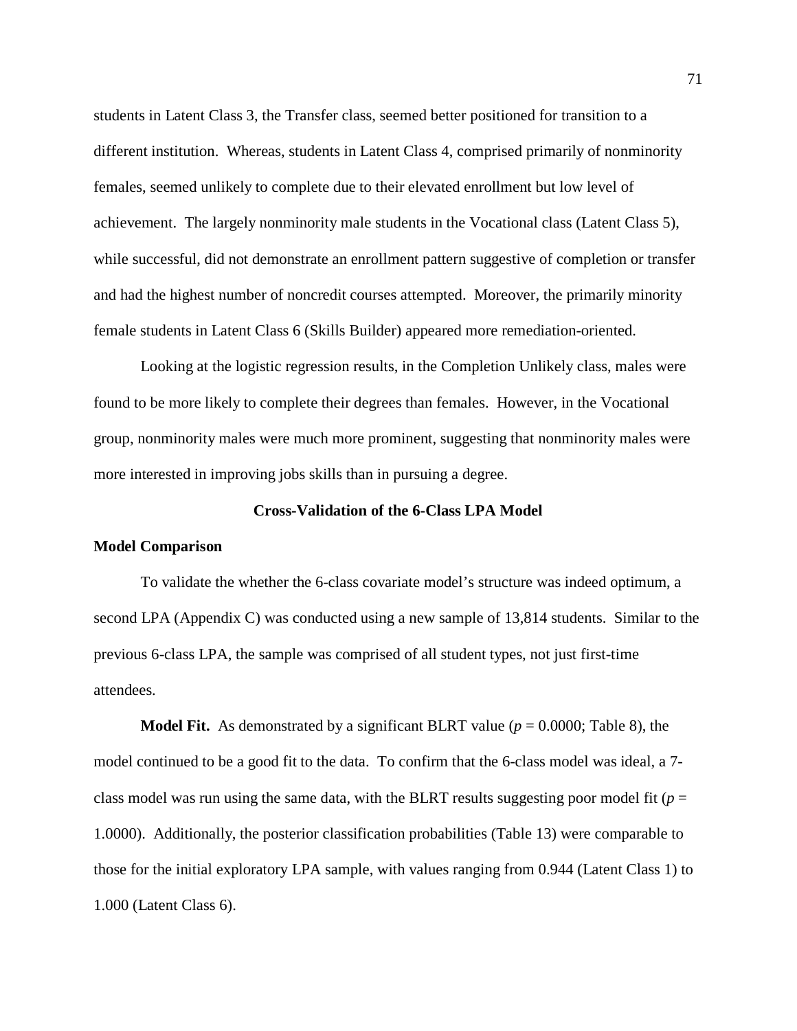students in Latent Class 3, the Transfer class, seemed better positioned for transition to a different institution. Whereas, students in Latent Class 4, comprised primarily of nonminority females, seemed unlikely to complete due to their elevated enrollment but low level of achievement. The largely nonminority male students in the Vocational class (Latent Class 5), while successful, did not demonstrate an enrollment pattern suggestive of completion or transfer and had the highest number of noncredit courses attempted. Moreover, the primarily minority female students in Latent Class 6 (Skills Builder) appeared more remediation-oriented.

Looking at the logistic regression results, in the Completion Unlikely class, males were found to be more likely to complete their degrees than females. However, in the Vocational group, nonminority males were much more prominent, suggesting that nonminority males were more interested in improving jobs skills than in pursuing a degree.

# **Cross-Validation of the 6-Class LPA Model**

### **Model Comparison**

To validate the whether the 6-class covariate model's structure was indeed optimum, a second LPA (Appendix C) was conducted using a new sample of 13,814 students. Similar to the previous 6-class LPA, the sample was comprised of all student types, not just first-time attendees.

**Model Fit.** As demonstrated by a significant BLRT value ( $p = 0.0000$ ; Table 8), the model continued to be a good fit to the data. To confirm that the 6-class model was ideal, a 7 class model was run using the same data, with the BLRT results suggesting poor model fit ( $p =$ 1.0000). Additionally, the posterior classification probabilities (Table 13) were comparable to those for the initial exploratory LPA sample, with values ranging from 0.944 (Latent Class 1) to 1.000 (Latent Class 6).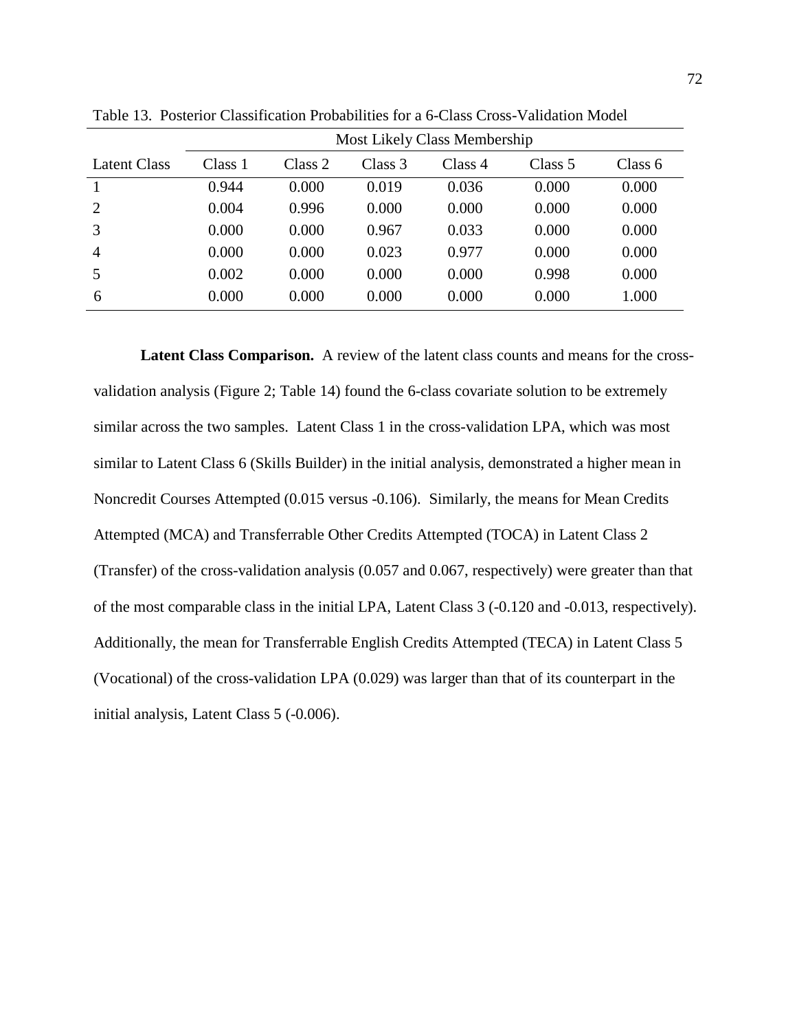|                | Most Likely Class Membership |         |         |         |         |           |  |  |
|----------------|------------------------------|---------|---------|---------|---------|-----------|--|--|
| Latent Class   | Class 1                      | Class 2 | Class 3 | Class 4 | Class 5 | Class $6$ |  |  |
|                | 0.944                        | 0.000   | 0.019   | 0.036   | 0.000   | 0.000     |  |  |
| 2              | 0.004                        | 0.996   | 0.000   | 0.000   | 0.000   | 0.000     |  |  |
| 3              | 0.000                        | 0.000   | 0.967   | 0.033   | 0.000   | 0.000     |  |  |
| $\overline{4}$ | 0.000                        | 0.000   | 0.023   | 0.977   | 0.000   | 0.000     |  |  |
| 5              | 0.002                        | 0.000   | 0.000   | 0.000   | 0.998   | 0.000     |  |  |
| 6              | 0.000                        | 0.000   | 0.000   | 0.000   | 0.000   | 1.000     |  |  |

Table 13. Posterior Classification Probabilities for a 6-Class Cross-Validation Model

**Latent Class Comparison.** A review of the latent class counts and means for the crossvalidation analysis (Figure 2; Table 14) found the 6-class covariate solution to be extremely similar across the two samples. Latent Class 1 in the cross-validation LPA, which was most similar to Latent Class 6 (Skills Builder) in the initial analysis, demonstrated a higher mean in Noncredit Courses Attempted (0.015 versus -0.106). Similarly, the means for Mean Credits Attempted (MCA) and Transferrable Other Credits Attempted (TOCA) in Latent Class 2 (Transfer) of the cross-validation analysis (0.057 and 0.067, respectively) were greater than that of the most comparable class in the initial LPA, Latent Class 3 (-0.120 and -0.013, respectively). Additionally, the mean for Transferrable English Credits Attempted (TECA) in Latent Class 5 (Vocational) of the cross-validation LPA (0.029) was larger than that of its counterpart in the initial analysis, Latent Class 5 (-0.006).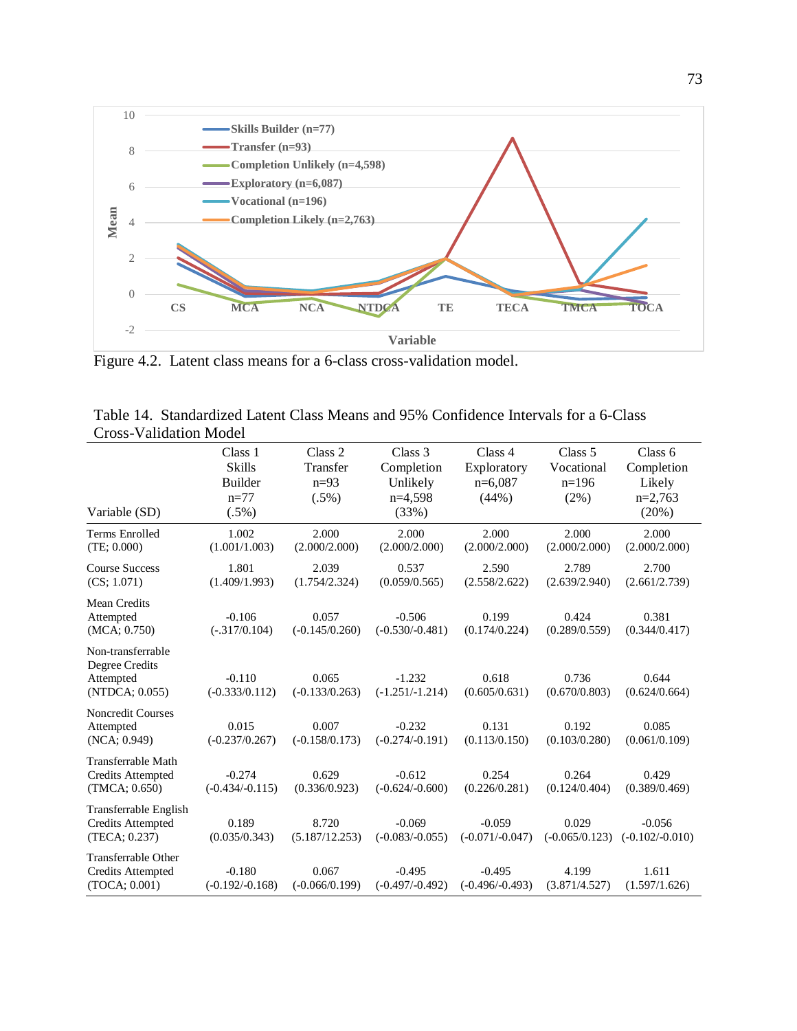

Figure 4.2. Latent class means for a 6-class cross-validation model.

| CIUSS- V AIIUAUUII IVIUUCI                                         |                                                                  |                                           |                                                         |                                              |                                             |                                                       |
|--------------------------------------------------------------------|------------------------------------------------------------------|-------------------------------------------|---------------------------------------------------------|----------------------------------------------|---------------------------------------------|-------------------------------------------------------|
| Variable (SD)                                                      | Class 1<br><b>Skills</b><br><b>Builder</b><br>$n=77$<br>$(.5\%)$ | Class 2<br>Transfer<br>$n=93$<br>$(.5\%)$ | Class 3<br>Completion<br>Unlikely<br>$n=4.598$<br>(33%) | Class 4<br>Exploratory<br>$n=6,087$<br>(44%) | Class 5<br>Vocational<br>$n=196$<br>$(2\%)$ | Class 6<br>Completion<br>Likely<br>$n=2,763$<br>(20%) |
| Terms Enrolled<br>(TE; 0.000)                                      | 1.002<br>(1.001/1.003)                                           | 2.000<br>(2.000/2.000)                    | 2.000<br>(2.000/2.000)                                  | 2.000<br>(2.000/2.000)                       | 2.000<br>(2.000/2.000)                      | 2.000<br>(2.000/2.000)                                |
| <b>Course Success</b><br>(CS; 1.071)                               | 1.801<br>(1.409/1.993)                                           | 2.039<br>(1.754/2.324)                    | 0.537<br>(0.059/0.565)                                  | 2.590<br>(2.558/2.622)                       | 2.789<br>(2.639/2.940)                      | 2.700<br>(2.661/2.739)                                |
| <b>Mean Credits</b><br>Attempted<br>(MCA; 0.750)                   | $-0.106$<br>$(-.317/0.104)$                                      | 0.057<br>$(-0.145/0.260)$                 | $-0.506$<br>$(-0.530/-0.481)$                           | 0.199<br>(0.174/0.224)                       | 0.424<br>(0.289/0.559)                      | 0.381<br>(0.344/0.417)                                |
| Non-transferrable<br>Degree Credits<br>Attempted<br>(NTDCA; 0.055) | $-0.110$<br>$(-0.333/0.112)$                                     | 0.065<br>$(-0.133/0.263)$                 | $-1.232$<br>$(-1.251/-1.214)$                           | 0.618<br>(0.605/0.631)                       | 0.736<br>(0.670/0.803)                      | 0.644<br>(0.624/0.664)                                |
| <b>Noncredit Courses</b><br>Attempted<br>(NCA: 0.949)              | 0.015<br>$(-0.237/0.267)$                                        | 0.007<br>$(-0.158/0.173)$                 | $-0.232$<br>$(-0.274/-0.191)$                           | 0.131<br>(0.113/0.150)                       | 0.192<br>(0.103/0.280)                      | 0.085<br>(0.061/0.109)                                |
| Transferrable Math<br><b>Credits Attempted</b><br>(TMCA; 0.650)    | $-0.274$<br>$(-0.434/-0.115)$                                    | 0.629<br>(0.336/0.923)                    | $-0.612$<br>$(-0.624/-0.600)$                           | 0.254<br>(0.226/0.281)                       | 0.264<br>(0.124/0.404)                      | 0.429<br>(0.389/0.469)                                |
| Transferrable English<br><b>Credits Attempted</b><br>(TECA; 0.237) | 0.189<br>(0.035/0.343)                                           | 8.720<br>(5.187/12.253)                   | $-0.069$<br>$(-0.083/-0.055)$                           | $-0.059$<br>$(-0.071/-0.047)$                | 0.029<br>$(-0.065/0.123)$                   | $-0.056$<br>$(-0.102/-0.010)$                         |
| Transferrable Other<br>Credits Attempted<br>(TOCA; 0.001)          | $-0.180$<br>$(-0.192/-0.168)$                                    | 0.067<br>$(-0.066/0.199)$                 | $-0.495$<br>$(-0.497/-0.492)$                           | $-0.495$<br>$(-0.496/-0.493)$                | 4.199<br>(3.871/4.527)                      | 1.611<br>(1.597/1.626)                                |

|  | Table 14. Standardized Latent Class Means and 95% Confidence Intervals for a 6-Class |  |  |  |
|--|--------------------------------------------------------------------------------------|--|--|--|
|  | Cross-Validation Model                                                               |  |  |  |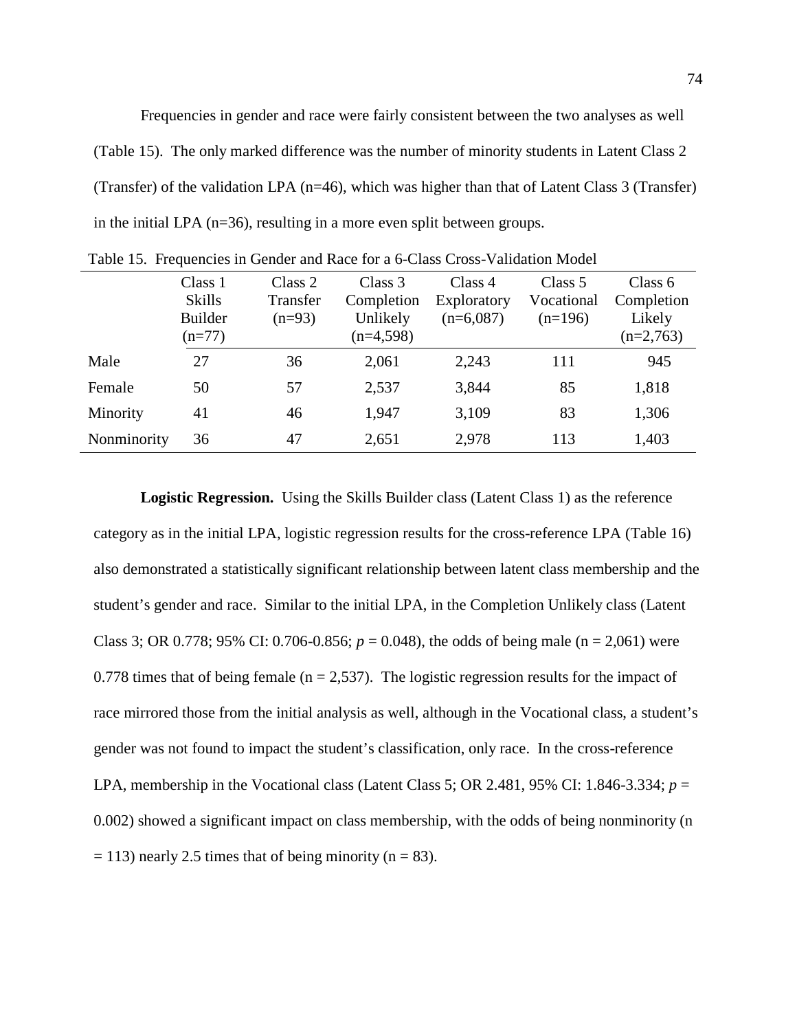Frequencies in gender and race were fairly consistent between the two analyses as well (Table 15). The only marked difference was the number of minority students in Latent Class 2 (Transfer) of the validation LPA (n=46), which was higher than that of Latent Class 3 (Transfer) in the initial LPA (n=36), resulting in a more even split between groups.

|             | Class 1<br><b>Skills</b><br><b>Builder</b><br>$(n=77)$ | Class 2<br>Transfer<br>$(n=93)$ | Class 3<br>Completion<br>Unlikely<br>$(n=4,598)$ | Class 4<br>Exploratory<br>$(n=6,087)$ | Class 5<br>Vocational<br>$(n=196)$ | Class $6$<br>Completion<br>Likely<br>$(n=2,763)$ |
|-------------|--------------------------------------------------------|---------------------------------|--------------------------------------------------|---------------------------------------|------------------------------------|--------------------------------------------------|
| Male        | 27                                                     | 36                              | 2,061                                            | 2,243                                 | 111                                | 945                                              |
| Female      | 50                                                     | 57                              | 2,537                                            | 3,844                                 | 85                                 | 1,818                                            |
| Minority    | 41                                                     | 46                              | 1,947                                            | 3,109                                 | 83                                 | 1,306                                            |
| Nonminority | 36                                                     | 47                              | 2,651                                            | 2,978                                 | 113                                | 1,403                                            |

|  | Table 15. Frequencies in Gender and Race for a 6-Class Cross-Validation Model |  |  |  |  |  |  |
|--|-------------------------------------------------------------------------------|--|--|--|--|--|--|
|--|-------------------------------------------------------------------------------|--|--|--|--|--|--|

**Logistic Regression.** Using the Skills Builder class (Latent Class 1) as the reference category as in the initial LPA, logistic regression results for the cross-reference LPA (Table 16) also demonstrated a statistically significant relationship between latent class membership and the student's gender and race. Similar to the initial LPA, in the Completion Unlikely class (Latent Class 3; OR 0.778; 95% CI: 0.706-0.856;  $p = 0.048$ ), the odds of being male (n = 2,061) were 0.778 times that of being female ( $n = 2,537$ ). The logistic regression results for the impact of race mirrored those from the initial analysis as well, although in the Vocational class, a student's gender was not found to impact the student's classification, only race. In the cross-reference LPA, membership in the Vocational class (Latent Class 5; OR 2.481, 95% CI: 1.846-3.334; *p* = 0.002) showed a significant impact on class membership, with the odds of being nonminority (n  $= 113$ ) nearly 2.5 times that of being minority (n = 83).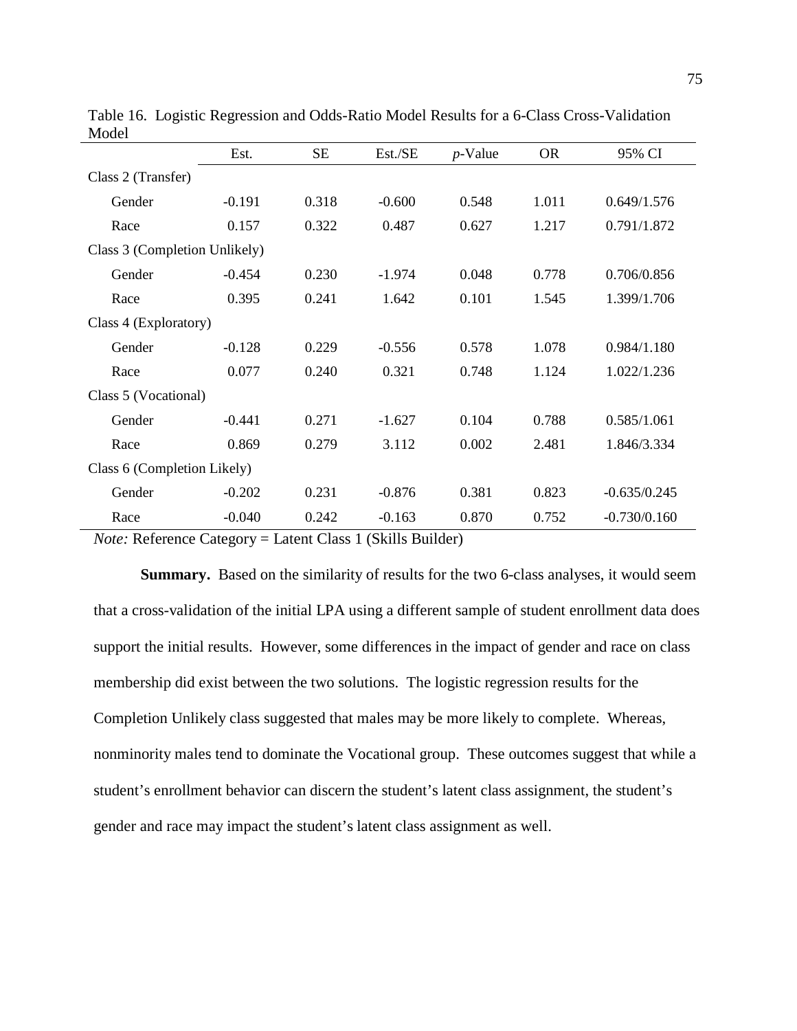|                               | Est.     | <b>SE</b> | Est./SE                                                             | $p$ -Value | <b>OR</b> | 95% CI         |
|-------------------------------|----------|-----------|---------------------------------------------------------------------|------------|-----------|----------------|
| Class 2 (Transfer)            |          |           |                                                                     |            |           |                |
| Gender                        | $-0.191$ | 0.318     | $-0.600$                                                            | 0.548      | 1.011     | 0.649/1.576    |
| Race                          | 0.157    | 0.322     | 0.487                                                               | 0.627      | 1.217     | 0.791/1.872    |
| Class 3 (Completion Unlikely) |          |           |                                                                     |            |           |                |
| Gender                        | $-0.454$ | 0.230     | $-1.974$                                                            | 0.048      | 0.778     | 0.706/0.856    |
| Race                          | 0.395    | 0.241     | 1.642                                                               | 0.101      | 1.545     | 1.399/1.706    |
| Class 4 (Exploratory)         |          |           |                                                                     |            |           |                |
| Gender                        | $-0.128$ | 0.229     | $-0.556$                                                            | 0.578      | 1.078     | 0.984/1.180    |
| Race                          | 0.077    | 0.240     | 0.321                                                               | 0.748      | 1.124     | 1.022/1.236    |
| Class 5 (Vocational)          |          |           |                                                                     |            |           |                |
| Gender                        | $-0.441$ | 0.271     | $-1.627$                                                            | 0.104      | 0.788     | 0.585/1.061    |
| Race                          | 0.869    | 0.279     | 3.112                                                               | 0.002      | 2.481     | 1.846/3.334    |
| Class 6 (Completion Likely)   |          |           |                                                                     |            |           |                |
| Gender                        | $-0.202$ | 0.231     | $-0.876$                                                            | 0.381      | 0.823     | $-0.635/0.245$ |
| Race                          | $-0.040$ | 0.242     | $-0.163$<br>$\sim$ $\sim$ $\sim$ $\sim$ $\sim$ $\sim$ $\sim$ $\sim$ | 0.870      | 0.752     | $-0.730/0.160$ |

Table 16. Logistic Regression and Odds-Ratio Model Results for a 6-Class Cross-Validation Model

*Note:* Reference Category = Latent Class 1 (Skills Builder)

**Summary.** Based on the similarity of results for the two 6-class analyses, it would seem that a cross-validation of the initial LPA using a different sample of student enrollment data does support the initial results. However, some differences in the impact of gender and race on class membership did exist between the two solutions. The logistic regression results for the Completion Unlikely class suggested that males may be more likely to complete. Whereas, nonminority males tend to dominate the Vocational group. These outcomes suggest that while a student's enrollment behavior can discern the student's latent class assignment, the student's gender and race may impact the student's latent class assignment as well.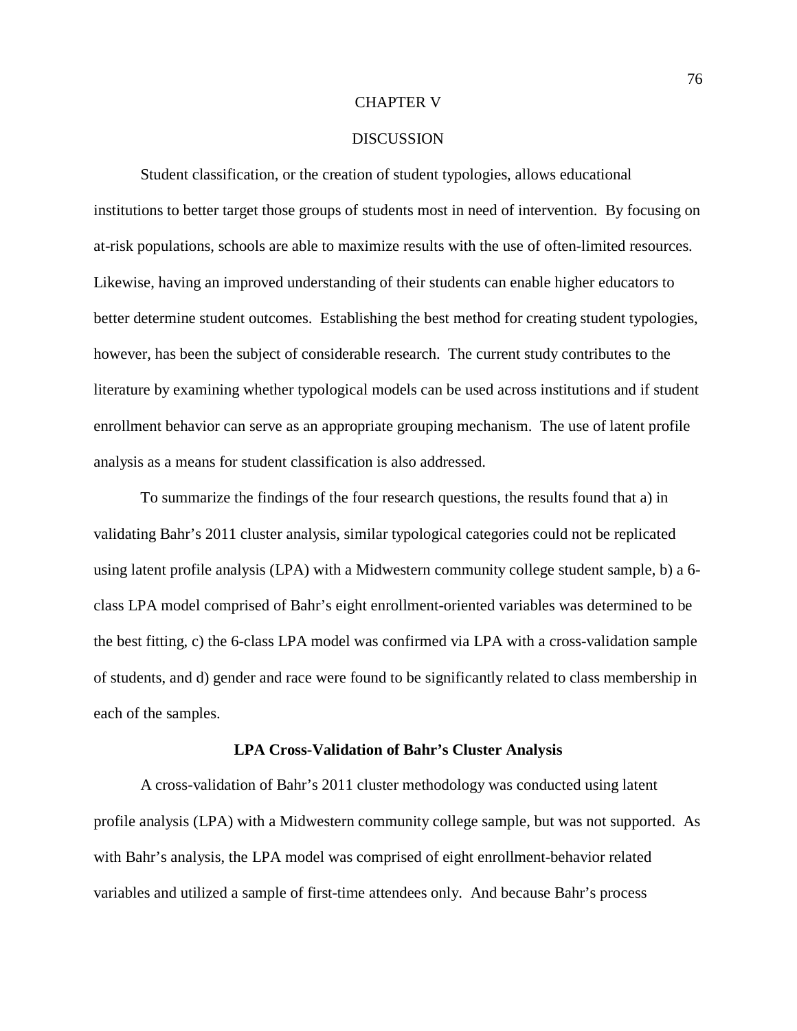### CHAPTER V

### **DISCUSSION**

Student classification, or the creation of student typologies, allows educational institutions to better target those groups of students most in need of intervention. By focusing on at-risk populations, schools are able to maximize results with the use of often-limited resources. Likewise, having an improved understanding of their students can enable higher educators to better determine student outcomes. Establishing the best method for creating student typologies, however, has been the subject of considerable research. The current study contributes to the literature by examining whether typological models can be used across institutions and if student enrollment behavior can serve as an appropriate grouping mechanism. The use of latent profile analysis as a means for student classification is also addressed.

To summarize the findings of the four research questions, the results found that a) in validating Bahr's 2011 cluster analysis, similar typological categories could not be replicated using latent profile analysis (LPA) with a Midwestern community college student sample, b) a 6 class LPA model comprised of Bahr's eight enrollment-oriented variables was determined to be the best fitting, c) the 6-class LPA model was confirmed via LPA with a cross-validation sample of students, and d) gender and race were found to be significantly related to class membership in each of the samples.

#### **LPA Cross-Validation of Bahr's Cluster Analysis**

A cross-validation of Bahr's 2011 cluster methodology was conducted using latent profile analysis (LPA) with a Midwestern community college sample, but was not supported. As with Bahr's analysis, the LPA model was comprised of eight enrollment-behavior related variables and utilized a sample of first-time attendees only. And because Bahr's process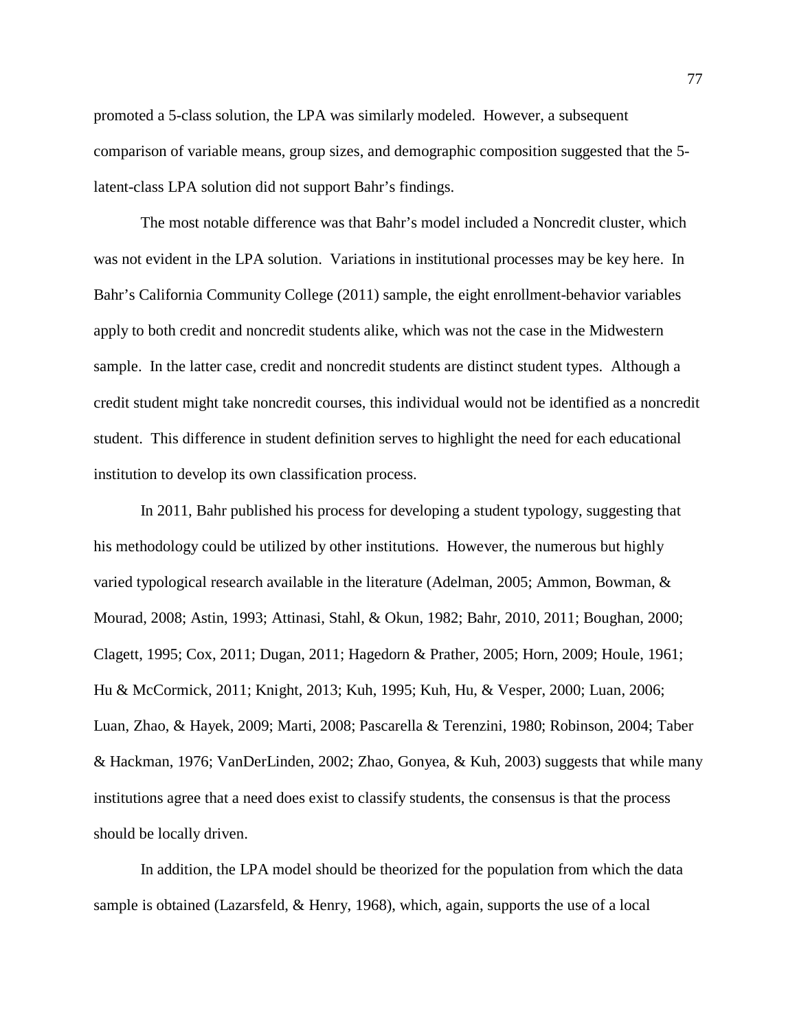promoted a 5-class solution, the LPA was similarly modeled. However, a subsequent comparison of variable means, group sizes, and demographic composition suggested that the 5 latent-class LPA solution did not support Bahr's findings.

The most notable difference was that Bahr's model included a Noncredit cluster, which was not evident in the LPA solution. Variations in institutional processes may be key here. In Bahr's California Community College (2011) sample, the eight enrollment-behavior variables apply to both credit and noncredit students alike, which was not the case in the Midwestern sample. In the latter case, credit and noncredit students are distinct student types. Although a credit student might take noncredit courses, this individual would not be identified as a noncredit student. This difference in student definition serves to highlight the need for each educational institution to develop its own classification process.

In 2011, Bahr published his process for developing a student typology, suggesting that his methodology could be utilized by other institutions. However, the numerous but highly varied typological research available in the literature (Adelman, 2005; Ammon, Bowman, & Mourad, 2008; Astin, 1993; Attinasi, Stahl, & Okun, 1982; Bahr, 2010, 2011; Boughan, 2000; Clagett, 1995; Cox, 2011; Dugan, 2011; Hagedorn & Prather, 2005; Horn, 2009; Houle, 1961; Hu & McCormick, 2011; Knight, 2013; Kuh, 1995; Kuh, Hu, & Vesper, 2000; Luan, 2006; Luan, Zhao, & Hayek, 2009; Marti, 2008; Pascarella & Terenzini, 1980; Robinson, 2004; Taber & Hackman, 1976; VanDerLinden, 2002; Zhao, Gonyea, & Kuh, 2003) suggests that while many institutions agree that a need does exist to classify students, the consensus is that the process should be locally driven.

In addition, the LPA model should be theorized for the population from which the data sample is obtained (Lazarsfeld, & Henry, 1968), which, again, supports the use of a local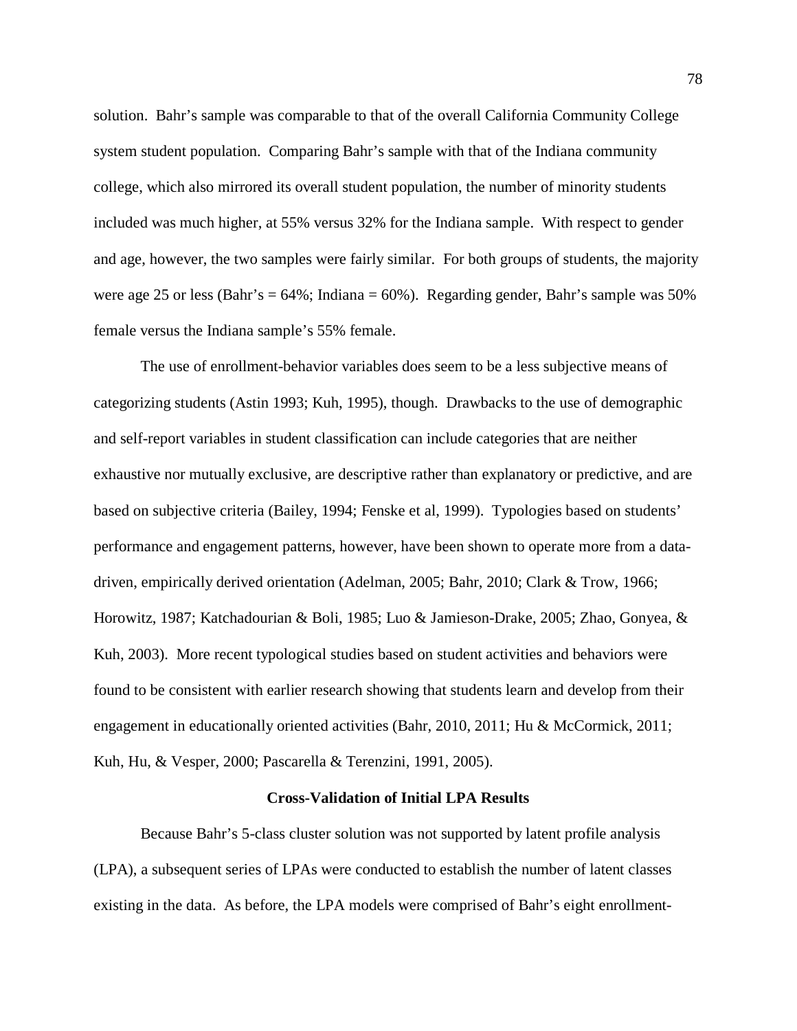solution. Bahr's sample was comparable to that of the overall California Community College system student population. Comparing Bahr's sample with that of the Indiana community college, which also mirrored its overall student population, the number of minority students included was much higher, at 55% versus 32% for the Indiana sample. With respect to gender and age, however, the two samples were fairly similar. For both groups of students, the majority were age 25 or less (Bahr's = 64%; Indiana = 60%). Regarding gender, Bahr's sample was 50% female versus the Indiana sample's 55% female.

The use of enrollment-behavior variables does seem to be a less subjective means of categorizing students (Astin 1993; Kuh, 1995), though. Drawbacks to the use of demographic and self-report variables in student classification can include categories that are neither exhaustive nor mutually exclusive, are descriptive rather than explanatory or predictive, and are based on subjective criteria (Bailey, 1994; Fenske et al, 1999). Typologies based on students' performance and engagement patterns, however, have been shown to operate more from a datadriven, empirically derived orientation (Adelman, 2005; Bahr, 2010; Clark & Trow, 1966; Horowitz, 1987; Katchadourian & Boli, 1985; Luo & Jamieson-Drake, 2005; Zhao, Gonyea, & Kuh, 2003). More recent typological studies based on student activities and behaviors were found to be consistent with earlier research showing that students learn and develop from their engagement in educationally oriented activities (Bahr, 2010, 2011; Hu & McCormick, 2011; Kuh, Hu, & Vesper, 2000; Pascarella & Terenzini, 1991, 2005).

#### **Cross-Validation of Initial LPA Results**

Because Bahr's 5-class cluster solution was not supported by latent profile analysis (LPA), a subsequent series of LPAs were conducted to establish the number of latent classes existing in the data. As before, the LPA models were comprised of Bahr's eight enrollment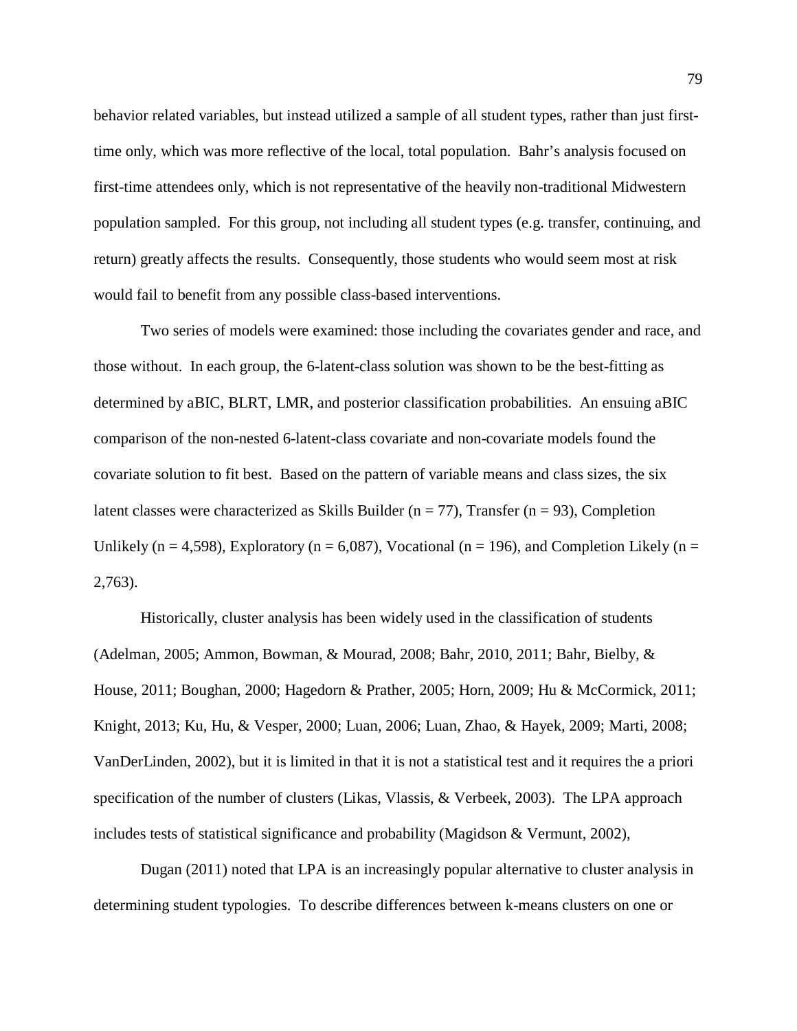behavior related variables, but instead utilized a sample of all student types, rather than just firsttime only, which was more reflective of the local, total population. Bahr's analysis focused on first-time attendees only, which is not representative of the heavily non-traditional Midwestern population sampled. For this group, not including all student types (e.g. transfer, continuing, and return) greatly affects the results. Consequently, those students who would seem most at risk would fail to benefit from any possible class-based interventions.

Two series of models were examined: those including the covariates gender and race, and those without. In each group, the 6-latent-class solution was shown to be the best-fitting as determined by aBIC, BLRT, LMR, and posterior classification probabilities. An ensuing aBIC comparison of the non-nested 6-latent-class covariate and non-covariate models found the covariate solution to fit best. Based on the pattern of variable means and class sizes, the six latent classes were characterized as Skills Builder ( $n = 77$ ), Transfer ( $n = 93$ ), Completion Unlikely ( $n = 4,598$ ), Exploratory ( $n = 6,087$ ), Vocational ( $n = 196$ ), and Completion Likely ( $n =$ 2,763).

Historically, cluster analysis has been widely used in the classification of students (Adelman, 2005; Ammon, Bowman, & Mourad, 2008; Bahr, 2010, 2011; Bahr, Bielby, & House, 2011; Boughan, 2000; Hagedorn & Prather, 2005; Horn, 2009; Hu & McCormick, 2011; Knight, 2013; Ku, Hu, & Vesper, 2000; Luan, 2006; Luan, Zhao, & Hayek, 2009; Marti, 2008; VanDerLinden, 2002), but it is limited in that it is not a statistical test and it requires the a priori specification of the number of clusters (Likas, Vlassis, & Verbeek, 2003). The LPA approach includes tests of statistical significance and probability (Magidson & Vermunt, 2002),

Dugan (2011) noted that LPA is an increasingly popular alternative to cluster analysis in determining student typologies. To describe differences between k-means clusters on one or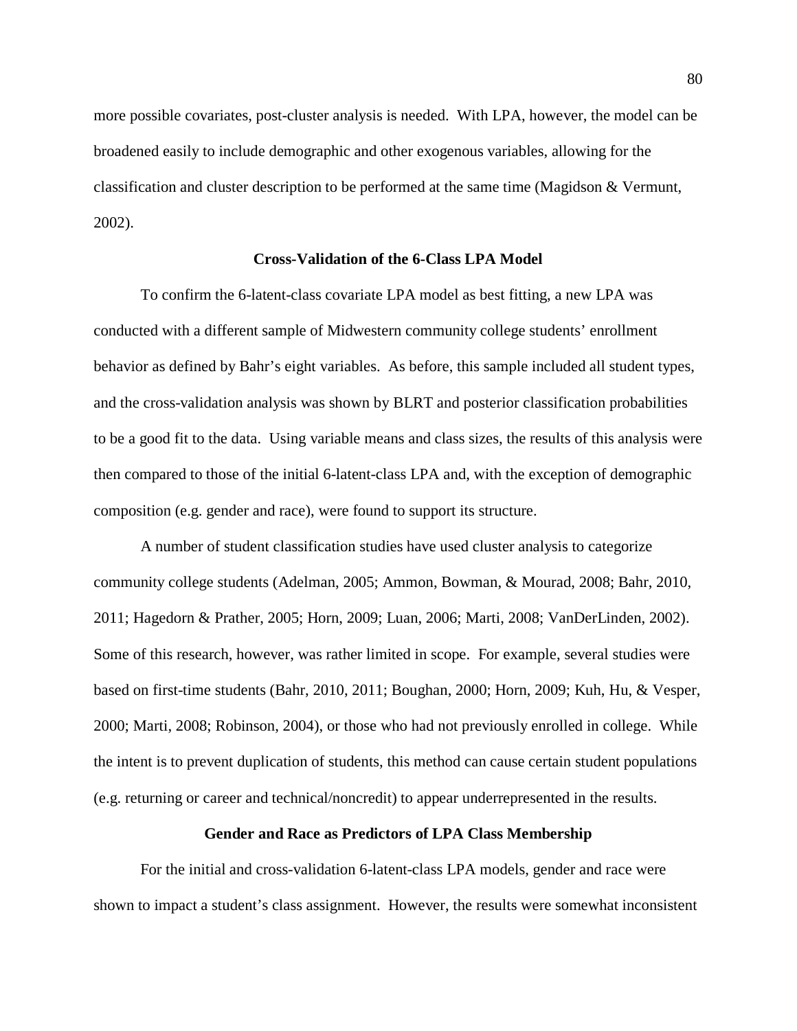more possible covariates, post-cluster analysis is needed. With LPA, however, the model can be broadened easily to include demographic and other exogenous variables, allowing for the classification and cluster description to be performed at the same time (Magidson & Vermunt, 2002).

### **Cross-Validation of the 6-Class LPA Model**

To confirm the 6-latent-class covariate LPA model as best fitting, a new LPA was conducted with a different sample of Midwestern community college students' enrollment behavior as defined by Bahr's eight variables. As before, this sample included all student types, and the cross-validation analysis was shown by BLRT and posterior classification probabilities to be a good fit to the data. Using variable means and class sizes, the results of this analysis were then compared to those of the initial 6-latent-class LPA and, with the exception of demographic composition (e.g. gender and race), were found to support its structure.

A number of student classification studies have used cluster analysis to categorize community college students (Adelman, 2005; Ammon, Bowman, & Mourad, 2008; Bahr, 2010, 2011; Hagedorn & Prather, 2005; Horn, 2009; Luan, 2006; Marti, 2008; VanDerLinden, 2002). Some of this research, however, was rather limited in scope. For example, several studies were based on first-time students (Bahr, 2010, 2011; Boughan, 2000; Horn, 2009; Kuh, Hu, & Vesper, 2000; Marti, 2008; Robinson, 2004), or those who had not previously enrolled in college. While the intent is to prevent duplication of students, this method can cause certain student populations (e.g. returning or career and technical/noncredit) to appear underrepresented in the results.

### **Gender and Race as Predictors of LPA Class Membership**

For the initial and cross-validation 6-latent-class LPA models, gender and race were shown to impact a student's class assignment. However, the results were somewhat inconsistent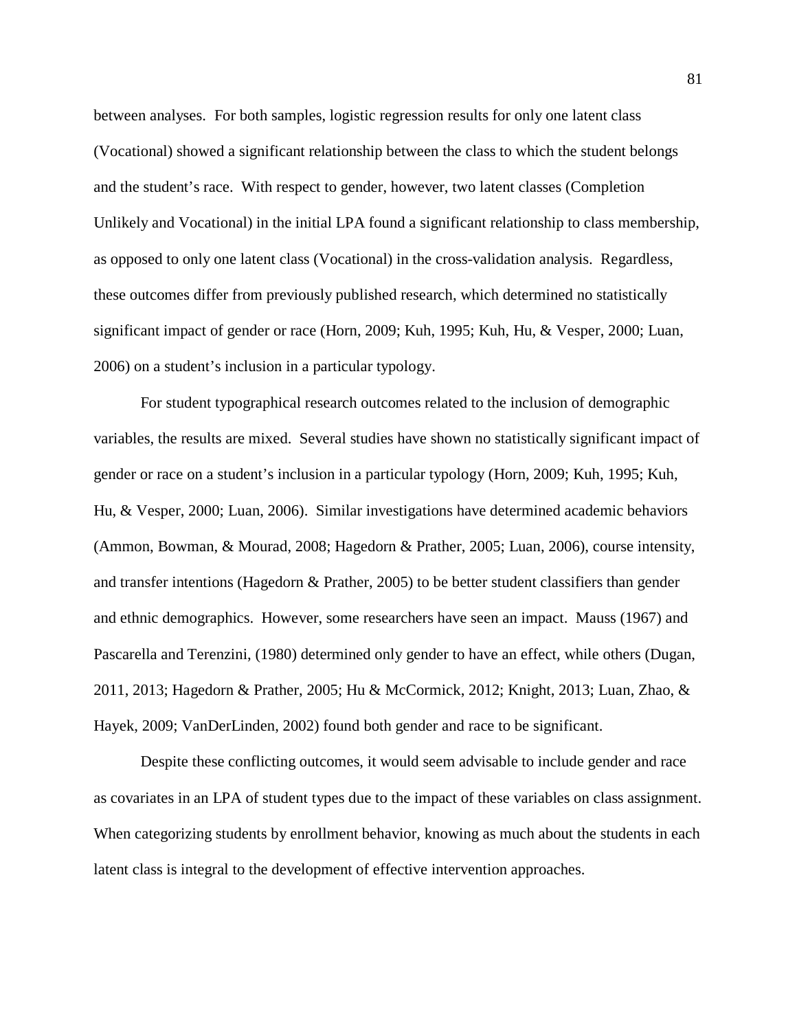between analyses. For both samples, logistic regression results for only one latent class (Vocational) showed a significant relationship between the class to which the student belongs and the student's race. With respect to gender, however, two latent classes (Completion Unlikely and Vocational) in the initial LPA found a significant relationship to class membership, as opposed to only one latent class (Vocational) in the cross-validation analysis. Regardless, these outcomes differ from previously published research, which determined no statistically significant impact of gender or race (Horn, 2009; Kuh, 1995; Kuh, Hu, & Vesper, 2000; Luan, 2006) on a student's inclusion in a particular typology.

For student typographical research outcomes related to the inclusion of demographic variables, the results are mixed. Several studies have shown no statistically significant impact of gender or race on a student's inclusion in a particular typology (Horn, 2009; Kuh, 1995; Kuh, Hu, & Vesper, 2000; Luan, 2006). Similar investigations have determined academic behaviors (Ammon, Bowman, & Mourad, 2008; Hagedorn & Prather, 2005; Luan, 2006), course intensity, and transfer intentions (Hagedorn & Prather, 2005) to be better student classifiers than gender and ethnic demographics. However, some researchers have seen an impact. Mauss (1967) and Pascarella and Terenzini, (1980) determined only gender to have an effect, while others (Dugan, 2011, 2013; Hagedorn & Prather, 2005; Hu & McCormick, 2012; Knight, 2013; Luan, Zhao, & Hayek, 2009; VanDerLinden, 2002) found both gender and race to be significant.

Despite these conflicting outcomes, it would seem advisable to include gender and race as covariates in an LPA of student types due to the impact of these variables on class assignment. When categorizing students by enrollment behavior, knowing as much about the students in each latent class is integral to the development of effective intervention approaches.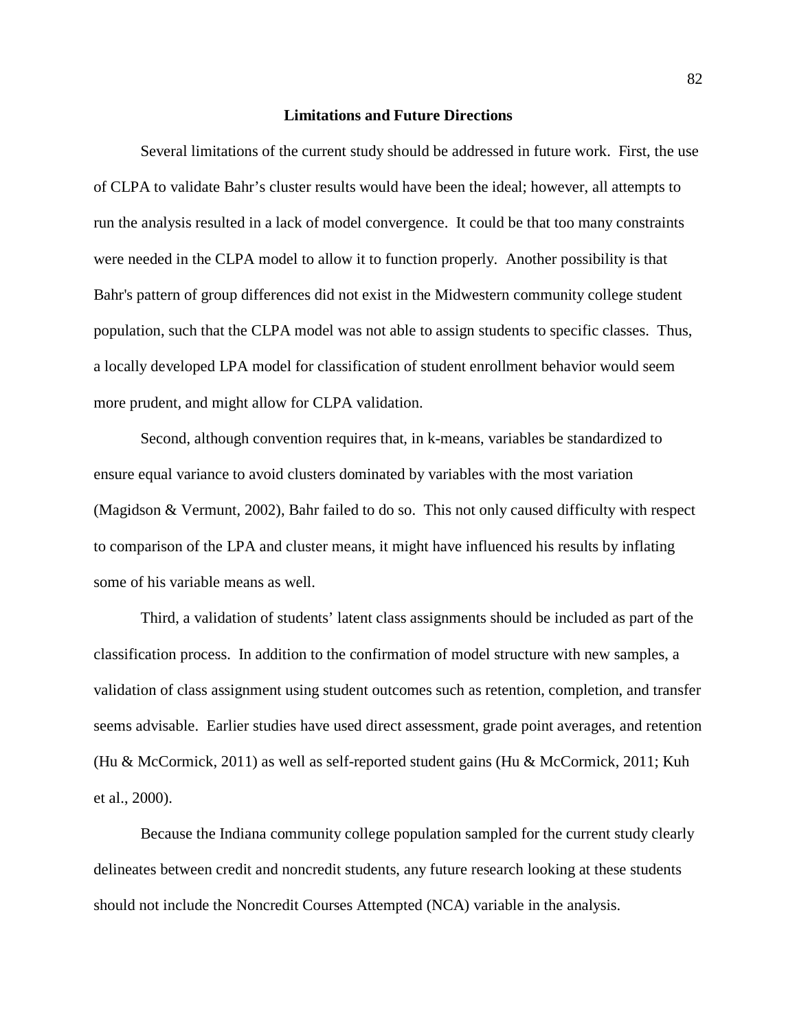### **Limitations and Future Directions**

Several limitations of the current study should be addressed in future work. First, the use of CLPA to validate Bahr's cluster results would have been the ideal; however, all attempts to run the analysis resulted in a lack of model convergence. It could be that too many constraints were needed in the CLPA model to allow it to function properly. Another possibility is that Bahr's pattern of group differences did not exist in the Midwestern community college student population, such that the CLPA model was not able to assign students to specific classes. Thus, a locally developed LPA model for classification of student enrollment behavior would seem more prudent, and might allow for CLPA validation.

Second, although convention requires that, in k-means, variables be standardized to ensure equal variance to avoid clusters dominated by variables with the most variation (Magidson & Vermunt, 2002), Bahr failed to do so. This not only caused difficulty with respect to comparison of the LPA and cluster means, it might have influenced his results by inflating some of his variable means as well.

Third, a validation of students' latent class assignments should be included as part of the classification process. In addition to the confirmation of model structure with new samples, a validation of class assignment using student outcomes such as retention, completion, and transfer seems advisable. Earlier studies have used direct assessment, grade point averages, and retention (Hu & McCormick, 2011) as well as self-reported student gains (Hu & McCormick, 2011; Kuh et al., 2000).

Because the Indiana community college population sampled for the current study clearly delineates between credit and noncredit students, any future research looking at these students should not include the Noncredit Courses Attempted (NCA) variable in the analysis.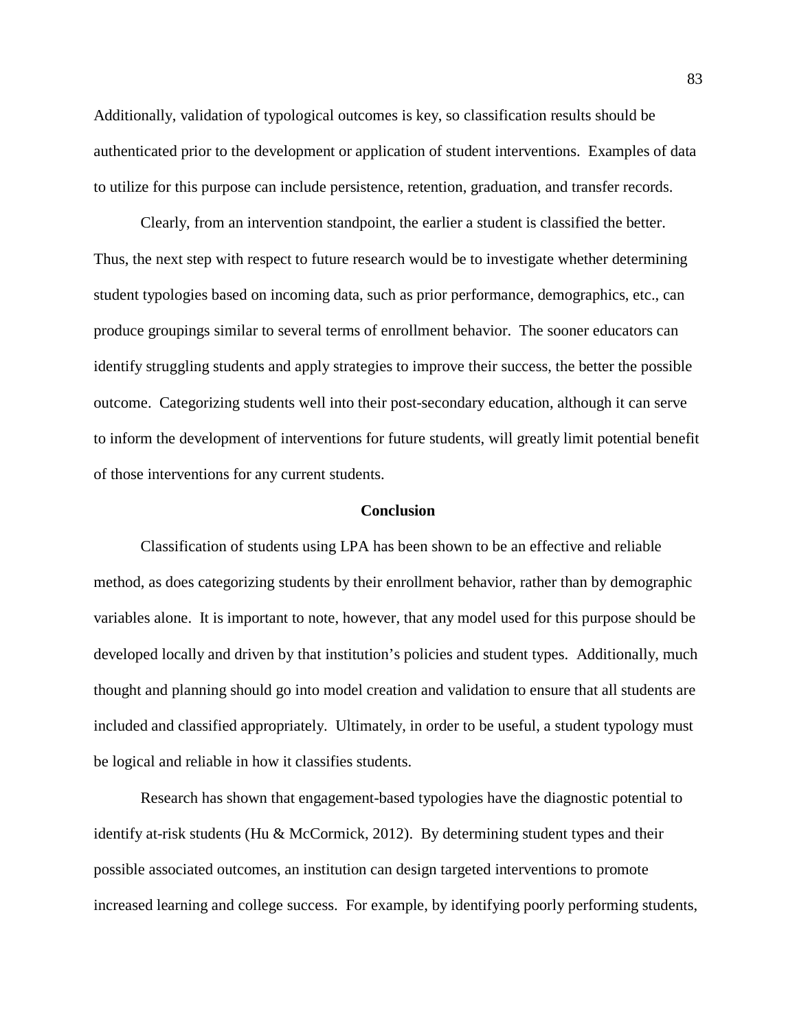Additionally, validation of typological outcomes is key, so classification results should be authenticated prior to the development or application of student interventions. Examples of data to utilize for this purpose can include persistence, retention, graduation, and transfer records.

Clearly, from an intervention standpoint, the earlier a student is classified the better. Thus, the next step with respect to future research would be to investigate whether determining student typologies based on incoming data, such as prior performance, demographics, etc., can produce groupings similar to several terms of enrollment behavior. The sooner educators can identify struggling students and apply strategies to improve their success, the better the possible outcome. Categorizing students well into their post-secondary education, although it can serve to inform the development of interventions for future students, will greatly limit potential benefit of those interventions for any current students.

# **Conclusion**

Classification of students using LPA has been shown to be an effective and reliable method, as does categorizing students by their enrollment behavior, rather than by demographic variables alone. It is important to note, however, that any model used for this purpose should be developed locally and driven by that institution's policies and student types. Additionally, much thought and planning should go into model creation and validation to ensure that all students are included and classified appropriately. Ultimately, in order to be useful, a student typology must be logical and reliable in how it classifies students.

Research has shown that engagement-based typologies have the diagnostic potential to identify at-risk students (Hu & McCormick, 2012). By determining student types and their possible associated outcomes, an institution can design targeted interventions to promote increased learning and college success. For example, by identifying poorly performing students,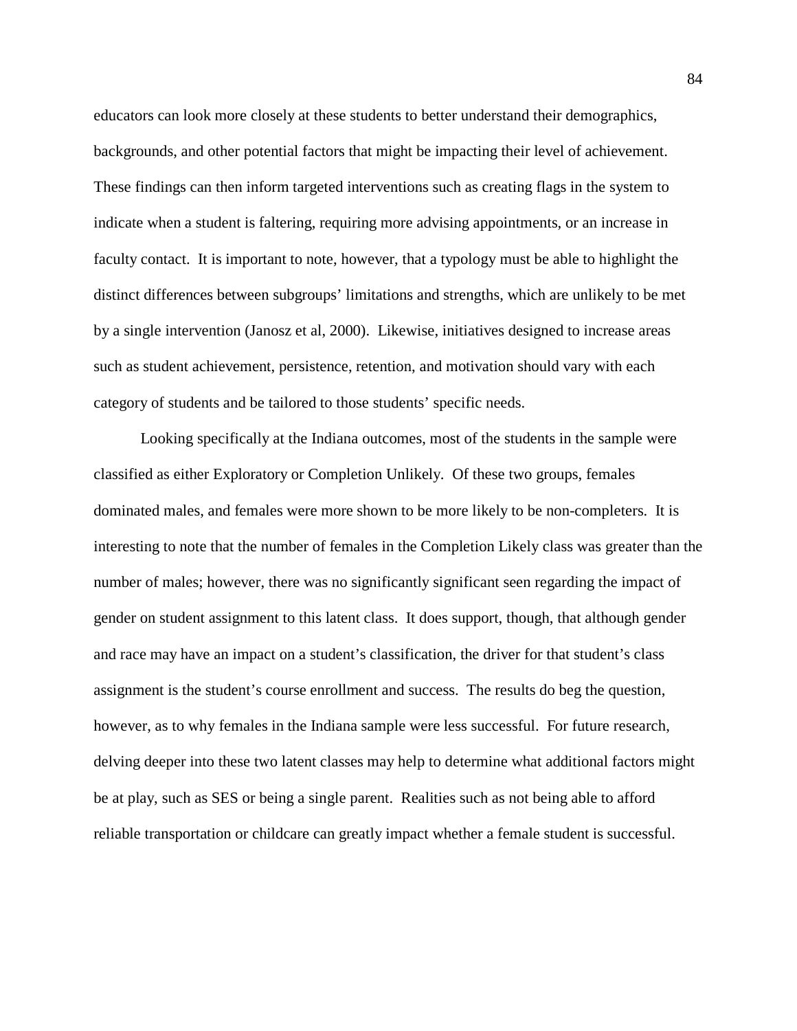educators can look more closely at these students to better understand their demographics, backgrounds, and other potential factors that might be impacting their level of achievement. These findings can then inform targeted interventions such as creating flags in the system to indicate when a student is faltering, requiring more advising appointments, or an increase in faculty contact. It is important to note, however, that a typology must be able to highlight the distinct differences between subgroups' limitations and strengths, which are unlikely to be met by a single intervention (Janosz et al, 2000). Likewise, initiatives designed to increase areas such as student achievement, persistence, retention, and motivation should vary with each category of students and be tailored to those students' specific needs.

Looking specifically at the Indiana outcomes, most of the students in the sample were classified as either Exploratory or Completion Unlikely. Of these two groups, females dominated males, and females were more shown to be more likely to be non-completers. It is interesting to note that the number of females in the Completion Likely class was greater than the number of males; however, there was no significantly significant seen regarding the impact of gender on student assignment to this latent class. It does support, though, that although gender and race may have an impact on a student's classification, the driver for that student's class assignment is the student's course enrollment and success. The results do beg the question, however, as to why females in the Indiana sample were less successful. For future research, delving deeper into these two latent classes may help to determine what additional factors might be at play, such as SES or being a single parent. Realities such as not being able to afford reliable transportation or childcare can greatly impact whether a female student is successful.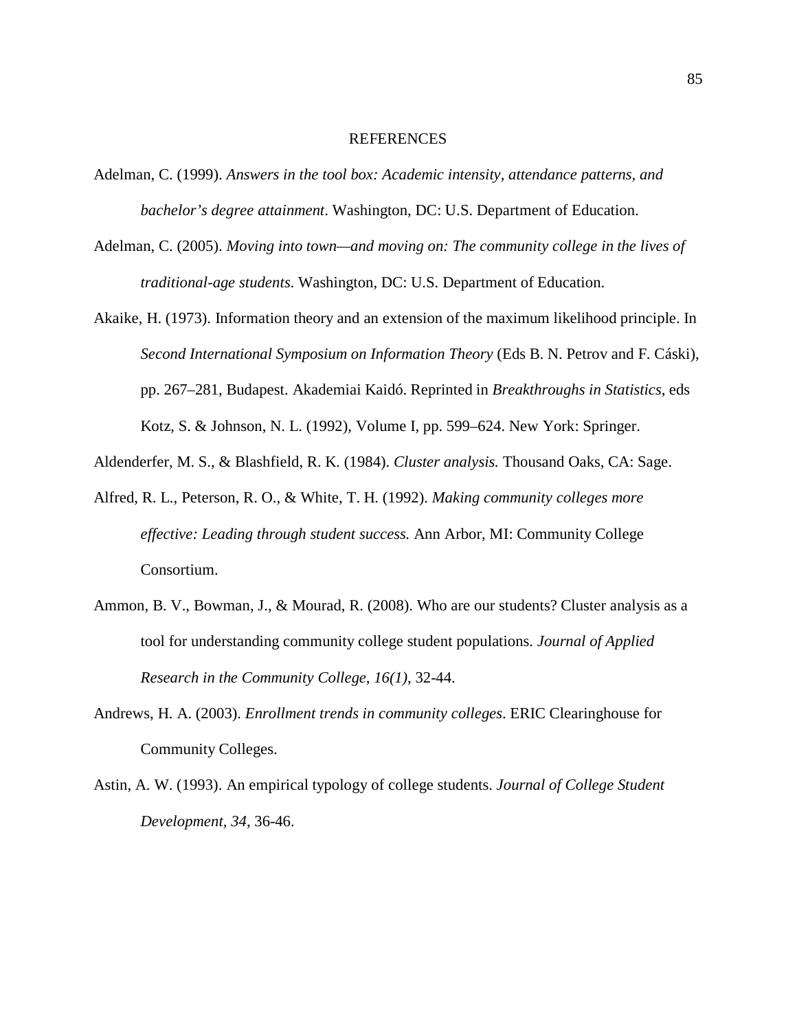#### **REFERENCES**

- Adelman, C. (1999). *Answers in the tool box: Academic intensity, attendance patterns, and bachelor's degree attainment*. Washington, DC: U.S. Department of Education.
- Adelman, C. (2005). *Moving into town—and moving on: The community college in the lives of traditional-age students*. Washington, DC: U.S. Department of Education.
- Akaike, H. (1973). Information theory and an extension of the maximum likelihood principle. In *Second International Symposium on Information Theory* (Eds B. N. Petrov and F. Cáski), pp. 267–281, Budapest. Akademiai Kaidó. Reprinted in *Breakthroughs in Statistics*, eds Kotz, S. & Johnson, N. L. (1992), Volume I, pp. 599–624. New York: Springer.
- Aldenderfer, M. S., & Blashfield, R. K. (1984). *Cluster analysis.* Thousand Oaks, CA: Sage.
- Alfred, R. L., Peterson, R. O., & White, T. H. (1992). *Making community colleges more effective: Leading through student success.* Ann Arbor, MI: Community College Consortium.
- Ammon, B. V., Bowman, J., & Mourad, R. (2008). Who are our students? Cluster analysis as a tool for understanding community college student populations. *Journal of Applied Research in the Community College, 16(1)*, 32-44.
- Andrews, H. A. (2003). *Enrollment trends in community colleges*. ERIC Clearinghouse for Community Colleges.
- Astin, A. W. (1993). An empirical typology of college students. *Journal of College Student Development, 34*, 36-46.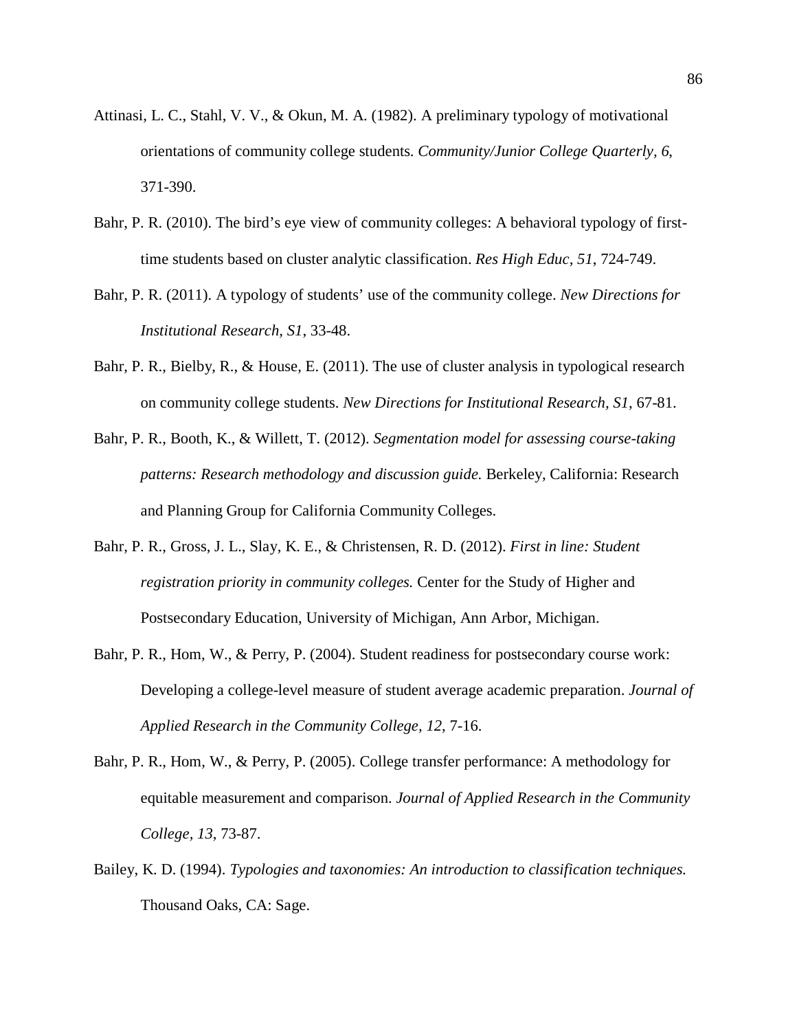- Attinasi, L. C., Stahl, V. V., & Okun, M. A. (1982). A preliminary typology of motivational orientations of community college students. *Community/Junior College Quarterly, 6*, 371-390.
- Bahr, P. R. (2010). The bird's eye view of community colleges: A behavioral typology of firsttime students based on cluster analytic classification. *Res High Educ, 51*, 724-749.
- Bahr, P. R. (2011). A typology of students' use of the community college. *New Directions for Institutional Research, S1*, 33-48.
- Bahr, P. R., Bielby, R., & House, E. (2011). The use of cluster analysis in typological research on community college students. *New Directions for Institutional Research, S1*, 67-81.
- Bahr, P. R., Booth, K., & Willett, T. (2012). *Segmentation model for assessing course-taking patterns: Research methodology and discussion guide.* Berkeley, California: Research and Planning Group for California Community Colleges.
- Bahr, P. R., Gross, J. L., Slay, K. E., & Christensen, R. D. (2012). *First in line: Student registration priority in community colleges.* Center for the Study of Higher and Postsecondary Education, University of Michigan, Ann Arbor, Michigan.
- Bahr, P. R., Hom, W., & Perry, P. (2004). Student readiness for postsecondary course work: Developing a college-level measure of student average academic preparation. *Journal of Applied Research in the Community College, 12*, 7-16.
- Bahr, P. R., Hom, W., & Perry, P. (2005). College transfer performance: A methodology for equitable measurement and comparison. *Journal of Applied Research in the Community College, 13*, 73-87.
- Bailey, K. D. (1994). *Typologies and taxonomies: An introduction to classification techniques.* Thousand Oaks, CA: Sage.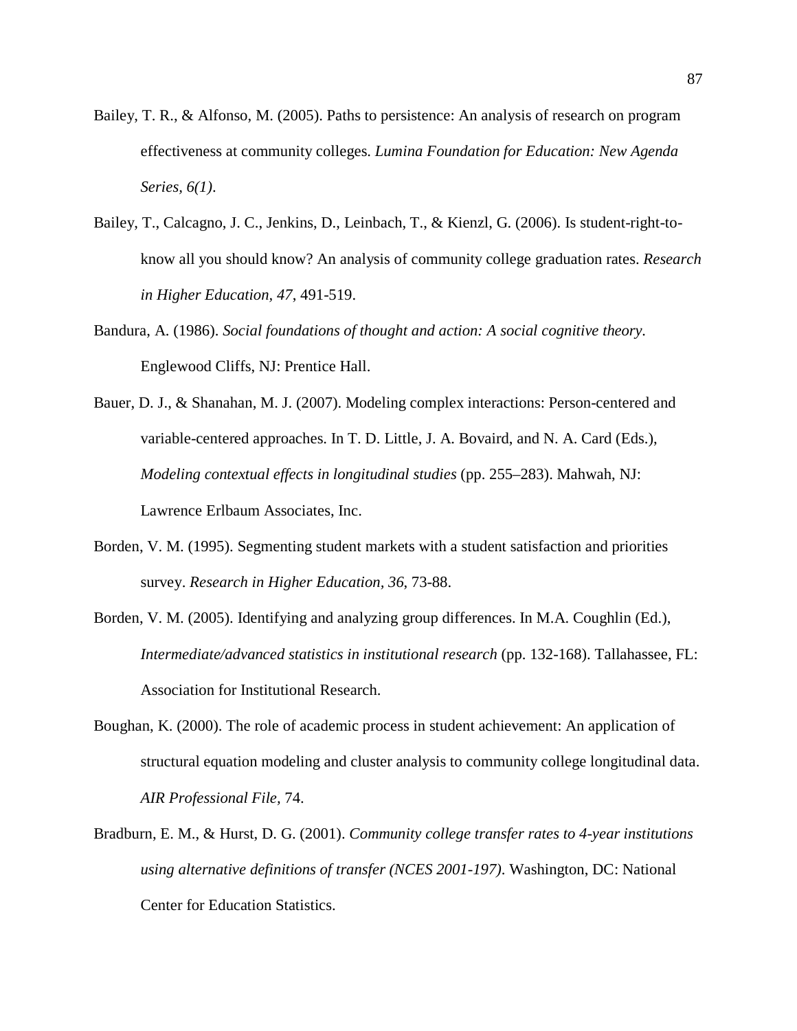- Bailey, T. R., & Alfonso, M. (2005). Paths to persistence: An analysis of research on program effectiveness at community colleges. *Lumina Foundation for Education: New Agenda Series, 6(1)*.
- Bailey, T., Calcagno, J. C., Jenkins, D., Leinbach, T., & Kienzl, G. (2006). Is student-right-toknow all you should know? An analysis of community college graduation rates. *Research in Higher Education, 47*, 491-519.
- Bandura, A. (1986). *Social foundations of thought and action: A social cognitive theory.* Englewood Cliffs, NJ: Prentice Hall.
- Bauer, D. J., & Shanahan, M. J. (2007). Modeling complex interactions: Person-centered and variable-centered approaches. In T. D. Little, J. A. Bovaird, and N. A. Card (Eds.), *Modeling contextual effects in longitudinal studies* (pp. 255–283). Mahwah, NJ: Lawrence Erlbaum Associates, Inc.
- Borden, V. M. (1995). Segmenting student markets with a student satisfaction and priorities survey. *Research in Higher Education, 36*, 73-88.
- Borden, V. M. (2005). Identifying and analyzing group differences. In M.A. Coughlin (Ed.), *Intermediate/advanced statistics in institutional research* (pp. 132-168). Tallahassee, FL: Association for Institutional Research.
- Boughan, K. (2000). The role of academic process in student achievement: An application of structural equation modeling and cluster analysis to community college longitudinal data. *AIR Professional File,* 74.
- Bradburn, E. M., & Hurst, D. G. (2001). *Community college transfer rates to 4-year institutions using alternative definitions of transfer (NCES 2001-197)*. Washington, DC: National Center for Education Statistics.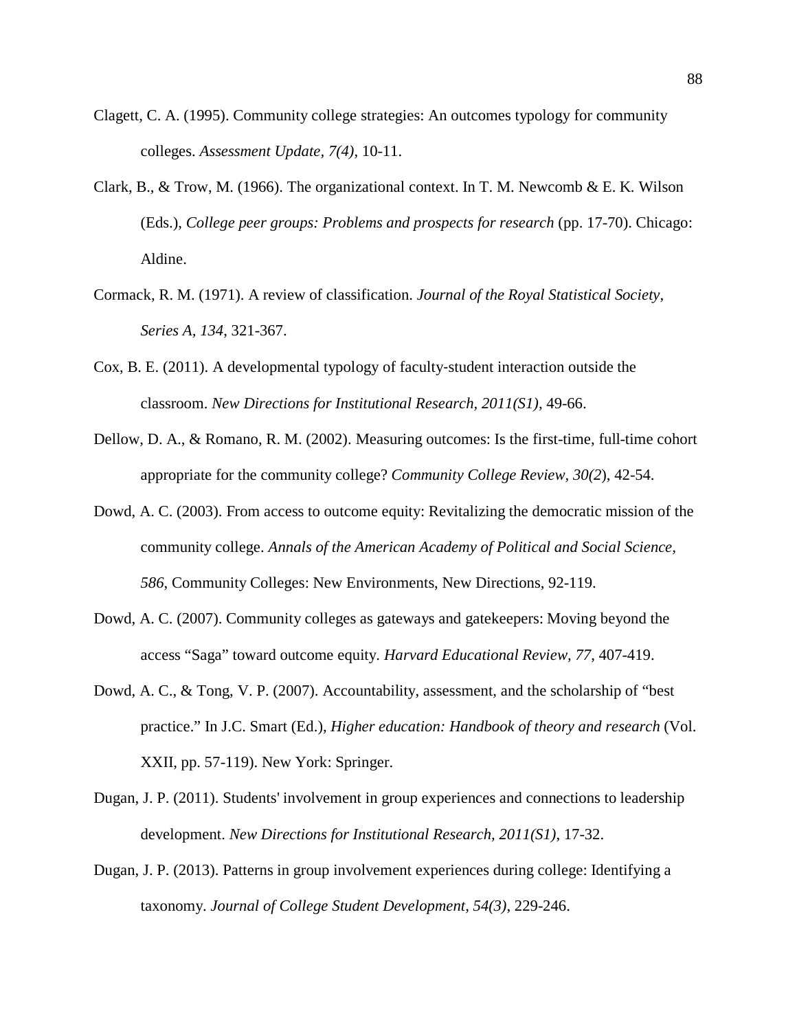- Clagett, C. A. (1995). Community college strategies: An outcomes typology for community colleges. *Assessment Update, 7(4)*, 10-11.
- Clark, B., & Trow, M. (1966). The organizational context. In T. M. Newcomb & E. K. Wilson (Eds.), *College peer groups: Problems and prospects for research* (pp. 17-70). Chicago: Aldine.
- Cormack, R. M. (1971). A review of classification. *Journal of the Royal Statistical Society, Series A, 134*, 321-367.
- Cox, B. E. (2011). A developmental typology of faculty‐student interaction outside the classroom. *New Directions for Institutional Research, 2011(S1),* 49-66.
- Dellow, D. A., & Romano, R. M. (2002). Measuring outcomes: Is the first-time, full-time cohort appropriate for the community college? *Community College Review, 30(2*), 42-54.
- Dowd, A. C. (2003). From access to outcome equity: Revitalizing the democratic mission of the community college. *Annals of the American Academy of Political and Social Science, 586*, Community Colleges: New Environments, New Directions, 92-119.
- Dowd, A. C. (2007). Community colleges as gateways and gatekeepers: Moving beyond the access "Saga" toward outcome equity. *Harvard Educational Review, 77*, 407-419.
- Dowd, A. C., & Tong, V. P. (2007). Accountability, assessment, and the scholarship of "best practice." In J.C. Smart (Ed.), *Higher education: Handbook of theory and research* (Vol. XXII, pp. 57-119). New York: Springer.
- Dugan, J. P. (2011). Students' involvement in group experiences and connections to leadership development. *New Directions for Institutional Research, 2011(S1)*, 17-32.
- Dugan, J. P. (2013). Patterns in group involvement experiences during college: Identifying a taxonomy. *Journal of College Student Development, 54(3)*, 229-246.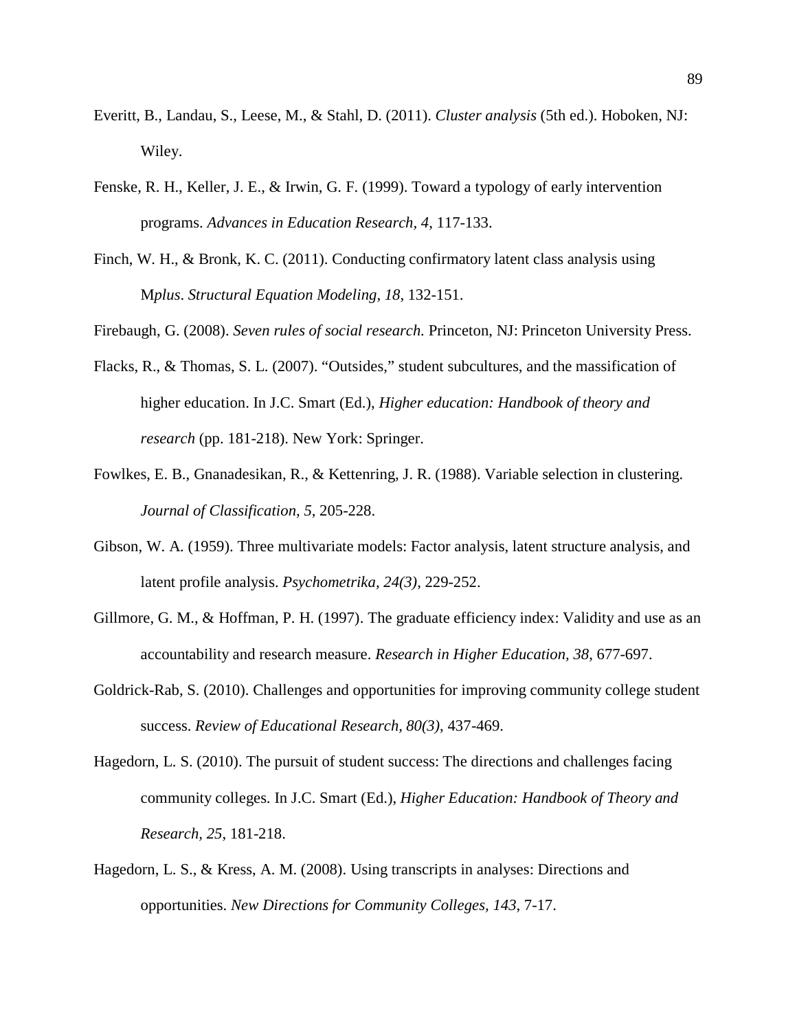- Everitt, B., Landau, S., Leese, M., & Stahl, D. (2011). *Cluster analysis* (5th ed.). Hoboken, NJ: Wiley.
- Fenske, R. H., Keller, J. E., & Irwin, G. F. (1999). Toward a typology of early intervention programs. *Advances in Education Research, 4*, 117-133.
- Finch, W. H., & Bronk, K. C. (2011). Conducting confirmatory latent class analysis using M*plus*. *Structural Equation Modeling, 18,* 132-151.
- Firebaugh, G. (2008). *Seven rules of social research.* Princeton, NJ: Princeton University Press.
- Flacks, R., & Thomas, S. L. (2007). "Outsides," student subcultures, and the massification of higher education. In J.C. Smart (Ed.), *Higher education: Handbook of theory and research* (pp. 181-218). New York: Springer.
- Fowlkes, E. B., Gnanadesikan, R., & Kettenring, J. R. (1988). Variable selection in clustering. *Journal of Classification, 5*, 205-228.
- Gibson, W. A. (1959). Three multivariate models: Factor analysis, latent structure analysis, and latent profile analysis. *Psychometrika, 24(3)*, 229-252.
- Gillmore, G. M., & Hoffman, P. H. (1997). The graduate efficiency index: Validity and use as an accountability and research measure. *Research in Higher Education, 38*, 677-697.
- Goldrick-Rab, S. (2010). Challenges and opportunities for improving community college student success. *Review of Educational Research, 80(3)*, 437-469.
- Hagedorn, L. S. (2010). The pursuit of student success: The directions and challenges facing community colleges. In J.C. Smart (Ed.), *Higher Education: Handbook of Theory and Research, 25*, 181-218.
- Hagedorn, L. S., & Kress, A. M. (2008). Using transcripts in analyses: Directions and opportunities. *New Directions for Community Colleges, 143*, 7-17.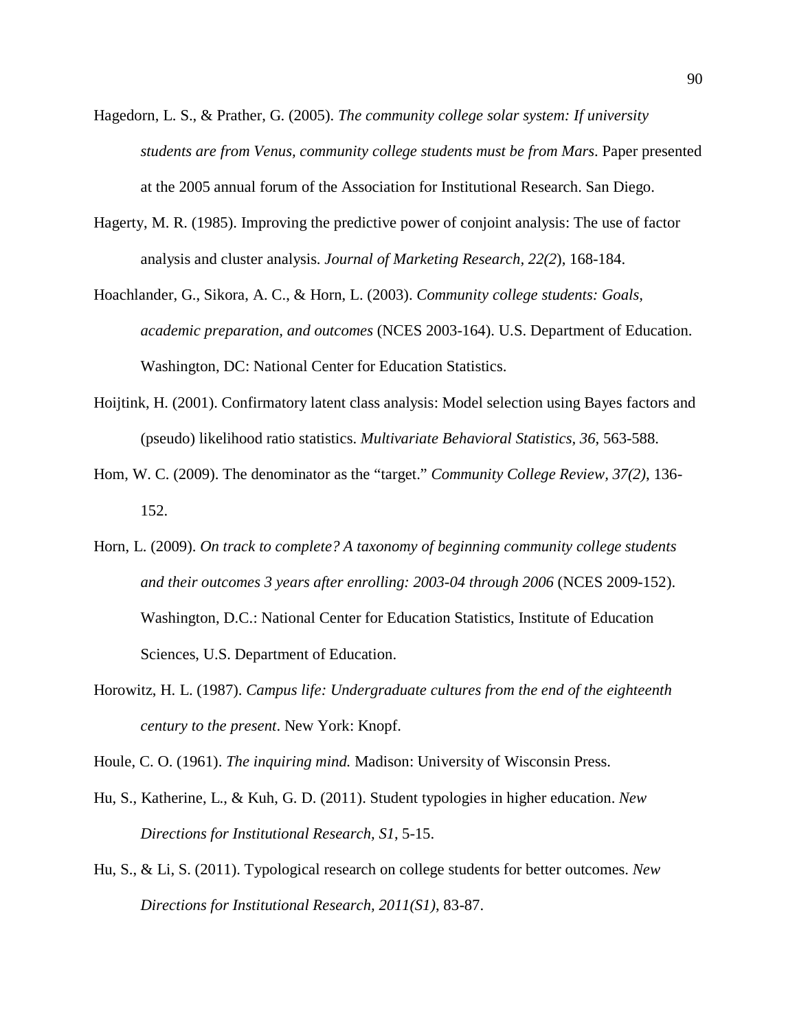- Hagedorn, L. S., & Prather, G. (2005). *The community college solar system: If university students are from Venus, community college students must be from Mars*. Paper presented at the 2005 annual forum of the Association for Institutional Research. San Diego.
- Hagerty, M. R. (1985). Improving the predictive power of conjoint analysis: The use of factor analysis and cluster analysis. *Journal of Marketing Research, 22(2*), 168-184.
- Hoachlander, G., Sikora, A. C., & Horn, L. (2003). *Community college students: Goals, academic preparation, and outcomes* (NCES 2003-164). U.S. Department of Education. Washington, DC: National Center for Education Statistics.
- Hoijtink, H. (2001). Confirmatory latent class analysis: Model selection using Bayes factors and (pseudo) likelihood ratio statistics. *Multivariate Behavioral Statistics, 36*, 563-588.
- Hom, W. C. (2009). The denominator as the "target." *Community College Review, 37(2)*, 136- 152.
- Horn, L. (2009). *On track to complete? A taxonomy of beginning community college students and their outcomes 3 years after enrolling: 2003-04 through 2006* (NCES 2009-152). Washington, D.C.: National Center for Education Statistics, Institute of Education Sciences, U.S. Department of Education.
- Horowitz, H. L. (1987). *Campus life: Undergraduate cultures from the end of the eighteenth century to the present*. New York: Knopf.

Houle, C. O. (1961). *The inquiring mind.* Madison: University of Wisconsin Press.

- Hu, S., Katherine, L., & Kuh, G. D. (2011). Student typologies in higher education. *New Directions for Institutional Research, S1*, 5-15.
- Hu, S., & Li, S. (2011). Typological research on college students for better outcomes. *New Directions for Institutional Research, 2011(S1)*, 83-87.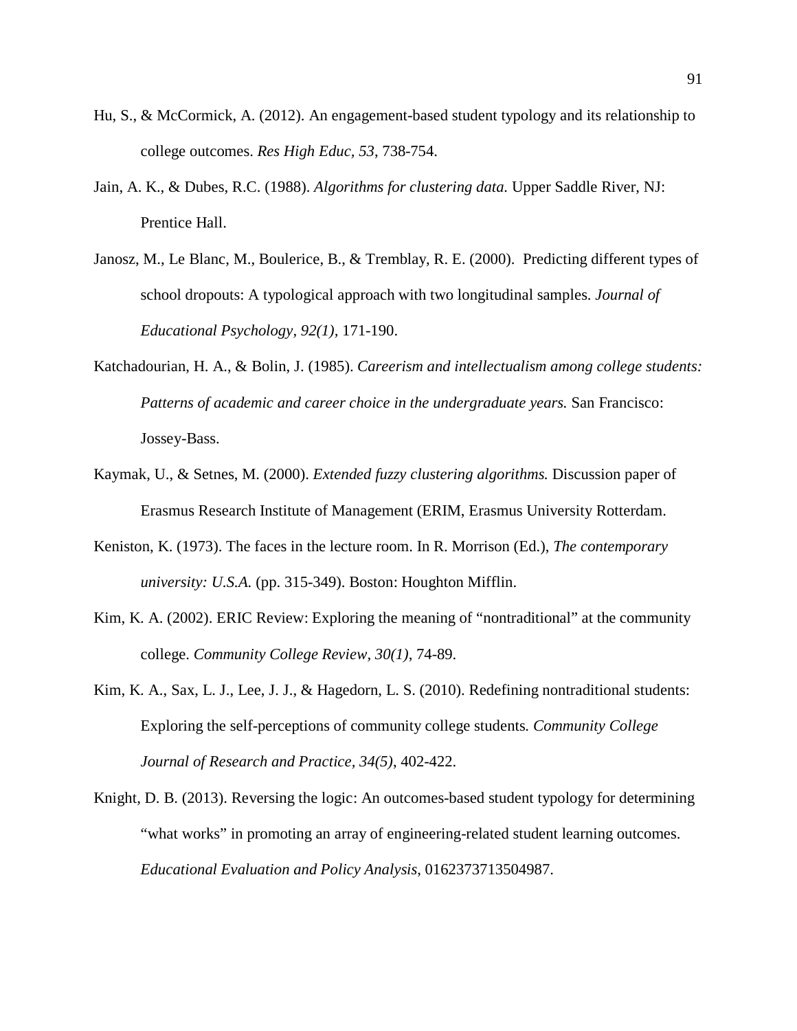- Hu, S., & McCormick, A. (2012). An engagement-based student typology and its relationship to college outcomes. *Res High Educ, 53*, 738-754.
- Jain, A. K., & Dubes, R.C. (1988). *Algorithms for clustering data.* Upper Saddle River, NJ: Prentice Hall.
- Janosz, M., Le Blanc, M., Boulerice, B., & Tremblay, R. E. (2000). Predicting different types of school dropouts: A typological approach with two longitudinal samples. *Journal of Educational Psychology, 92(1),* 171-190.
- Katchadourian, H. A., & Bolin, J. (1985). *Careerism and intellectualism among college students: Patterns of academic and career choice in the undergraduate years.* San Francisco: Jossey-Bass.
- Kaymak, U., & Setnes, M. (2000). *Extended fuzzy clustering algorithms.* Discussion paper of Erasmus Research Institute of Management (ERIM, Erasmus University Rotterdam.
- Keniston, K. (1973). The faces in the lecture room. In R. Morrison (Ed.), *The contemporary university: U.S.A.* (pp. 315-349). Boston: Houghton Mifflin.
- Kim, K. A. (2002). ERIC Review: Exploring the meaning of "nontraditional" at the community college. *Community College Review, 30(1)*, 74-89.
- Kim, K. A., Sax, L. J., Lee, J. J., & Hagedorn, L. S. (2010). Redefining nontraditional students: Exploring the self-perceptions of community college students*. Community College Journal of Research and Practice, 34(5)*, 402-422.
- Knight, D. B. (2013). Reversing the logic: An outcomes-based student typology for determining "what works" in promoting an array of engineering-related student learning outcomes. *Educational Evaluation and Policy Analysis*, 0162373713504987.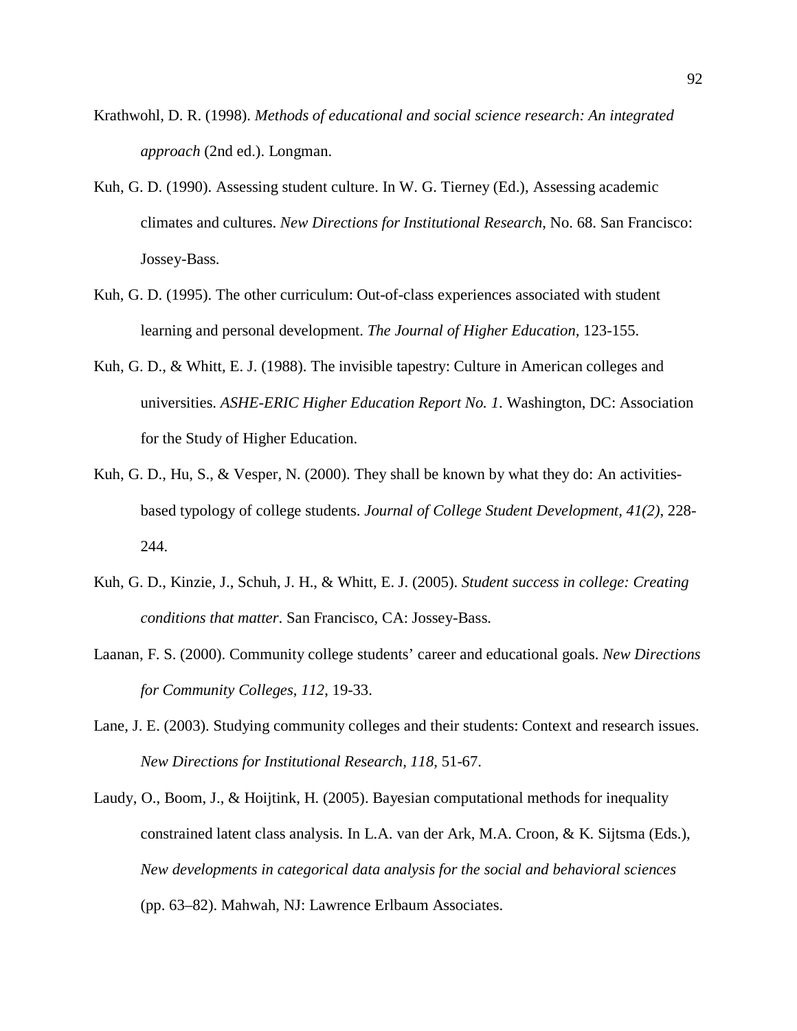- Krathwohl, D. R. (1998). *Methods of educational and social science research: An integrated approach* (2nd ed.). Longman.
- Kuh, G. D. (1990). Assessing student culture. In W. G. Tierney (Ed.), Assessing academic climates and cultures. *New Directions for Institutional Research*, No. 68. San Francisco: Jossey-Bass.
- Kuh, G. D. (1995). The other curriculum: Out-of-class experiences associated with student learning and personal development. *The Journal of Higher Education,* 123-155.
- Kuh, G. D., & Whitt, E. J. (1988). The invisible tapestry: Culture in American colleges and universities. *ASHE-ERIC Higher Education Report No. 1*. Washington, DC: Association for the Study of Higher Education.
- Kuh, G. D., Hu, S., & Vesper, N. (2000). They shall be known by what they do: An activitiesbased typology of college students. *Journal of College Student Development, 41(2)*, 228- 244.
- Kuh, G. D., Kinzie, J., Schuh, J. H., & Whitt, E. J. (2005). *Student success in college: Creating conditions that matter*. San Francisco, CA: Jossey-Bass.
- Laanan, F. S. (2000). Community college students' career and educational goals. *New Directions for Community Colleges, 112*, 19-33.
- Lane, J. E. (2003). Studying community colleges and their students: Context and research issues. *New Directions for Institutional Research, 118*, 51-67.
- Laudy, O., Boom, J., & Hoijtink, H. (2005). Bayesian computational methods for inequality constrained latent class analysis. In L.A. van der Ark, M.A. Croon, & K. Sijtsma (Eds.), *New developments in categorical data analysis for the social and behavioral sciences* (pp. 63–82). Mahwah, NJ: Lawrence Erlbaum Associates.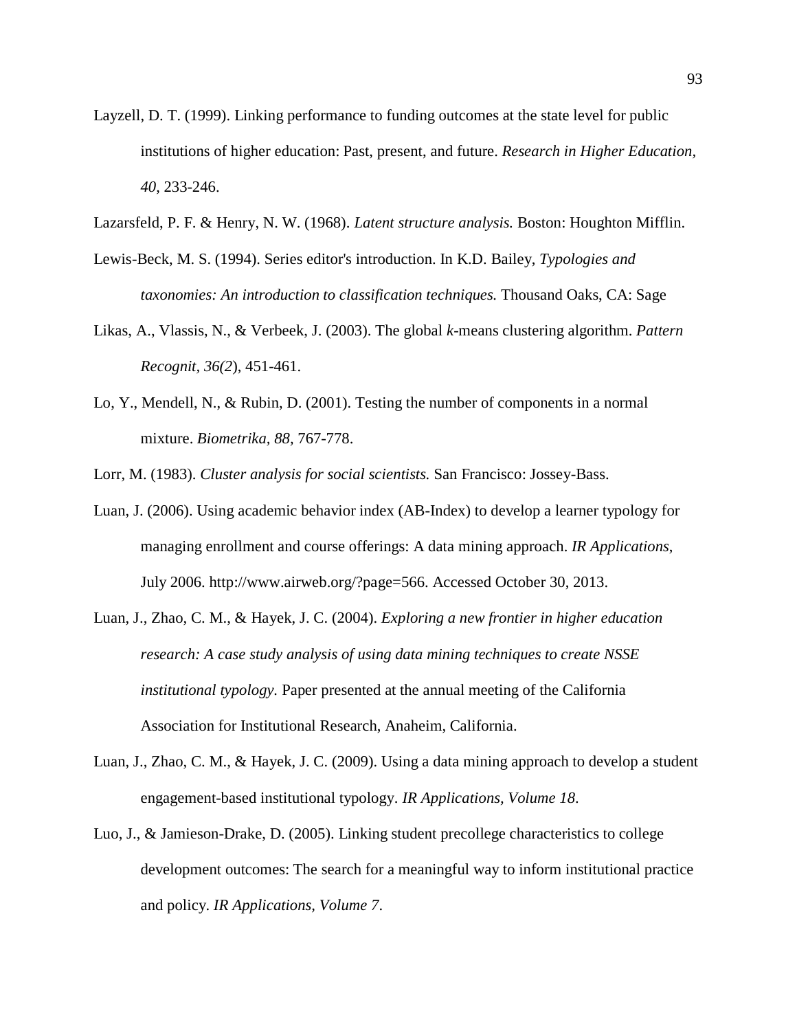- Layzell, D. T. (1999). Linking performance to funding outcomes at the state level for public institutions of higher education: Past, present, and future. *Research in Higher Education, 40*, 233-246.
- Lazarsfeld, P. F. & Henry, N. W. (1968). *Latent structure analysis.* Boston: Houghton Mifflin.
- Lewis-Beck, M. S. (1994). Series editor's introduction. In K.D. Bailey, *Typologies and taxonomies: An introduction to classification techniques.* Thousand Oaks, CA: Sage
- Likas, A., Vlassis, N., & Verbeek, J. (2003). The global *k*-means clustering algorithm. *Pattern Recognit, 36(2*), 451-461.
- Lo, Y., Mendell, N., & Rubin, D. (2001). Testing the number of components in a normal mixture. *Biometrika, 88,* 767-778.

Lorr, M. (1983). *Cluster analysis for social scientists.* San Francisco: Jossey-Bass.

- Luan, J. (2006). Using academic behavior index (AB-Index) to develop a learner typology for managing enrollment and course offerings: A data mining approach. *IR Applications*, July 2006. http://www.airweb.org/?page=566. Accessed October 30, 2013.
- Luan, J., Zhao, C. M., & Hayek, J. C. (2004). *Exploring a new frontier in higher education research: A case study analysis of using data mining techniques to create NSSE institutional typology.* Paper presented at the annual meeting of the California Association for Institutional Research, Anaheim, California.
- Luan, J., Zhao, C. M., & Hayek, J. C. (2009). Using a data mining approach to develop a student engagement-based institutional typology. *IR Applications, Volume 18*.
- Luo, J., & Jamieson-Drake, D. (2005). Linking student precollege characteristics to college development outcomes: The search for a meaningful way to inform institutional practice and policy. *IR Applications, Volume 7*.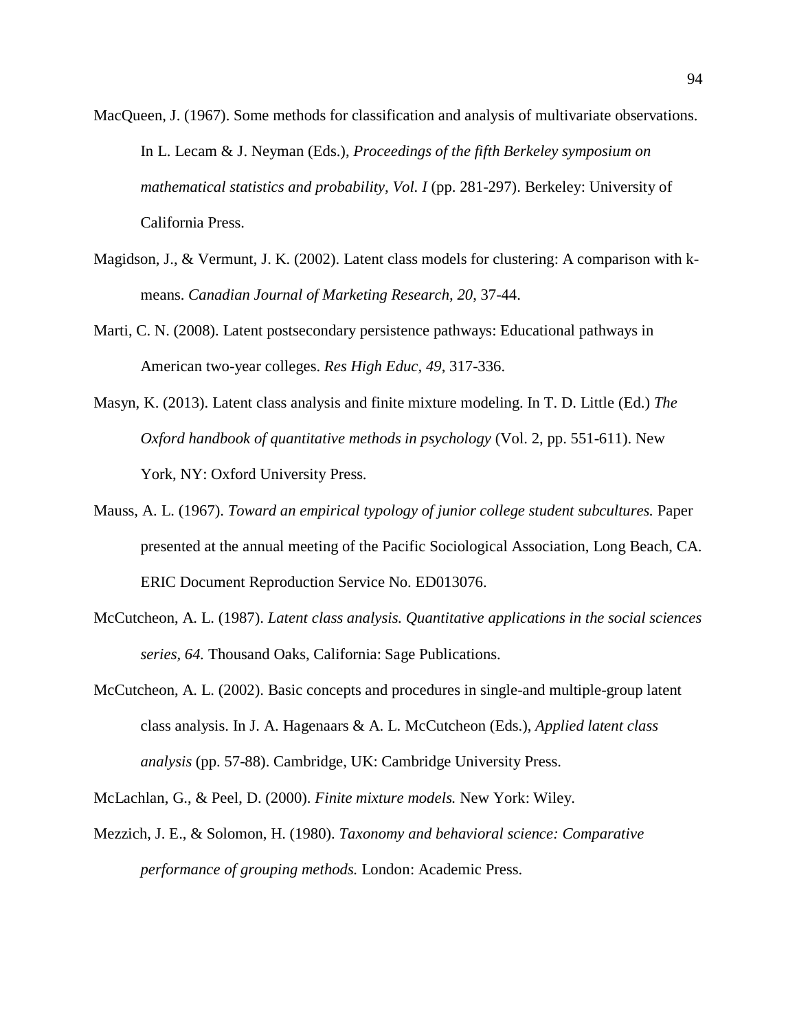- MacQueen, J. (1967). Some methods for classification and analysis of multivariate observations. In L. Lecam & J. Neyman (Eds.), *Proceedings of the fifth Berkeley symposium on mathematical statistics and probability, Vol. I* (pp. 281-297). Berkeley: University of California Press.
- Magidson, J., & Vermunt, J. K. (2002). Latent class models for clustering: A comparison with kmeans. *Canadian Journal of Marketing Research, 20*, 37-44.
- Marti, C. N. (2008). Latent postsecondary persistence pathways: Educational pathways in American two-year colleges. *Res High Educ, 49*, 317-336.
- Masyn, K. (2013). Latent class analysis and finite mixture modeling. In T. D. Little (Ed.) *The Oxford handbook of quantitative methods in psychology* (Vol. 2, pp. 551-611). New York, NY: Oxford University Press.
- Mauss, A. L. (1967). *Toward an empirical typology of junior college student subcultures.* Paper presented at the annual meeting of the Pacific Sociological Association, Long Beach, CA. ERIC Document Reproduction Service No. ED013076.
- McCutcheon, A. L. (1987). *Latent class analysis. Quantitative applications in the social sciences series, 64.* Thousand Oaks, California: Sage Publications.
- McCutcheon, A. L. (2002). Basic concepts and procedures in single-and multiple-group latent class analysis. In J. A. Hagenaars & A. L. McCutcheon (Eds.), *Applied latent class analysis* (pp. 57-88). Cambridge, UK: Cambridge University Press.

McLachlan, G., & Peel, D. (2000). *Finite mixture models.* New York: Wiley.

Mezzich, J. E., & Solomon, H. (1980). *Taxonomy and behavioral science: Comparative performance of grouping methods.* London: Academic Press.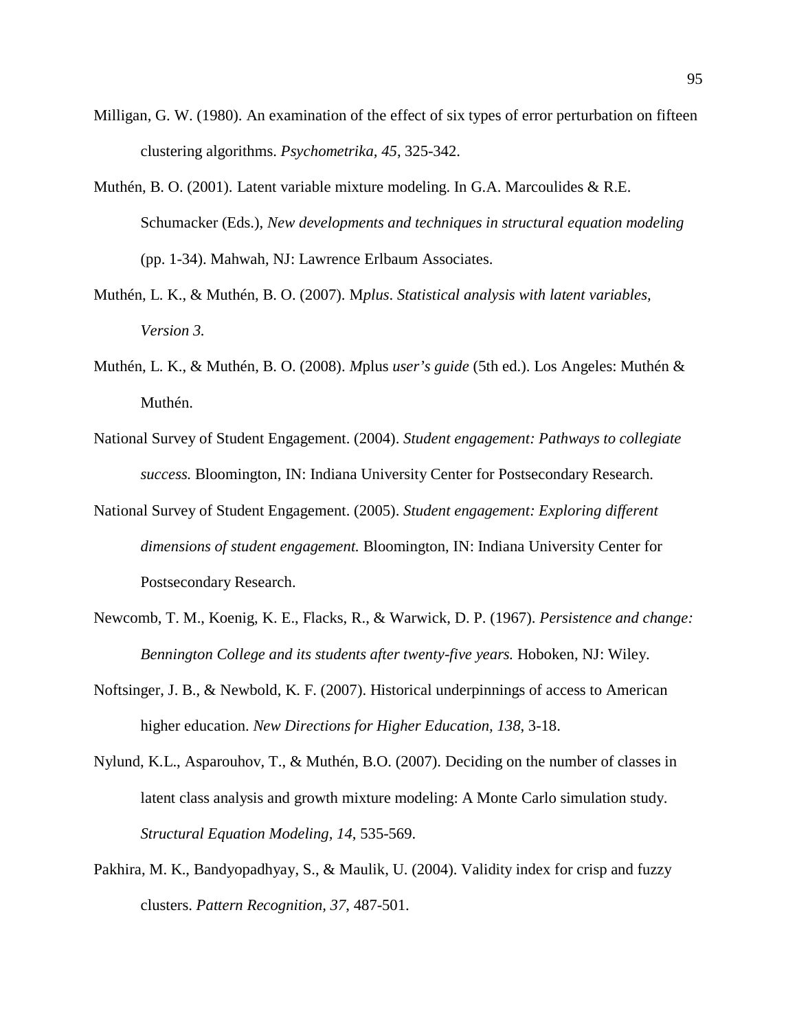- Milligan, G. W. (1980). An examination of the effect of six types of error perturbation on fifteen clustering algorithms. *Psychometrika, 45*, 325-342.
- Muthén, B. O. (2001). Latent variable mixture modeling. In G.A. Marcoulides & R.E. Schumacker (Eds.), *New developments and techniques in structural equation modeling* (pp. 1-34). Mahwah, NJ: Lawrence Erlbaum Associates.
- Muthén, L. K., & Muthén, B. O. (2007). M*plus*. *Statistical analysis with latent variables, Version 3.*
- Muthén, L. K., & Muthén, B. O. (2008). *M*plus *user's guide* (5th ed.). Los Angeles: Muthén & Muthén.
- National Survey of Student Engagement. (2004). *Student engagement: Pathways to collegiate success.* Bloomington, IN: Indiana University Center for Postsecondary Research.
- National Survey of Student Engagement. (2005). *Student engagement: Exploring different dimensions of student engagement.* Bloomington, IN: Indiana University Center for Postsecondary Research.
- Newcomb, T. M., Koenig, K. E., Flacks, R., & Warwick, D. P. (1967). *Persistence and change: Bennington College and its students after twenty-five years.* Hoboken, NJ: Wiley.
- Noftsinger, J. B., & Newbold, K. F. (2007). Historical underpinnings of access to American higher education. *New Directions for Higher Education, 138*, 3-18.
- Nylund, K.L., Asparouhov, T., & Muthén, B.O. (2007). Deciding on the number of classes in latent class analysis and growth mixture modeling: A Monte Carlo simulation study. *Structural Equation Modeling, 14*, 535-569.
- Pakhira, M. K., Bandyopadhyay, S., & Maulik, U. (2004). Validity index for crisp and fuzzy clusters. *Pattern Recognition, 37*, 487-501.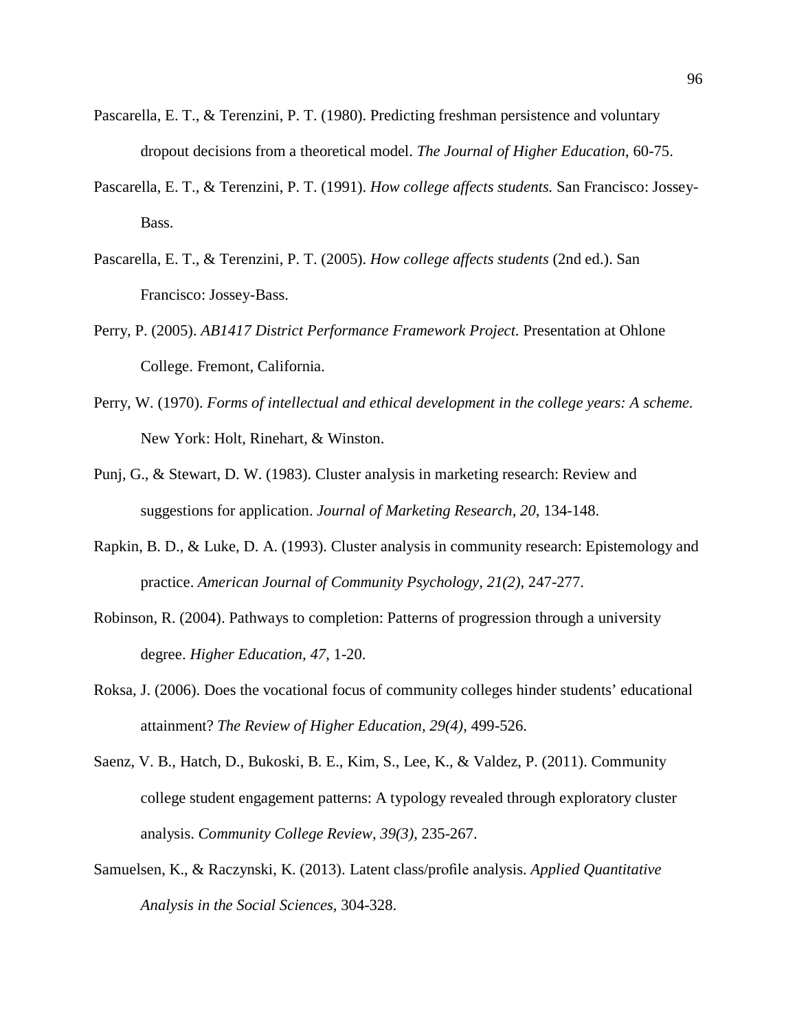- Pascarella, E. T., & Terenzini, P. T. (1980). Predicting freshman persistence and voluntary dropout decisions from a theoretical model. *The Journal of Higher Education*, 60-75.
- Pascarella, E. T., & Terenzini, P. T. (1991). *How college affects students.* San Francisco: Jossey-Bass.
- Pascarella, E. T., & Terenzini, P. T. (2005). *How college affects students* (2nd ed.). San Francisco: Jossey-Bass.
- Perry, P. (2005). *AB1417 District Performance Framework Project.* Presentation at Ohlone College. Fremont, California.
- Perry, W. (1970). *Forms of intellectual and ethical development in the college years: A scheme.*  New York: Holt, Rinehart, & Winston.
- Punj, G., & Stewart, D. W. (1983). Cluster analysis in marketing research: Review and suggestions for application. *Journal of Marketing Research, 20*, 134-148.
- Rapkin, B. D., & Luke, D. A. (1993). Cluster analysis in community research: Epistemology and practice. *American Journal of Community Psychology, 21(2)*, 247-277.
- Robinson, R. (2004). Pathways to completion: Patterns of progression through a university degree. *Higher Education, 47*, 1-20.
- Roksa, J. (2006). Does the vocational focus of community colleges hinder students' educational attainment? *The Review of Higher Education, 29(4)*, 499-526.
- Saenz, V. B., Hatch, D., Bukoski, B. E., Kim, S., Lee, K., & Valdez, P. (2011). Community college student engagement patterns: A typology revealed through exploratory cluster analysis. *Community College Review, 39(3)*, 235-267.
- Samuelsen, K., & Raczynski, K. (2013). Latent class/profile analysis. *Applied Quantitative Analysis in the Social Sciences,* 304-328.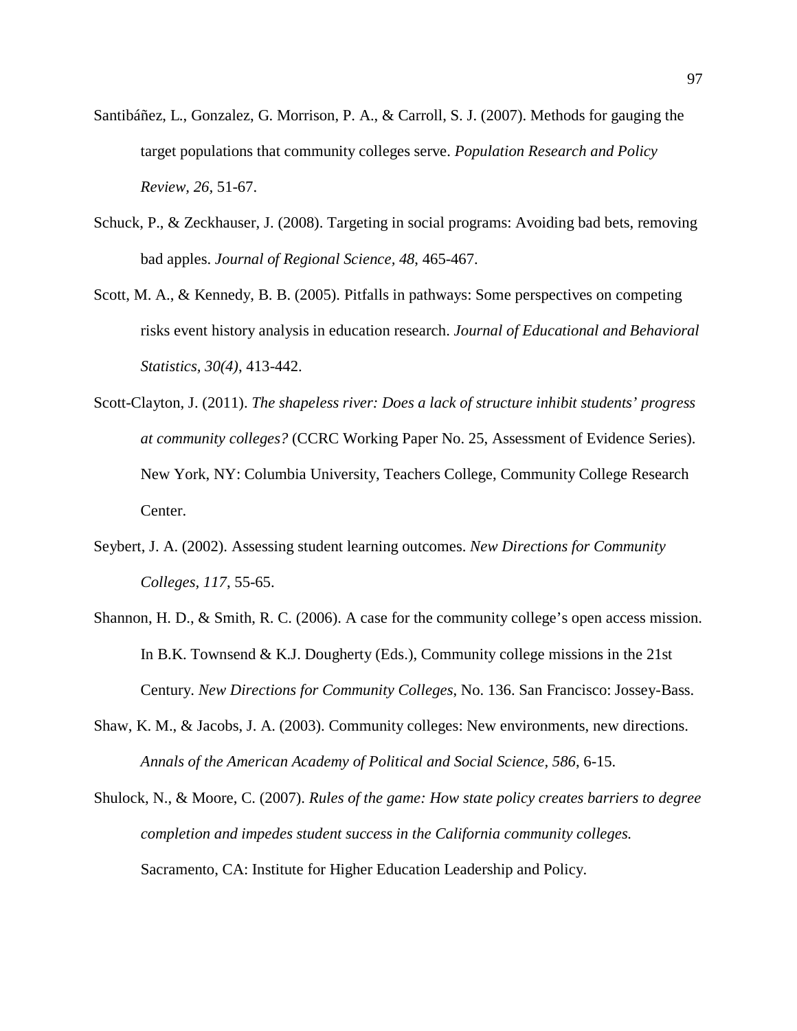- Santibáñez, L., Gonzalez, G. Morrison, P. A., & Carroll, S. J. (2007). Methods for gauging the target populations that community colleges serve. *Population Research and Policy Review, 26,* 51-67.
- Schuck, P., & Zeckhauser, J. (2008). Targeting in social programs: Avoiding bad bets, removing bad apples. *Journal of Regional Science, 48*, 465-467.
- Scott, M. A., & Kennedy, B. B. (2005). Pitfalls in pathways: Some perspectives on competing risks event history analysis in education research. *Journal of Educational and Behavioral Statistics, 30(4)*, 413-442.
- Scott-Clayton, J. (2011). *The shapeless river: Does a lack of structure inhibit students' progress at community colleges?* (CCRC Working Paper No. 25, Assessment of Evidence Series). New York, NY: Columbia University, Teachers College, Community College Research Center.
- Seybert, J. A. (2002). Assessing student learning outcomes. *New Directions for Community Colleges, 117*, 55-65.
- Shannon, H. D., & Smith, R. C. (2006). A case for the community college's open access mission. In B.K. Townsend & K.J. Dougherty (Eds.), Community college missions in the 21st Century. *New Directions for Community Colleges*, No. 136. San Francisco: Jossey-Bass.
- Shaw, K. M., & Jacobs, J. A. (2003). Community colleges: New environments, new directions. *Annals of the American Academy of Political and Social Science, 586*, 6-15.
- Shulock, N., & Moore, C. (2007). *Rules of the game: How state policy creates barriers to degree completion and impedes student success in the California community colleges.* Sacramento, CA: Institute for Higher Education Leadership and Policy.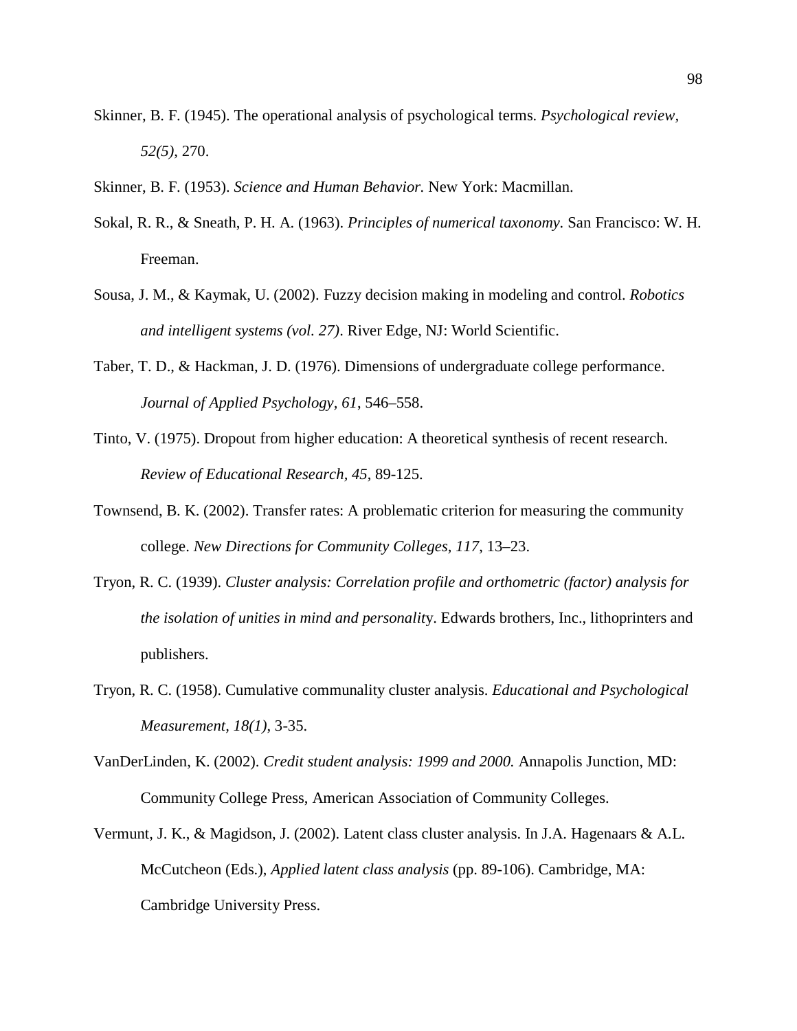- Skinner, B. F. (1945). The operational analysis of psychological terms. *Psychological review, 52(5)*, 270.
- Skinner, B. F. (1953). *Science and Human Behavior.* New York: Macmillan.
- Sokal, R. R., & Sneath, P. H. A. (1963). *Principles of numerical taxonomy.* San Francisco: W. H. Freeman.
- Sousa, J. M., & Kaymak, U. (2002). Fuzzy decision making in modeling and control. *Robotics and intelligent systems (vol. 27)*. River Edge, NJ: World Scientific.
- Taber, T. D., & Hackman, J. D. (1976). Dimensions of undergraduate college performance. *Journal of Applied Psychology, 61*, 546–558.
- Tinto, V. (1975). Dropout from higher education: A theoretical synthesis of recent research. *Review of Educational Research, 45*, 89-125.
- Townsend, B. K. (2002). Transfer rates: A problematic criterion for measuring the community college. *New Directions for Community Colleges, 117*, 13–23.
- Tryon, R. C. (1939). *Cluster analysis: Correlation profile and orthometric (factor) analysis for the isolation of unities in mind and personalit*y. Edwards brothers, Inc., lithoprinters and publishers.
- Tryon, R. C. (1958). Cumulative communality cluster analysis. *Educational and Psychological Measurement, 18(1)*, 3-35.
- VanDerLinden, K. (2002). *Credit student analysis: 1999 and 2000.* Annapolis Junction, MD: Community College Press, American Association of Community Colleges.
- Vermunt, J. K., & Magidson, J. (2002). Latent class cluster analysis. In J.A. Hagenaars & A.L. McCutcheon (Eds.), *Applied latent class analysis* (pp. 89-106). Cambridge, MA: Cambridge University Press.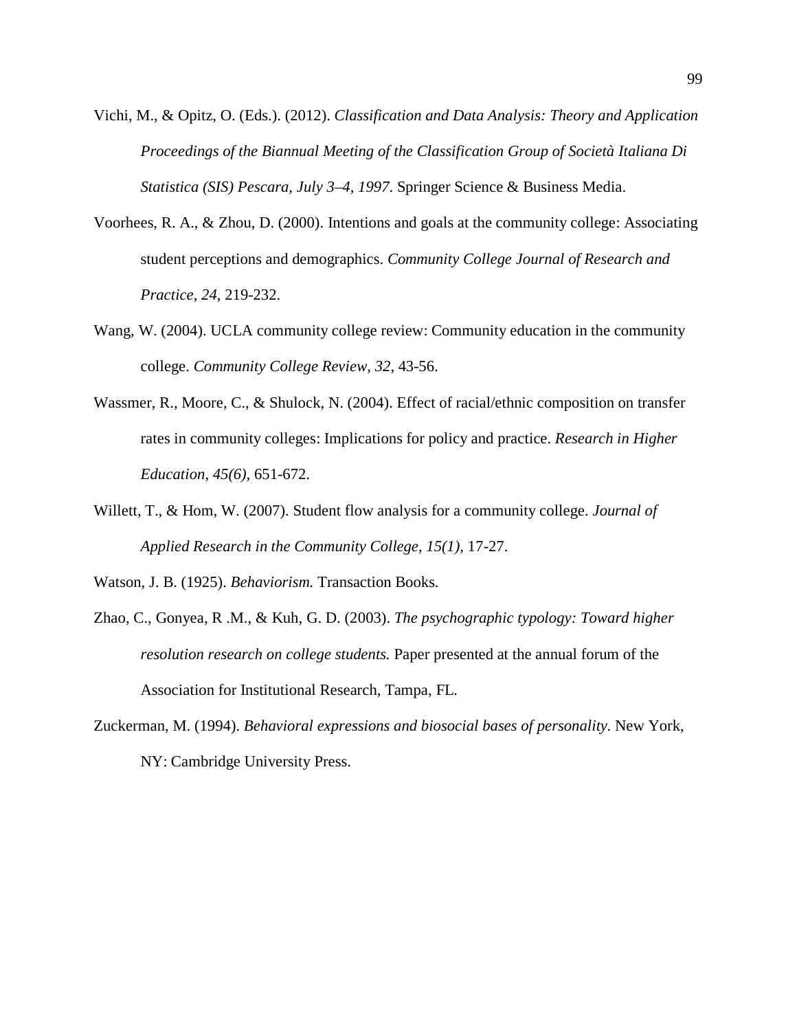- Vichi, M., & Opitz, O. (Eds.). (2012). *Classification and Data Analysis: Theory and Application Proceedings of the Biannual Meeting of the Classification Group of Società Italiana Di Statistica (SIS) Pescara, July 3–4, 1997*. Springer Science & Business Media.
- Voorhees, R. A., & Zhou, D. (2000). Intentions and goals at the community college: Associating student perceptions and demographics. *Community College Journal of Research and Practice, 24*, 219-232.
- Wang, W. (2004). UCLA community college review: Community education in the community college. *Community College Review, 32*, 43-56.
- Wassmer, R., Moore, C., & Shulock, N. (2004). Effect of racial/ethnic composition on transfer rates in community colleges: Implications for policy and practice. *Research in Higher Education, 45(6)*, 651-672.
- Willett, T., & Hom, W. (2007). Student flow analysis for a community college. *Journal of Applied Research in the Community College, 15(1)*, 17-27.
- Watson, J. B. (1925). *Behaviorism.* Transaction Books.
- Zhao, C., Gonyea, R .M., & Kuh, G. D. (2003). *The psychographic typology: Toward higher resolution research on college students.* Paper presented at the annual forum of the Association for Institutional Research, Tampa, FL.
- Zuckerman, M. (1994). *Behavioral expressions and biosocial bases of personality.* New York, NY: Cambridge University Press.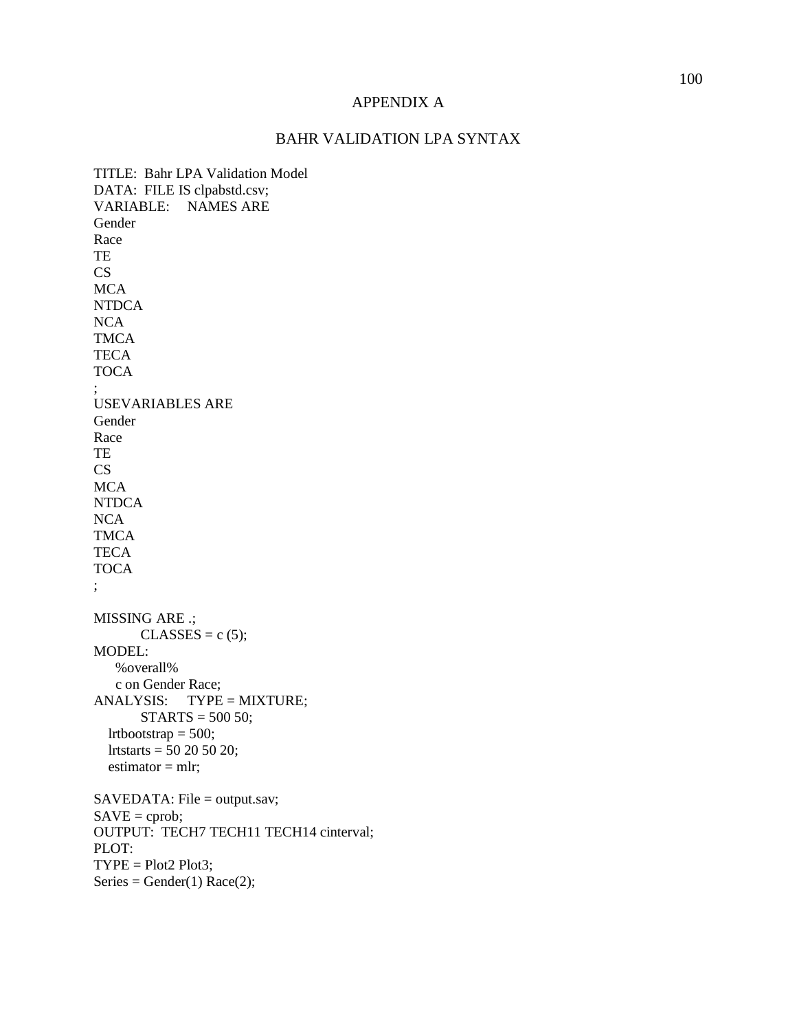## APPENDIX A

## BAHR VALIDATION LPA SYNTAX

TITLE: Bahr LPA Validation Model DATA: FILE IS clpabstd.csv; VARIABLE: NAMES ARE Gender Race TE CS **MCA** NTDCA **NCA** TMCA **TECA TOCA** ; USEVARIABLES ARE Gender Race TE CS **MCA** NTDCA NCA TMCA **TECA** TOCA ; MISSING ARE .;  $CLASSES = c (5);$ MODEL: %overall% c on Gender Race; ANALYSIS: TYPE = MIXTURE;  $STARTS = 500 50;$  lrtbootstrap = 500; lrtstarts = 50 20 50 20;  $estimator = mlr;$ SAVEDATA: File = output.sav;  $SAVE =$  cprob; OUTPUT: TECH7 TECH11 TECH14 cinterval; PLOT:  $TYPE = Plot2 Plot3;$ Series = Gender(1)  $Race(2)$ ;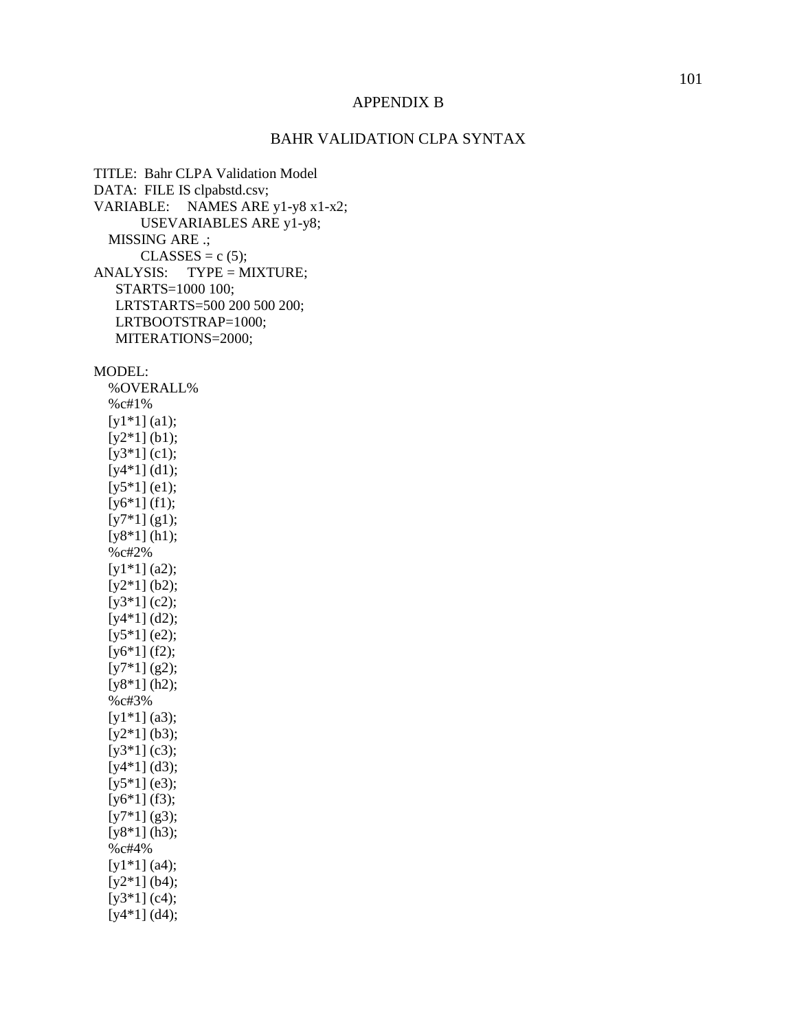#### APPENDIX B

### BAHR VALIDATION CLPA SYNTAX

TITLE: Bahr CLPA Validation Model DATA: FILE IS clpabstd.csv; VARIABLE: NAMES ARE y1-y8 x1-x2; USEVARIABLES ARE y1-y8; MISSING ARE .;  $CLASSES = c (5);$ ANALYSIS: TYPE = MIXTURE; STARTS=1000 100; LRTSTARTS=500 200 500 200; LRTBOOTSTRAP=1000; MITERATIONS=2000;

MODEL:

 %OVERALL% %c#1%  $[y1*1](a1);$  $[y2*1]$  (b1); [y3\*1] (c1); [y4\*1] (d1);  $[y5*1]$  (e1); [y6<sup>\*</sup>1] (f1);  $[y7*1](g1);$ [y8<sup>\*</sup>1] (h1); %c#2%  $[y1*1](a2);$ [y2\*1] (b2); [y3\*1] (c2);  $[y4*1](d2);$  $[y5*1]$  (e2);  $[y6*1] (f2);$  $[y7*1](g2);$ [y8<sup>\*</sup>1] (h2); %c#3%  $[y1*1]$  (a3);  $[y2*1]$  (b3); [y3\*1] (c3);  $[y4*1]$  (d3);  $[y5*1]$  (e3); [y6\*1] (f3);  $[y7*1]$  (g3); [y8<sup>\*</sup>1] (h3); %c#4% [y1\*1] (a4);  $[y2*1]$  (b4);  $[y3*1]$  (c4);  $[y4*1]$  (d4);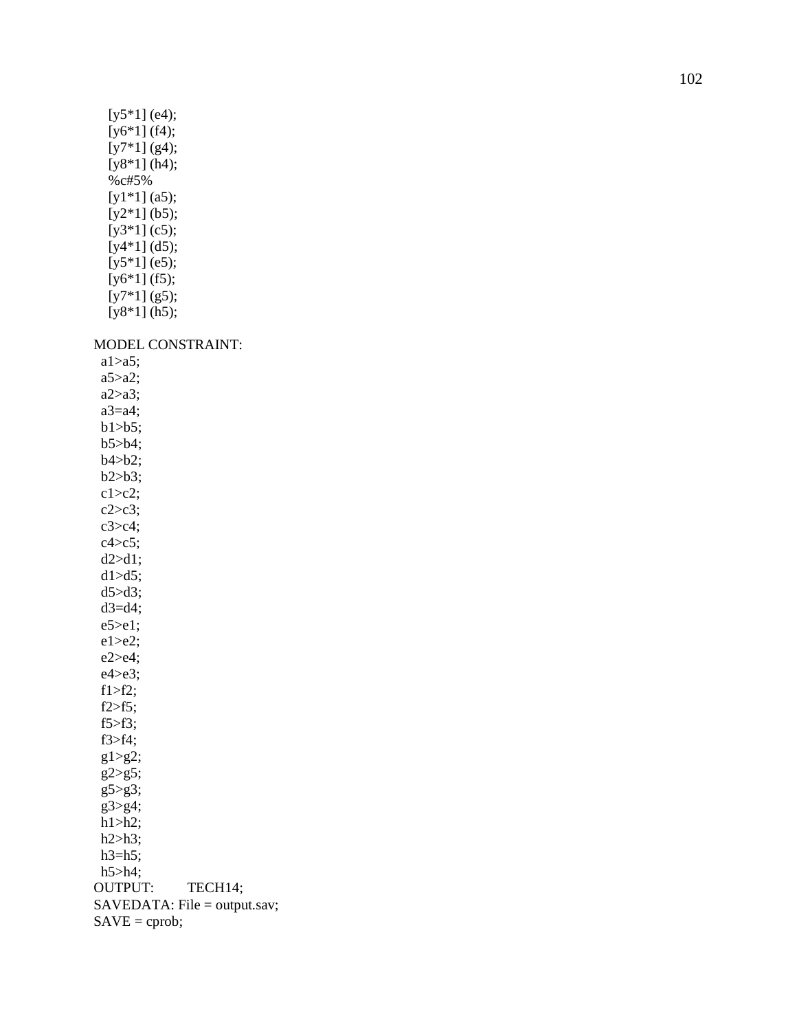| [ $y5*1$ ] (e4);             |
|------------------------------|
| $[y6*1] (f4);$               |
| $[y7*1](g4);$                |
| $[y8*1]$ (h4);               |
| $%$ c#5%                     |
| $[y1*1](a5);$                |
| $[y2*1]$ (b5);               |
| $[y3*1]$ (c5);               |
| [y4*1] (d5);                 |
| $[y5*1]$ (e5);               |
| $[y6*1] (f5);$               |
| $[y7*1](g5);$                |
| $[y8*1]$ (h5);               |
|                              |
| <b>MODEL CONSTRAINT:</b>     |
| $a1 > a5$ ;                  |
| a5>a2;                       |
| $a2>a3$ ;                    |
| $a3=a4;$                     |
| $b1> b5$ ;                   |
| $b5> b4$ ;                   |
| b4>b2;                       |
| b2>b3;                       |
| $c1 > c2$ :                  |
| $c2 > c3$ ;                  |
| $c3 > c4$ ;                  |
| $c4 > c5$ ;                  |
| d2 > d1;                     |
| $d1 > d5$ ;                  |
| $d5 > d3$ ;                  |
| $d3=44$ ;                    |
| $e5 > e1$ ;                  |
| $e1 > e2$ ;                  |
| $e2 > e4$ ;                  |
| $e4 > e3$ ;                  |
| $f1 > f2$ ;                  |
| $f2 > f5$ ;                  |
| $f5 > f3$ ;                  |
| $f3> f4$ ;                   |
| $g1>g2$ ;                    |
| $g2>g5$ ;                    |
| $g5 > g3$ ;                  |
| $g3 > g4$ ;                  |
| $h1>h2$ ;                    |
| $h2>h3$ ;                    |
| $h3=h5;$                     |
| $h5>h4$ ;                    |
| <b>OUTPUT:</b><br>TECH14;    |
| SAVEDATA: File = output.sav; |
| $SAVE =$ cprob;              |